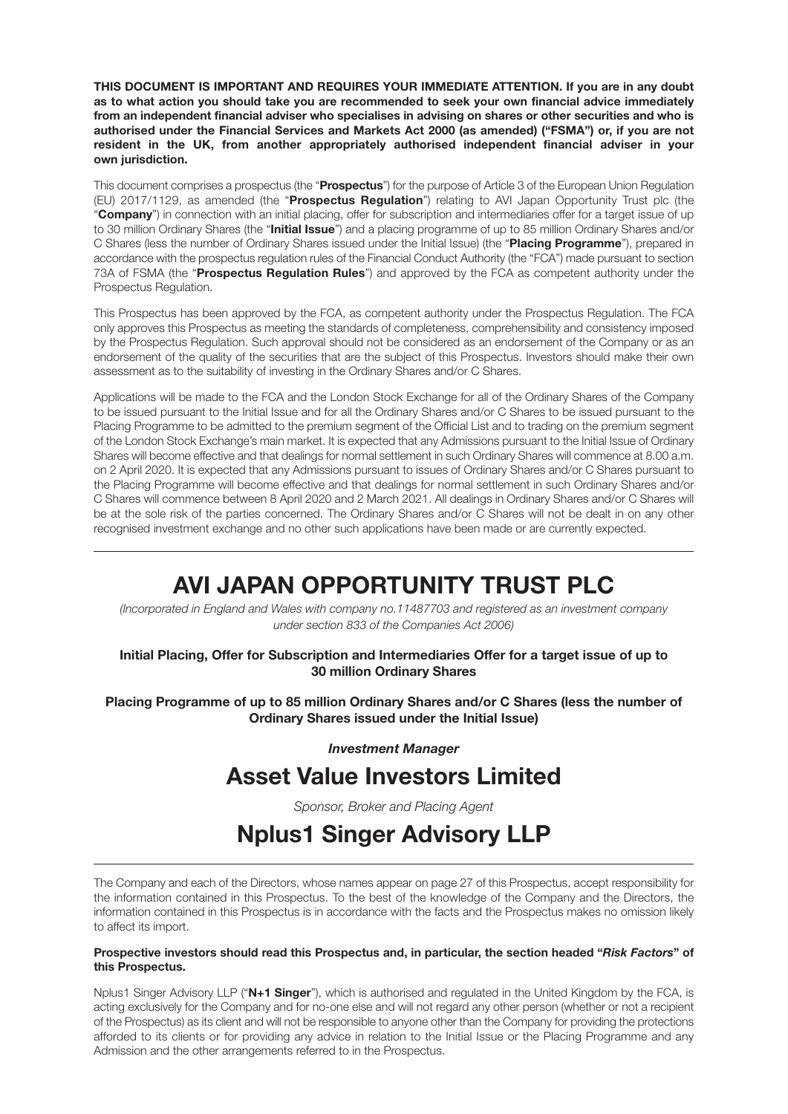**THIS DOCUMENT IS IMPORTANT AND REQUIRES YOUR IMMEDIATE ATTENTION. If you are in any doubt as to what action you should take you are recommended to seek your own financial advice immediately from an independent financial adviser who specialises in advising on shares or other securities and who is authorised under the Financial Services and Markets Act 2000 (as amended) ("FSMA") or, if you are not resident in the UK, from another appropriately authorised independent financial adviser in your own jurisdiction.** 

This document comprises a prospectus (the "**Prospectus**") for the purpose of Article 3 of the European Union Regulation (EU) 2017/1129, as amended (the "**Prospectus Regulation**") relating to AVI Japan Opportunity Trust plc (the "**Company**") in connection with an initial placing, offer for subscription and intermediaries offer for a target issue of up to 30 million Ordinary Shares (the "**Initial Issue**") and a placing programme of up to 85 million Ordinary Shares and/or C Shares (less the number of Ordinary Shares issued under the Initial Issue) (the "**Placing Programme**"), prepared in accordance with the prospectus regulation rules of the Financial Conduct Authority (the "FCA") made pursuant to section 73A of FSMA (the "**Prospectus Regulation Rules**") and approved by the FCA as competent authority under the Prospectus Regulation.

This Prospectus has been approved by the FCA, as competent authority under the Prospectus Regulation. The FCA only approves this Prospectus as meeting the standards of completeness, comprehensibility and consistency imposed by the Prospectus Regulation. Such approval should not be considered as an endorsement of the Company or as an endorsement of the quality of the securities that are the subject of this Prospectus. Investors should make their own assessment as to the suitability of investing in the Ordinary Shares and/or C Shares.

Applications will be made to the FCA and the London Stock Exchange for all of the Ordinary Shares of the Company to be issued pursuant to the Initial Issue and for all the Ordinary Shares and/or C Shares to be issued pursuant to the Placing Programme to be admitted to the premium segment of the Official List and to trading on the premium segment of the London Stock Exchange's main market. It is expected that any Admissions pursuant to the Initial Issue of Ordinary Shares will become effective and that dealings for normal settlement in such Ordinary Shares will commence at 8.00 a.m. on 2 April 2020. It is expected that any Admissions pursuant to issues of Ordinary Shares and/or C Shares pursuant to the Placing Programme will become effective and that dealings for normal settlement in such Ordinary Shares and/or C Shares will commence between 8 April 2020 and 2 March 2021. All dealings in Ordinary Shares and/or C Shares will be at the sole risk of the parties concerned. The Ordinary Shares and/or C Shares will not be dealt in on any other recognised investment exchange and no other such applications have been made or are currently expected.

# **AVI JAPAN OPPORTUNITY TRUST PLC**

*(Incorporated in England and Wales with company no.11487703 and registered as an investment company under section 833 of the Companies Act 2006)*

**Initial Placing, Offer for Subscription and Intermediaries Offer for a target issue of up to 30 million Ordinary Shares** 

**Placing Programme of up to 85 million Ordinary Shares and/or C Shares (less the number of Ordinary Shares issued under the Initial Issue)**

*Investment Manager* 

# **Asset Value Investors Limited**

*Sponsor, Broker and Placing Agent* 

# **Nplus1 Singer Advisory LLP**

The Company and each of the Directors, whose names appear on page 27 of this Prospectus, accept responsibility for the information contained in this Prospectus. To the best of the knowledge of the Company and the Directors, the information contained in this Prospectus is in accordance with the facts and the Prospectus makes no omission likely to affect its import.

#### **Prospective investors should read this Prospectus and, in particular, the section headed "***Risk Factors***" of this Prospectus.**

Nplus1 Singer Advisory LLP ("**N+1 Singer**"), which is authorised and regulated in the United Kingdom by the FCA, is acting exclusively for the Company and for no-one else and will not regard any other person (whether or not a recipient of the Prospectus) as its client and will not be responsible to anyone other than the Company for providing the protections afforded to its clients or for providing any advice in relation to the Initial Issue or the Placing Programme and any Admission and the other arrangements referred to in the Prospectus.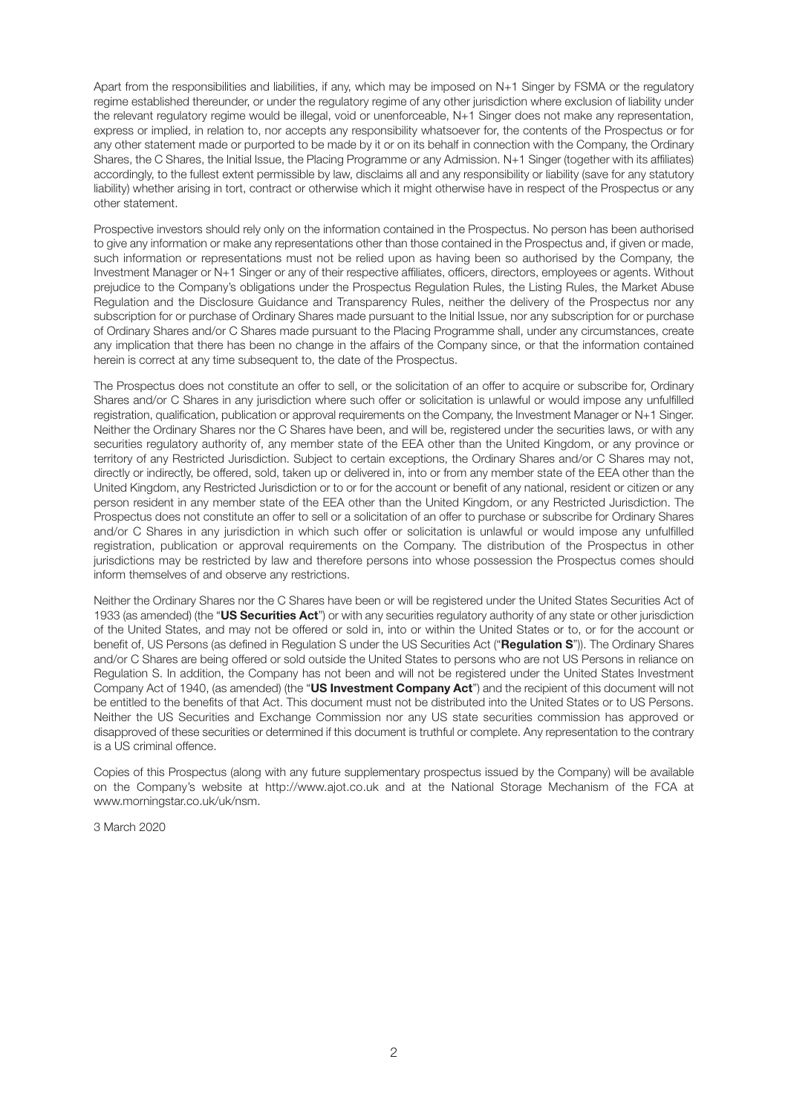Apart from the responsibilities and liabilities, if any, which may be imposed on N+1 Singer by FSMA or the regulatory regime established thereunder, or under the regulatory regime of any other jurisdiction where exclusion of liability under the relevant regulatory regime would be illegal, void or unenforceable, N+1 Singer does not make any representation, express or implied, in relation to, nor accepts any responsibility whatsoever for, the contents of the Prospectus or for any other statement made or purported to be made by it or on its behalf in connection with the Company, the Ordinary Shares, the C Shares, the Initial Issue, the Placing Programme or any Admission. N+1 Singer (together with its affiliates) accordingly, to the fullest extent permissible by law, disclaims all and any responsibility or liability (save for any statutory liability) whether arising in tort, contract or otherwise which it might otherwise have in respect of the Prospectus or any other statement.

Prospective investors should rely only on the information contained in the Prospectus. No person has been authorised to give any information or make any representations other than those contained in the Prospectus and, if given or made, such information or representations must not be relied upon as having been so authorised by the Company, the Investment Manager or N+1 Singer or any of their respective affiliates, officers, directors, employees or agents. Without prejudice to the Company's obligations under the Prospectus Regulation Rules, the Listing Rules, the Market Abuse Regulation and the Disclosure Guidance and Transparency Rules, neither the delivery of the Prospectus nor any subscription for or purchase of Ordinary Shares made pursuant to the Initial Issue, nor any subscription for or purchase of Ordinary Shares and/or C Shares made pursuant to the Placing Programme shall, under any circumstances, create any implication that there has been no change in the affairs of the Company since, or that the information contained herein is correct at any time subsequent to, the date of the Prospectus.

The Prospectus does not constitute an offer to sell, or the solicitation of an offer to acquire or subscribe for, Ordinary Shares and/or C Shares in any jurisdiction where such offer or solicitation is unlawful or would impose any unfulfilled registration, qualification, publication or approval requirements on the Company, the Investment Manager or N+1 Singer. Neither the Ordinary Shares nor the C Shares have been, and will be, registered under the securities laws, or with any securities regulatory authority of, any member state of the EEA other than the United Kingdom, or any province or territory of any Restricted Jurisdiction. Subject to certain exceptions, the Ordinary Shares and/or C Shares may not, directly or indirectly, be offered, sold, taken up or delivered in, into or from any member state of the EEA other than the United Kingdom, any Restricted Jurisdiction or to or for the account or benefit of any national, resident or citizen or any person resident in any member state of the EEA other than the United Kingdom, or any Restricted Jurisdiction. The Prospectus does not constitute an offer to sell or a solicitation of an offer to purchase or subscribe for Ordinary Shares and/or C Shares in any jurisdiction in which such offer or solicitation is unlawful or would impose any unfulfilled registration, publication or approval requirements on the Company. The distribution of the Prospectus in other jurisdictions may be restricted by law and therefore persons into whose possession the Prospectus comes should inform themselves of and observe any restrictions.

Neither the Ordinary Shares nor the C Shares have been or will be registered under the United States Securities Act of 1933 (as amended) (the "**US Securities Act**") or with any securities regulatory authority of any state or other jurisdiction of the United States, and may not be offered or sold in, into or within the United States or to, or for the account or benefit of, US Persons (as defined in Regulation S under the US Securities Act ("**Regulation S**")). The Ordinary Shares and/or C Shares are being offered or sold outside the United States to persons who are not US Persons in reliance on Regulation S. In addition, the Company has not been and will not be registered under the United States Investment Company Act of 1940, (as amended) (the "**US Investment Company Act**") and the recipient of this document will not be entitled to the benefits of that Act. This document must not be distributed into the United States or to US Persons. Neither the US Securities and Exchange Commission nor any US state securities commission has approved or disapproved of these securities or determined if this document is truthful or complete. Any representation to the contrary is a US criminal offence.

Copies of this Prospectus (along with any future supplementary prospectus issued by the Company) will be available on the Company's website at http://www.ajot.co.uk and at the National Storage Mechanism of the FCA at www.morningstar.co.uk/uk/nsm.

3 March 2020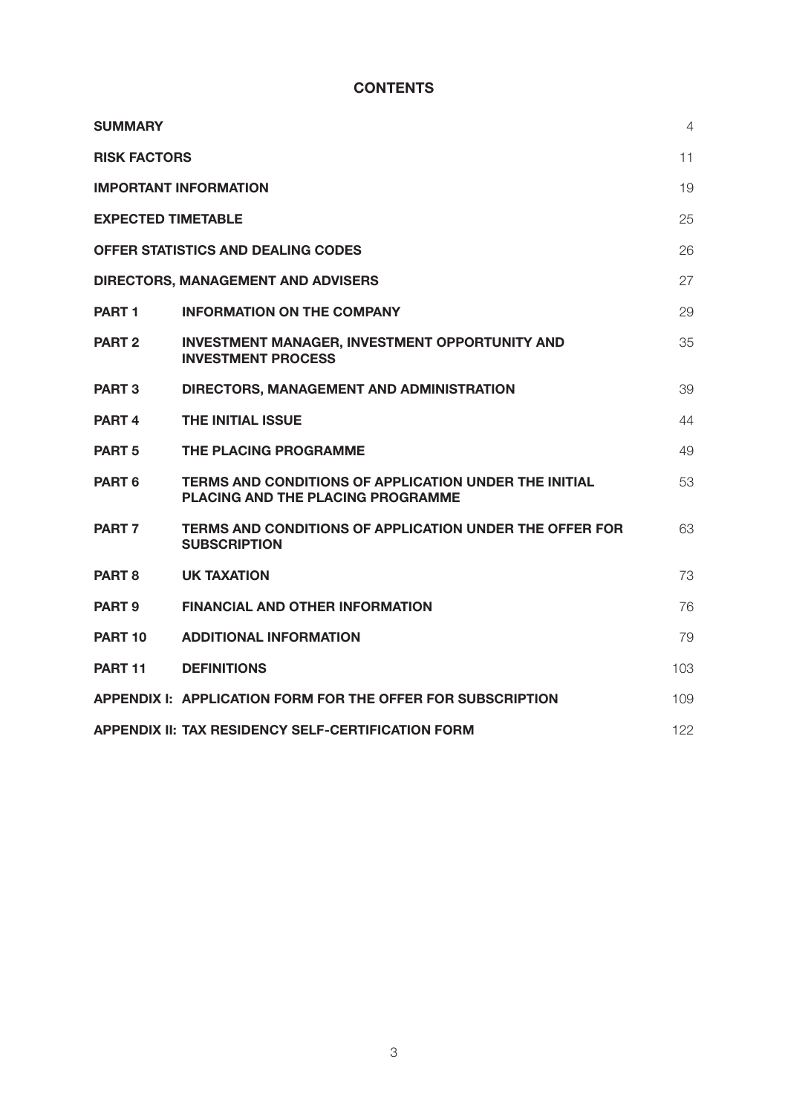# **CONTENTS**

| <b>SUMMARY</b>            |                                                                                            | 4   |
|---------------------------|--------------------------------------------------------------------------------------------|-----|
| <b>RISK FACTORS</b>       |                                                                                            | 11  |
|                           | <b>IMPORTANT INFORMATION</b>                                                               | 19  |
| <b>EXPECTED TIMETABLE</b> |                                                                                            | 25  |
|                           | OFFER STATISTICS AND DEALING CODES                                                         | 26  |
|                           | DIRECTORS, MANAGEMENT AND ADVISERS                                                         | 27  |
| PART <sub>1</sub>         | <b>INFORMATION ON THE COMPANY</b>                                                          | 29  |
| PART <sub>2</sub>         | <b>INVESTMENT MANAGER, INVESTMENT OPPORTUNITY AND</b><br><b>INVESTMENT PROCESS</b>         | 35  |
| <b>PART 3</b>             | DIRECTORS, MANAGEMENT AND ADMINISTRATION                                                   | 39  |
| PART <sub>4</sub>         | <b>THE INITIAL ISSUE</b>                                                                   | 44  |
| PART <sub>5</sub>         | THE PLACING PROGRAMME                                                                      | 49  |
| PART 6                    | TERMS AND CONDITIONS OF APPLICATION UNDER THE INITIAL<br>PLACING AND THE PLACING PROGRAMME | 53  |
| PART <sub>7</sub>         | <b>TERMS AND CONDITIONS OF APPLICATION UNDER THE OFFER FOR</b><br><b>SUBSCRIPTION</b>      | 63  |
| PART <sub>8</sub>         | UK TAXATION                                                                                | 73  |
| PART <sub>9</sub>         | <b>FINANCIAL AND OTHER INFORMATION</b>                                                     | 76  |
| <b>PART 10</b>            | <b>ADDITIONAL INFORMATION</b>                                                              | 79  |
| PART <sub>11</sub>        | <b>DEFINITIONS</b>                                                                         | 103 |
|                           | APPENDIX I: APPLICATION FORM FOR THE OFFER FOR SUBSCRIPTION                                | 109 |
|                           | APPENDIX II: TAX RESIDENCY SELF-CERTIFICATION FORM                                         | 122 |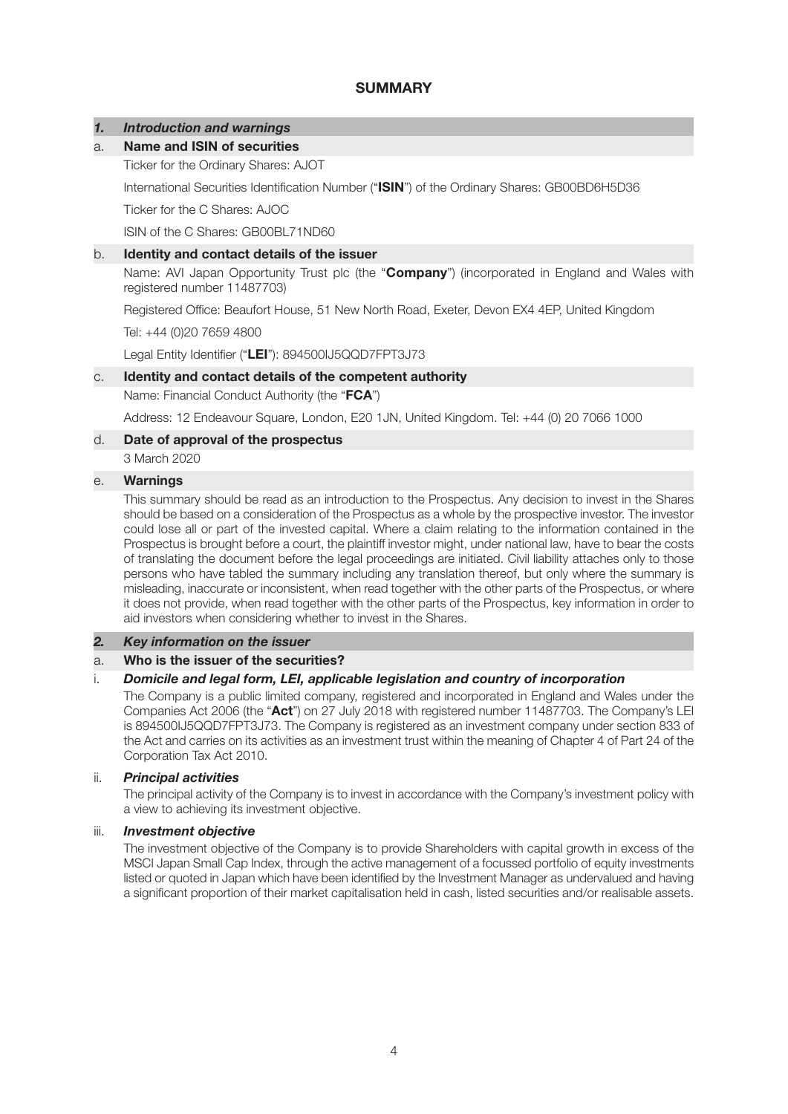# **SUMMARY**

# *1. Introduction and warnings*

## a. **Name and ISIN of securities**

Ticker for the Ordinary Shares: AJOT

International Securities Identification Number ("**ISIN**") of the Ordinary Shares: GB00BD6H5D36

Ticker for the C Shares: AJOC

ISIN of the C Shares: GB00BL71ND60

## b. **Identity and contact details of the issuer**

Name: AVI Japan Opportunity Trust plc (the "**Company**") (incorporated in England and Wales with registered number 11487703)

Registered Office: Beaufort House, 51 New North Road, Exeter, Devon EX4 4EP, United Kingdom

Tel: +44 (0)20 7659 4800

Legal Entity Identifier ("**LEI**"): 894500IJ5QQD7FPT3J73

## c. **Identity and contact details of the competent authority**

Name: Financial Conduct Authority (the "**FCA**")

Address: 12 Endeavour Square, London, E20 1JN, United Kingdom. Tel: +44 (0) 20 7066 1000

## d. **Date of approval of the prospectus**

3 March 2020

### e. **Warnings**

This summary should be read as an introduction to the Prospectus. Any decision to invest in the Shares should be based on a consideration of the Prospectus as a whole by the prospective investor. The investor could lose all or part of the invested capital. Where a claim relating to the information contained in the Prospectus is brought before a court, the plaintiff investor might, under national law, have to bear the costs of translating the document before the legal proceedings are initiated. Civil liability attaches only to those persons who have tabled the summary including any translation thereof, but only where the summary is misleading, inaccurate or inconsistent, when read together with the other parts of the Prospectus, or where it does not provide, when read together with the other parts of the Prospectus, key information in order to aid investors when considering whether to invest in the Shares.

## *2. Key information on the issuer*

#### a. **Who is the issuer of the securities?**

#### i. *Domicile and legal form, LEI, applicable legislation and country of incorporation*

The Company is a public limited company, registered and incorporated in England and Wales under the Companies Act 2006 (the "**Act**") on 27 July 2018 with registered number 11487703. The Company's LEI is 894500IJ5QQD7FPT3J73. The Company is registered as an investment company under section 833 of the Act and carries on its activities as an investment trust within the meaning of Chapter 4 of Part 24 of the Corporation Tax Act 2010.

#### ii. *Principal activities*

The principal activity of the Company is to invest in accordance with the Company's investment policy with a view to achieving its investment objective.

## iii. *Investment objective*

The investment objective of the Company is to provide Shareholders with capital growth in excess of the MSCI Japan Small Cap Index, through the active management of a focussed portfolio of equity investments listed or quoted in Japan which have been identified by the Investment Manager as undervalued and having a significant proportion of their market capitalisation held in cash, listed securities and/or realisable assets.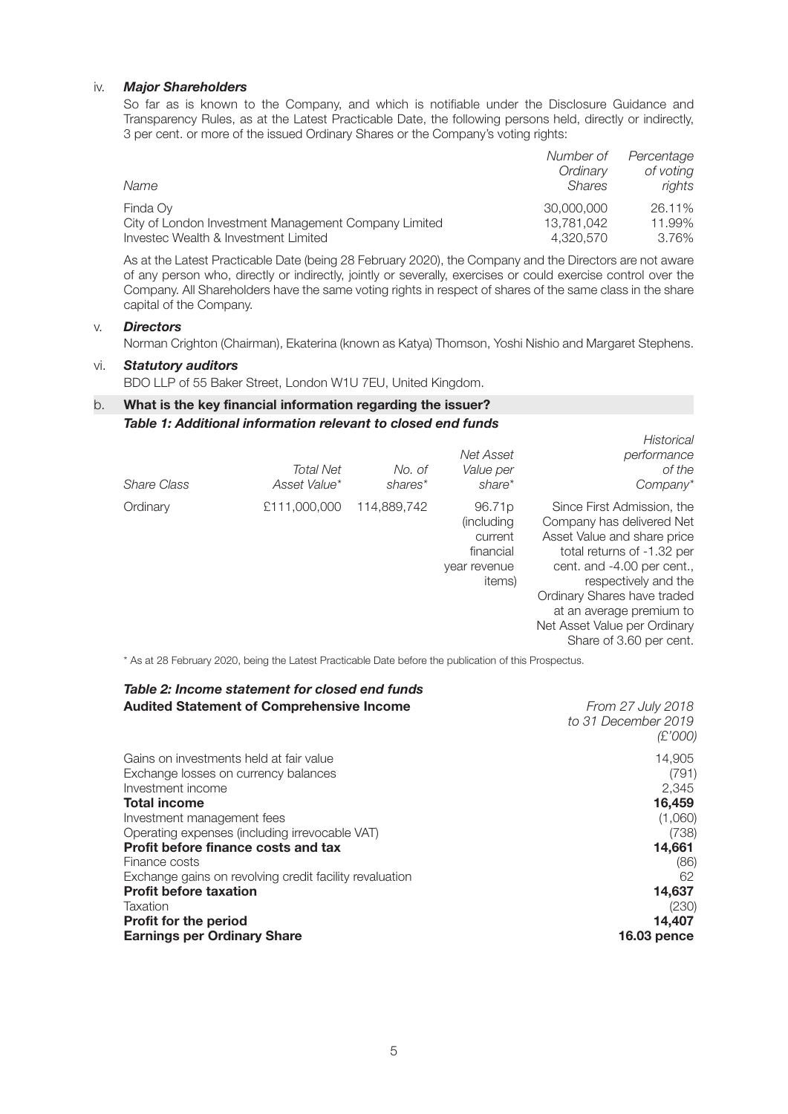## iv. *Major Shareholders*

So far as is known to the Company, and which is notifiable under the Disclosure Guidance and Transparency Rules, as at the Latest Practicable Date, the following persons held, directly or indirectly, 3 per cent. or more of the issued Ordinary Shares or the Company's voting rights:

|                                                      | Number of     | Percentage |
|------------------------------------------------------|---------------|------------|
|                                                      | Ordinary      | of voting  |
| Name                                                 | <b>Shares</b> | rights     |
| Finda Ov                                             | 30,000,000    | 26.11%     |
| City of London Investment Management Company Limited | 13.781.042    | 11.99%     |
| Investec Wealth & Investment Limited                 | 4.320.570     | 3.76%      |

As at the Latest Practicable Date (being 28 February 2020), the Company and the Directors are not aware of any person who, directly or indirectly, jointly or severally, exercises or could exercise control over the Company. All Shareholders have the same voting rights in respect of shares of the same class in the share capital of the Company.

## v. *Directors*

Norman Crighton (Chairman), Ekaterina (known as Katya) Thomson, Yoshi Nishio and Margaret Stephens.

## vi. *Statutory auditors*

BDO LLP of 55 Baker Street, London W1U 7EU, United Kingdom.

# b. **What is the key financial information regarding the issuer?**  *Table 1: Additional information relevant to closed end funds*

| Share Class | <b>Total Net</b><br>Asset Value* | No. of<br>shares* | Net Asset<br>Value per<br>share*                                                   | Historical<br>performance<br>of the<br>Company*                                                                                                                                                                                                                                                  |
|-------------|----------------------------------|-------------------|------------------------------------------------------------------------------------|--------------------------------------------------------------------------------------------------------------------------------------------------------------------------------------------------------------------------------------------------------------------------------------------------|
| Ordinary    | £111,000,000                     | 114,889,742       | 96.71 <sub>p</sub><br>(including<br>current<br>financial<br>year revenue<br>items) | Since First Admission, the<br>Company has delivered Net<br>Asset Value and share price<br>total returns of -1.32 per<br>cent. and -4.00 per cent.,<br>respectively and the<br>Ordinary Shares have traded<br>at an average premium to<br>Net Asset Value per Ordinary<br>Share of 3.60 per cent. |

\* As at 28 February 2020, being the Latest Practicable Date before the publication of this Prospectus.

# *Table 2: Income statement for closed end funds*

| From 27 July 2018   |
|---------------------|
| to 31 December 2019 |
| (£'000)             |
|                     |
| 14,905              |
| (791)               |
| 2.345               |
| 16,459              |
| (1,060)             |
| (738)               |
| 14,661              |
| (86)                |
| 62                  |
| 14,637              |
| (230)               |
| 14,407              |
| <b>16.03 pence</b>  |
|                     |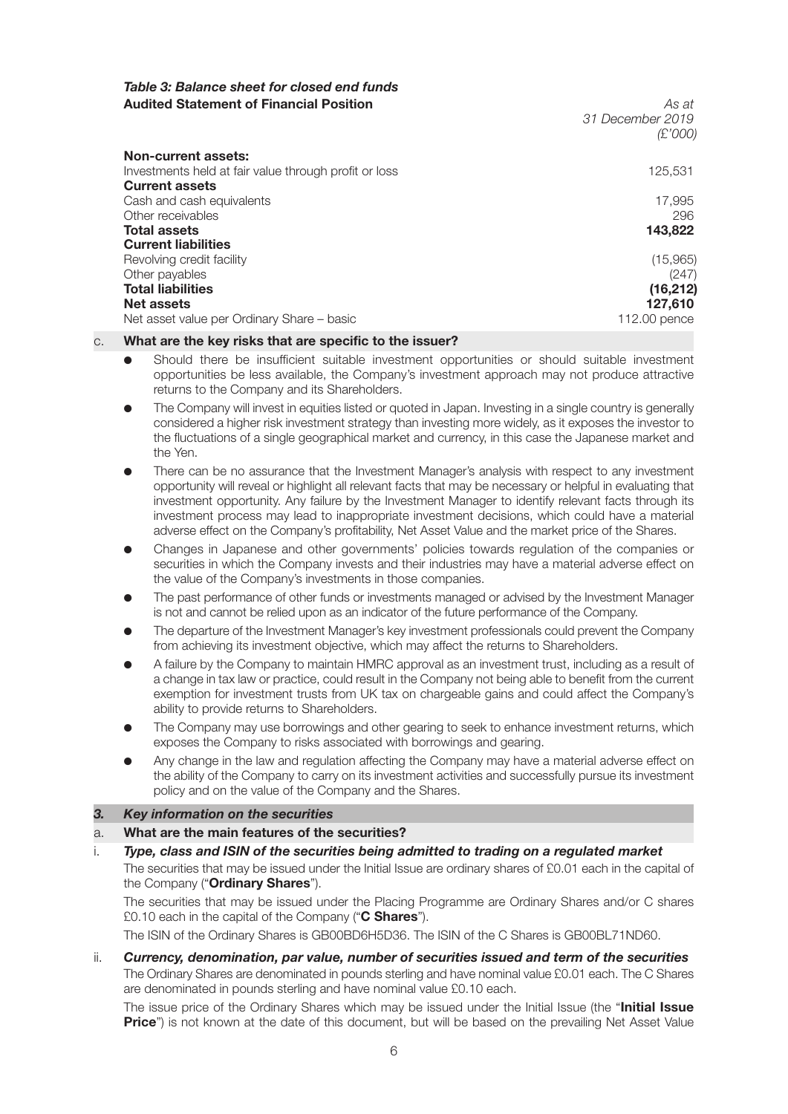# *Table 3: Balance sheet for closed end funds*  **Audited Statement of Financial Position** *As at*

 *31 December 2019 (£'000)*

| Non-current assets:<br>Investments held at fair value through profit or loss | 125,531      |
|------------------------------------------------------------------------------|--------------|
| <b>Current assets</b>                                                        |              |
| Cash and cash equivalents                                                    | 17,995       |
| Other receivables                                                            | 296          |
| <b>Total assets</b>                                                          | 143,822      |
| <b>Current liabilities</b>                                                   |              |
| Revolving credit facility                                                    | (15,965)     |
| Other payables                                                               | (247)        |
| <b>Total liabilities</b>                                                     | (16, 212)    |
| Net assets                                                                   | 127,610      |
| Net asset value per Ordinary Share – basic                                   | 112.00 pence |

## c. **What are the key risks that are specific to the issuer?**

- l Should there be insufficient suitable investment opportunities or should suitable investment opportunities be less available, the Company's investment approach may not produce attractive returns to the Company and its Shareholders.
- The Company will invest in equities listed or quoted in Japan. Investing in a single country is generally considered a higher risk investment strategy than investing more widely, as it exposes the investor to the fluctuations of a single geographical market and currency, in this case the Japanese market and the Yen.
- There can be no assurance that the Investment Manager's analysis with respect to any investment opportunity will reveal or highlight all relevant facts that may be necessary or helpful in evaluating that investment opportunity. Any failure by the Investment Manager to identify relevant facts through its investment process may lead to inappropriate investment decisions, which could have a material adverse effect on the Company's profitability, Net Asset Value and the market price of the Shares.
- l Changes in Japanese and other governments' policies towards regulation of the companies or securities in which the Company invests and their industries may have a material adverse effect on the value of the Company's investments in those companies.
- l The past performance of other funds or investments managed or advised by the Investment Manager is not and cannot be relied upon as an indicator of the future performance of the Company.
- l The departure of the Investment Manager's key investment professionals could prevent the Company from achieving its investment objective, which may affect the returns to Shareholders.
- A failure by the Company to maintain HMRC approval as an investment trust, including as a result of a change in tax law or practice, could result in the Company not being able to benefit from the current exemption for investment trusts from UK tax on chargeable gains and could affect the Company's ability to provide returns to Shareholders.
- The Company may use borrowings and other gearing to seek to enhance investment returns, which exposes the Company to risks associated with borrowings and gearing.
- Any change in the law and regulation affecting the Company may have a material adverse effect on the ability of the Company to carry on its investment activities and successfully pursue its investment policy and on the value of the Company and the Shares.

#### *3. Key information on the securities*

- a. **What are the main features of the securities?**
- i. *Type, class and ISIN of the securities being admitted to trading on a regulated market*  The securities that may be issued under the Initial Issue are ordinary shares of £0.01 each in the capital of

the Company ("**Ordinary Shares**"). The securities that may be issued under the Placing Programme are Ordinary Shares and/or C shares £0.10 each in the capital of the Company ("**C Shares**").

The ISIN of the Ordinary Shares is GB00BD6H5D36. The ISIN of the C Shares is GB00BL71ND60.

ii. *Currency, denomination, par value, number of securities issued and term of the securities*  The Ordinary Shares are denominated in pounds sterling and have nominal value £0.01 each. The C Shares are denominated in pounds sterling and have nominal value £0.10 each.

The issue price of the Ordinary Shares which may be issued under the Initial Issue (the "**Initial Issue Price**") is not known at the date of this document, but will be based on the prevailing Net Asset Value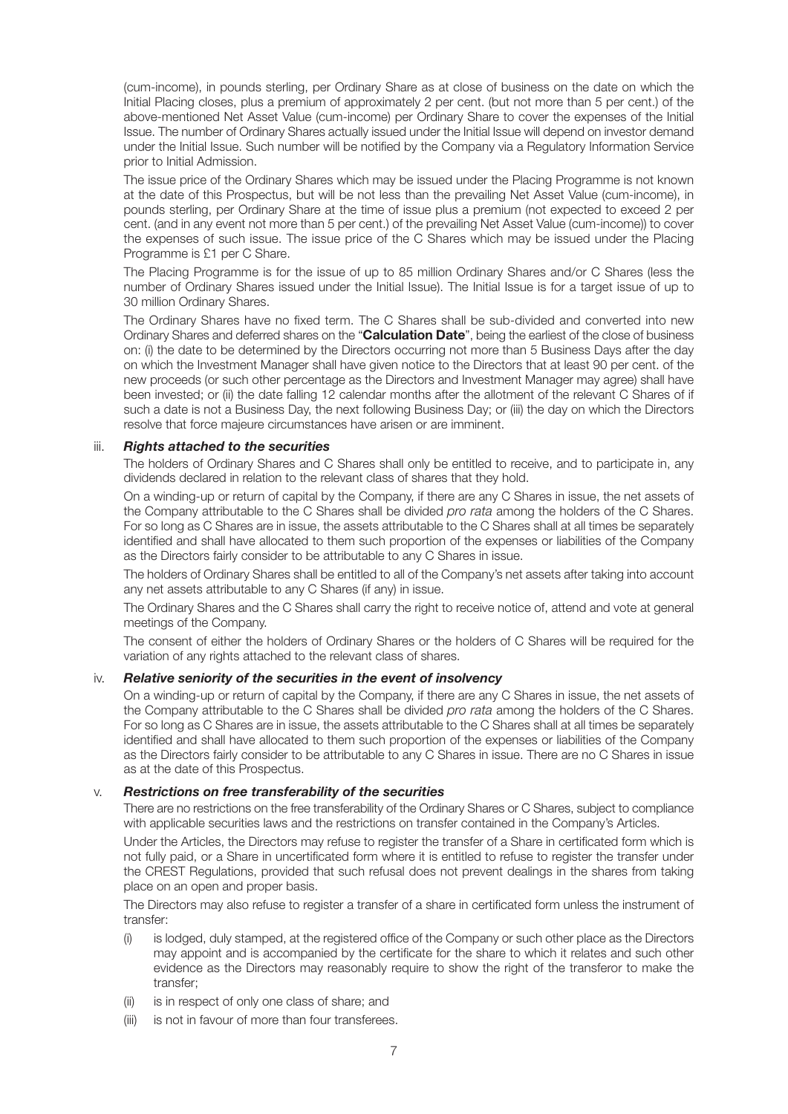(cum-income), in pounds sterling, per Ordinary Share as at close of business on the date on which the Initial Placing closes, plus a premium of approximately 2 per cent. (but not more than 5 per cent.) of the above-mentioned Net Asset Value (cum-income) per Ordinary Share to cover the expenses of the Initial Issue. The number of Ordinary Shares actually issued under the Initial Issue will depend on investor demand under the Initial Issue. Such number will be notified by the Company via a Regulatory Information Service prior to Initial Admission.

The issue price of the Ordinary Shares which may be issued under the Placing Programme is not known at the date of this Prospectus, but will be not less than the prevailing Net Asset Value (cum-income), in pounds sterling, per Ordinary Share at the time of issue plus a premium (not expected to exceed 2 per cent. (and in any event not more than 5 per cent.) of the prevailing Net Asset Value (cum-income)) to cover the expenses of such issue. The issue price of the C Shares which may be issued under the Placing Programme is £1 per C Share.

The Placing Programme is for the issue of up to 85 million Ordinary Shares and/or C Shares (less the number of Ordinary Shares issued under the Initial Issue). The Initial Issue is for a target issue of up to 30 million Ordinary Shares.

The Ordinary Shares have no fixed term. The C Shares shall be sub-divided and converted into new Ordinary Shares and deferred shares on the "**Calculation Date**", being the earliest of the close of business on: (i) the date to be determined by the Directors occurring not more than 5 Business Days after the day on which the Investment Manager shall have given notice to the Directors that at least 90 per cent. of the new proceeds (or such other percentage as the Directors and Investment Manager may agree) shall have been invested; or (ii) the date falling 12 calendar months after the allotment of the relevant C Shares of if such a date is not a Business Day, the next following Business Day; or (iii) the day on which the Directors resolve that force majeure circumstances have arisen or are imminent.

#### iii. *Rights attached to the securities*

The holders of Ordinary Shares and C Shares shall only be entitled to receive, and to participate in, any dividends declared in relation to the relevant class of shares that they hold.

On a winding-up or return of capital by the Company, if there are any C Shares in issue, the net assets of the Company attributable to the C Shares shall be divided *pro rata* among the holders of the C Shares. For so long as C Shares are in issue, the assets attributable to the C Shares shall at all times be separately identified and shall have allocated to them such proportion of the expenses or liabilities of the Company as the Directors fairly consider to be attributable to any C Shares in issue.

The holders of Ordinary Shares shall be entitled to all of the Company's net assets after taking into account any net assets attributable to any C Shares (if any) in issue.

The Ordinary Shares and the C Shares shall carry the right to receive notice of, attend and vote at general meetings of the Company.

The consent of either the holders of Ordinary Shares or the holders of C Shares will be required for the variation of any rights attached to the relevant class of shares.

#### iv. *Relative seniority of the securities in the event of insolvency*

On a winding-up or return of capital by the Company, if there are any C Shares in issue, the net assets of the Company attributable to the C Shares shall be divided *pro rata* among the holders of the C Shares. For so long as C Shares are in issue, the assets attributable to the C Shares shall at all times be separately identified and shall have allocated to them such proportion of the expenses or liabilities of the Company as the Directors fairly consider to be attributable to any C Shares in issue. There are no C Shares in issue as at the date of this Prospectus.

#### v. *Restrictions on free transferability of the securities*

There are no restrictions on the free transferability of the Ordinary Shares or C Shares, subject to compliance with applicable securities laws and the restrictions on transfer contained in the Company's Articles.

Under the Articles, the Directors may refuse to register the transfer of a Share in certificated form which is not fully paid, or a Share in uncertificated form where it is entitled to refuse to register the transfer under the CREST Regulations, provided that such refusal does not prevent dealings in the shares from taking place on an open and proper basis.

The Directors may also refuse to register a transfer of a share in certificated form unless the instrument of transfer:

- (i) is lodged, duly stamped, at the registered office of the Company or such other place as the Directors may appoint and is accompanied by the certificate for the share to which it relates and such other evidence as the Directors may reasonably require to show the right of the transferor to make the transfer;
- (ii) is in respect of only one class of share; and
- (iii) is not in favour of more than four transferees.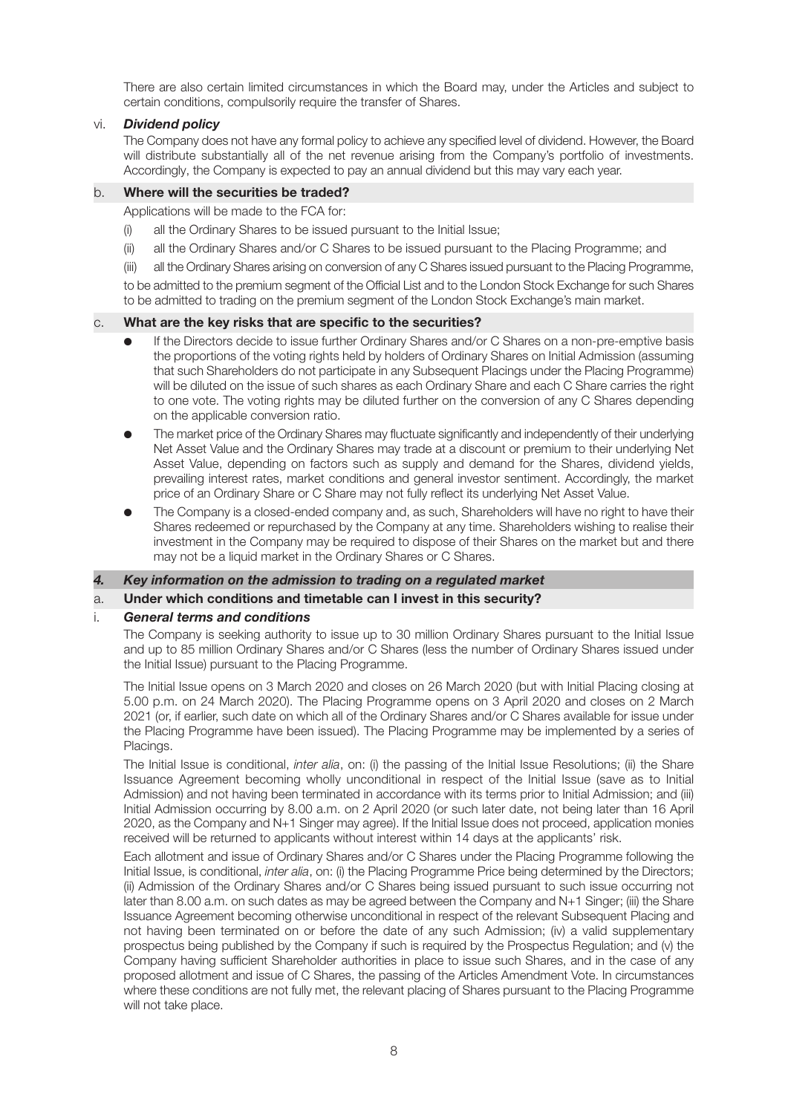There are also certain limited circumstances in which the Board may, under the Articles and subject to certain conditions, compulsorily require the transfer of Shares.

## vi. *Dividend policy*

The Company does not have any formal policy to achieve any specified level of dividend. However, the Board will distribute substantially all of the net revenue arising from the Company's portfolio of investments. Accordingly, the Company is expected to pay an annual dividend but this may vary each year.

## b. **Where will the securities be traded?**

Applications will be made to the FCA for:

- (i) all the Ordinary Shares to be issued pursuant to the Initial Issue;
- (ii) all the Ordinary Shares and/or C Shares to be issued pursuant to the Placing Programme; and
- (iii) all the Ordinary Shares arising on conversion of any C Shares issued pursuant to the Placing Programme,

to be admitted to the premium segment of the Official List and to the London Stock Exchange for such Shares to be admitted to trading on the premium segment of the London Stock Exchange's main market.

#### c. **What are the key risks that are specific to the securities?**

- If the Directors decide to issue further Ordinary Shares and/or C Shares on a non-pre-emptive basis the proportions of the voting rights held by holders of Ordinary Shares on Initial Admission (assuming that such Shareholders do not participate in any Subsequent Placings under the Placing Programme) will be diluted on the issue of such shares as each Ordinary Share and each C Share carries the right to one vote. The voting rights may be diluted further on the conversion of any C Shares depending on the applicable conversion ratio.
- l The market price of the Ordinary Shares may fluctuate significantly and independently of their underlying Net Asset Value and the Ordinary Shares may trade at a discount or premium to their underlying Net Asset Value, depending on factors such as supply and demand for the Shares, dividend yields, prevailing interest rates, market conditions and general investor sentiment. Accordingly, the market price of an Ordinary Share or C Share may not fully reflect its underlying Net Asset Value.
- The Company is a closed-ended company and, as such, Shareholders will have no right to have their Shares redeemed or repurchased by the Company at any time. Shareholders wishing to realise their investment in the Company may be required to dispose of their Shares on the market but and there may not be a liquid market in the Ordinary Shares or C Shares.

# *4. Key information on the admission to trading on a regulated market*

# a. **Under which conditions and timetable can I invest in this security?**

#### i. *General terms and conditions*

The Company is seeking authority to issue up to 30 million Ordinary Shares pursuant to the Initial Issue and up to 85 million Ordinary Shares and/or C Shares (less the number of Ordinary Shares issued under the Initial Issue) pursuant to the Placing Programme.

The Initial Issue opens on 3 March 2020 and closes on 26 March 2020 (but with Initial Placing closing at 5.00 p.m. on 24 March 2020). The Placing Programme opens on 3 April 2020 and closes on 2 March 2021 (or, if earlier, such date on which all of the Ordinary Shares and/or C Shares available for issue under the Placing Programme have been issued). The Placing Programme may be implemented by a series of Placings.

The Initial Issue is conditional, *inter alia*, on: (i) the passing of the Initial Issue Resolutions; (ii) the Share Issuance Agreement becoming wholly unconditional in respect of the Initial Issue (save as to Initial Admission) and not having been terminated in accordance with its terms prior to Initial Admission; and (iii) Initial Admission occurring by 8.00 a.m. on 2 April 2020 (or such later date, not being later than 16 April 2020, as the Company and N+1 Singer may agree). If the Initial Issue does not proceed, application monies received will be returned to applicants without interest within 14 days at the applicants' risk.

Each allotment and issue of Ordinary Shares and/or C Shares under the Placing Programme following the Initial Issue, is conditional, *inter alia*, on: (i) the Placing Programme Price being determined by the Directors; (ii) Admission of the Ordinary Shares and/or C Shares being issued pursuant to such issue occurring not later than 8.00 a.m. on such dates as may be agreed between the Company and N+1 Singer; (iii) the Share Issuance Agreement becoming otherwise unconditional in respect of the relevant Subsequent Placing and not having been terminated on or before the date of any such Admission; (iv) a valid supplementary prospectus being published by the Company if such is required by the Prospectus Regulation; and (v) the Company having sufficient Shareholder authorities in place to issue such Shares, and in the case of any proposed allotment and issue of C Shares, the passing of the Articles Amendment Vote. In circumstances where these conditions are not fully met, the relevant placing of Shares pursuant to the Placing Programme will not take place.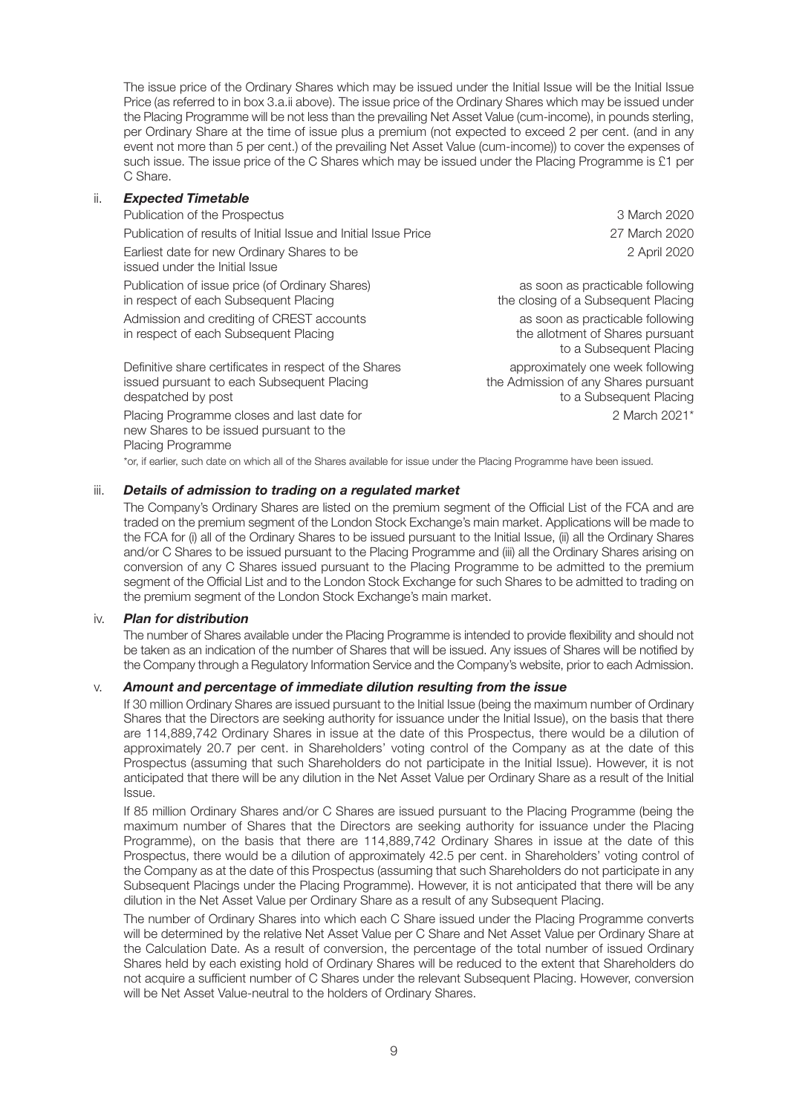The issue price of the Ordinary Shares which may be issued under the Initial Issue will be the Initial Issue Price (as referred to in box 3.a.ii above). The issue price of the Ordinary Shares which may be issued under the Placing Programme will be not less than the prevailing Net Asset Value (cum-income), in pounds sterling, per Ordinary Share at the time of issue plus a premium (not expected to exceed 2 per cent. (and in any event not more than 5 per cent.) of the prevailing Net Asset Value (cum-income)) to cover the expenses of such issue. The issue price of the C Shares which may be issued under the Placing Programme is £1 per C Share.

## ii. *Expected Timetable*

| Publication of the Prospectus                                                                                              | 3 March 2020                                                                                        |
|----------------------------------------------------------------------------------------------------------------------------|-----------------------------------------------------------------------------------------------------|
| Publication of results of Initial Issue and Initial Issue Price                                                            | 27 March 2020                                                                                       |
| Earliest date for new Ordinary Shares to be<br>issued under the Initial Issue                                              | 2 April 2020                                                                                        |
| Publication of issue price (of Ordinary Shares)<br>in respect of each Subsequent Placing                                   | as soon as practicable following<br>the closing of a Subsequent Placing                             |
| Admission and crediting of CREST accounts<br>in respect of each Subsequent Placing                                         | as soon as practicable following<br>the allotment of Shares pursuant<br>to a Subsequent Placing     |
| Definitive share certificates in respect of the Shares<br>issued pursuant to each Subsequent Placing<br>despatched by post | approximately one week following<br>the Admission of any Shares pursuant<br>to a Subsequent Placing |
| Placing Programme closes and last date for<br>new Shares to be issued pursuant to the                                      | 2 March 2021*                                                                                       |

\*or, if earlier, such date on which all of the Shares available for issue under the Placing Programme have been issued.

#### iii. *Details of admission to trading on a regulated market*

The Company's Ordinary Shares are listed on the premium segment of the Official List of the FCA and are traded on the premium segment of the London Stock Exchange's main market. Applications will be made to the FCA for (i) all of the Ordinary Shares to be issued pursuant to the Initial Issue, (ii) all the Ordinary Shares and/or C Shares to be issued pursuant to the Placing Programme and (iii) all the Ordinary Shares arising on conversion of any C Shares issued pursuant to the Placing Programme to be admitted to the premium segment of the Official List and to the London Stock Exchange for such Shares to be admitted to trading on the premium segment of the London Stock Exchange's main market.

#### iv. *Plan for distribution*

Placing Programme

The number of Shares available under the Placing Programme is intended to provide flexibility and should not be taken as an indication of the number of Shares that will be issued. Any issues of Shares will be notified by the Company through a Regulatory Information Service and the Company's website, prior to each Admission.

#### v. *Amount and percentage of immediate dilution resulting from the issue*

If 30 million Ordinary Shares are issued pursuant to the Initial Issue (being the maximum number of Ordinary Shares that the Directors are seeking authority for issuance under the Initial Issue), on the basis that there are 114,889,742 Ordinary Shares in issue at the date of this Prospectus, there would be a dilution of approximately 20.7 per cent. in Shareholders' voting control of the Company as at the date of this Prospectus (assuming that such Shareholders do not participate in the Initial Issue). However, it is not anticipated that there will be any dilution in the Net Asset Value per Ordinary Share as a result of the Initial Issue.

If 85 million Ordinary Shares and/or C Shares are issued pursuant to the Placing Programme (being the maximum number of Shares that the Directors are seeking authority for issuance under the Placing Programme), on the basis that there are 114,889,742 Ordinary Shares in issue at the date of this Prospectus, there would be a dilution of approximately 42.5 per cent. in Shareholders' voting control of the Company as at the date of this Prospectus (assuming that such Shareholders do not participate in any Subsequent Placings under the Placing Programme). However, it is not anticipated that there will be any dilution in the Net Asset Value per Ordinary Share as a result of any Subsequent Placing.

The number of Ordinary Shares into which each C Share issued under the Placing Programme converts will be determined by the relative Net Asset Value per C Share and Net Asset Value per Ordinary Share at the Calculation Date. As a result of conversion, the percentage of the total number of issued Ordinary Shares held by each existing hold of Ordinary Shares will be reduced to the extent that Shareholders do not acquire a sufficient number of C Shares under the relevant Subsequent Placing. However, conversion will be Net Asset Value-neutral to the holders of Ordinary Shares.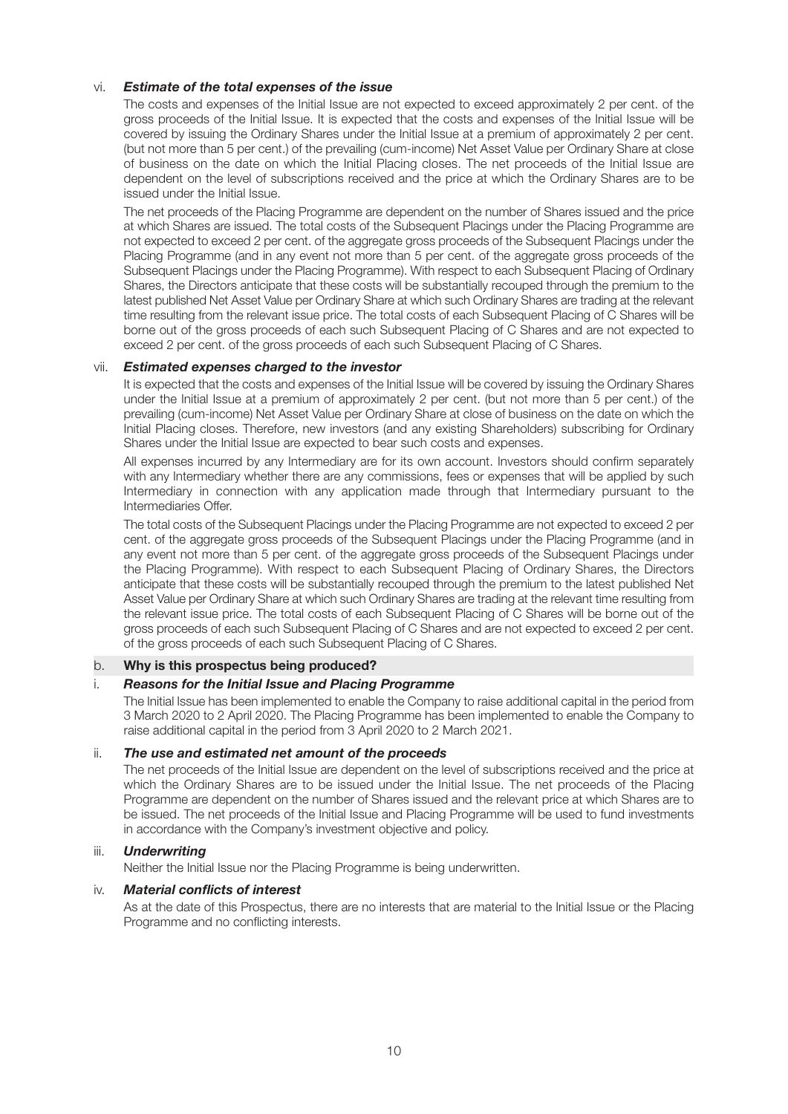# vi. *Estimate of the total expenses of the issue*

The costs and expenses of the Initial Issue are not expected to exceed approximately 2 per cent. of the gross proceeds of the Initial Issue. It is expected that the costs and expenses of the Initial Issue will be covered by issuing the Ordinary Shares under the Initial Issue at a premium of approximately 2 per cent. (but not more than 5 per cent.) of the prevailing (cum-income) Net Asset Value per Ordinary Share at close of business on the date on which the Initial Placing closes. The net proceeds of the Initial Issue are dependent on the level of subscriptions received and the price at which the Ordinary Shares are to be issued under the Initial Issue.

The net proceeds of the Placing Programme are dependent on the number of Shares issued and the price at which Shares are issued. The total costs of the Subsequent Placings under the Placing Programme are not expected to exceed 2 per cent. of the aggregate gross proceeds of the Subsequent Placings under the Placing Programme (and in any event not more than 5 per cent. of the aggregate gross proceeds of the Subsequent Placings under the Placing Programme). With respect to each Subsequent Placing of Ordinary Shares, the Directors anticipate that these costs will be substantially recouped through the premium to the latest published Net Asset Value per Ordinary Share at which such Ordinary Shares are trading at the relevant time resulting from the relevant issue price. The total costs of each Subsequent Placing of C Shares will be borne out of the gross proceeds of each such Subsequent Placing of C Shares and are not expected to exceed 2 per cent. of the gross proceeds of each such Subsequent Placing of C Shares.

## vii. *Estimated expenses charged to the investor*

It is expected that the costs and expenses of the Initial Issue will be covered by issuing the Ordinary Shares under the Initial Issue at a premium of approximately 2 per cent. (but not more than 5 per cent.) of the prevailing (cum-income) Net Asset Value per Ordinary Share at close of business on the date on which the Initial Placing closes. Therefore, new investors (and any existing Shareholders) subscribing for Ordinary Shares under the Initial Issue are expected to bear such costs and expenses.

All expenses incurred by any Intermediary are for its own account. Investors should confirm separately with any Intermediary whether there are any commissions, fees or expenses that will be applied by such Intermediary in connection with any application made through that Intermediary pursuant to the Intermediaries Offer.

The total costs of the Subsequent Placings under the Placing Programme are not expected to exceed 2 per cent. of the aggregate gross proceeds of the Subsequent Placings under the Placing Programme (and in any event not more than 5 per cent. of the aggregate gross proceeds of the Subsequent Placings under the Placing Programme). With respect to each Subsequent Placing of Ordinary Shares, the Directors anticipate that these costs will be substantially recouped through the premium to the latest published Net Asset Value per Ordinary Share at which such Ordinary Shares are trading at the relevant time resulting from the relevant issue price. The total costs of each Subsequent Placing of C Shares will be borne out of the gross proceeds of each such Subsequent Placing of C Shares and are not expected to exceed 2 per cent. of the gross proceeds of each such Subsequent Placing of C Shares.

# b. **Why is this prospectus being produced?**

#### i. *Reasons for the Initial Issue and Placing Programme*

The Initial Issue has been implemented to enable the Company to raise additional capital in the period from 3 March 2020 to 2 April 2020. The Placing Programme has been implemented to enable the Company to raise additional capital in the period from 3 April 2020 to 2 March 2021.

#### ii. *The use and estimated net amount of the proceeds*

The net proceeds of the Initial Issue are dependent on the level of subscriptions received and the price at which the Ordinary Shares are to be issued under the Initial Issue. The net proceeds of the Placing Programme are dependent on the number of Shares issued and the relevant price at which Shares are to be issued. The net proceeds of the Initial Issue and Placing Programme will be used to fund investments in accordance with the Company's investment objective and policy.

#### iii. *Underwriting*

Neither the Initial Issue nor the Placing Programme is being underwritten.

#### iv. *Material conflicts of interest*

As at the date of this Prospectus, there are no interests that are material to the Initial Issue or the Placing Programme and no conflicting interests.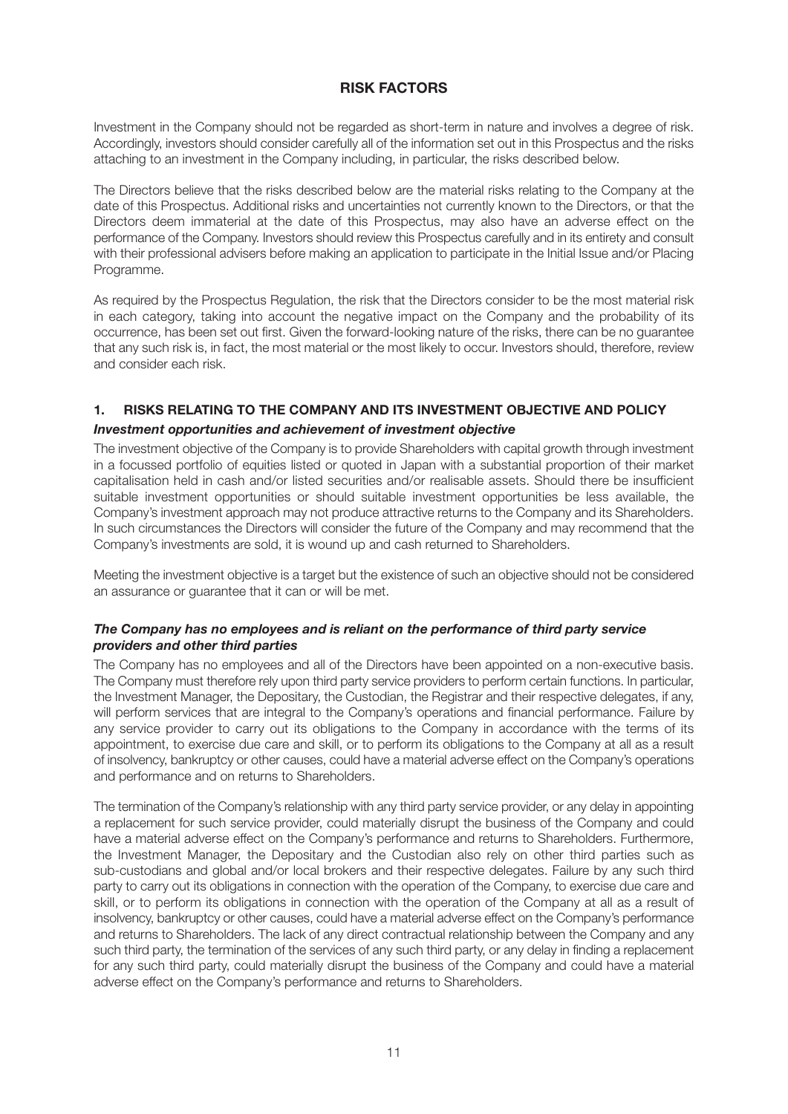# **RISK FACTORS**

Investment in the Company should not be regarded as short-term in nature and involves a degree of risk. Accordingly, investors should consider carefully all of the information set out in this Prospectus and the risks attaching to an investment in the Company including, in particular, the risks described below.

The Directors believe that the risks described below are the material risks relating to the Company at the date of this Prospectus. Additional risks and uncertainties not currently known to the Directors, or that the Directors deem immaterial at the date of this Prospectus, may also have an adverse effect on the performance of the Company. Investors should review this Prospectus carefully and in its entirety and consult with their professional advisers before making an application to participate in the Initial Issue and/or Placing Programme.

As required by the Prospectus Regulation, the risk that the Directors consider to be the most material risk in each category, taking into account the negative impact on the Company and the probability of its occurrence, has been set out first. Given the forward-looking nature of the risks, there can be no guarantee that any such risk is, in fact, the most material or the most likely to occur. Investors should, therefore, review and consider each risk.

# **1. RISKS RELATING TO THE COMPANY AND ITS INVESTMENT OBJECTIVE AND POLICY**

# *Investment opportunities and achievement of investment objective*

The investment objective of the Company is to provide Shareholders with capital growth through investment in a focussed portfolio of equities listed or quoted in Japan with a substantial proportion of their market capitalisation held in cash and/or listed securities and/or realisable assets. Should there be insufficient suitable investment opportunities or should suitable investment opportunities be less available, the Company's investment approach may not produce attractive returns to the Company and its Shareholders. In such circumstances the Directors will consider the future of the Company and may recommend that the Company's investments are sold, it is wound up and cash returned to Shareholders.

Meeting the investment objective is a target but the existence of such an objective should not be considered an assurance or guarantee that it can or will be met.

## *The Company has no employees and is reliant on the performance of third party service providers and other third parties*

The Company has no employees and all of the Directors have been appointed on a non-executive basis. The Company must therefore rely upon third party service providers to perform certain functions. In particular, the Investment Manager, the Depositary, the Custodian, the Registrar and their respective delegates, if any, will perform services that are integral to the Company's operations and financial performance. Failure by any service provider to carry out its obligations to the Company in accordance with the terms of its appointment, to exercise due care and skill, or to perform its obligations to the Company at all as a result of insolvency, bankruptcy or other causes, could have a material adverse effect on the Company's operations and performance and on returns to Shareholders.

The termination of the Company's relationship with any third party service provider, or any delay in appointing a replacement for such service provider, could materially disrupt the business of the Company and could have a material adverse effect on the Company's performance and returns to Shareholders. Furthermore, the Investment Manager, the Depositary and the Custodian also rely on other third parties such as sub-custodians and global and/or local brokers and their respective delegates. Failure by any such third party to carry out its obligations in connection with the operation of the Company, to exercise due care and skill, or to perform its obligations in connection with the operation of the Company at all as a result of insolvency, bankruptcy or other causes, could have a material adverse effect on the Company's performance and returns to Shareholders. The lack of any direct contractual relationship between the Company and any such third party, the termination of the services of any such third party, or any delay in finding a replacement for any such third party, could materially disrupt the business of the Company and could have a material adverse effect on the Company's performance and returns to Shareholders.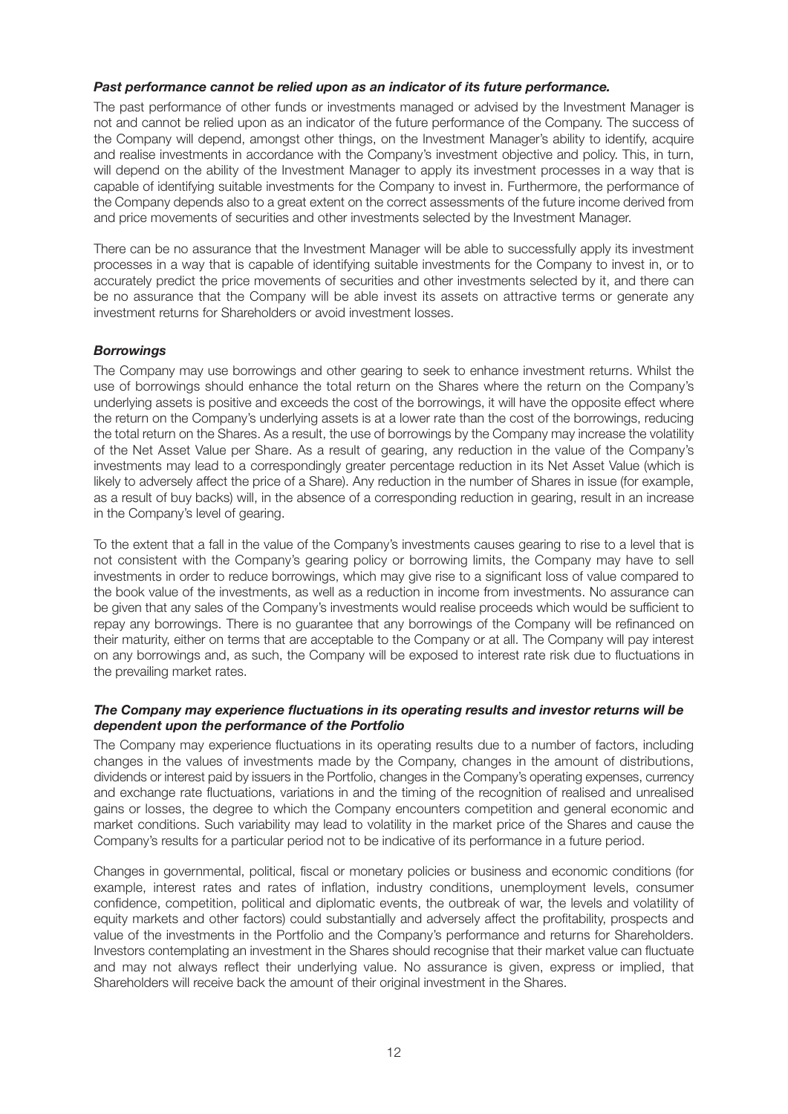## *Past performance cannot be relied upon as an indicator of its future performance.*

The past performance of other funds or investments managed or advised by the Investment Manager is not and cannot be relied upon as an indicator of the future performance of the Company. The success of the Company will depend, amongst other things, on the Investment Manager's ability to identify, acquire and realise investments in accordance with the Company's investment objective and policy. This, in turn, will depend on the ability of the Investment Manager to apply its investment processes in a way that is capable of identifying suitable investments for the Company to invest in. Furthermore, the performance of the Company depends also to a great extent on the correct assessments of the future income derived from and price movements of securities and other investments selected by the Investment Manager.

There can be no assurance that the Investment Manager will be able to successfully apply its investment processes in a way that is capable of identifying suitable investments for the Company to invest in, or to accurately predict the price movements of securities and other investments selected by it, and there can be no assurance that the Company will be able invest its assets on attractive terms or generate any investment returns for Shareholders or avoid investment losses.

# *Borrowings*

The Company may use borrowings and other gearing to seek to enhance investment returns. Whilst the use of borrowings should enhance the total return on the Shares where the return on the Company's underlying assets is positive and exceeds the cost of the borrowings, it will have the opposite effect where the return on the Company's underlying assets is at a lower rate than the cost of the borrowings, reducing the total return on the Shares. As a result, the use of borrowings by the Company may increase the volatility of the Net Asset Value per Share. As a result of gearing, any reduction in the value of the Company's investments may lead to a correspondingly greater percentage reduction in its Net Asset Value (which is likely to adversely affect the price of a Share). Any reduction in the number of Shares in issue (for example, as a result of buy backs) will, in the absence of a corresponding reduction in gearing, result in an increase in the Company's level of gearing.

To the extent that a fall in the value of the Company's investments causes gearing to rise to a level that is not consistent with the Company's gearing policy or borrowing limits, the Company may have to sell investments in order to reduce borrowings, which may give rise to a significant loss of value compared to the book value of the investments, as well as a reduction in income from investments. No assurance can be given that any sales of the Company's investments would realise proceeds which would be sufficient to repay any borrowings. There is no guarantee that any borrowings of the Company will be refinanced on their maturity, either on terms that are acceptable to the Company or at all. The Company will pay interest on any borrowings and, as such, the Company will be exposed to interest rate risk due to fluctuations in the prevailing market rates.

## *The Company may experience fluctuations in its operating results and investor returns will be dependent upon the performance of the Portfolio*

The Company may experience fluctuations in its operating results due to a number of factors, including changes in the values of investments made by the Company, changes in the amount of distributions, dividends or interest paid by issuers in the Portfolio, changes in the Company's operating expenses, currency and exchange rate fluctuations, variations in and the timing of the recognition of realised and unrealised gains or losses, the degree to which the Company encounters competition and general economic and market conditions. Such variability may lead to volatility in the market price of the Shares and cause the Company's results for a particular period not to be indicative of its performance in a future period.

Changes in governmental, political, fiscal or monetary policies or business and economic conditions (for example, interest rates and rates of inflation, industry conditions, unemployment levels, consumer confidence, competition, political and diplomatic events, the outbreak of war, the levels and volatility of equity markets and other factors) could substantially and adversely affect the profitability, prospects and value of the investments in the Portfolio and the Company's performance and returns for Shareholders. Investors contemplating an investment in the Shares should recognise that their market value can fluctuate and may not always reflect their underlying value. No assurance is given, express or implied, that Shareholders will receive back the amount of their original investment in the Shares.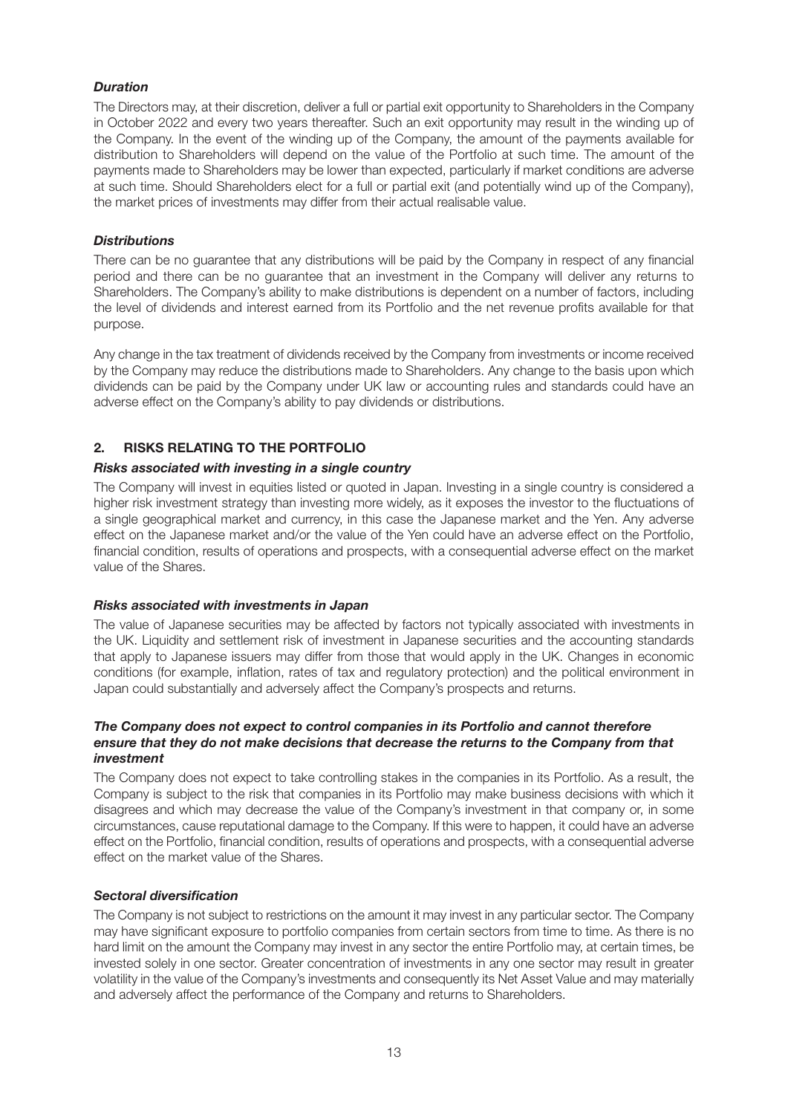# *Duration*

The Directors may, at their discretion, deliver a full or partial exit opportunity to Shareholders in the Company in October 2022 and every two years thereafter. Such an exit opportunity may result in the winding up of the Company. In the event of the winding up of the Company, the amount of the payments available for distribution to Shareholders will depend on the value of the Portfolio at such time. The amount of the payments made to Shareholders may be lower than expected, particularly if market conditions are adverse at such time. Should Shareholders elect for a full or partial exit (and potentially wind up of the Company), the market prices of investments may differ from their actual realisable value.

## *Distributions*

There can be no guarantee that any distributions will be paid by the Company in respect of any financial period and there can be no guarantee that an investment in the Company will deliver any returns to Shareholders. The Company's ability to make distributions is dependent on a number of factors, including the level of dividends and interest earned from its Portfolio and the net revenue profits available for that purpose.

Any change in the tax treatment of dividends received by the Company from investments or income received by the Company may reduce the distributions made to Shareholders. Any change to the basis upon which dividends can be paid by the Company under UK law or accounting rules and standards could have an adverse effect on the Company's ability to pay dividends or distributions.

# **2. RISKS RELATING TO THE PORTFOLIO**

# *Risks associated with investing in a single country*

The Company will invest in equities listed or quoted in Japan. Investing in a single country is considered a higher risk investment strategy than investing more widely, as it exposes the investor to the fluctuations of a single geographical market and currency, in this case the Japanese market and the Yen. Any adverse effect on the Japanese market and/or the value of the Yen could have an adverse effect on the Portfolio, financial condition, results of operations and prospects, with a consequential adverse effect on the market value of the Shares.

# *Risks associated with investments in Japan*

The value of Japanese securities may be affected by factors not typically associated with investments in the UK. Liquidity and settlement risk of investment in Japanese securities and the accounting standards that apply to Japanese issuers may differ from those that would apply in the UK. Changes in economic conditions (for example, inflation, rates of tax and regulatory protection) and the political environment in Japan could substantially and adversely affect the Company's prospects and returns.

## *The Company does not expect to control companies in its Portfolio and cannot therefore ensure that they do not make decisions that decrease the returns to the Company from that investment*

The Company does not expect to take controlling stakes in the companies in its Portfolio. As a result, the Company is subject to the risk that companies in its Portfolio may make business decisions with which it disagrees and which may decrease the value of the Company's investment in that company or, in some circumstances, cause reputational damage to the Company. If this were to happen, it could have an adverse effect on the Portfolio, financial condition, results of operations and prospects, with a consequential adverse effect on the market value of the Shares.

# *Sectoral diversification*

The Company is not subject to restrictions on the amount it may invest in any particular sector. The Company may have significant exposure to portfolio companies from certain sectors from time to time. As there is no hard limit on the amount the Company may invest in any sector the entire Portfolio may, at certain times, be invested solely in one sector. Greater concentration of investments in any one sector may result in greater volatility in the value of the Company's investments and consequently its Net Asset Value and may materially and adversely affect the performance of the Company and returns to Shareholders.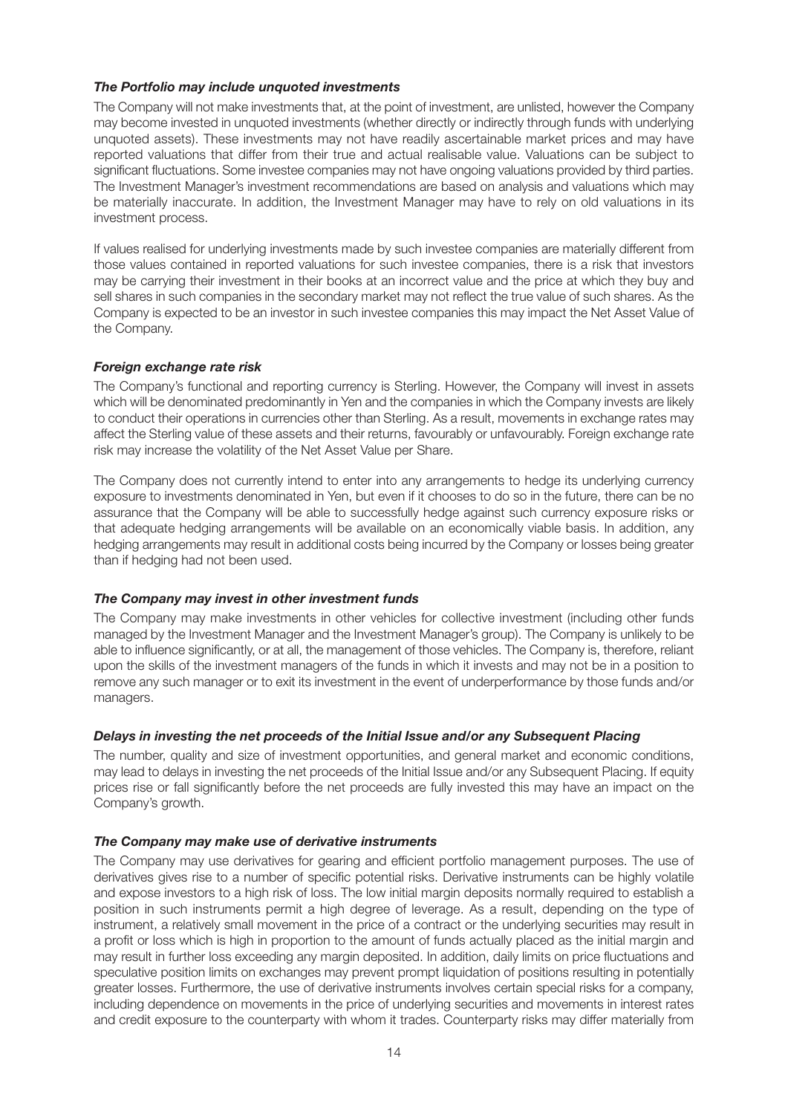# *The Portfolio may include unquoted investments*

The Company will not make investments that, at the point of investment, are unlisted, however the Company may become invested in unquoted investments (whether directly or indirectly through funds with underlying unquoted assets). These investments may not have readily ascertainable market prices and may have reported valuations that differ from their true and actual realisable value. Valuations can be subject to significant fluctuations. Some investee companies may not have ongoing valuations provided by third parties. The Investment Manager's investment recommendations are based on analysis and valuations which may be materially inaccurate. In addition, the Investment Manager may have to rely on old valuations in its investment process.

If values realised for underlying investments made by such investee companies are materially different from those values contained in reported valuations for such investee companies, there is a risk that investors may be carrying their investment in their books at an incorrect value and the price at which they buy and sell shares in such companies in the secondary market may not reflect the true value of such shares. As the Company is expected to be an investor in such investee companies this may impact the Net Asset Value of the Company.

# *Foreign exchange rate risk*

The Company's functional and reporting currency is Sterling. However, the Company will invest in assets which will be denominated predominantly in Yen and the companies in which the Company invests are likely to conduct their operations in currencies other than Sterling. As a result, movements in exchange rates may affect the Sterling value of these assets and their returns, favourably or unfavourably. Foreign exchange rate risk may increase the volatility of the Net Asset Value per Share.

The Company does not currently intend to enter into any arrangements to hedge its underlying currency exposure to investments denominated in Yen, but even if it chooses to do so in the future, there can be no assurance that the Company will be able to successfully hedge against such currency exposure risks or that adequate hedging arrangements will be available on an economically viable basis. In addition, any hedging arrangements may result in additional costs being incurred by the Company or losses being greater than if hedging had not been used.

# *The Company may invest in other investment funds*

The Company may make investments in other vehicles for collective investment (including other funds managed by the Investment Manager and the Investment Manager's group). The Company is unlikely to be able to influence significantly, or at all, the management of those vehicles. The Company is, therefore, reliant upon the skills of the investment managers of the funds in which it invests and may not be in a position to remove any such manager or to exit its investment in the event of underperformance by those funds and/or managers.

# *Delays in investing the net proceeds of the Initial Issue and/or any Subsequent Placing*

The number, quality and size of investment opportunities, and general market and economic conditions, may lead to delays in investing the net proceeds of the Initial Issue and/or any Subsequent Placing. If equity prices rise or fall significantly before the net proceeds are fully invested this may have an impact on the Company's growth.

# *The Company may make use of derivative instruments*

The Company may use derivatives for gearing and efficient portfolio management purposes. The use of derivatives gives rise to a number of specific potential risks. Derivative instruments can be highly volatile and expose investors to a high risk of loss. The low initial margin deposits normally required to establish a position in such instruments permit a high degree of leverage. As a result, depending on the type of instrument, a relatively small movement in the price of a contract or the underlying securities may result in a profit or loss which is high in proportion to the amount of funds actually placed as the initial margin and may result in further loss exceeding any margin deposited. In addition, daily limits on price fluctuations and speculative position limits on exchanges may prevent prompt liquidation of positions resulting in potentially greater losses. Furthermore, the use of derivative instruments involves certain special risks for a company, including dependence on movements in the price of underlying securities and movements in interest rates and credit exposure to the counterparty with whom it trades. Counterparty risks may differ materially from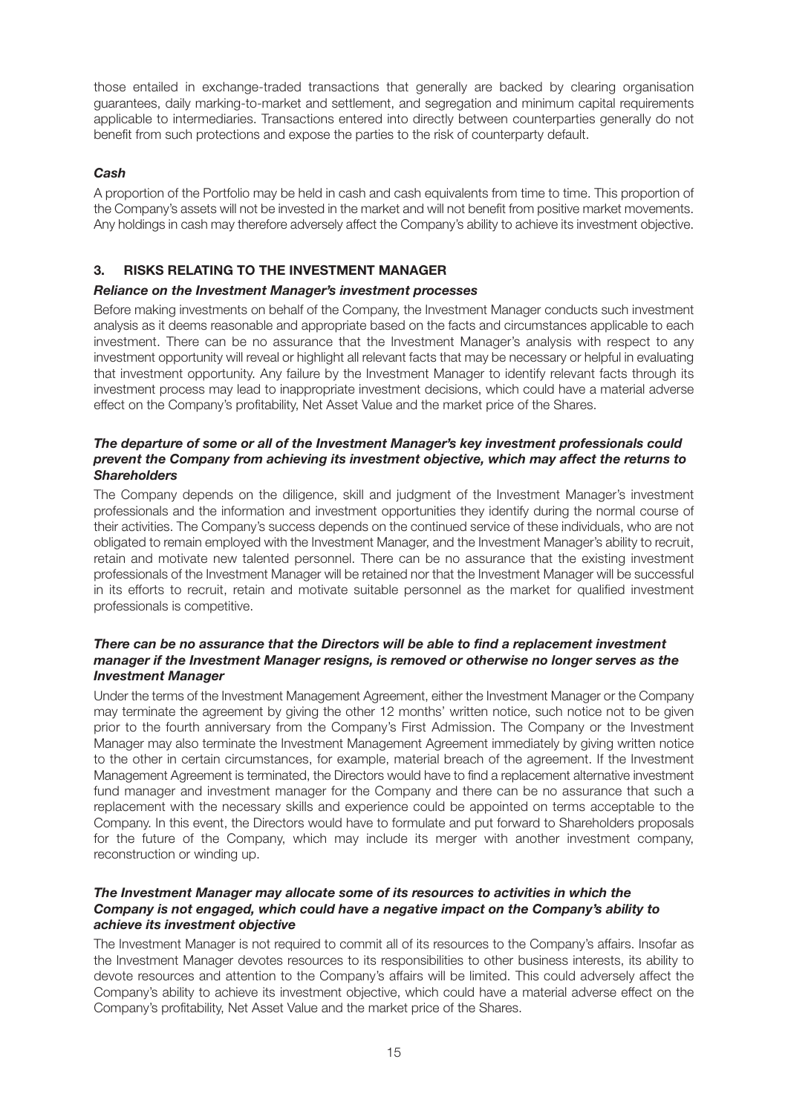those entailed in exchange-traded transactions that generally are backed by clearing organisation guarantees, daily marking-to-market and settlement, and segregation and minimum capital requirements applicable to intermediaries. Transactions entered into directly between counterparties generally do not benefit from such protections and expose the parties to the risk of counterparty default.

# *Cash*

A proportion of the Portfolio may be held in cash and cash equivalents from time to time. This proportion of the Company's assets will not be invested in the market and will not benefit from positive market movements. Any holdings in cash may therefore adversely affect the Company's ability to achieve its investment objective.

# **3. RISKS RELATING TO THE INVESTMENT MANAGER**

# *Reliance on the Investment Manager's investment processes*

Before making investments on behalf of the Company, the Investment Manager conducts such investment analysis as it deems reasonable and appropriate based on the facts and circumstances applicable to each investment. There can be no assurance that the Investment Manager's analysis with respect to any investment opportunity will reveal or highlight all relevant facts that may be necessary or helpful in evaluating that investment opportunity. Any failure by the Investment Manager to identify relevant facts through its investment process may lead to inappropriate investment decisions, which could have a material adverse effect on the Company's profitability, Net Asset Value and the market price of the Shares.

## *The departure of some or all of the Investment Manager's key investment professionals could prevent the Company from achieving its investment objective, which may affect the returns to Shareholders*

The Company depends on the diligence, skill and judgment of the Investment Manager's investment professionals and the information and investment opportunities they identify during the normal course of their activities. The Company's success depends on the continued service of these individuals, who are not obligated to remain employed with the Investment Manager, and the Investment Manager's ability to recruit, retain and motivate new talented personnel. There can be no assurance that the existing investment professionals of the Investment Manager will be retained nor that the Investment Manager will be successful in its efforts to recruit, retain and motivate suitable personnel as the market for qualified investment professionals is competitive.

# *There can be no assurance that the Directors will be able to find a replacement investment manager if the Investment Manager resigns, is removed or otherwise no longer serves as the Investment Manager*

Under the terms of the Investment Management Agreement, either the Investment Manager or the Company may terminate the agreement by giving the other 12 months' written notice, such notice not to be given prior to the fourth anniversary from the Company's First Admission. The Company or the Investment Manager may also terminate the Investment Management Agreement immediately by giving written notice to the other in certain circumstances, for example, material breach of the agreement. If the Investment Management Agreement is terminated, the Directors would have to find a replacement alternative investment fund manager and investment manager for the Company and there can be no assurance that such a replacement with the necessary skills and experience could be appointed on terms acceptable to the Company. In this event, the Directors would have to formulate and put forward to Shareholders proposals for the future of the Company, which may include its merger with another investment company, reconstruction or winding up.

## *The Investment Manager may allocate some of its resources to activities in which the Company is not engaged, which could have a negative impact on the Company's ability to achieve its investment objective*

The Investment Manager is not required to commit all of its resources to the Company's affairs. Insofar as the Investment Manager devotes resources to its responsibilities to other business interests, its ability to devote resources and attention to the Company's affairs will be limited. This could adversely affect the Company's ability to achieve its investment objective, which could have a material adverse effect on the Company's profitability, Net Asset Value and the market price of the Shares.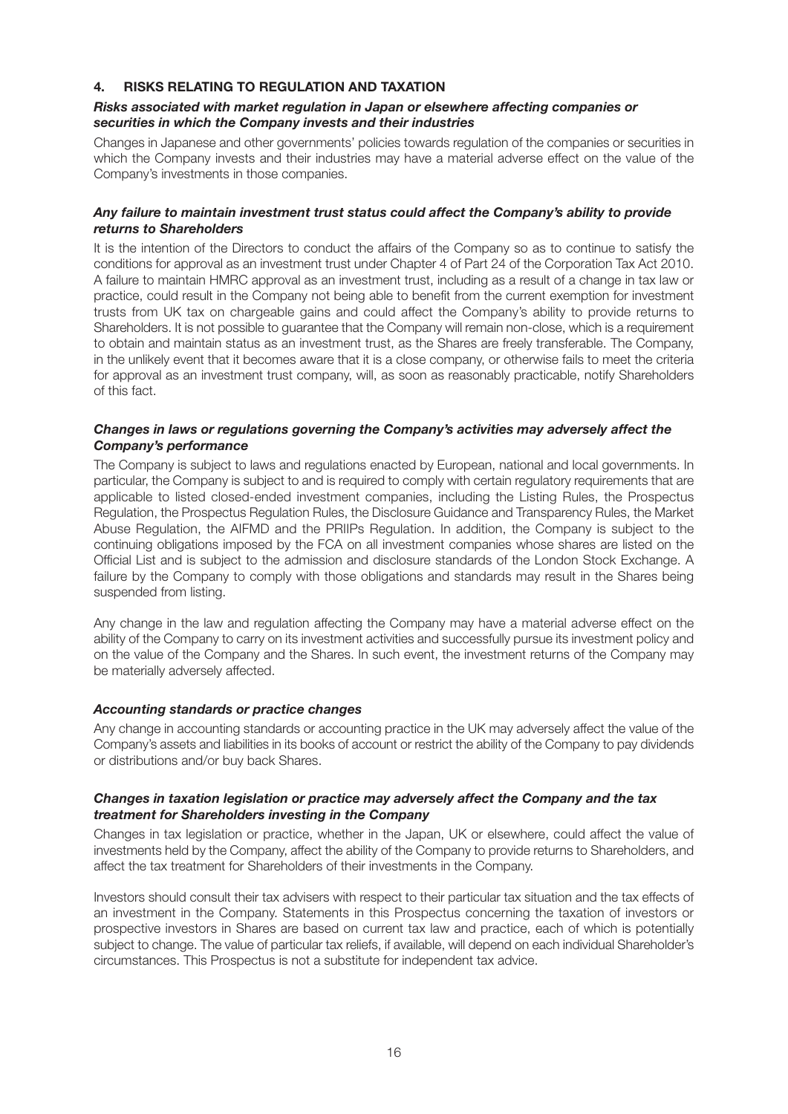# **4. RISKS RELATING TO REGULATION AND TAXATION**

# *Risks associated with market regulation in Japan or elsewhere affecting companies or securities in which the Company invests and their industries*

Changes in Japanese and other governments' policies towards regulation of the companies or securities in which the Company invests and their industries may have a material adverse effect on the value of the Company's investments in those companies.

## *Any failure to maintain investment trust status could affect the Company's ability to provide returns to Shareholders*

It is the intention of the Directors to conduct the affairs of the Company so as to continue to satisfy the conditions for approval as an investment trust under Chapter 4 of Part 24 of the Corporation Tax Act 2010. A failure to maintain HMRC approval as an investment trust, including as a result of a change in tax law or practice, could result in the Company not being able to benefit from the current exemption for investment trusts from UK tax on chargeable gains and could affect the Company's ability to provide returns to Shareholders. It is not possible to guarantee that the Company will remain non-close, which is a requirement to obtain and maintain status as an investment trust, as the Shares are freely transferable. The Company, in the unlikely event that it becomes aware that it is a close company, or otherwise fails to meet the criteria for approval as an investment trust company, will, as soon as reasonably practicable, notify Shareholders of this fact.

## *Changes in laws or regulations governing the Company's activities may adversely affect the Company's performance*

The Company is subject to laws and regulations enacted by European, national and local governments. In particular, the Company is subject to and is required to comply with certain regulatory requirements that are applicable to listed closed-ended investment companies, including the Listing Rules, the Prospectus Regulation, the Prospectus Regulation Rules, the Disclosure Guidance and Transparency Rules, the Market Abuse Regulation, the AIFMD and the PRIIPs Regulation. In addition, the Company is subject to the continuing obligations imposed by the FCA on all investment companies whose shares are listed on the Official List and is subject to the admission and disclosure standards of the London Stock Exchange. A failure by the Company to comply with those obligations and standards may result in the Shares being suspended from listing.

Any change in the law and regulation affecting the Company may have a material adverse effect on the ability of the Company to carry on its investment activities and successfully pursue its investment policy and on the value of the Company and the Shares. In such event, the investment returns of the Company may be materially adversely affected.

# *Accounting standards or practice changes*

Any change in accounting standards or accounting practice in the UK may adversely affect the value of the Company's assets and liabilities in its books of account or restrict the ability of the Company to pay dividends or distributions and/or buy back Shares.

## *Changes in taxation legislation or practice may adversely affect the Company and the tax treatment for Shareholders investing in the Company*

Changes in tax legislation or practice, whether in the Japan, UK or elsewhere, could affect the value of investments held by the Company, affect the ability of the Company to provide returns to Shareholders, and affect the tax treatment for Shareholders of their investments in the Company.

Investors should consult their tax advisers with respect to their particular tax situation and the tax effects of an investment in the Company. Statements in this Prospectus concerning the taxation of investors or prospective investors in Shares are based on current tax law and practice, each of which is potentially subject to change. The value of particular tax reliefs, if available, will depend on each individual Shareholder's circumstances. This Prospectus is not a substitute for independent tax advice.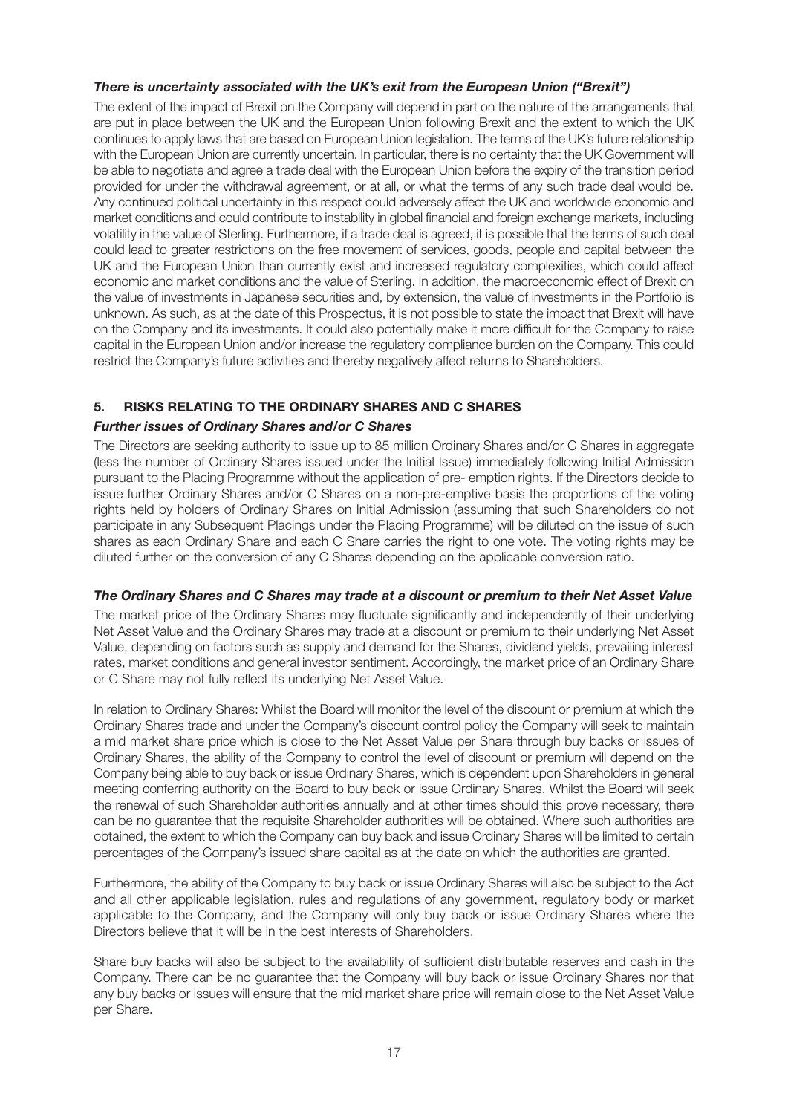# *There is uncertainty associated with the UK's exit from the European Union ("Brexit")*

The extent of the impact of Brexit on the Company will depend in part on the nature of the arrangements that are put in place between the UK and the European Union following Brexit and the extent to which the UK continues to apply laws that are based on European Union legislation. The terms of the UK's future relationship with the European Union are currently uncertain. In particular, there is no certainty that the UK Government will be able to negotiate and agree a trade deal with the European Union before the expiry of the transition period provided for under the withdrawal agreement, or at all, or what the terms of any such trade deal would be. Any continued political uncertainty in this respect could adversely affect the UK and worldwide economic and market conditions and could contribute to instability in global financial and foreign exchange markets, including volatility in the value of Sterling. Furthermore, if a trade deal is agreed, it is possible that the terms of such deal could lead to greater restrictions on the free movement of services, goods, people and capital between the UK and the European Union than currently exist and increased regulatory complexities, which could affect economic and market conditions and the value of Sterling. In addition, the macroeconomic effect of Brexit on the value of investments in Japanese securities and, by extension, the value of investments in the Portfolio is unknown. As such, as at the date of this Prospectus, it is not possible to state the impact that Brexit will have on the Company and its investments. It could also potentially make it more difficult for the Company to raise capital in the European Union and/or increase the regulatory compliance burden on the Company. This could restrict the Company's future activities and thereby negatively affect returns to Shareholders.

# **5. RISKS RELATING TO THE ORDINARY SHARES AND C SHARES**

# *Further issues of Ordinary Shares and/or C Shares*

The Directors are seeking authority to issue up to 85 million Ordinary Shares and/or C Shares in aggregate (less the number of Ordinary Shares issued under the Initial Issue) immediately following Initial Admission pursuant to the Placing Programme without the application of pre- emption rights. If the Directors decide to issue further Ordinary Shares and/or C Shares on a non-pre-emptive basis the proportions of the voting rights held by holders of Ordinary Shares on Initial Admission (assuming that such Shareholders do not participate in any Subsequent Placings under the Placing Programme) will be diluted on the issue of such shares as each Ordinary Share and each C Share carries the right to one vote. The voting rights may be diluted further on the conversion of any C Shares depending on the applicable conversion ratio.

# *The Ordinary Shares and C Shares may trade at a discount or premium to their Net Asset Value*

The market price of the Ordinary Shares may fluctuate significantly and independently of their underlying Net Asset Value and the Ordinary Shares may trade at a discount or premium to their underlying Net Asset Value, depending on factors such as supply and demand for the Shares, dividend yields, prevailing interest rates, market conditions and general investor sentiment. Accordingly, the market price of an Ordinary Share or C Share may not fully reflect its underlying Net Asset Value.

In relation to Ordinary Shares: Whilst the Board will monitor the level of the discount or premium at which the Ordinary Shares trade and under the Company's discount control policy the Company will seek to maintain a mid market share price which is close to the Net Asset Value per Share through buy backs or issues of Ordinary Shares, the ability of the Company to control the level of discount or premium will depend on the Company being able to buy back or issue Ordinary Shares, which is dependent upon Shareholders in general meeting conferring authority on the Board to buy back or issue Ordinary Shares. Whilst the Board will seek the renewal of such Shareholder authorities annually and at other times should this prove necessary, there can be no guarantee that the requisite Shareholder authorities will be obtained. Where such authorities are obtained, the extent to which the Company can buy back and issue Ordinary Shares will be limited to certain percentages of the Company's issued share capital as at the date on which the authorities are granted.

Furthermore, the ability of the Company to buy back or issue Ordinary Shares will also be subject to the Act and all other applicable legislation, rules and regulations of any government, regulatory body or market applicable to the Company, and the Company will only buy back or issue Ordinary Shares where the Directors believe that it will be in the best interests of Shareholders.

Share buy backs will also be subject to the availability of sufficient distributable reserves and cash in the Company. There can be no guarantee that the Company will buy back or issue Ordinary Shares nor that any buy backs or issues will ensure that the mid market share price will remain close to the Net Asset Value per Share.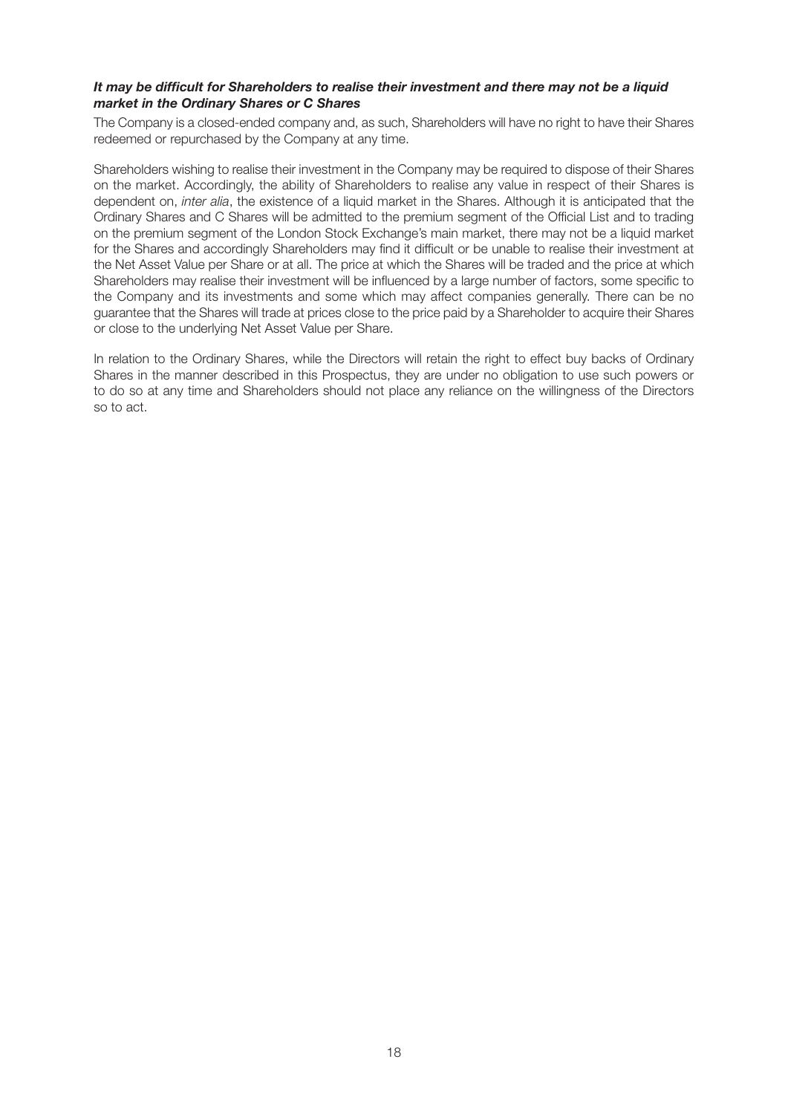## *It may be difficult for Shareholders to realise their investment and there may not be a liquid market in the Ordinary Shares or C Shares*

The Company is a closed-ended company and, as such, Shareholders will have no right to have their Shares redeemed or repurchased by the Company at any time.

Shareholders wishing to realise their investment in the Company may be required to dispose of their Shares on the market. Accordingly, the ability of Shareholders to realise any value in respect of their Shares is dependent on, *inter alia*, the existence of a liquid market in the Shares. Although it is anticipated that the Ordinary Shares and C Shares will be admitted to the premium segment of the Official List and to trading on the premium segment of the London Stock Exchange's main market, there may not be a liquid market for the Shares and accordingly Shareholders may find it difficult or be unable to realise their investment at the Net Asset Value per Share or at all. The price at which the Shares will be traded and the price at which Shareholders may realise their investment will be influenced by a large number of factors, some specific to the Company and its investments and some which may affect companies generally. There can be no guarantee that the Shares will trade at prices close to the price paid by a Shareholder to acquire their Shares or close to the underlying Net Asset Value per Share.

In relation to the Ordinary Shares, while the Directors will retain the right to effect buy backs of Ordinary Shares in the manner described in this Prospectus, they are under no obligation to use such powers or to do so at any time and Shareholders should not place any reliance on the willingness of the Directors so to act.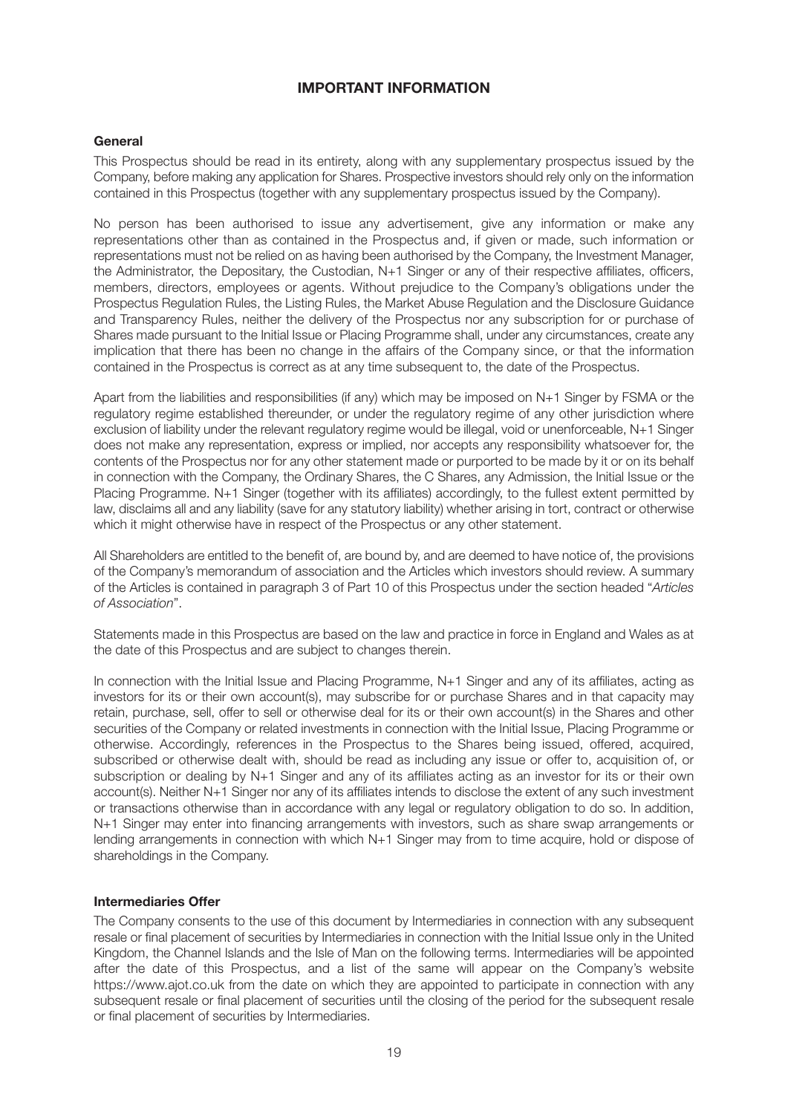# **IMPORTANT INFORMATION**

## **General**

This Prospectus should be read in its entirety, along with any supplementary prospectus issued by the Company, before making any application for Shares. Prospective investors should rely only on the information contained in this Prospectus (together with any supplementary prospectus issued by the Company).

No person has been authorised to issue any advertisement, give any information or make any representations other than as contained in the Prospectus and, if given or made, such information or representations must not be relied on as having been authorised by the Company, the Investment Manager, the Administrator, the Depositary, the Custodian, N+1 Singer or any of their respective affiliates, officers, members, directors, employees or agents. Without prejudice to the Company's obligations under the Prospectus Regulation Rules, the Listing Rules, the Market Abuse Regulation and the Disclosure Guidance and Transparency Rules, neither the delivery of the Prospectus nor any subscription for or purchase of Shares made pursuant to the Initial Issue or Placing Programme shall, under any circumstances, create any implication that there has been no change in the affairs of the Company since, or that the information contained in the Prospectus is correct as at any time subsequent to, the date of the Prospectus.

Apart from the liabilities and responsibilities (if any) which may be imposed on N+1 Singer by FSMA or the regulatory regime established thereunder, or under the regulatory regime of any other jurisdiction where exclusion of liability under the relevant regulatory regime would be illegal, void or unenforceable, N+1 Singer does not make any representation, express or implied, nor accepts any responsibility whatsoever for, the contents of the Prospectus nor for any other statement made or purported to be made by it or on its behalf in connection with the Company, the Ordinary Shares, the C Shares, any Admission, the Initial Issue or the Placing Programme. N+1 Singer (together with its affiliates) accordingly, to the fullest extent permitted by law, disclaims all and any liability (save for any statutory liability) whether arising in tort, contract or otherwise which it might otherwise have in respect of the Prospectus or any other statement.

All Shareholders are entitled to the benefit of, are bound by, and are deemed to have notice of, the provisions of the Company's memorandum of association and the Articles which investors should review. A summary of the Articles is contained in paragraph 3 of Part 10 of this Prospectus under the section headed "*Articles of Association*".

Statements made in this Prospectus are based on the law and practice in force in England and Wales as at the date of this Prospectus and are subject to changes therein.

In connection with the Initial Issue and Placing Programme, N+1 Singer and any of its affiliates, acting as investors for its or their own account(s), may subscribe for or purchase Shares and in that capacity may retain, purchase, sell, offer to sell or otherwise deal for its or their own account(s) in the Shares and other securities of the Company or related investments in connection with the Initial Issue, Placing Programme or otherwise. Accordingly, references in the Prospectus to the Shares being issued, offered, acquired, subscribed or otherwise dealt with, should be read as including any issue or offer to, acquisition of, or subscription or dealing by N+1 Singer and any of its affiliates acting as an investor for its or their own account(s). Neither N+1 Singer nor any of its affiliates intends to disclose the extent of any such investment or transactions otherwise than in accordance with any legal or regulatory obligation to do so. In addition, N+1 Singer may enter into financing arrangements with investors, such as share swap arrangements or lending arrangements in connection with which N+1 Singer may from to time acquire, hold or dispose of shareholdings in the Company.

# **Intermediaries Offer**

The Company consents to the use of this document by Intermediaries in connection with any subsequent resale or final placement of securities by Intermediaries in connection with the Initial Issue only in the United Kingdom, the Channel Islands and the Isle of Man on the following terms. Intermediaries will be appointed after the date of this Prospectus, and a list of the same will appear on the Company's website https://www.ajot.co.uk from the date on which they are appointed to participate in connection with any subsequent resale or final placement of securities until the closing of the period for the subsequent resale or final placement of securities by Intermediaries.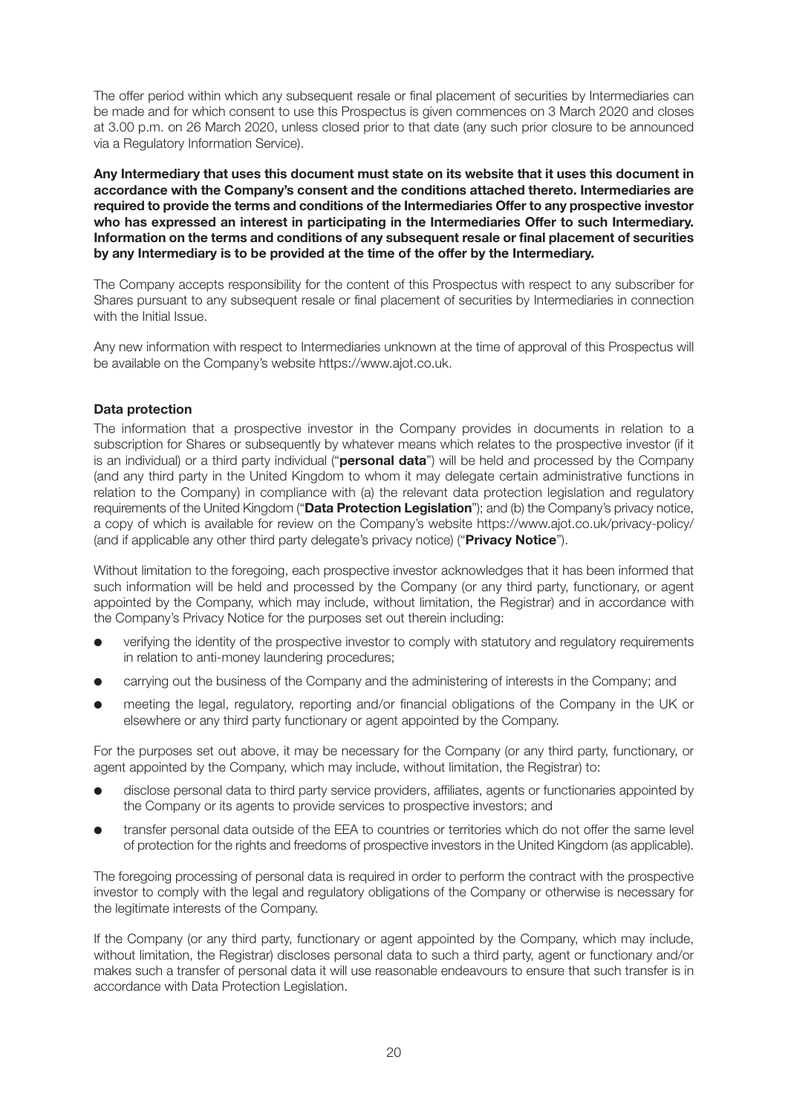The offer period within which any subsequent resale or final placement of securities by Intermediaries can be made and for which consent to use this Prospectus is given commences on 3 March 2020 and closes at 3.00 p.m. on 26 March 2020, unless closed prior to that date (any such prior closure to be announced via a Regulatory Information Service).

**Any Intermediary that uses this document must state on its website that it uses this document in accordance with the Company's consent and the conditions attached thereto. Intermediaries are required to provide the terms and conditions of the Intermediaries Offer to any prospective investor who has expressed an interest in participating in the Intermediaries Offer to such Intermediary. Information on the terms and conditions of any subsequent resale or final placement of securities by any Intermediary is to be provided at the time of the offer by the Intermediary.** 

The Company accepts responsibility for the content of this Prospectus with respect to any subscriber for Shares pursuant to any subsequent resale or final placement of securities by Intermediaries in connection with the Initial Issue.

Any new information with respect to Intermediaries unknown at the time of approval of this Prospectus will be available on the Company's website https://www.ajot.co.uk.

# **Data protection**

The information that a prospective investor in the Company provides in documents in relation to a subscription for Shares or subsequently by whatever means which relates to the prospective investor (if it is an individual) or a third party individual ("**personal data**") will be held and processed by the Company (and any third party in the United Kingdom to whom it may delegate certain administrative functions in relation to the Company) in compliance with (a) the relevant data protection legislation and regulatory requirements of the United Kingdom ("**Data Protection Legislation**"); and (b) the Company's privacy notice, a copy of which is available for review on the Company's website https://www.ajot.co.uk/privacy-policy/ (and if applicable any other third party delegate's privacy notice) ("**Privacy Notice**").

Without limitation to the foregoing, each prospective investor acknowledges that it has been informed that such information will be held and processed by the Company (or any third party, functionary, or agent appointed by the Company, which may include, without limitation, the Registrar) and in accordance with the Company's Privacy Notice for the purposes set out therein including:

- verifying the identity of the prospective investor to comply with statutory and regulatory requirements in relation to anti-money laundering procedures;
- carrying out the business of the Company and the administering of interests in the Company; and
- **•** meeting the legal, regulatory, reporting and/or financial obligations of the Company in the UK or elsewhere or any third party functionary or agent appointed by the Company.

For the purposes set out above, it may be necessary for the Company (or any third party, functionary, or agent appointed by the Company, which may include, without limitation, the Registrar) to:

- l disclose personal data to third party service providers, affiliates, agents or functionaries appointed by the Company or its agents to provide services to prospective investors; and
- transfer personal data outside of the EEA to countries or territories which do not offer the same level of protection for the rights and freedoms of prospective investors in the United Kingdom (as applicable).

The foregoing processing of personal data is required in order to perform the contract with the prospective investor to comply with the legal and regulatory obligations of the Company or otherwise is necessary for the legitimate interests of the Company.

If the Company (or any third party, functionary or agent appointed by the Company, which may include, without limitation, the Registrar) discloses personal data to such a third party, agent or functionary and/or makes such a transfer of personal data it will use reasonable endeavours to ensure that such transfer is in accordance with Data Protection Legislation.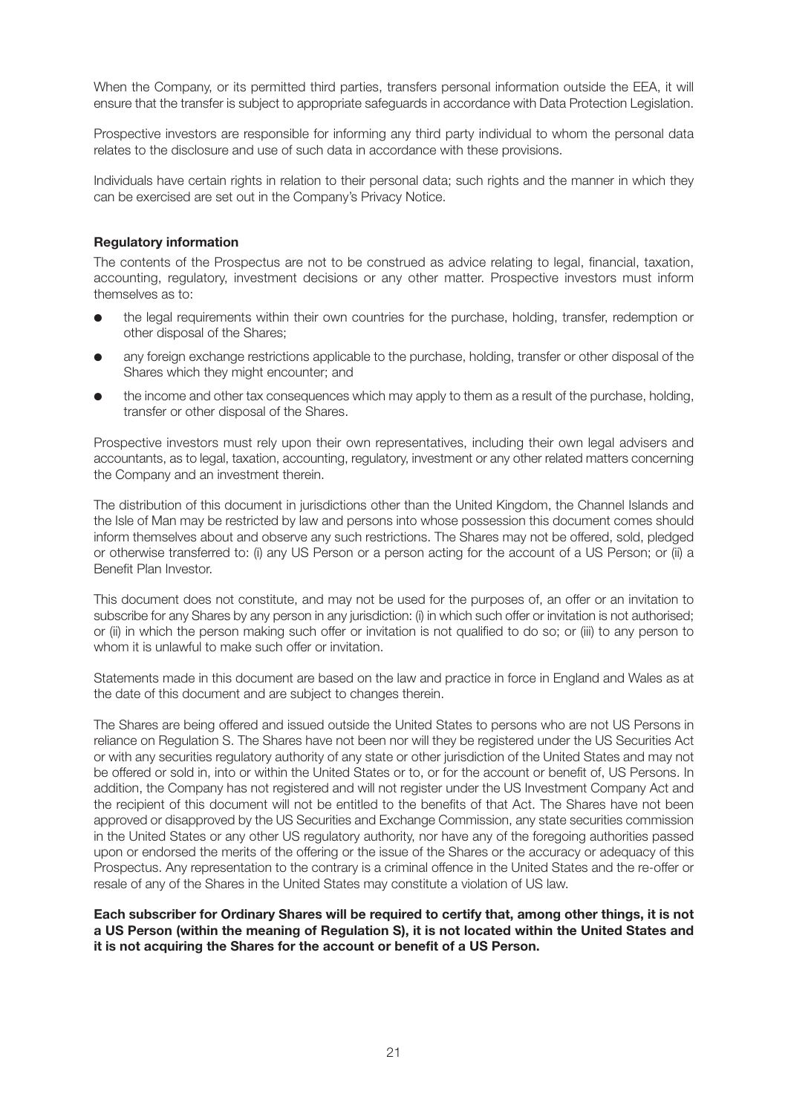When the Company, or its permitted third parties, transfers personal information outside the EEA, it will ensure that the transfer is subject to appropriate safeguards in accordance with Data Protection Legislation.

Prospective investors are responsible for informing any third party individual to whom the personal data relates to the disclosure and use of such data in accordance with these provisions.

Individuals have certain rights in relation to their personal data; such rights and the manner in which they can be exercised are set out in the Company's Privacy Notice.

# **Regulatory information**

The contents of the Prospectus are not to be construed as advice relating to legal, financial, taxation, accounting, regulatory, investment decisions or any other matter. Prospective investors must inform themselves as to:

- the legal requirements within their own countries for the purchase, holding, transfer, redemption or other disposal of the Shares;
- any foreign exchange restrictions applicable to the purchase, holding, transfer or other disposal of the Shares which they might encounter; and
- the income and other tax consequences which may apply to them as a result of the purchase, holding, transfer or other disposal of the Shares.

Prospective investors must rely upon their own representatives, including their own legal advisers and accountants, as to legal, taxation, accounting, regulatory, investment or any other related matters concerning the Company and an investment therein.

The distribution of this document in jurisdictions other than the United Kingdom, the Channel Islands and the Isle of Man may be restricted by law and persons into whose possession this document comes should inform themselves about and observe any such restrictions. The Shares may not be offered, sold, pledged or otherwise transferred to: (i) any US Person or a person acting for the account of a US Person; or (ii) a Benefit Plan Investor.

This document does not constitute, and may not be used for the purposes of, an offer or an invitation to subscribe for any Shares by any person in any jurisdiction: (i) in which such offer or invitation is not authorised; or (ii) in which the person making such offer or invitation is not qualified to do so; or (iii) to any person to whom it is unlawful to make such offer or invitation

Statements made in this document are based on the law and practice in force in England and Wales as at the date of this document and are subject to changes therein.

The Shares are being offered and issued outside the United States to persons who are not US Persons in reliance on Regulation S. The Shares have not been nor will they be registered under the US Securities Act or with any securities regulatory authority of any state or other jurisdiction of the United States and may not be offered or sold in, into or within the United States or to, or for the account or benefit of, US Persons. In addition, the Company has not registered and will not register under the US Investment Company Act and the recipient of this document will not be entitled to the benefits of that Act. The Shares have not been approved or disapproved by the US Securities and Exchange Commission, any state securities commission in the United States or any other US regulatory authority, nor have any of the foregoing authorities passed upon or endorsed the merits of the offering or the issue of the Shares or the accuracy or adequacy of this Prospectus. Any representation to the contrary is a criminal offence in the United States and the re-offer or resale of any of the Shares in the United States may constitute a violation of US law.

**Each subscriber for Ordinary Shares will be required to certify that, among other things, it is not a US Person (within the meaning of Regulation S), it is not located within the United States and it is not acquiring the Shares for the account or benefit of a US Person.**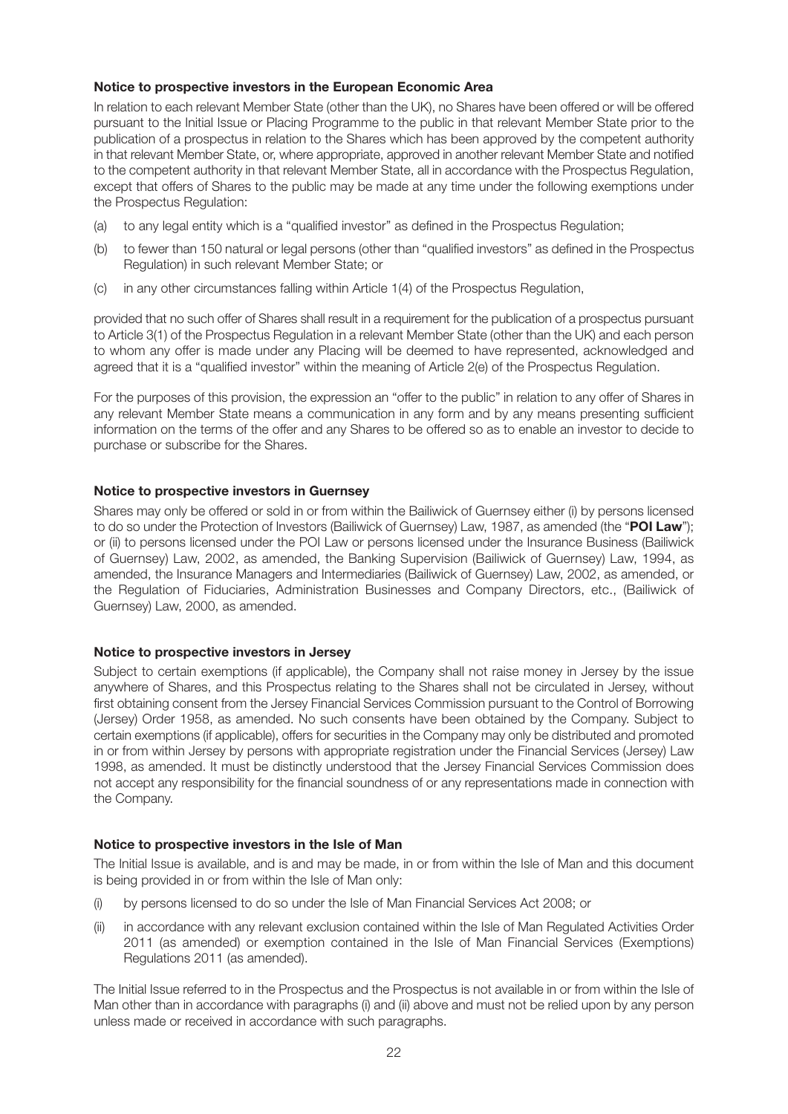# **Notice to prospective investors in the European Economic Area**

In relation to each relevant Member State (other than the UK), no Shares have been offered or will be offered pursuant to the Initial Issue or Placing Programme to the public in that relevant Member State prior to the publication of a prospectus in relation to the Shares which has been approved by the competent authority in that relevant Member State, or, where appropriate, approved in another relevant Member State and notified to the competent authority in that relevant Member State, all in accordance with the Prospectus Regulation, except that offers of Shares to the public may be made at any time under the following exemptions under the Prospectus Regulation:

- (a) to any legal entity which is a "qualified investor" as defined in the Prospectus Regulation;
- (b) to fewer than 150 natural or legal persons (other than "qualified investors" as defined in the Prospectus Regulation) in such relevant Member State; or
- (c) in any other circumstances falling within Article 1(4) of the Prospectus Regulation,

provided that no such offer of Shares shall result in a requirement for the publication of a prospectus pursuant to Article 3(1) of the Prospectus Regulation in a relevant Member State (other than the UK) and each person to whom any offer is made under any Placing will be deemed to have represented, acknowledged and agreed that it is a "qualified investor" within the meaning of Article 2(e) of the Prospectus Regulation.

For the purposes of this provision, the expression an "offer to the public" in relation to any offer of Shares in any relevant Member State means a communication in any form and by any means presenting sufficient information on the terms of the offer and any Shares to be offered so as to enable an investor to decide to purchase or subscribe for the Shares.

# **Notice to prospective investors in Guernsey**

Shares may only be offered or sold in or from within the Bailiwick of Guernsey either (i) by persons licensed to do so under the Protection of Investors (Bailiwick of Guernsey) Law, 1987, as amended (the "**POI Law**"); or (ii) to persons licensed under the POI Law or persons licensed under the Insurance Business (Bailiwick of Guernsey) Law, 2002, as amended, the Banking Supervision (Bailiwick of Guernsey) Law, 1994, as amended, the Insurance Managers and Intermediaries (Bailiwick of Guernsey) Law, 2002, as amended, or the Regulation of Fiduciaries, Administration Businesses and Company Directors, etc., (Bailiwick of Guernsey) Law, 2000, as amended.

# **Notice to prospective investors in Jersey**

Subject to certain exemptions (if applicable), the Company shall not raise money in Jersey by the issue anywhere of Shares, and this Prospectus relating to the Shares shall not be circulated in Jersey, without first obtaining consent from the Jersey Financial Services Commission pursuant to the Control of Borrowing (Jersey) Order 1958, as amended. No such consents have been obtained by the Company. Subject to certain exemptions (if applicable), offers for securities in the Company may only be distributed and promoted in or from within Jersey by persons with appropriate registration under the Financial Services (Jersey) Law 1998, as amended. It must be distinctly understood that the Jersey Financial Services Commission does not accept any responsibility for the financial soundness of or any representations made in connection with the Company.

# **Notice to prospective investors in the Isle of Man**

The Initial Issue is available, and is and may be made, in or from within the Isle of Man and this document is being provided in or from within the Isle of Man only:

- (i) by persons licensed to do so under the Isle of Man Financial Services Act 2008; or
- (ii) in accordance with any relevant exclusion contained within the Isle of Man Regulated Activities Order 2011 (as amended) or exemption contained in the Isle of Man Financial Services (Exemptions) Regulations 2011 (as amended).

The Initial Issue referred to in the Prospectus and the Prospectus is not available in or from within the Isle of Man other than in accordance with paragraphs (i) and (ii) above and must not be relied upon by any person unless made or received in accordance with such paragraphs.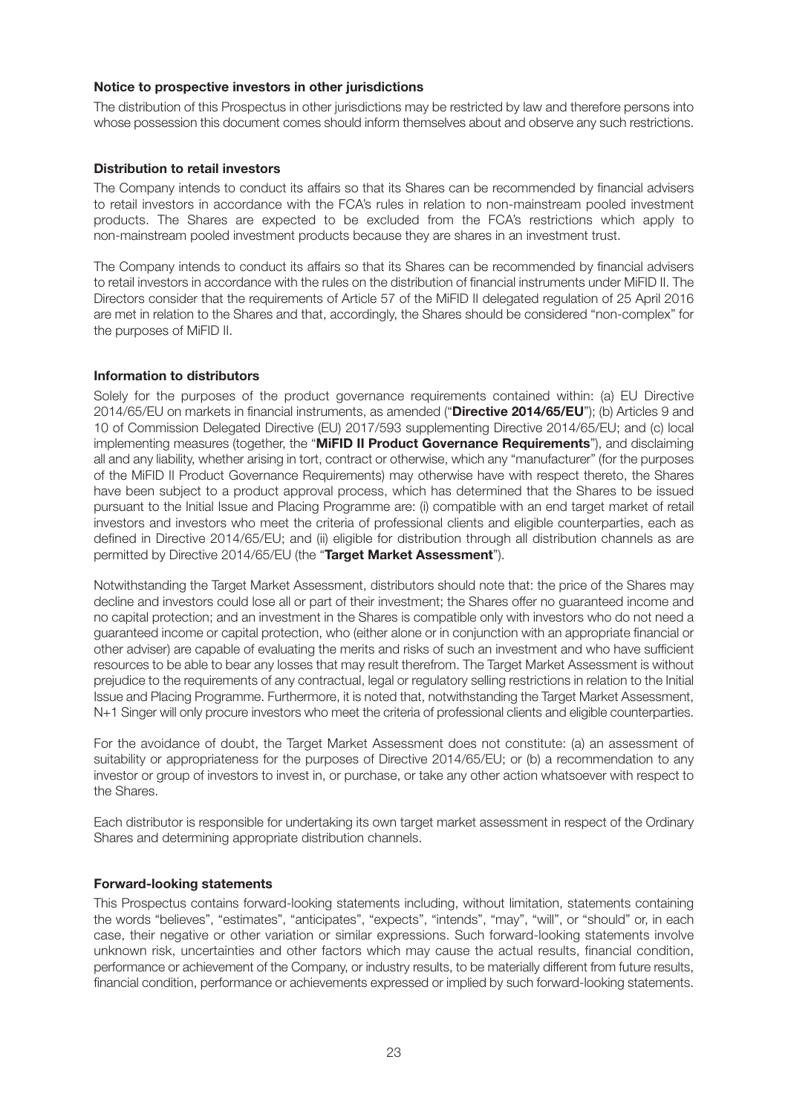## **Notice to prospective investors in other jurisdictions**

The distribution of this Prospectus in other jurisdictions may be restricted by law and therefore persons into whose possession this document comes should inform themselves about and observe any such restrictions.

## **Distribution to retail investors**

The Company intends to conduct its affairs so that its Shares can be recommended by financial advisers to retail investors in accordance with the FCA's rules in relation to non-mainstream pooled investment products. The Shares are expected to be excluded from the FCA's restrictions which apply to non-mainstream pooled investment products because they are shares in an investment trust.

The Company intends to conduct its affairs so that its Shares can be recommended by financial advisers to retail investors in accordance with the rules on the distribution of financial instruments under MiFID II. The Directors consider that the requirements of Article 57 of the MiFID II delegated regulation of 25 April 2016 are met in relation to the Shares and that, accordingly, the Shares should be considered "non-complex" for the purposes of MiFID II.

## **Information to distributors**

Solely for the purposes of the product governance requirements contained within: (a) EU Directive 2014/65/EU on markets in financial instruments, as amended ("**Directive 2014/65/EU**"); (b) Articles 9 and 10 of Commission Delegated Directive (EU) 2017/593 supplementing Directive 2014/65/EU; and (c) local implementing measures (together, the "**MiFID II Product Governance Requirements**"), and disclaiming all and any liability, whether arising in tort, contract or otherwise, which any "manufacturer" (for the purposes of the MiFID II Product Governance Requirements) may otherwise have with respect thereto, the Shares have been subject to a product approval process, which has determined that the Shares to be issued pursuant to the Initial Issue and Placing Programme are: (i) compatible with an end target market of retail investors and investors who meet the criteria of professional clients and eligible counterparties, each as defined in Directive 2014/65/EU; and (ii) eligible for distribution through all distribution channels as are permitted by Directive 2014/65/EU (the "**Target Market Assessment**").

Notwithstanding the Target Market Assessment, distributors should note that: the price of the Shares may decline and investors could lose all or part of their investment; the Shares offer no guaranteed income and no capital protection; and an investment in the Shares is compatible only with investors who do not need a guaranteed income or capital protection, who (either alone or in conjunction with an appropriate financial or other adviser) are capable of evaluating the merits and risks of such an investment and who have sufficient resources to be able to bear any losses that may result therefrom. The Target Market Assessment is without prejudice to the requirements of any contractual, legal or regulatory selling restrictions in relation to the Initial Issue and Placing Programme. Furthermore, it is noted that, notwithstanding the Target Market Assessment, N+1 Singer will only procure investors who meet the criteria of professional clients and eligible counterparties.

For the avoidance of doubt, the Target Market Assessment does not constitute: (a) an assessment of suitability or appropriateness for the purposes of Directive 2014/65/EU; or (b) a recommendation to any investor or group of investors to invest in, or purchase, or take any other action whatsoever with respect to the Shares.

Each distributor is responsible for undertaking its own target market assessment in respect of the Ordinary Shares and determining appropriate distribution channels.

# **Forward-looking statements**

This Prospectus contains forward-looking statements including, without limitation, statements containing the words "believes", "estimates", "anticipates", "expects", "intends", "may", "will", or "should" or, in each case, their negative or other variation or similar expressions. Such forward-looking statements involve unknown risk, uncertainties and other factors which may cause the actual results, financial condition, performance or achievement of the Company, or industry results, to be materially different from future results, financial condition, performance or achievements expressed or implied by such forward-looking statements.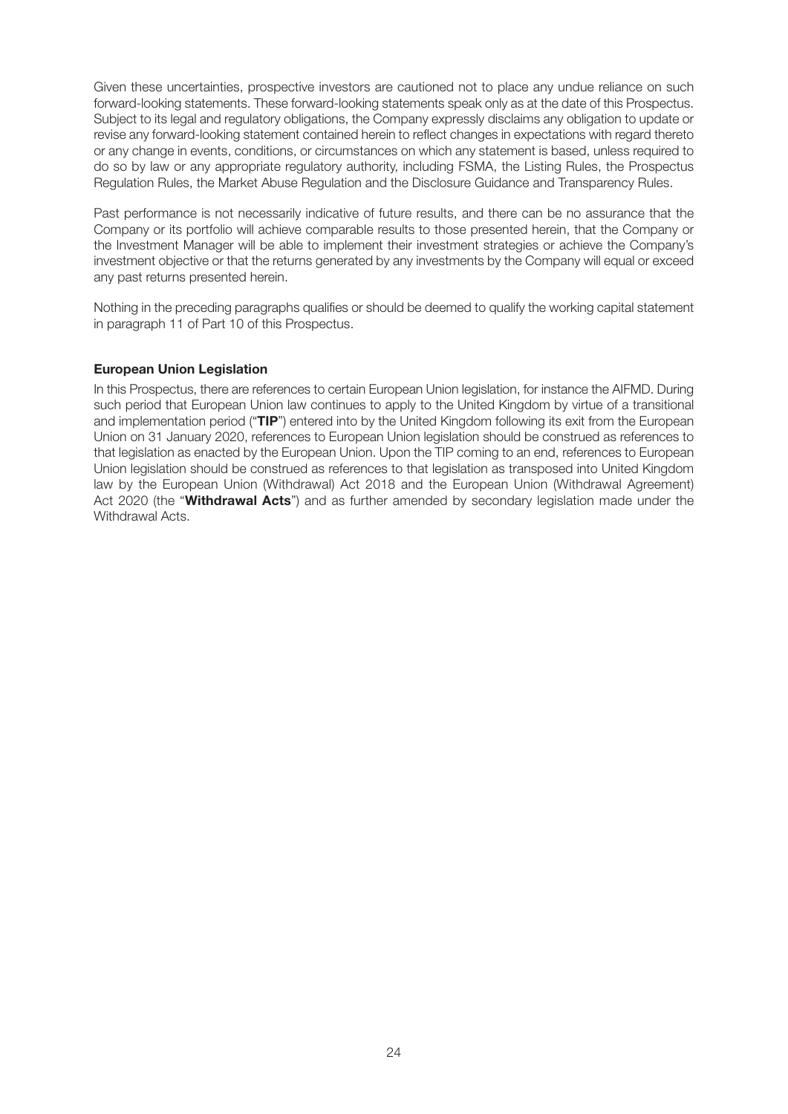Given these uncertainties, prospective investors are cautioned not to place any undue reliance on such forward-looking statements. These forward-looking statements speak only as at the date of this Prospectus. Subject to its legal and regulatory obligations, the Company expressly disclaims any obligation to update or revise any forward-looking statement contained herein to reflect changes in expectations with regard thereto or any change in events, conditions, or circumstances on which any statement is based, unless required to do so by law or any appropriate regulatory authority, including FSMA, the Listing Rules, the Prospectus Regulation Rules, the Market Abuse Regulation and the Disclosure Guidance and Transparency Rules.

Past performance is not necessarily indicative of future results, and there can be no assurance that the Company or its portfolio will achieve comparable results to those presented herein, that the Company or the Investment Manager will be able to implement their investment strategies or achieve the Company's investment objective or that the returns generated by any investments by the Company will equal or exceed any past returns presented herein.

Nothing in the preceding paragraphs qualifies or should be deemed to qualify the working capital statement in paragraph 11 of Part 10 of this Prospectus.

# **European Union Legislation**

In this Prospectus, there are references to certain European Union legislation, for instance the AIFMD. During such period that European Union law continues to apply to the United Kingdom by virtue of a transitional and implementation period ("**TIP**") entered into by the United Kingdom following its exit from the European Union on 31 January 2020, references to European Union legislation should be construed as references to that legislation as enacted by the European Union. Upon the TIP coming to an end, references to European Union legislation should be construed as references to that legislation as transposed into United Kingdom law by the European Union (Withdrawal) Act 2018 and the European Union (Withdrawal Agreement) Act 2020 (the "**Withdrawal Acts**") and as further amended by secondary legislation made under the Withdrawal Acts.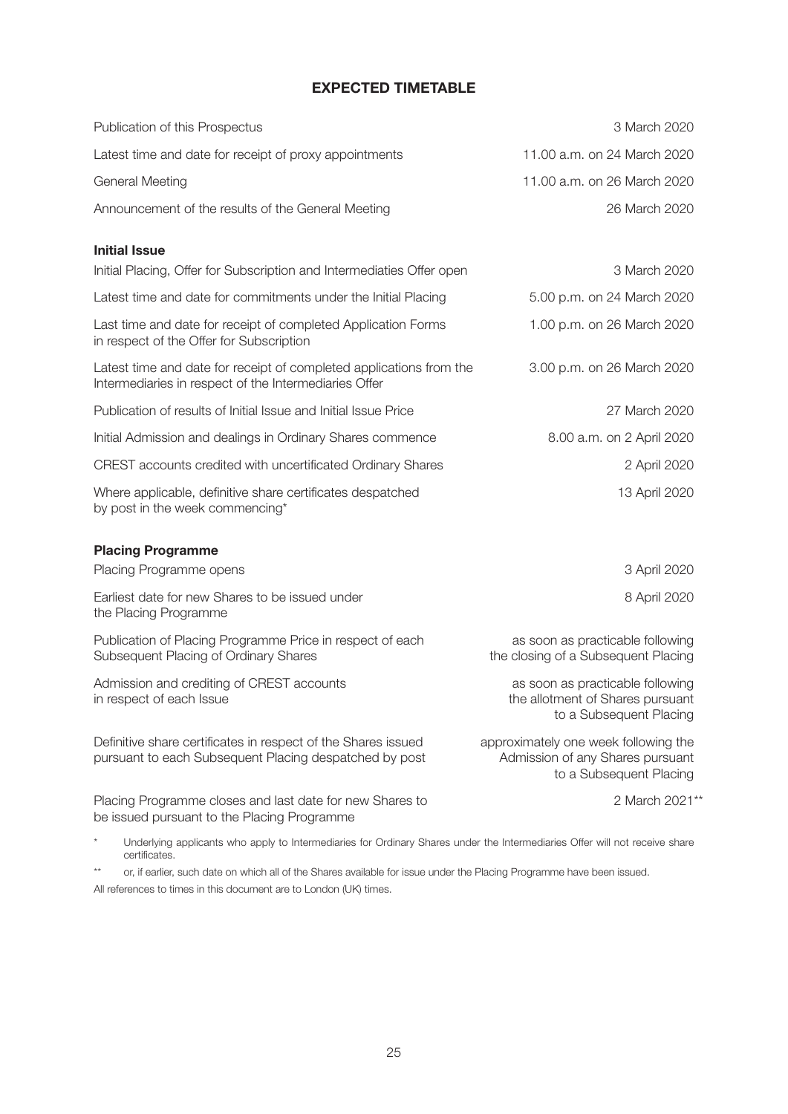# **EXPECTED TIMETABLE**

| Publication of this Prospectus                                                                                               | 3 March 2020                                                                                        |
|------------------------------------------------------------------------------------------------------------------------------|-----------------------------------------------------------------------------------------------------|
| Latest time and date for receipt of proxy appointments                                                                       | 11.00 a.m. on 24 March 2020                                                                         |
| <b>General Meeting</b>                                                                                                       | 11.00 a.m. on 26 March 2020                                                                         |
| Announcement of the results of the General Meeting                                                                           | 26 March 2020                                                                                       |
| <b>Initial Issue</b>                                                                                                         |                                                                                                     |
| Initial Placing, Offer for Subscription and Intermediaties Offer open                                                        | 3 March 2020                                                                                        |
| Latest time and date for commitments under the Initial Placing                                                               | 5.00 p.m. on 24 March 2020                                                                          |
| Last time and date for receipt of completed Application Forms<br>in respect of the Offer for Subscription                    | 1.00 p.m. on 26 March 2020                                                                          |
| Latest time and date for receipt of completed applications from the<br>Intermediaries in respect of the Intermediaries Offer | 3.00 p.m. on 26 March 2020                                                                          |
| Publication of results of Initial Issue and Initial Issue Price                                                              | 27 March 2020                                                                                       |
| Initial Admission and dealings in Ordinary Shares commence                                                                   | 8.00 a.m. on 2 April 2020                                                                           |
| CREST accounts credited with uncertificated Ordinary Shares                                                                  | 2 April 2020                                                                                        |
| Where applicable, definitive share certificates despatched<br>by post in the week commencing*                                | 13 April 2020                                                                                       |
| <b>Placing Programme</b>                                                                                                     |                                                                                                     |
| Placing Programme opens                                                                                                      | 3 April 2020                                                                                        |
| Earliest date for new Shares to be issued under<br>the Placing Programme                                                     | 8 April 2020                                                                                        |
| Publication of Placing Programme Price in respect of each<br>Subsequent Placing of Ordinary Shares                           | as soon as practicable following<br>the closing of a Subsequent Placing                             |
| Admission and crediting of CREST accounts<br>in respect of each Issue                                                        | as soon as practicable following<br>the allotment of Shares pursuant<br>to a Subsequent Placing     |
| Definitive share certificates in respect of the Shares issued<br>pursuant to each Subsequent Placing despatched by post      | approximately one week following the<br>Admission of any Shares pursuant<br>to a Subsequent Placing |
| Placing Programme closes and last date for new Shares to<br>be issued pursuant to the Placing Programme                      | 2 March 2021**                                                                                      |

\* Underlying applicants who apply to Intermediaries for Ordinary Shares under the Intermediaries Offer will not receive share certificates.

\*\* or, if earlier, such date on which all of the Shares available for issue under the Placing Programme have been issued. All references to times in this document are to London (UK) times.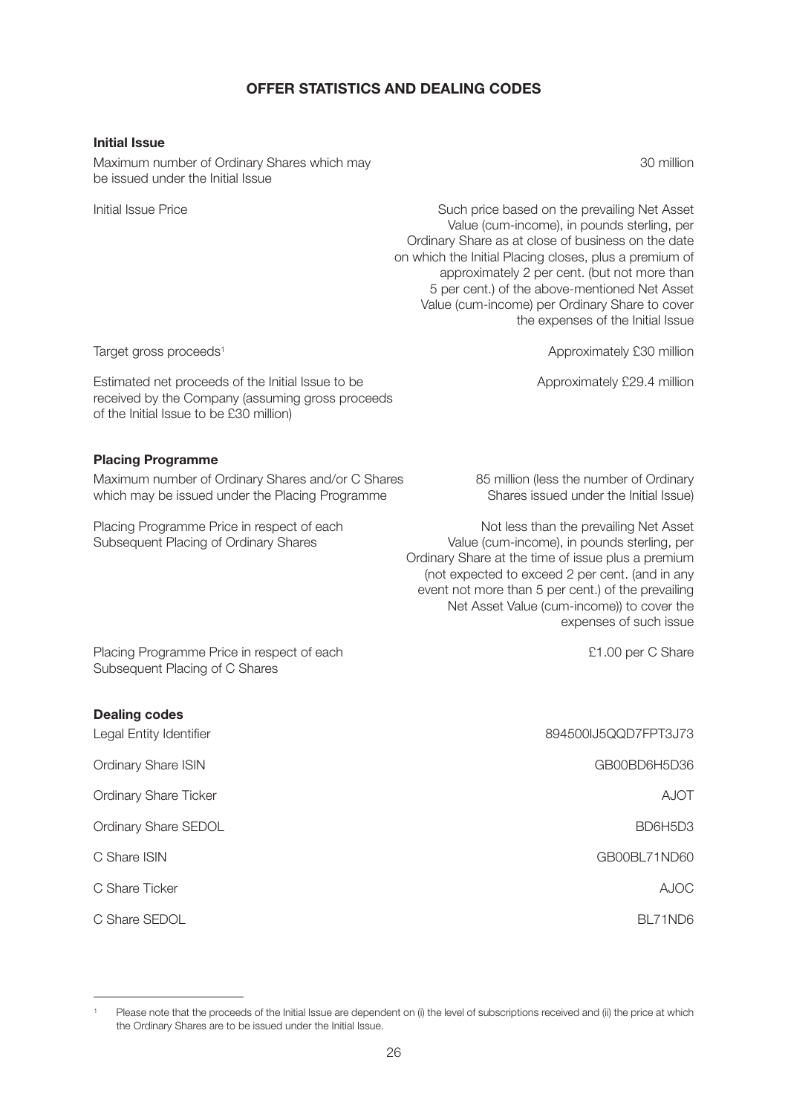# **OFFER STATISTICS AND DEALING CODES**

## **Initial Issue**

Maximum number of Ordinary Shares which may 30 million be issued under the Initial Issue

Initial Issue Price **Such price based on the prevailing Net Asset**  Value (cum-income), in pounds sterling, per Ordinary Share as at close of business on the date on which the Initial Placing closes, plus a premium of approximately 2 per cent. (but not more than 5 per cent.) of the above-mentioned Net Asset Value (cum-income) per Ordinary Share to cover the expenses of the Initial Issue

Estimated net proceeds of the Initial Issue to be Approximately £29.4 million received by the Company (assuming gross proceeds of the Initial Issue to be £30 million)

## **Placing Programme**

Maximum number of Ordinary Shares and/or C Shares 85 million (less the number of Ordinary which may be issued under the Placing Programme Shares issued under the Initial Issue)

Target gross proceeds<sup>1</sup> and the control of the control of the control of Approximately £30 million

Placing Programme Price in respect of each Not less than the prevailing Net Asset<br>Subsequent Placing of Ordinary Shares<br>Value (cum-income), in pounds sterling, per Value (cum-income), in pounds sterling, per Ordinary Share at the time of issue plus a premium (not expected to exceed 2 per cent. (and in any event not more than 5 per cent.) of the prevailing Net Asset Value (cum-income)) to cover the expenses of such issue

Placing Programme Price in respect of each **E1.00** per C Share Subsequent Placing of C Shares

| <b>Dealing codes</b>         |                      |
|------------------------------|----------------------|
| Legal Entity Identifier      | 894500IJ5QQD7FPT3J73 |
| <b>Ordinary Share ISIN</b>   | GB00BD6H5D36         |
| <b>Ordinary Share Ticker</b> | <b>AJOT</b>          |
| Ordinary Share SEDOL         | BD6H5D3              |
| C Share ISIN                 | GB00BL71ND60         |
| C Share Ticker               | <b>AJOC</b>          |
| C Share SEDOL                | BL71ND6              |

Please note that the proceeds of the Initial Issue are dependent on (i) the level of subscriptions received and (ii) the price at which the Ordinary Shares are to be issued under the Initial Issue.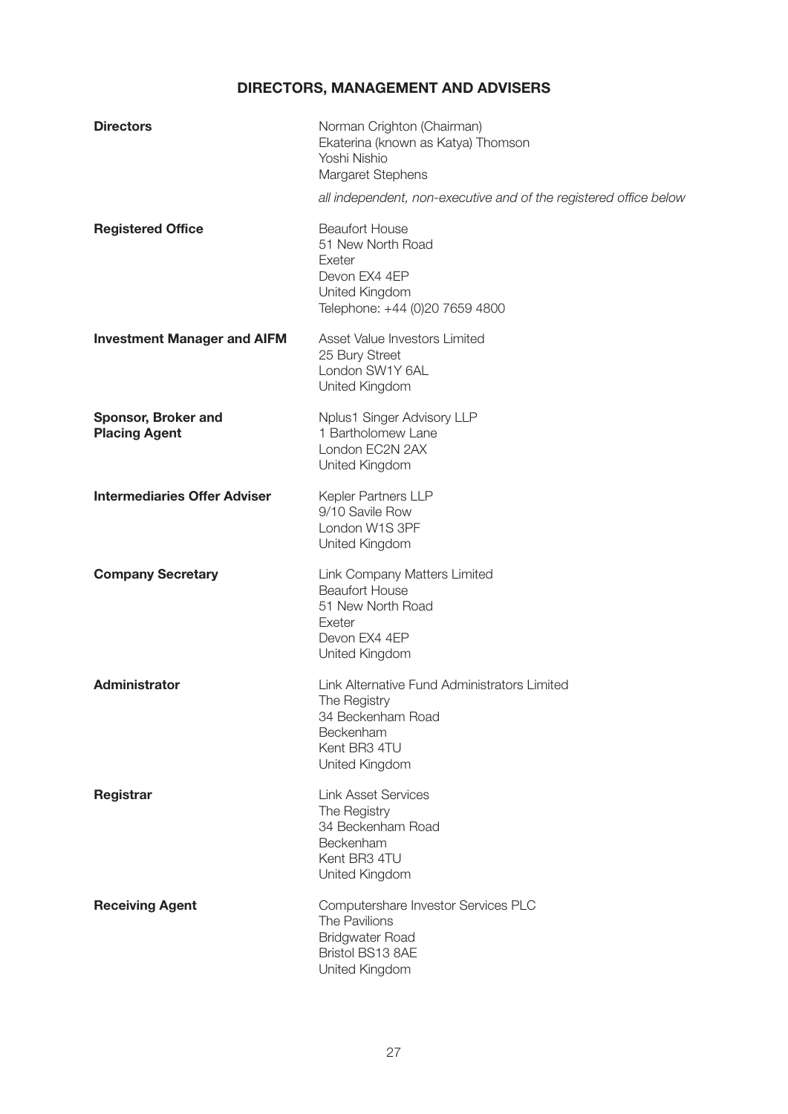# **DIRECTORS, MANAGEMENT AND ADVISERS**

| <b>Directors</b>                            | Norman Crighton (Chairman)<br>Ekaterina (known as Katya) Thomson<br>Yoshi Nishio<br>Margaret Stephens                            |
|---------------------------------------------|----------------------------------------------------------------------------------------------------------------------------------|
|                                             | all independent, non-executive and of the registered office below                                                                |
| <b>Registered Office</b>                    | <b>Beaufort House</b><br>51 New North Road<br>Exeter<br>Devon EX4 4EP<br>United Kingdom<br>Telephone: +44 (0)20 7659 4800        |
| <b>Investment Manager and AIFM</b>          | Asset Value Investors Limited<br>25 Bury Street<br>London SW1Y 6AL<br>United Kingdom                                             |
| Sponsor, Broker and<br><b>Placing Agent</b> | Nplus1 Singer Advisory LLP<br>1 Bartholomew Lane<br>London EC2N 2AX<br>United Kingdom                                            |
| <b>Intermediaries Offer Adviser</b>         | Kepler Partners LLP<br>9/10 Savile Row<br>London W1S 3PF<br>United Kingdom                                                       |
| <b>Company Secretary</b>                    | Link Company Matters Limited<br><b>Beaufort House</b><br>51 New North Road<br>Exeter<br>Devon EX4 4EP<br>United Kingdom          |
| <b>Administrator</b>                        | Link Alternative Fund Administrators Limited<br>The Registry<br>34 Beckenham Road<br>Beckenham<br>Kent BR3 4TU<br>United Kingdom |
| Registrar                                   | <b>Link Asset Services</b><br>The Registry<br>34 Beckenham Road<br>Beckenham<br>Kent BR3 4TU<br>United Kingdom                   |
| <b>Receiving Agent</b>                      | Computershare Investor Services PLC<br><b>The Pavilions</b><br><b>Bridgwater Road</b><br>Bristol BS13 8AE<br>United Kingdom      |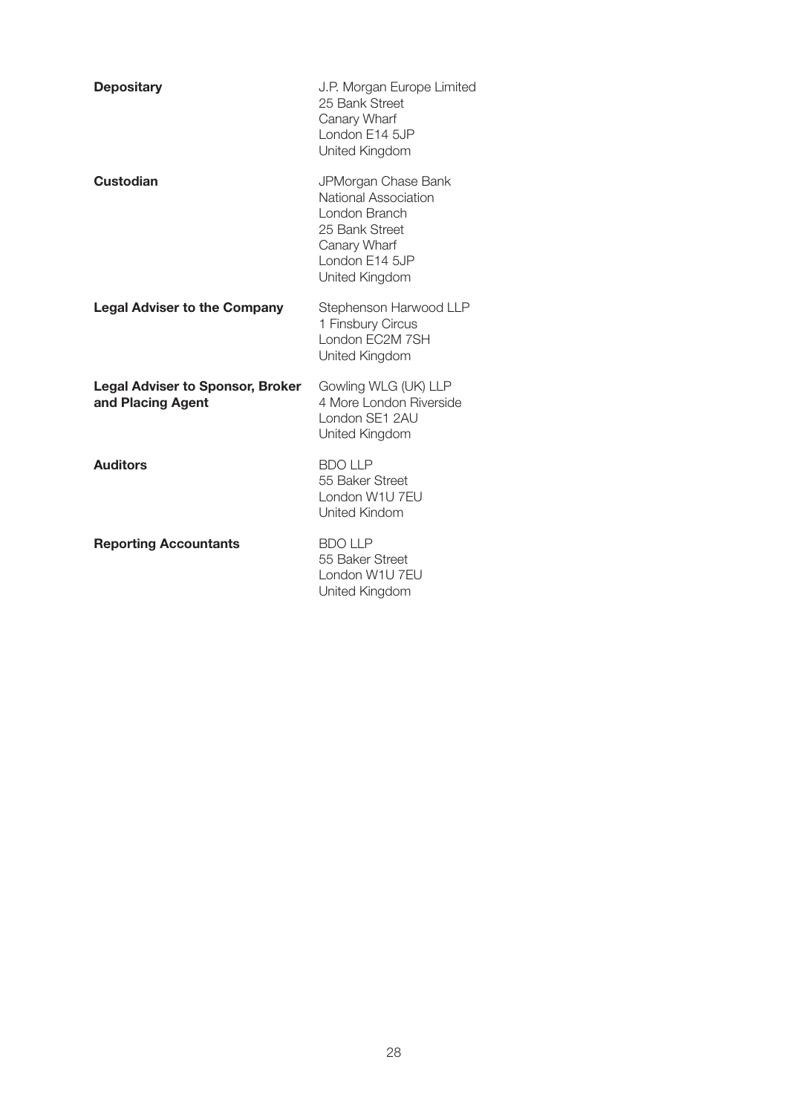| <b>Depositary</b>                                            | J.P. Morgan Europe Limited<br>25 Bank Street<br>Canary Wharf<br>London E14 5JP<br>United Kingdom                                   |
|--------------------------------------------------------------|------------------------------------------------------------------------------------------------------------------------------------|
| Custodian                                                    | JPMorgan Chase Bank<br>National Association<br>London Branch<br>25 Bank Street<br>Canary Wharf<br>London E14 5JP<br>United Kingdom |
| <b>Legal Adviser to the Company</b>                          | Stephenson Harwood LLP<br>1 Finsbury Circus<br>London FC2M 7SH<br>United Kingdom                                                   |
| <b>Legal Adviser to Sponsor, Broker</b><br>and Placing Agent | Gowling WLG (UK) LLP<br>4 More London Riverside<br>London SE1 2AU<br>United Kingdom                                                |
| <b>Auditors</b>                                              | <b>BDO LLP</b><br>55 Baker Street<br>London W1U 7FU<br><b>United Kindom</b>                                                        |
| <b>Reporting Accountants</b>                                 | <b>BDO LLP</b><br>55 Baker Street<br>London W1U 7EU<br>United Kingdom                                                              |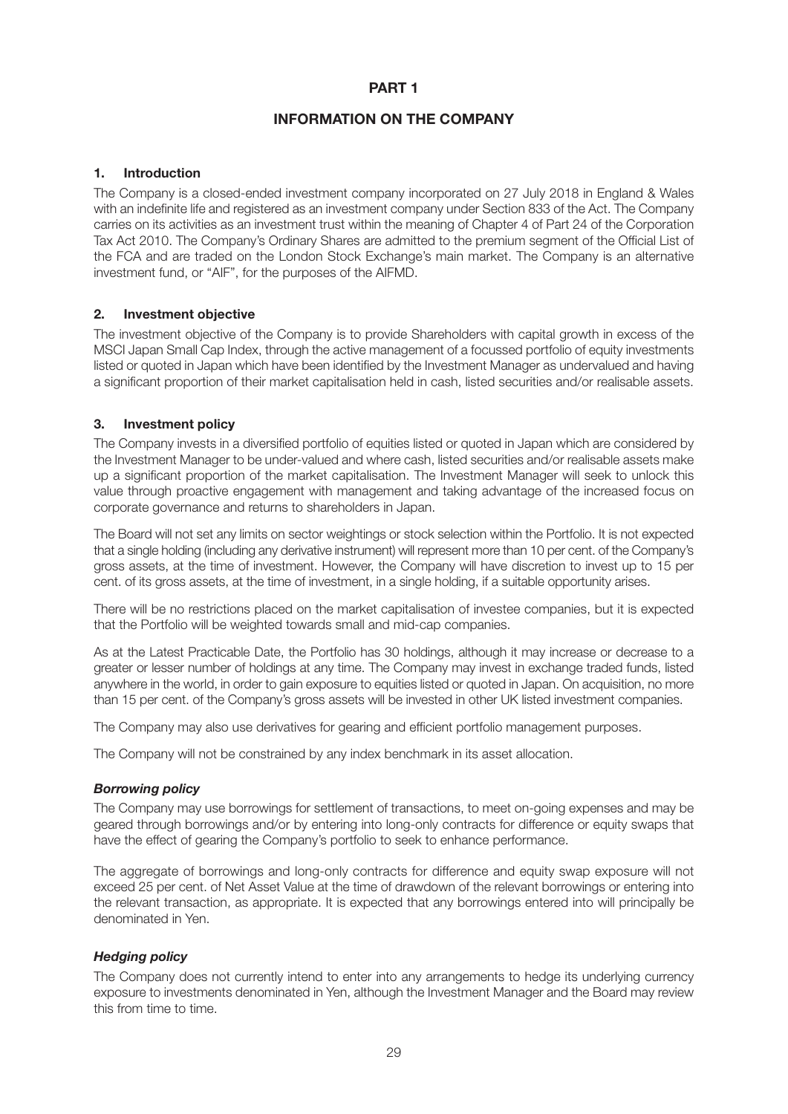# **PART 1**

# **INFORMATION ON THE COMPANY**

# **1. Introduction**

The Company is a closed-ended investment company incorporated on 27 July 2018 in England & Wales with an indefinite life and registered as an investment company under Section 833 of the Act. The Company carries on its activities as an investment trust within the meaning of Chapter 4 of Part 24 of the Corporation Tax Act 2010. The Company's Ordinary Shares are admitted to the premium segment of the Official List of the FCA and are traded on the London Stock Exchange's main market. The Company is an alternative investment fund, or "AIF", for the purposes of the AIFMD.

# **2. Investment objective**

The investment objective of the Company is to provide Shareholders with capital growth in excess of the MSCI Japan Small Cap Index, through the active management of a focussed portfolio of equity investments listed or quoted in Japan which have been identified by the Investment Manager as undervalued and having a significant proportion of their market capitalisation held in cash, listed securities and/or realisable assets.

## **3. Investment policy**

The Company invests in a diversified portfolio of equities listed or quoted in Japan which are considered by the Investment Manager to be under-valued and where cash, listed securities and/or realisable assets make up a significant proportion of the market capitalisation. The Investment Manager will seek to unlock this value through proactive engagement with management and taking advantage of the increased focus on corporate governance and returns to shareholders in Japan.

The Board will not set any limits on sector weightings or stock selection within the Portfolio. It is not expected that a single holding (including any derivative instrument) will represent more than 10 per cent. of the Company's gross assets, at the time of investment. However, the Company will have discretion to invest up to 15 per cent. of its gross assets, at the time of investment, in a single holding, if a suitable opportunity arises.

There will be no restrictions placed on the market capitalisation of investee companies, but it is expected that the Portfolio will be weighted towards small and mid-cap companies.

As at the Latest Practicable Date, the Portfolio has 30 holdings, although it may increase or decrease to a greater or lesser number of holdings at any time. The Company may invest in exchange traded funds, listed anywhere in the world, in order to gain exposure to equities listed or quoted in Japan. On acquisition, no more than 15 per cent. of the Company's gross assets will be invested in other UK listed investment companies.

The Company may also use derivatives for gearing and efficient portfolio management purposes.

The Company will not be constrained by any index benchmark in its asset allocation.

#### *Borrowing policy*

The Company may use borrowings for settlement of transactions, to meet on-going expenses and may be geared through borrowings and/or by entering into long-only contracts for difference or equity swaps that have the effect of gearing the Company's portfolio to seek to enhance performance.

The aggregate of borrowings and long-only contracts for difference and equity swap exposure will not exceed 25 per cent. of Net Asset Value at the time of drawdown of the relevant borrowings or entering into the relevant transaction, as appropriate. It is expected that any borrowings entered into will principally be denominated in Yen.

#### *Hedging policy*

The Company does not currently intend to enter into any arrangements to hedge its underlying currency exposure to investments denominated in Yen, although the Investment Manager and the Board may review this from time to time.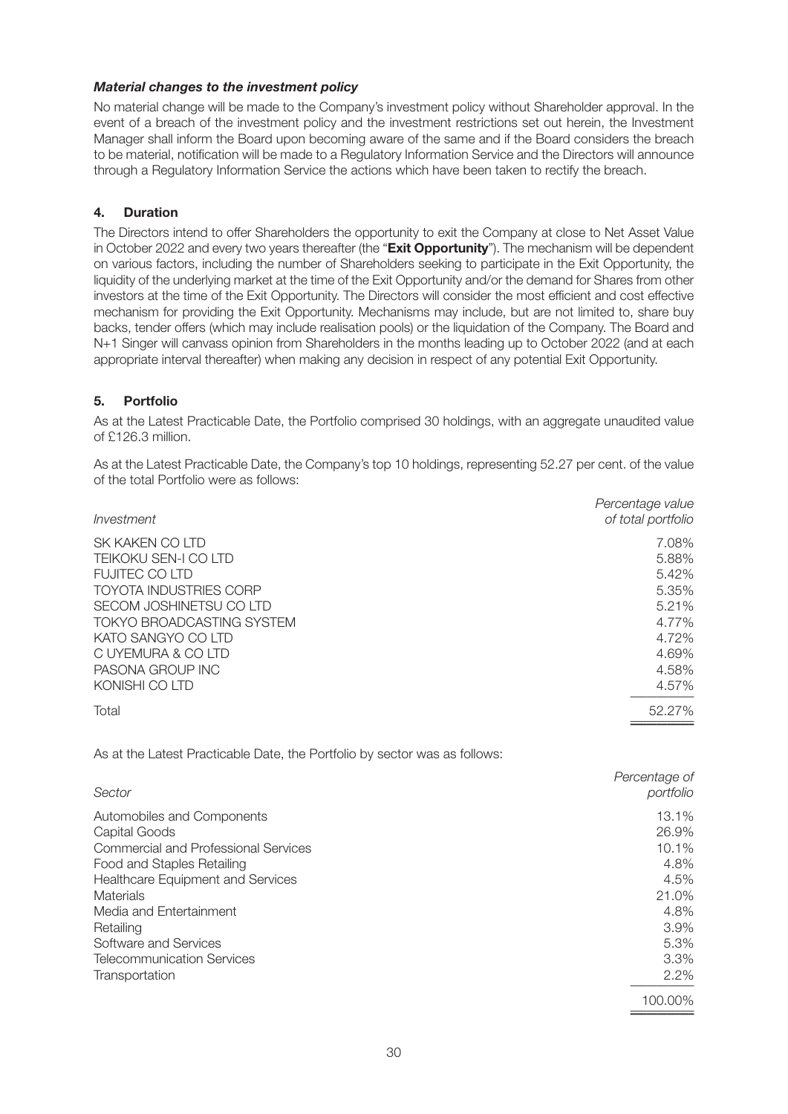# *Material changes to the investment policy*

No material change will be made to the Company's investment policy without Shareholder approval. In the event of a breach of the investment policy and the investment restrictions set out herein, the Investment Manager shall inform the Board upon becoming aware of the same and if the Board considers the breach to be material, notification will be made to a Regulatory Information Service and the Directors will announce through a Regulatory Information Service the actions which have been taken to rectify the breach.

# **4. Duration**

The Directors intend to offer Shareholders the opportunity to exit the Company at close to Net Asset Value in October 2022 and every two years thereafter (the "**Exit Opportunity**"). The mechanism will be dependent on various factors, including the number of Shareholders seeking to participate in the Exit Opportunity, the liquidity of the underlying market at the time of the Exit Opportunity and/or the demand for Shares from other investors at the time of the Exit Opportunity. The Directors will consider the most efficient and cost effective mechanism for providing the Exit Opportunity. Mechanisms may include, but are not limited to, share buy backs, tender offers (which may include realisation pools) or the liquidation of the Company. The Board and N+1 Singer will canvass opinion from Shareholders in the months leading up to October 2022 (and at each appropriate interval thereafter) when making any decision in respect of any potential Exit Opportunity.

# **5. Portfolio**

As at the Latest Practicable Date, the Portfolio comprised 30 holdings, with an aggregate unaudited value of £126.3 million.

As at the Latest Practicable Date, the Company's top 10 holdings, representing 52.27 per cent. of the value of the total Portfolio were as follows:

| Investment                       | Percentage value<br>of total portfolio |
|----------------------------------|----------------------------------------|
| SK KAKEN CO LTD                  | 7.08%                                  |
| TEIKOKU SEN-I CO LTD             | 5.88%                                  |
| <b>FUJITEC COLTD</b>             | 5.42%                                  |
| <b>TOYOTA INDUSTRIES CORP</b>    | 5.35%                                  |
| SECOM JOSHINETSU CO LTD          | 5.21%                                  |
| <b>TOKYO BROADCASTING SYSTEM</b> | 4.77%                                  |
| KATO SANGYO CO LTD               | 4.72%                                  |
| C UYEMURA & CO LTD               | 4.69%                                  |
| PASONA GROUP INC                 | 4.58%                                  |
| KONISHI CO LTD                   | 4.57%                                  |
| Total                            | 52.27%                                 |
|                                  |                                        |

As at the Latest Practicable Date, the Portfolio by sector was as follows:

| Sector                                      | Percentage of<br>portfolio |
|---------------------------------------------|----------------------------|
| Automobiles and Components                  | 13.1%                      |
| Capital Goods                               | 26.9%                      |
| <b>Commercial and Professional Services</b> | 10.1%                      |
| Food and Staples Retailing                  | 4.8%                       |
| Healthcare Equipment and Services           | 4.5%                       |
| Materials                                   | 21.0%                      |
| Media and Entertainment                     | 4.8%                       |
| Retailing                                   | 3.9%                       |
| Software and Services                       | 5.3%                       |
| <b>Telecommunication Services</b>           | $3.3\%$                    |
| Transportation                              | $2.2\%$                    |
|                                             | 100.00%                    |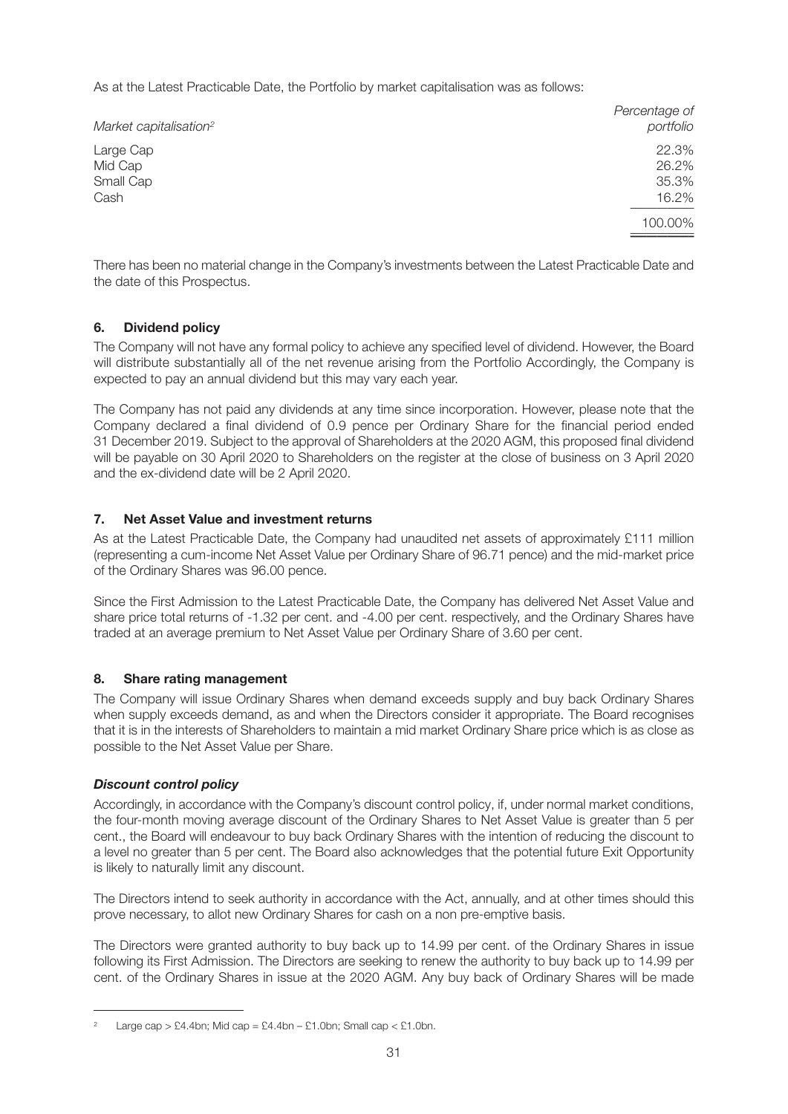As at the Latest Practicable Date, the Portfolio by market capitalisation was as follows:

| Market capitalisation <sup>2</sup>        | Percentage of<br>portfolio       |
|-------------------------------------------|----------------------------------|
| Large Cap<br>Mid Cap<br>Small Cap<br>Cash | 22.3%<br>26.2%<br>35.3%<br>16.2% |
|                                           | 100.00%                          |

There has been no material change in the Company's investments between the Latest Practicable Date and the date of this Prospectus.

# **6. Dividend policy**

The Company will not have any formal policy to achieve any specified level of dividend. However, the Board will distribute substantially all of the net revenue arising from the Portfolio Accordingly, the Company is expected to pay an annual dividend but this may vary each year.

The Company has not paid any dividends at any time since incorporation. However, please note that the Company declared a final dividend of 0.9 pence per Ordinary Share for the financial period ended 31 December 2019. Subject to the approval of Shareholders at the 2020 AGM, this proposed final dividend will be payable on 30 April 2020 to Shareholders on the register at the close of business on 3 April 2020 and the ex-dividend date will be 2 April 2020.

# **7. Net Asset Value and investment returns**

As at the Latest Practicable Date, the Company had unaudited net assets of approximately £111 million (representing a cum-income Net Asset Value per Ordinary Share of 96.71 pence) and the mid-market price of the Ordinary Shares was 96.00 pence.

Since the First Admission to the Latest Practicable Date, the Company has delivered Net Asset Value and share price total returns of -1.32 per cent. and -4.00 per cent. respectively, and the Ordinary Shares have traded at an average premium to Net Asset Value per Ordinary Share of 3.60 per cent.

# **8. Share rating management**

The Company will issue Ordinary Shares when demand exceeds supply and buy back Ordinary Shares when supply exceeds demand, as and when the Directors consider it appropriate. The Board recognises that it is in the interests of Shareholders to maintain a mid market Ordinary Share price which is as close as possible to the Net Asset Value per Share.

# *Discount control policy*

Accordingly, in accordance with the Company's discount control policy, if, under normal market conditions, the four-month moving average discount of the Ordinary Shares to Net Asset Value is greater than 5 per cent., the Board will endeavour to buy back Ordinary Shares with the intention of reducing the discount to a level no greater than 5 per cent. The Board also acknowledges that the potential future Exit Opportunity is likely to naturally limit any discount.

The Directors intend to seek authority in accordance with the Act, annually, and at other times should this prove necessary, to allot new Ordinary Shares for cash on a non pre-emptive basis.

The Directors were granted authority to buy back up to 14.99 per cent. of the Ordinary Shares in issue following its First Admission. The Directors are seeking to renew the authority to buy back up to 14.99 per cent. of the Ordinary Shares in issue at the 2020 AGM. Any buy back of Ordinary Shares will be made

Large cap > £4.4bn; Mid cap = £4.4bn – £1.0bn; Small cap < £1.0bn.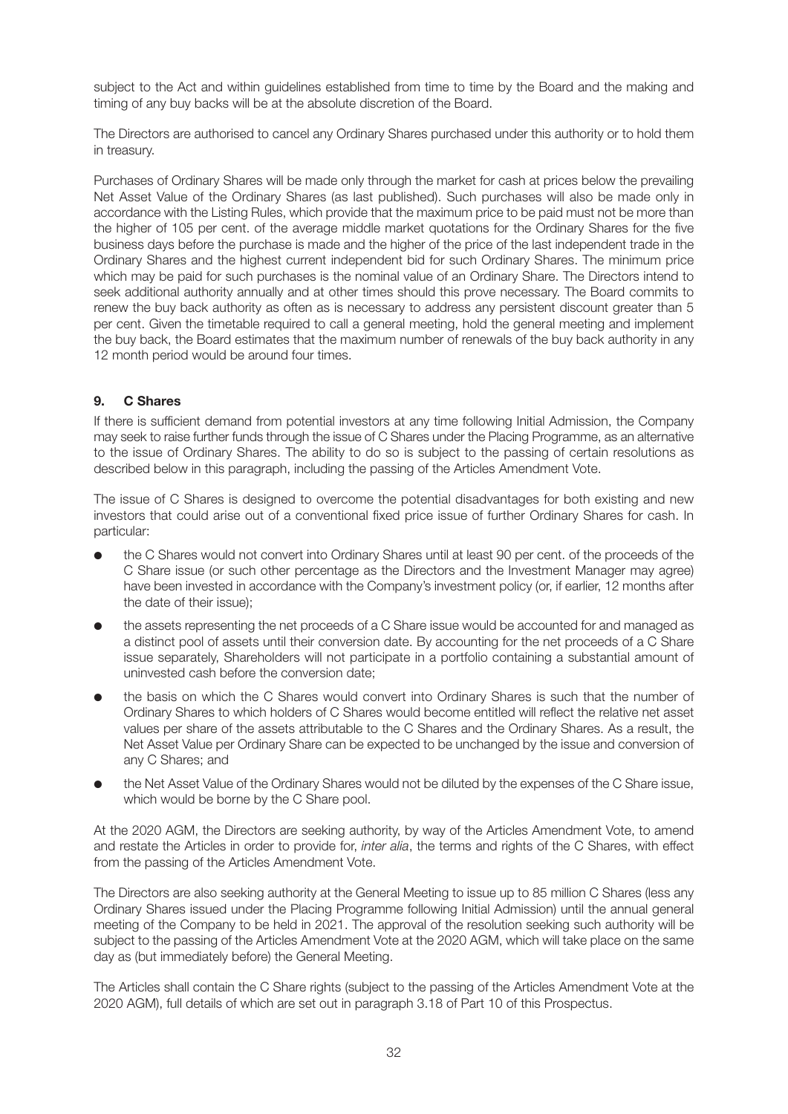subject to the Act and within guidelines established from time to time by the Board and the making and timing of any buy backs will be at the absolute discretion of the Board.

The Directors are authorised to cancel any Ordinary Shares purchased under this authority or to hold them in treasury.

Purchases of Ordinary Shares will be made only through the market for cash at prices below the prevailing Net Asset Value of the Ordinary Shares (as last published). Such purchases will also be made only in accordance with the Listing Rules, which provide that the maximum price to be paid must not be more than the higher of 105 per cent. of the average middle market quotations for the Ordinary Shares for the five business days before the purchase is made and the higher of the price of the last independent trade in the Ordinary Shares and the highest current independent bid for such Ordinary Shares. The minimum price which may be paid for such purchases is the nominal value of an Ordinary Share. The Directors intend to seek additional authority annually and at other times should this prove necessary. The Board commits to renew the buy back authority as often as is necessary to address any persistent discount greater than 5 per cent. Given the timetable required to call a general meeting, hold the general meeting and implement the buy back, the Board estimates that the maximum number of renewals of the buy back authority in any 12 month period would be around four times.

# **9. C Shares**

If there is sufficient demand from potential investors at any time following Initial Admission, the Company may seek to raise further funds through the issue of C Shares under the Placing Programme, as an alternative to the issue of Ordinary Shares. The ability to do so is subject to the passing of certain resolutions as described below in this paragraph, including the passing of the Articles Amendment Vote.

The issue of C Shares is designed to overcome the potential disadvantages for both existing and new investors that could arise out of a conventional fixed price issue of further Ordinary Shares for cash. In particular:

- the C Shares would not convert into Ordinary Shares until at least 90 per cent. of the proceeds of the C Share issue (or such other percentage as the Directors and the Investment Manager may agree) have been invested in accordance with the Company's investment policy (or, if earlier, 12 months after the date of their issue);
- l the assets representing the net proceeds of a C Share issue would be accounted for and managed as a distinct pool of assets until their conversion date. By accounting for the net proceeds of a C Share issue separately, Shareholders will not participate in a portfolio containing a substantial amount of uninvested cash before the conversion date;
- l the basis on which the C Shares would convert into Ordinary Shares is such that the number of Ordinary Shares to which holders of C Shares would become entitled will reflect the relative net asset values per share of the assets attributable to the C Shares and the Ordinary Shares. As a result, the Net Asset Value per Ordinary Share can be expected to be unchanged by the issue and conversion of any C Shares; and
- l the Net Asset Value of the Ordinary Shares would not be diluted by the expenses of the C Share issue, which would be borne by the C Share pool.

At the 2020 AGM, the Directors are seeking authority, by way of the Articles Amendment Vote, to amend and restate the Articles in order to provide for, *inter alia*, the terms and rights of the C Shares, with effect from the passing of the Articles Amendment Vote.

The Directors are also seeking authority at the General Meeting to issue up to 85 million C Shares (less any Ordinary Shares issued under the Placing Programme following Initial Admission) until the annual general meeting of the Company to be held in 2021. The approval of the resolution seeking such authority will be subject to the passing of the Articles Amendment Vote at the 2020 AGM, which will take place on the same day as (but immediately before) the General Meeting.

The Articles shall contain the C Share rights (subject to the passing of the Articles Amendment Vote at the 2020 AGM), full details of which are set out in paragraph 3.18 of Part 10 of this Prospectus.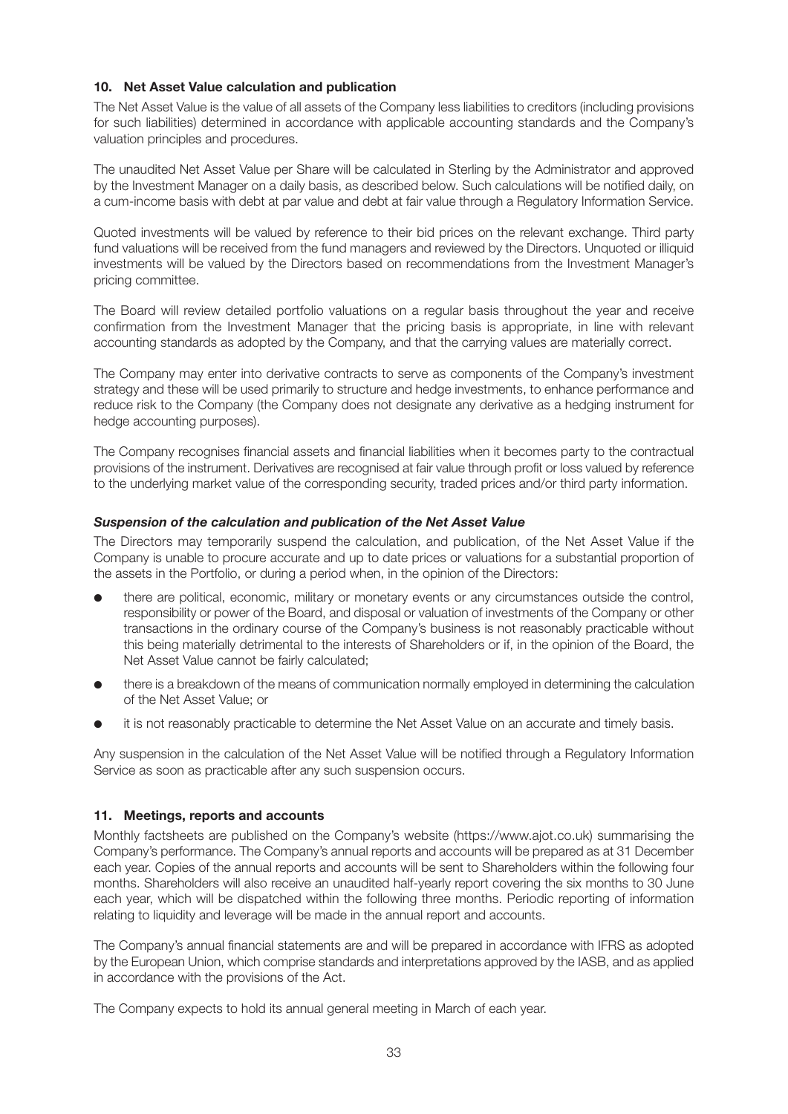# **10. Net Asset Value calculation and publication**

The Net Asset Value is the value of all assets of the Company less liabilities to creditors (including provisions for such liabilities) determined in accordance with applicable accounting standards and the Company's valuation principles and procedures.

The unaudited Net Asset Value per Share will be calculated in Sterling by the Administrator and approved by the Investment Manager on a daily basis, as described below. Such calculations will be notified daily, on a cum-income basis with debt at par value and debt at fair value through a Regulatory Information Service.

Quoted investments will be valued by reference to their bid prices on the relevant exchange. Third party fund valuations will be received from the fund managers and reviewed by the Directors. Unquoted or illiquid investments will be valued by the Directors based on recommendations from the Investment Manager's pricing committee.

The Board will review detailed portfolio valuations on a regular basis throughout the year and receive confirmation from the Investment Manager that the pricing basis is appropriate, in line with relevant accounting standards as adopted by the Company, and that the carrying values are materially correct.

The Company may enter into derivative contracts to serve as components of the Company's investment strategy and these will be used primarily to structure and hedge investments, to enhance performance and reduce risk to the Company (the Company does not designate any derivative as a hedging instrument for hedge accounting purposes).

The Company recognises financial assets and financial liabilities when it becomes party to the contractual provisions of the instrument. Derivatives are recognised at fair value through profit or loss valued by reference to the underlying market value of the corresponding security, traded prices and/or third party information.

## *Suspension of the calculation and publication of the Net Asset Value*

The Directors may temporarily suspend the calculation, and publication, of the Net Asset Value if the Company is unable to procure accurate and up to date prices or valuations for a substantial proportion of the assets in the Portfolio, or during a period when, in the opinion of the Directors:

- l there are political, economic, military or monetary events or any circumstances outside the control, responsibility or power of the Board, and disposal or valuation of investments of the Company or other transactions in the ordinary course of the Company's business is not reasonably practicable without this being materially detrimental to the interests of Shareholders or if, in the opinion of the Board, the Net Asset Value cannot be fairly calculated;
- l there is a breakdown of the means of communication normally employed in determining the calculation of the Net Asset Value; or
- it is not reasonably practicable to determine the Net Asset Value on an accurate and timely basis.

Any suspension in the calculation of the Net Asset Value will be notified through a Regulatory Information Service as soon as practicable after any such suspension occurs.

# **11. Meetings, reports and accounts**

Monthly factsheets are published on the Company's website (https://www.ajot.co.uk) summarising the Company's performance. The Company's annual reports and accounts will be prepared as at 31 December each year. Copies of the annual reports and accounts will be sent to Shareholders within the following four months. Shareholders will also receive an unaudited half-yearly report covering the six months to 30 June each year, which will be dispatched within the following three months. Periodic reporting of information relating to liquidity and leverage will be made in the annual report and accounts.

The Company's annual financial statements are and will be prepared in accordance with IFRS as adopted by the European Union, which comprise standards and interpretations approved by the IASB, and as applied in accordance with the provisions of the Act.

The Company expects to hold its annual general meeting in March of each year.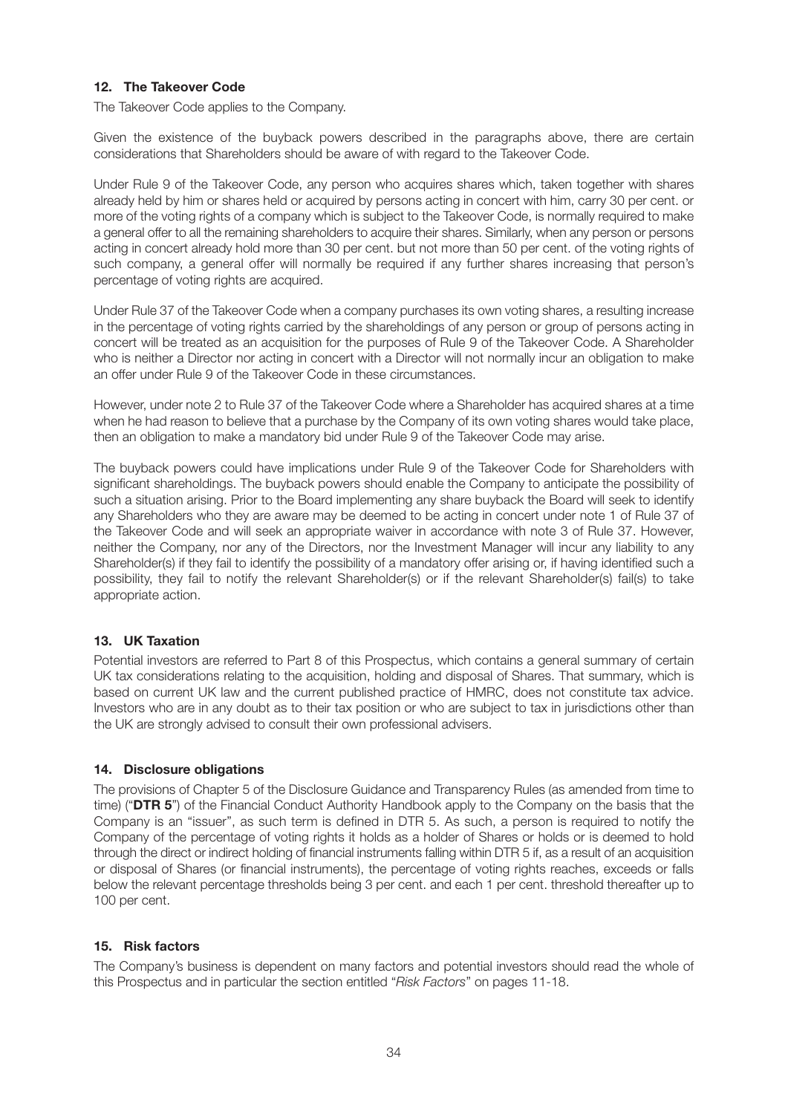# **12. The Takeover Code**

The Takeover Code applies to the Company.

Given the existence of the buyback powers described in the paragraphs above, there are certain considerations that Shareholders should be aware of with regard to the Takeover Code.

Under Rule 9 of the Takeover Code, any person who acquires shares which, taken together with shares already held by him or shares held or acquired by persons acting in concert with him, carry 30 per cent. or more of the voting rights of a company which is subject to the Takeover Code, is normally required to make a general offer to all the remaining shareholders to acquire their shares. Similarly, when any person or persons acting in concert already hold more than 30 per cent. but not more than 50 per cent. of the voting rights of such company, a general offer will normally be required if any further shares increasing that person's percentage of voting rights are acquired.

Under Rule 37 of the Takeover Code when a company purchases its own voting shares, a resulting increase in the percentage of voting rights carried by the shareholdings of any person or group of persons acting in concert will be treated as an acquisition for the purposes of Rule 9 of the Takeover Code. A Shareholder who is neither a Director nor acting in concert with a Director will not normally incur an obligation to make an offer under Rule 9 of the Takeover Code in these circumstances.

However, under note 2 to Rule 37 of the Takeover Code where a Shareholder has acquired shares at a time when he had reason to believe that a purchase by the Company of its own voting shares would take place, then an obligation to make a mandatory bid under Rule 9 of the Takeover Code may arise.

The buyback powers could have implications under Rule 9 of the Takeover Code for Shareholders with significant shareholdings. The buyback powers should enable the Company to anticipate the possibility of such a situation arising. Prior to the Board implementing any share buyback the Board will seek to identify any Shareholders who they are aware may be deemed to be acting in concert under note 1 of Rule 37 of the Takeover Code and will seek an appropriate waiver in accordance with note 3 of Rule 37. However, neither the Company, nor any of the Directors, nor the Investment Manager will incur any liability to any Shareholder(s) if they fail to identify the possibility of a mandatory offer arising or, if having identified such a possibility, they fail to notify the relevant Shareholder(s) or if the relevant Shareholder(s) fail(s) to take appropriate action.

# **13. UK Taxation**

Potential investors are referred to Part 8 of this Prospectus, which contains a general summary of certain UK tax considerations relating to the acquisition, holding and disposal of Shares. That summary, which is based on current UK law and the current published practice of HMRC, does not constitute tax advice. Investors who are in any doubt as to their tax position or who are subject to tax in jurisdictions other than the UK are strongly advised to consult their own professional advisers.

# **14. Disclosure obligations**

The provisions of Chapter 5 of the Disclosure Guidance and Transparency Rules (as amended from time to time) ("**DTR 5**") of the Financial Conduct Authority Handbook apply to the Company on the basis that the Company is an "issuer", as such term is defined in DTR 5. As such, a person is required to notify the Company of the percentage of voting rights it holds as a holder of Shares or holds or is deemed to hold through the direct or indirect holding of financial instruments falling within DTR 5 if, as a result of an acquisition or disposal of Shares (or financial instruments), the percentage of voting rights reaches, exceeds or falls below the relevant percentage thresholds being 3 per cent. and each 1 per cent. threshold thereafter up to 100 per cent.

# **15. Risk factors**

The Company's business is dependent on many factors and potential investors should read the whole of this Prospectus and in particular the section entitled "*Risk Factors*" on pages 11-18.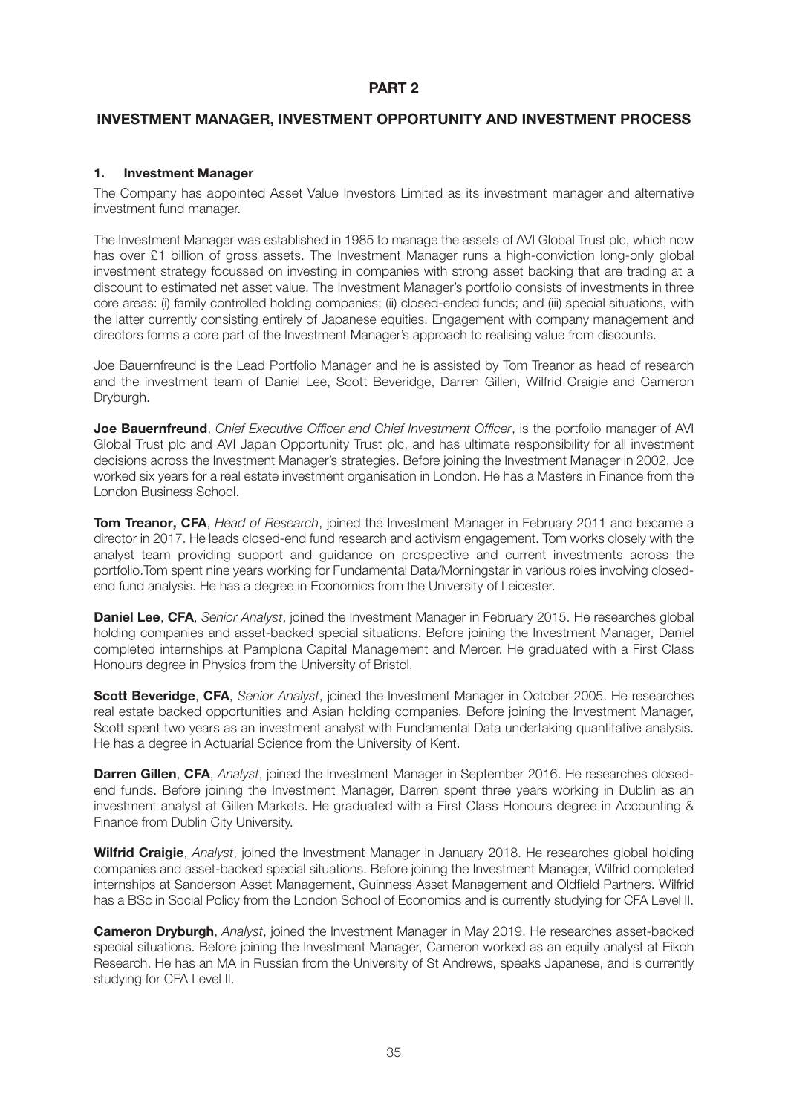# **PART 2**

# **INVESTMENT MANAGER, INVESTMENT OPPORTUNITY AND INVESTMENT PROCESS**

## **1. Investment Manager**

The Company has appointed Asset Value Investors Limited as its investment manager and alternative investment fund manager.

The Investment Manager was established in 1985 to manage the assets of AVI Global Trust plc, which now has over £1 billion of gross assets. The Investment Manager runs a high-conviction long-only global investment strategy focussed on investing in companies with strong asset backing that are trading at a discount to estimated net asset value. The Investment Manager's portfolio consists of investments in three core areas: (i) family controlled holding companies; (ii) closed-ended funds; and (iii) special situations, with the latter currently consisting entirely of Japanese equities. Engagement with company management and directors forms a core part of the Investment Manager's approach to realising value from discounts.

Joe Bauernfreund is the Lead Portfolio Manager and he is assisted by Tom Treanor as head of research and the investment team of Daniel Lee, Scott Beveridge, Darren Gillen, Wilfrid Craigie and Cameron Dryburgh.

**Joe Bauernfreund**, *Chief Executive Officer and Chief Investment Officer*, is the portfolio manager of AVI Global Trust plc and AVI Japan Opportunity Trust plc, and has ultimate responsibility for all investment decisions across the Investment Manager's strategies. Before joining the Investment Manager in 2002, Joe worked six years for a real estate investment organisation in London. He has a Masters in Finance from the London Business School.

**Tom Treanor, CFA**, *Head of Research*, joined the Investment Manager in February 2011 and became a director in 2017. He leads closed-end fund research and activism engagement. Tom works closely with the analyst team providing support and guidance on prospective and current investments across the portfolio.Tom spent nine years working for Fundamental Data/Morningstar in various roles involving closedend fund analysis. He has a degree in Economics from the University of Leicester.

**Daniel Lee**, **CFA**, *Senior Analyst*, joined the Investment Manager in February 2015. He researches global holding companies and asset-backed special situations. Before joining the Investment Manager, Daniel completed internships at Pamplona Capital Management and Mercer. He graduated with a First Class Honours degree in Physics from the University of Bristol.

**Scott Beveridge**, **CFA**, *Senior Analyst*, joined the Investment Manager in October 2005. He researches real estate backed opportunities and Asian holding companies. Before joining the Investment Manager, Scott spent two years as an investment analyst with Fundamental Data undertaking quantitative analysis. He has a degree in Actuarial Science from the University of Kent.

**Darren Gillen**, **CFA**, *Analyst*, joined the Investment Manager in September 2016. He researches closedend funds. Before joining the Investment Manager, Darren spent three years working in Dublin as an investment analyst at Gillen Markets. He graduated with a First Class Honours degree in Accounting & Finance from Dublin City University.

**Wilfrid Craigie**, *Analyst*, joined the Investment Manager in January 2018. He researches global holding companies and asset-backed special situations. Before joining the Investment Manager, Wilfrid completed internships at Sanderson Asset Management, Guinness Asset Management and Oldfield Partners. Wilfrid has a BSc in Social Policy from the London School of Economics and is currently studying for CFA Level II.

**Cameron Dryburgh**, *Analyst*, joined the Investment Manager in May 2019. He researches asset-backed special situations. Before joining the Investment Manager, Cameron worked as an equity analyst at Eikoh Research. He has an MA in Russian from the University of St Andrews, speaks Japanese, and is currently studying for CFA Level II.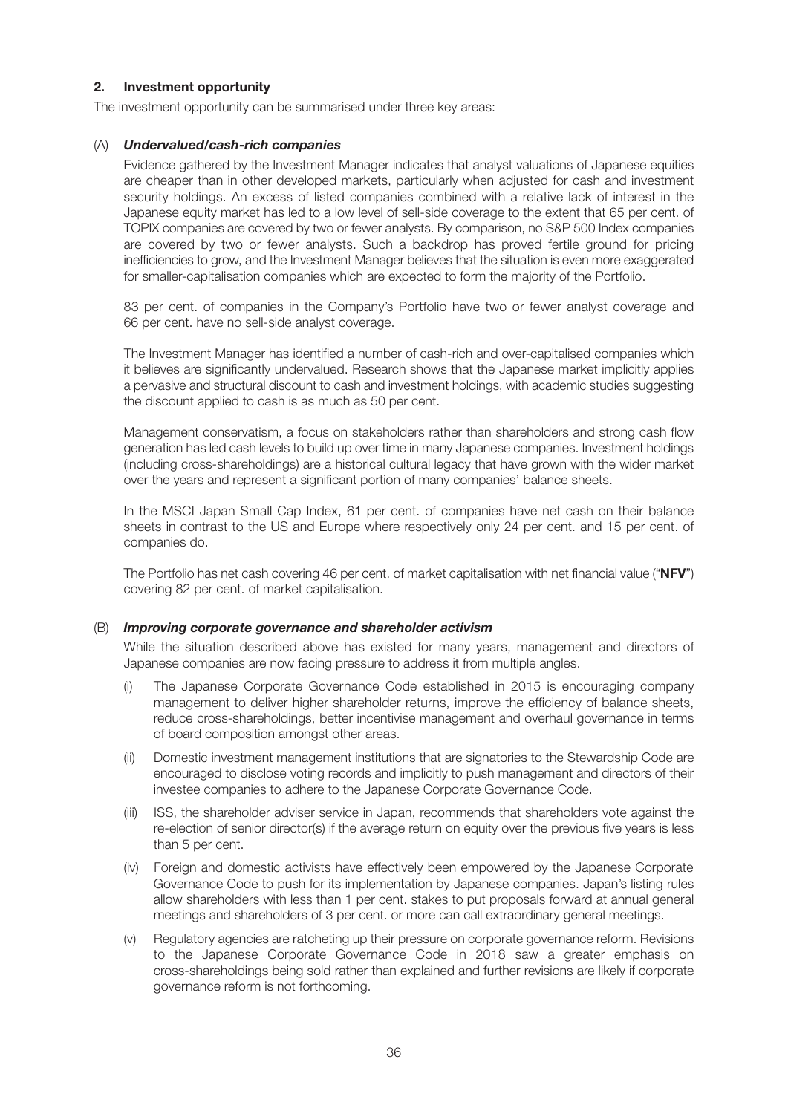# **2. Investment opportunity**

The investment opportunity can be summarised under three key areas:

## (A) *Undervalued/cash-rich companies*

 Evidence gathered by the Investment Manager indicates that analyst valuations of Japanese equities are cheaper than in other developed markets, particularly when adjusted for cash and investment security holdings. An excess of listed companies combined with a relative lack of interest in the Japanese equity market has led to a low level of sell-side coverage to the extent that 65 per cent. of TOPIX companies are covered by two or fewer analysts. By comparison, no S&P 500 Index companies are covered by two or fewer analysts. Such a backdrop has proved fertile ground for pricing inefficiencies to grow, and the Investment Manager believes that the situation is even more exaggerated for smaller-capitalisation companies which are expected to form the majority of the Portfolio.

 83 per cent. of companies in the Company's Portfolio have two or fewer analyst coverage and 66 per cent. have no sell-side analyst coverage.

 The Investment Manager has identified a number of cash-rich and over-capitalised companies which it believes are significantly undervalued. Research shows that the Japanese market implicitly applies a pervasive and structural discount to cash and investment holdings, with academic studies suggesting the discount applied to cash is as much as 50 per cent.

 Management conservatism, a focus on stakeholders rather than shareholders and strong cash flow generation has led cash levels to build up over time in many Japanese companies. Investment holdings (including cross-shareholdings) are a historical cultural legacy that have grown with the wider market over the years and represent a significant portion of many companies' balance sheets.

 In the MSCI Japan Small Cap Index, 61 per cent. of companies have net cash on their balance sheets in contrast to the US and Europe where respectively only 24 per cent. and 15 per cent. of companies do.

 The Portfolio has net cash covering 46 per cent. of market capitalisation with net financial value ("**NFV**") covering 82 per cent. of market capitalisation.

#### (B) *Improving corporate governance and shareholder activism*

 While the situation described above has existed for many years, management and directors of Japanese companies are now facing pressure to address it from multiple angles.

- (i) The Japanese Corporate Governance Code established in 2015 is encouraging company management to deliver higher shareholder returns, improve the efficiency of balance sheets, reduce cross-shareholdings, better incentivise management and overhaul governance in terms of board composition amongst other areas.
- (ii) Domestic investment management institutions that are signatories to the Stewardship Code are encouraged to disclose voting records and implicitly to push management and directors of their investee companies to adhere to the Japanese Corporate Governance Code.
- (iii) ISS, the shareholder adviser service in Japan, recommends that shareholders vote against the re-election of senior director(s) if the average return on equity over the previous five years is less than 5 per cent.
- (iv) Foreign and domestic activists have effectively been empowered by the Japanese Corporate Governance Code to push for its implementation by Japanese companies. Japan's listing rules allow shareholders with less than 1 per cent. stakes to put proposals forward at annual general meetings and shareholders of 3 per cent. or more can call extraordinary general meetings.
- (v) Regulatory agencies are ratcheting up their pressure on corporate governance reform. Revisions to the Japanese Corporate Governance Code in 2018 saw a greater emphasis on cross-shareholdings being sold rather than explained and further revisions are likely if corporate governance reform is not forthcoming.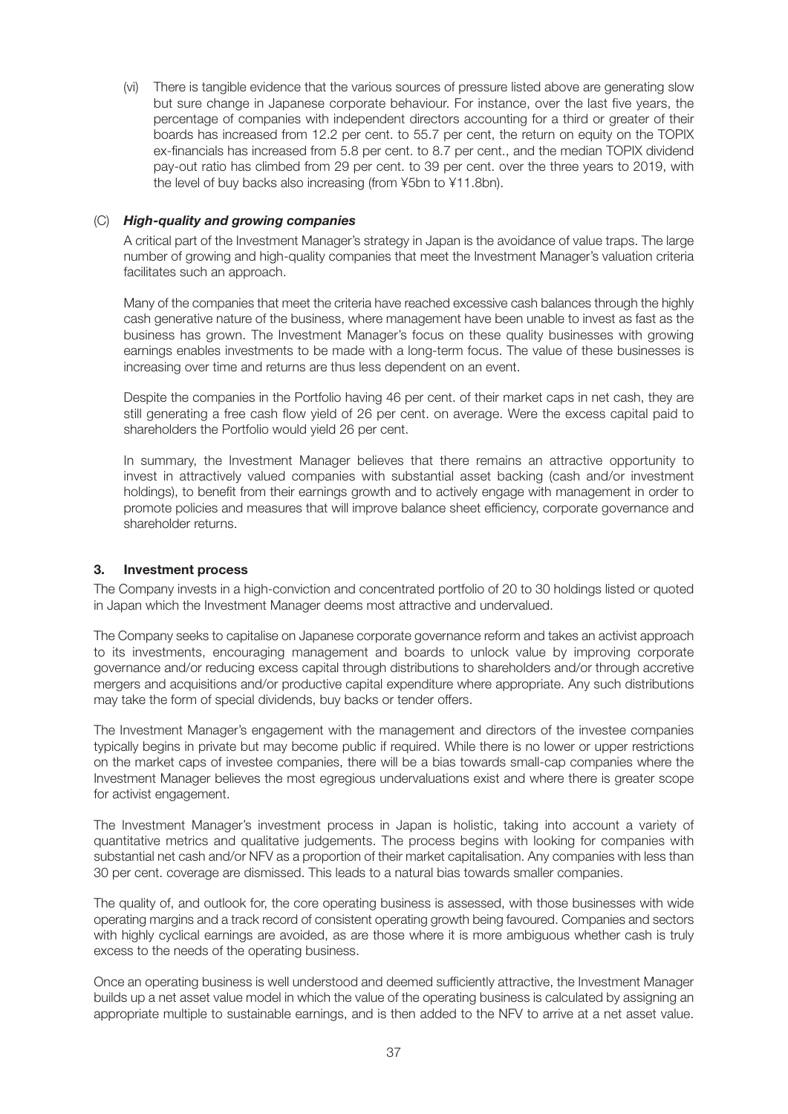(vi) There is tangible evidence that the various sources of pressure listed above are generating slow but sure change in Japanese corporate behaviour. For instance, over the last five years, the percentage of companies with independent directors accounting for a third or greater of their boards has increased from 12.2 per cent. to 55.7 per cent, the return on equity on the TOPIX ex-financials has increased from 5.8 per cent. to 8.7 per cent., and the median TOPIX dividend pay-out ratio has climbed from 29 per cent. to 39 per cent. over the three years to 2019, with the level of buy backs also increasing (from ¥5bn to ¥11.8bn).

### (C) *High-quality and growing companies*

 A critical part of the Investment Manager's strategy in Japan is the avoidance of value traps. The large number of growing and high-quality companies that meet the Investment Manager's valuation criteria facilitates such an approach.

 Many of the companies that meet the criteria have reached excessive cash balances through the highly cash generative nature of the business, where management have been unable to invest as fast as the business has grown. The Investment Manager's focus on these quality businesses with growing earnings enables investments to be made with a long-term focus. The value of these businesses is increasing over time and returns are thus less dependent on an event.

 Despite the companies in the Portfolio having 46 per cent. of their market caps in net cash, they are still generating a free cash flow yield of 26 per cent. on average. Were the excess capital paid to shareholders the Portfolio would yield 26 per cent.

 In summary, the Investment Manager believes that there remains an attractive opportunity to invest in attractively valued companies with substantial asset backing (cash and/or investment holdings), to benefit from their earnings growth and to actively engage with management in order to promote policies and measures that will improve balance sheet efficiency, corporate governance and shareholder returns.

### **3. Investment process**

The Company invests in a high-conviction and concentrated portfolio of 20 to 30 holdings listed or quoted in Japan which the Investment Manager deems most attractive and undervalued.

The Company seeks to capitalise on Japanese corporate governance reform and takes an activist approach to its investments, encouraging management and boards to unlock value by improving corporate governance and/or reducing excess capital through distributions to shareholders and/or through accretive mergers and acquisitions and/or productive capital expenditure where appropriate. Any such distributions may take the form of special dividends, buy backs or tender offers.

The Investment Manager's engagement with the management and directors of the investee companies typically begins in private but may become public if required. While there is no lower or upper restrictions on the market caps of investee companies, there will be a bias towards small-cap companies where the Investment Manager believes the most egregious undervaluations exist and where there is greater scope for activist engagement.

The Investment Manager's investment process in Japan is holistic, taking into account a variety of quantitative metrics and qualitative judgements. The process begins with looking for companies with substantial net cash and/or NFV as a proportion of their market capitalisation. Any companies with less than 30 per cent. coverage are dismissed. This leads to a natural bias towards smaller companies.

The quality of, and outlook for, the core operating business is assessed, with those businesses with wide operating margins and a track record of consistent operating growth being favoured. Companies and sectors with highly cyclical earnings are avoided, as are those where it is more ambiguous whether cash is truly excess to the needs of the operating business.

Once an operating business is well understood and deemed sufficiently attractive, the Investment Manager builds up a net asset value model in which the value of the operating business is calculated by assigning an appropriate multiple to sustainable earnings, and is then added to the NFV to arrive at a net asset value.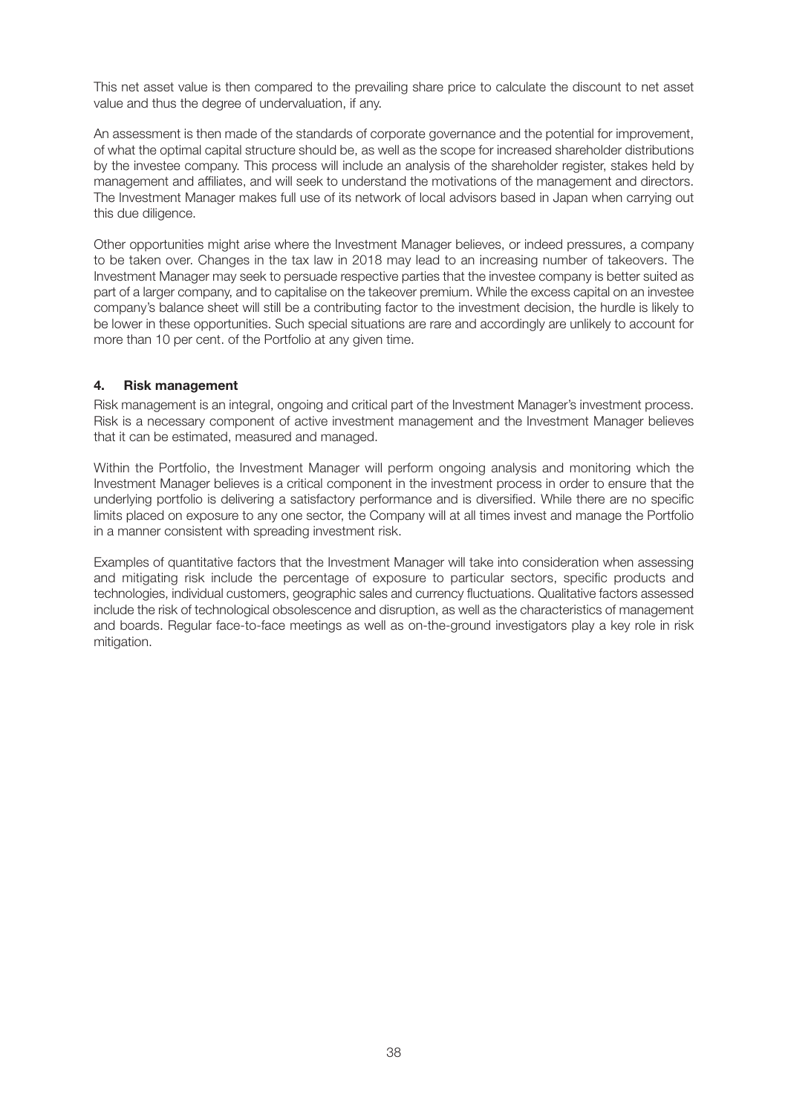This net asset value is then compared to the prevailing share price to calculate the discount to net asset value and thus the degree of undervaluation, if any.

An assessment is then made of the standards of corporate governance and the potential for improvement, of what the optimal capital structure should be, as well as the scope for increased shareholder distributions by the investee company. This process will include an analysis of the shareholder register, stakes held by management and affiliates, and will seek to understand the motivations of the management and directors. The Investment Manager makes full use of its network of local advisors based in Japan when carrying out this due diligence.

Other opportunities might arise where the Investment Manager believes, or indeed pressures, a company to be taken over. Changes in the tax law in 2018 may lead to an increasing number of takeovers. The Investment Manager may seek to persuade respective parties that the investee company is better suited as part of a larger company, and to capitalise on the takeover premium. While the excess capital on an investee company's balance sheet will still be a contributing factor to the investment decision, the hurdle is likely to be lower in these opportunities. Such special situations are rare and accordingly are unlikely to account for more than 10 per cent. of the Portfolio at any given time.

### **4. Risk management**

Risk management is an integral, ongoing and critical part of the Investment Manager's investment process. Risk is a necessary component of active investment management and the Investment Manager believes that it can be estimated, measured and managed.

Within the Portfolio, the Investment Manager will perform ongoing analysis and monitoring which the Investment Manager believes is a critical component in the investment process in order to ensure that the underlying portfolio is delivering a satisfactory performance and is diversified. While there are no specific limits placed on exposure to any one sector, the Company will at all times invest and manage the Portfolio in a manner consistent with spreading investment risk.

Examples of quantitative factors that the Investment Manager will take into consideration when assessing and mitigating risk include the percentage of exposure to particular sectors, specific products and technologies, individual customers, geographic sales and currency fluctuations. Qualitative factors assessed include the risk of technological obsolescence and disruption, as well as the characteristics of management and boards. Regular face-to-face meetings as well as on-the-ground investigators play a key role in risk mitigation.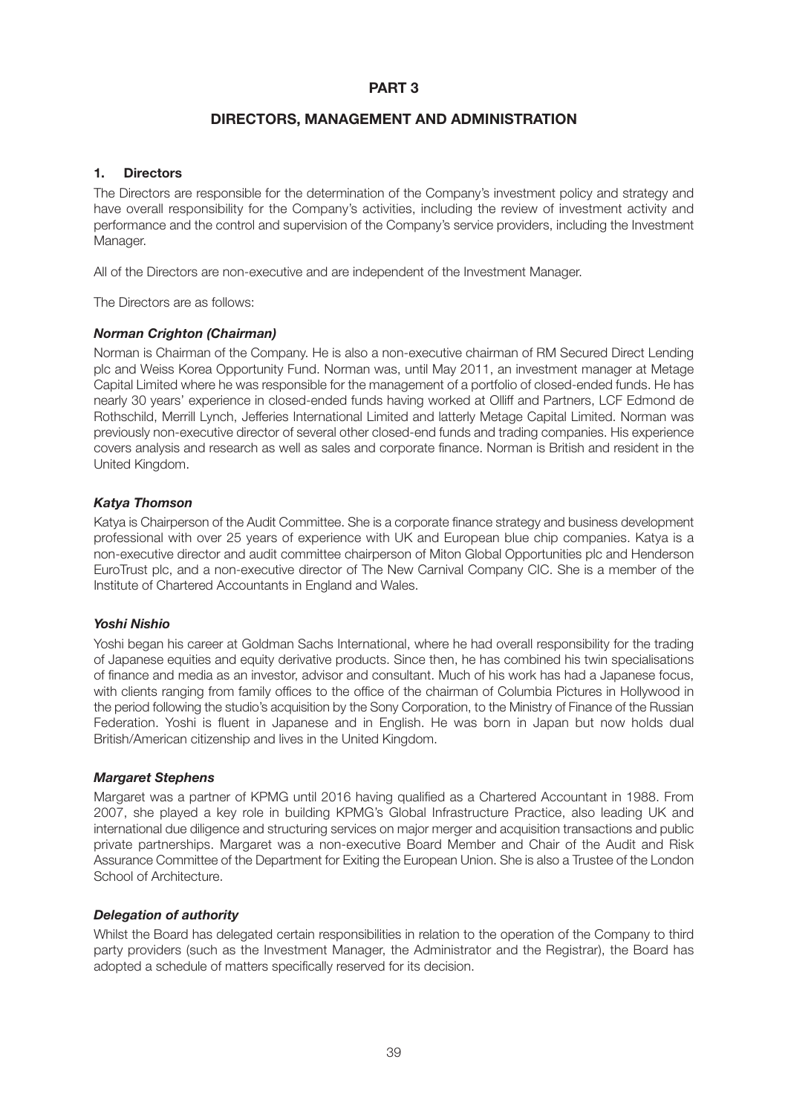# **DIRECTORS, MANAGEMENT AND ADMINISTRATION**

### **1. Directors**

The Directors are responsible for the determination of the Company's investment policy and strategy and have overall responsibility for the Company's activities, including the review of investment activity and performance and the control and supervision of the Company's service providers, including the Investment Manager.

All of the Directors are non-executive and are independent of the Investment Manager.

The Directors are as follows:

#### *Norman Crighton (Chairman)*

Norman is Chairman of the Company. He is also a non-executive chairman of RM Secured Direct Lending plc and Weiss Korea Opportunity Fund. Norman was, until May 2011, an investment manager at Metage Capital Limited where he was responsible for the management of a portfolio of closed-ended funds. He has nearly 30 years' experience in closed-ended funds having worked at Olliff and Partners, LCF Edmond de Rothschild, Merrill Lynch, Jefferies International Limited and latterly Metage Capital Limited. Norman was previously non-executive director of several other closed-end funds and trading companies. His experience covers analysis and research as well as sales and corporate finance. Norman is British and resident in the United Kingdom.

### *Katya Thomson*

Katya is Chairperson of the Audit Committee. She is a corporate finance strategy and business development professional with over 25 years of experience with UK and European blue chip companies. Katya is a non-executive director and audit committee chairperson of Miton Global Opportunities plc and Henderson EuroTrust plc, and a non-executive director of The New Carnival Company CIC. She is a member of the Institute of Chartered Accountants in England and Wales.

### *Yoshi Nishio*

Yoshi began his career at Goldman Sachs International, where he had overall responsibility for the trading of Japanese equities and equity derivative products. Since then, he has combined his twin specialisations of finance and media as an investor, advisor and consultant. Much of his work has had a Japanese focus, with clients ranging from family offices to the office of the chairman of Columbia Pictures in Hollywood in the period following the studio's acquisition by the Sony Corporation, to the Ministry of Finance of the Russian Federation. Yoshi is fluent in Japanese and in English. He was born in Japan but now holds dual British/American citizenship and lives in the United Kingdom.

#### *Margaret Stephens*

Margaret was a partner of KPMG until 2016 having qualified as a Chartered Accountant in 1988. From 2007, she played a key role in building KPMG's Global Infrastructure Practice, also leading UK and international due diligence and structuring services on major merger and acquisition transactions and public private partnerships. Margaret was a non-executive Board Member and Chair of the Audit and Risk Assurance Committee of the Department for Exiting the European Union. She is also a Trustee of the London School of Architecture.

### *Delegation of authority*

Whilst the Board has delegated certain responsibilities in relation to the operation of the Company to third party providers (such as the Investment Manager, the Administrator and the Registrar), the Board has adopted a schedule of matters specifically reserved for its decision.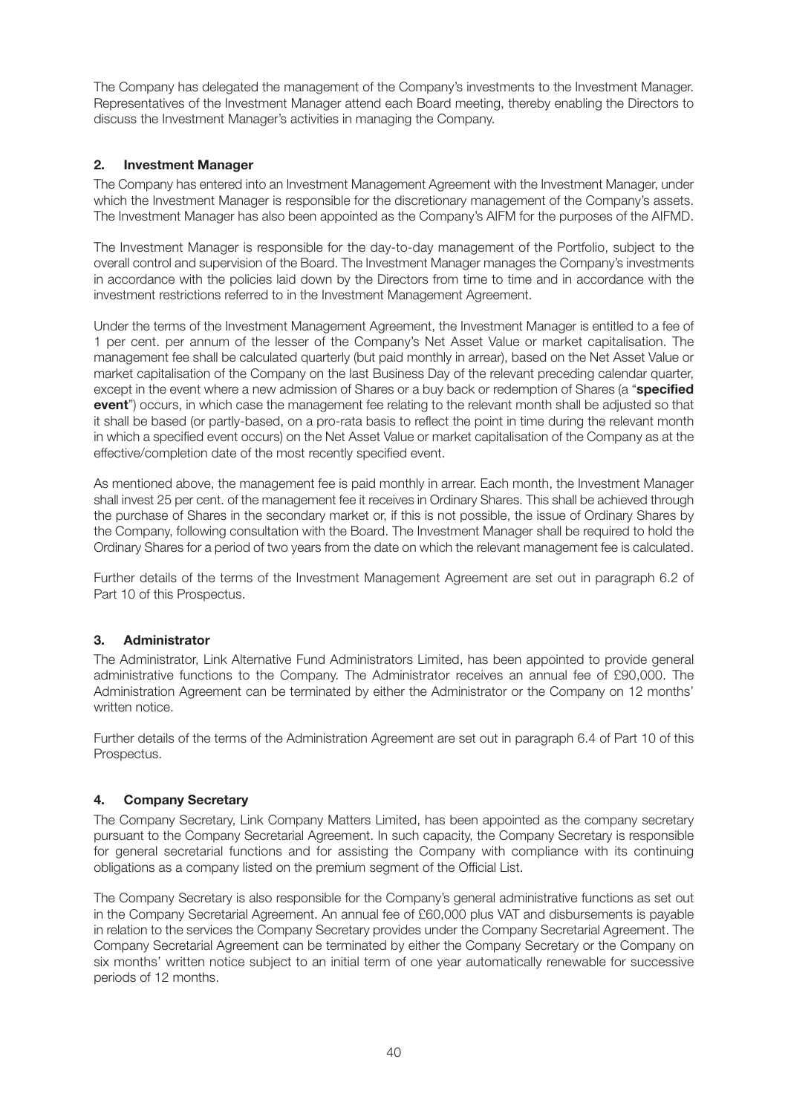The Company has delegated the management of the Company's investments to the Investment Manager. Representatives of the Investment Manager attend each Board meeting, thereby enabling the Directors to discuss the Investment Manager's activities in managing the Company.

# **2. Investment Manager**

The Company has entered into an Investment Management Agreement with the Investment Manager, under which the Investment Manager is responsible for the discretionary management of the Company's assets. The Investment Manager has also been appointed as the Company's AIFM for the purposes of the AIFMD.

The Investment Manager is responsible for the day-to-day management of the Portfolio, subject to the overall control and supervision of the Board. The Investment Manager manages the Company's investments in accordance with the policies laid down by the Directors from time to time and in accordance with the investment restrictions referred to in the Investment Management Agreement.

Under the terms of the Investment Management Agreement, the Investment Manager is entitled to a fee of 1 per cent. per annum of the lesser of the Company's Net Asset Value or market capitalisation. The management fee shall be calculated quarterly (but paid monthly in arrear), based on the Net Asset Value or market capitalisation of the Company on the last Business Day of the relevant preceding calendar quarter, except in the event where a new admission of Shares or a buy back or redemption of Shares (a "**specified event**") occurs, in which case the management fee relating to the relevant month shall be adjusted so that it shall be based (or partly-based, on a pro-rata basis to reflect the point in time during the relevant month in which a specified event occurs) on the Net Asset Value or market capitalisation of the Company as at the effective/completion date of the most recently specified event.

As mentioned above, the management fee is paid monthly in arrear. Each month, the Investment Manager shall invest 25 per cent. of the management fee it receives in Ordinary Shares. This shall be achieved through the purchase of Shares in the secondary market or, if this is not possible, the issue of Ordinary Shares by the Company, following consultation with the Board. The Investment Manager shall be required to hold the Ordinary Shares for a period of two years from the date on which the relevant management fee is calculated.

Further details of the terms of the Investment Management Agreement are set out in paragraph 6.2 of Part 10 of this Prospectus.

### **3. Administrator**

The Administrator, Link Alternative Fund Administrators Limited, has been appointed to provide general administrative functions to the Company. The Administrator receives an annual fee of £90,000. The Administration Agreement can be terminated by either the Administrator or the Company on 12 months' written notice.

Further details of the terms of the Administration Agreement are set out in paragraph 6.4 of Part 10 of this Prospectus.

### **4. Company Secretary**

The Company Secretary, Link Company Matters Limited, has been appointed as the company secretary pursuant to the Company Secretarial Agreement. In such capacity, the Company Secretary is responsible for general secretarial functions and for assisting the Company with compliance with its continuing obligations as a company listed on the premium segment of the Official List.

The Company Secretary is also responsible for the Company's general administrative functions as set out in the Company Secretarial Agreement. An annual fee of £60,000 plus VAT and disbursements is payable in relation to the services the Company Secretary provides under the Company Secretarial Agreement. The Company Secretarial Agreement can be terminated by either the Company Secretary or the Company on six months' written notice subject to an initial term of one year automatically renewable for successive periods of 12 months.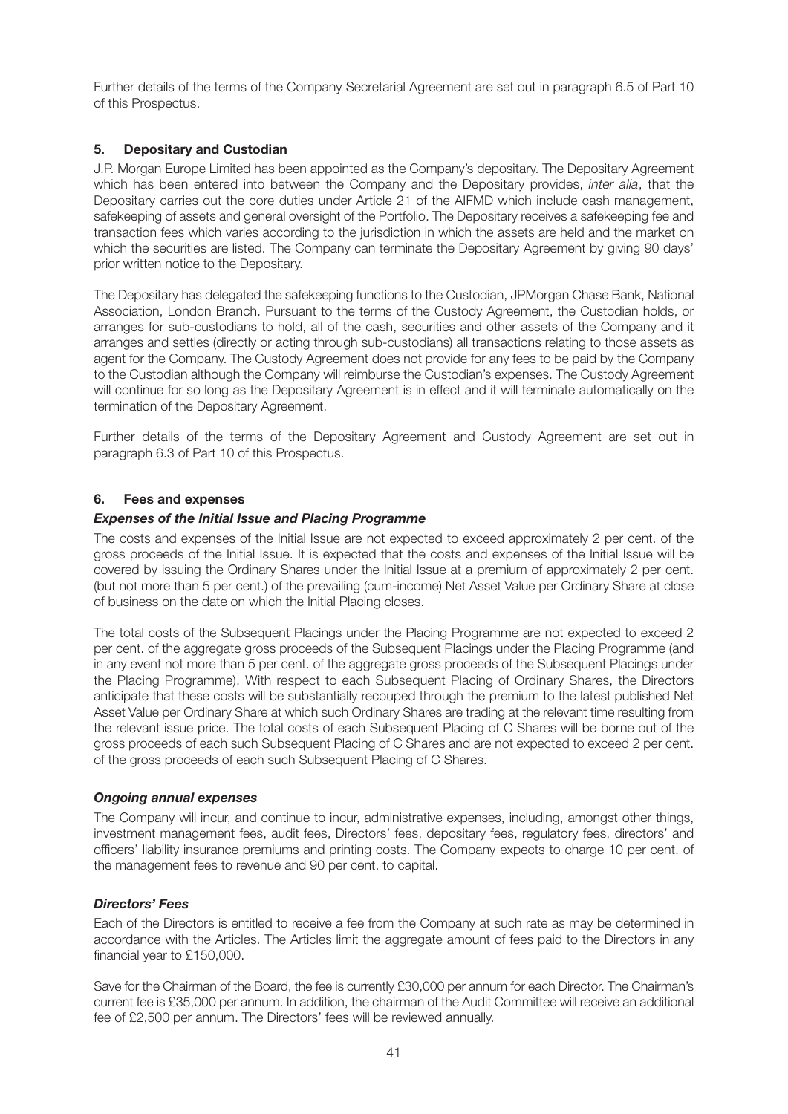Further details of the terms of the Company Secretarial Agreement are set out in paragraph 6.5 of Part 10 of this Prospectus.

### **5. Depositary and Custodian**

J.P. Morgan Europe Limited has been appointed as the Company's depositary. The Depositary Agreement which has been entered into between the Company and the Depositary provides, *inter alia*, that the Depositary carries out the core duties under Article 21 of the AIFMD which include cash management, safekeeping of assets and general oversight of the Portfolio. The Depositary receives a safekeeping fee and transaction fees which varies according to the jurisdiction in which the assets are held and the market on which the securities are listed. The Company can terminate the Depositary Agreement by giving 90 days' prior written notice to the Depositary.

The Depositary has delegated the safekeeping functions to the Custodian, JPMorgan Chase Bank, National Association, London Branch. Pursuant to the terms of the Custody Agreement, the Custodian holds, or arranges for sub-custodians to hold, all of the cash, securities and other assets of the Company and it arranges and settles (directly or acting through sub-custodians) all transactions relating to those assets as agent for the Company. The Custody Agreement does not provide for any fees to be paid by the Company to the Custodian although the Company will reimburse the Custodian's expenses. The Custody Agreement will continue for so long as the Depositary Agreement is in effect and it will terminate automatically on the termination of the Depositary Agreement.

Further details of the terms of the Depositary Agreement and Custody Agreement are set out in paragraph 6.3 of Part 10 of this Prospectus.

### **6. Fees and expenses**

### *Expenses of the Initial Issue and Placing Programme*

The costs and expenses of the Initial Issue are not expected to exceed approximately 2 per cent. of the gross proceeds of the Initial Issue. It is expected that the costs and expenses of the Initial Issue will be covered by issuing the Ordinary Shares under the Initial Issue at a premium of approximately 2 per cent. (but not more than 5 per cent.) of the prevailing (cum-income) Net Asset Value per Ordinary Share at close of business on the date on which the Initial Placing closes.

The total costs of the Subsequent Placings under the Placing Programme are not expected to exceed 2 per cent. of the aggregate gross proceeds of the Subsequent Placings under the Placing Programme (and in any event not more than 5 per cent. of the aggregate gross proceeds of the Subsequent Placings under the Placing Programme). With respect to each Subsequent Placing of Ordinary Shares, the Directors anticipate that these costs will be substantially recouped through the premium to the latest published Net Asset Value per Ordinary Share at which such Ordinary Shares are trading at the relevant time resulting from the relevant issue price. The total costs of each Subsequent Placing of C Shares will be borne out of the gross proceeds of each such Subsequent Placing of C Shares and are not expected to exceed 2 per cent. of the gross proceeds of each such Subsequent Placing of C Shares.

### *Ongoing annual expenses*

The Company will incur, and continue to incur, administrative expenses, including, amongst other things, investment management fees, audit fees, Directors' fees, depositary fees, regulatory fees, directors' and officers' liability insurance premiums and printing costs. The Company expects to charge 10 per cent. of the management fees to revenue and 90 per cent. to capital.

### *Directors' Fees*

Each of the Directors is entitled to receive a fee from the Company at such rate as may be determined in accordance with the Articles. The Articles limit the aggregate amount of fees paid to the Directors in any financial year to £150,000.

Save for the Chairman of the Board, the fee is currently £30,000 per annum for each Director. The Chairman's current fee is £35,000 per annum. In addition, the chairman of the Audit Committee will receive an additional fee of £2,500 per annum. The Directors' fees will be reviewed annually.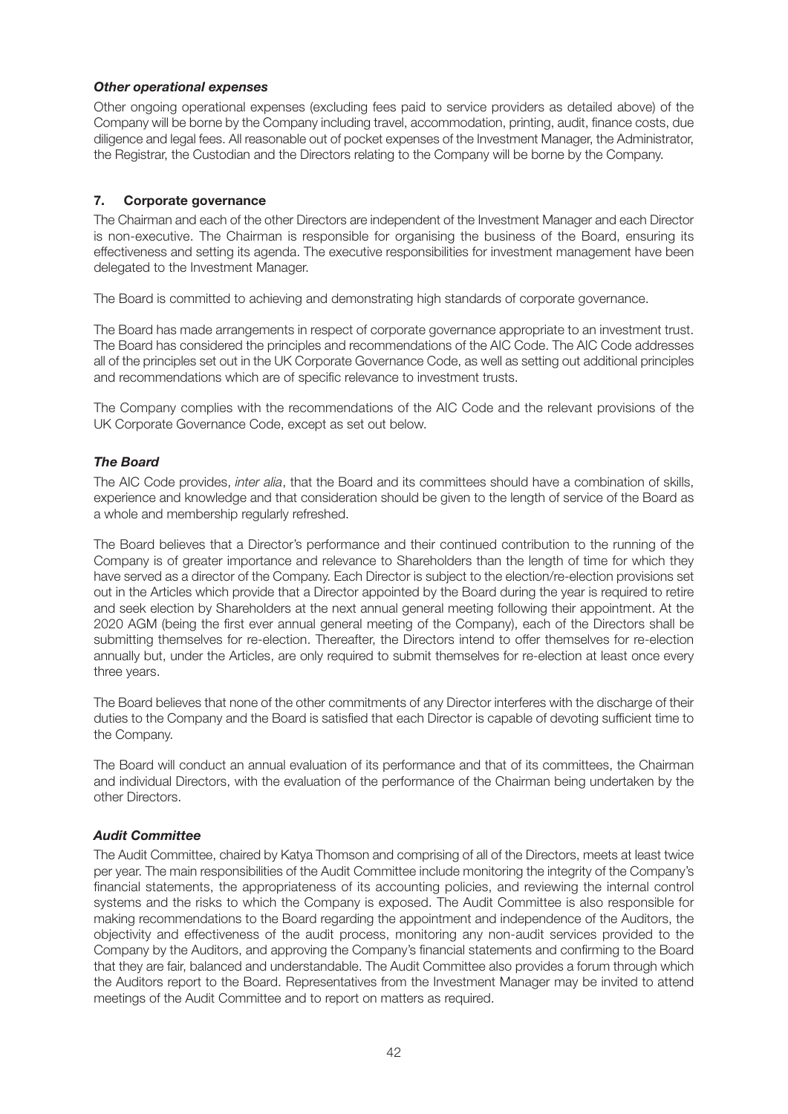### *Other operational expenses*

Other ongoing operational expenses (excluding fees paid to service providers as detailed above) of the Company will be borne by the Company including travel, accommodation, printing, audit, finance costs, due diligence and legal fees. All reasonable out of pocket expenses of the Investment Manager, the Administrator, the Registrar, the Custodian and the Directors relating to the Company will be borne by the Company.

# **7. Corporate governance**

The Chairman and each of the other Directors are independent of the Investment Manager and each Director is non-executive. The Chairman is responsible for organising the business of the Board, ensuring its effectiveness and setting its agenda. The executive responsibilities for investment management have been delegated to the Investment Manager.

The Board is committed to achieving and demonstrating high standards of corporate governance.

The Board has made arrangements in respect of corporate governance appropriate to an investment trust. The Board has considered the principles and recommendations of the AIC Code. The AIC Code addresses all of the principles set out in the UK Corporate Governance Code, as well as setting out additional principles and recommendations which are of specific relevance to investment trusts.

The Company complies with the recommendations of the AIC Code and the relevant provisions of the UK Corporate Governance Code, except as set out below.

# *The Board*

The AIC Code provides, *inter alia*, that the Board and its committees should have a combination of skills, experience and knowledge and that consideration should be given to the length of service of the Board as a whole and membership regularly refreshed.

The Board believes that a Director's performance and their continued contribution to the running of the Company is of greater importance and relevance to Shareholders than the length of time for which they have served as a director of the Company. Each Director is subject to the election/re-election provisions set out in the Articles which provide that a Director appointed by the Board during the year is required to retire and seek election by Shareholders at the next annual general meeting following their appointment. At the 2020 AGM (being the first ever annual general meeting of the Company), each of the Directors shall be submitting themselves for re-election. Thereafter, the Directors intend to offer themselves for re-election annually but, under the Articles, are only required to submit themselves for re-election at least once every three years.

The Board believes that none of the other commitments of any Director interferes with the discharge of their duties to the Company and the Board is satisfied that each Director is capable of devoting sufficient time to the Company.

The Board will conduct an annual evaluation of its performance and that of its committees, the Chairman and individual Directors, with the evaluation of the performance of the Chairman being undertaken by the other Directors.

### *Audit Committee*

The Audit Committee, chaired by Katya Thomson and comprising of all of the Directors, meets at least twice per year. The main responsibilities of the Audit Committee include monitoring the integrity of the Company's financial statements, the appropriateness of its accounting policies, and reviewing the internal control systems and the risks to which the Company is exposed. The Audit Committee is also responsible for making recommendations to the Board regarding the appointment and independence of the Auditors, the objectivity and effectiveness of the audit process, monitoring any non-audit services provided to the Company by the Auditors, and approving the Company's financial statements and confirming to the Board that they are fair, balanced and understandable. The Audit Committee also provides a forum through which the Auditors report to the Board. Representatives from the Investment Manager may be invited to attend meetings of the Audit Committee and to report on matters as required.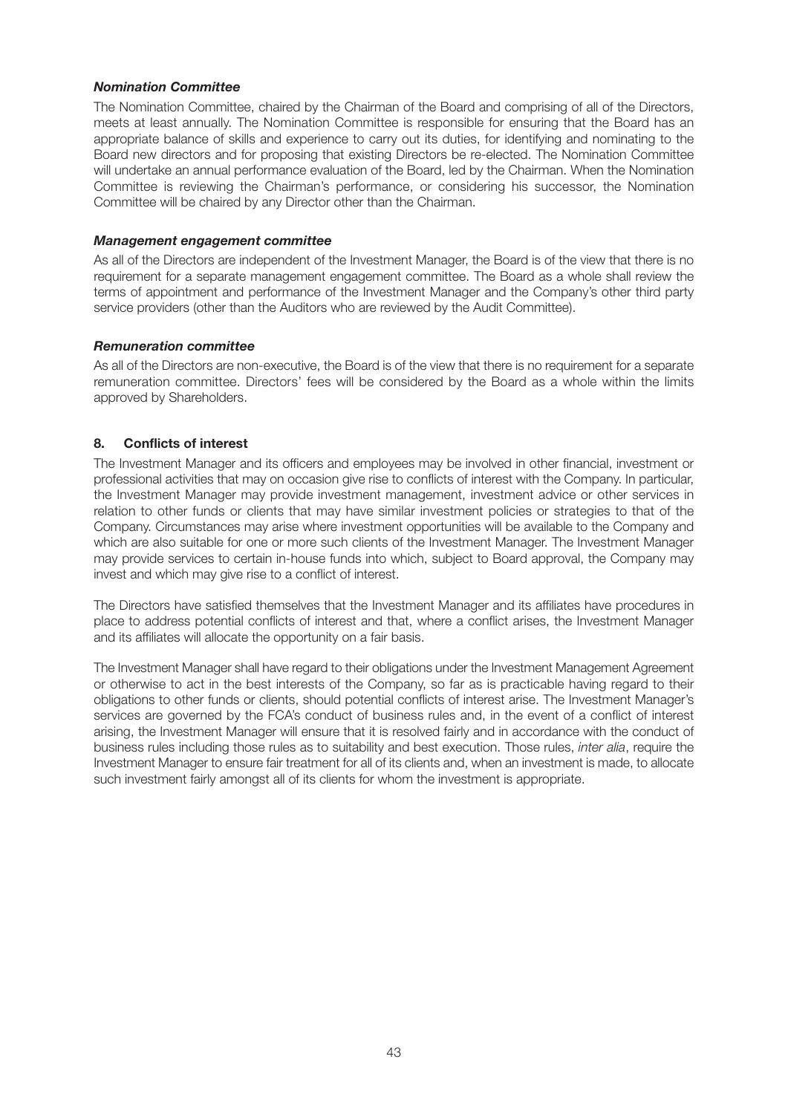### *Nomination Committee*

The Nomination Committee, chaired by the Chairman of the Board and comprising of all of the Directors, meets at least annually. The Nomination Committee is responsible for ensuring that the Board has an appropriate balance of skills and experience to carry out its duties, for identifying and nominating to the Board new directors and for proposing that existing Directors be re-elected. The Nomination Committee will undertake an annual performance evaluation of the Board, led by the Chairman. When the Nomination Committee is reviewing the Chairman's performance, or considering his successor, the Nomination Committee will be chaired by any Director other than the Chairman.

#### *Management engagement committee*

As all of the Directors are independent of the Investment Manager, the Board is of the view that there is no requirement for a separate management engagement committee. The Board as a whole shall review the terms of appointment and performance of the Investment Manager and the Company's other third party service providers (other than the Auditors who are reviewed by the Audit Committee).

### *Remuneration committee*

As all of the Directors are non-executive, the Board is of the view that there is no requirement for a separate remuneration committee. Directors' fees will be considered by the Board as a whole within the limits approved by Shareholders.

### **8. Conflicts of interest**

The Investment Manager and its officers and employees may be involved in other financial, investment or professional activities that may on occasion give rise to conflicts of interest with the Company. In particular, the Investment Manager may provide investment management, investment advice or other services in relation to other funds or clients that may have similar investment policies or strategies to that of the Company. Circumstances may arise where investment opportunities will be available to the Company and which are also suitable for one or more such clients of the Investment Manager. The Investment Manager may provide services to certain in-house funds into which, subject to Board approval, the Company may invest and which may give rise to a conflict of interest.

The Directors have satisfied themselves that the Investment Manager and its affiliates have procedures in place to address potential conflicts of interest and that, where a conflict arises, the Investment Manager and its affiliates will allocate the opportunity on a fair basis.

The Investment Manager shall have regard to their obligations under the Investment Management Agreement or otherwise to act in the best interests of the Company, so far as is practicable having regard to their obligations to other funds or clients, should potential conflicts of interest arise. The Investment Manager's services are governed by the FCA's conduct of business rules and, in the event of a conflict of interest arising, the Investment Manager will ensure that it is resolved fairly and in accordance with the conduct of business rules including those rules as to suitability and best execution. Those rules, *inter alia*, require the Investment Manager to ensure fair treatment for all of its clients and, when an investment is made, to allocate such investment fairly amongst all of its clients for whom the investment is appropriate.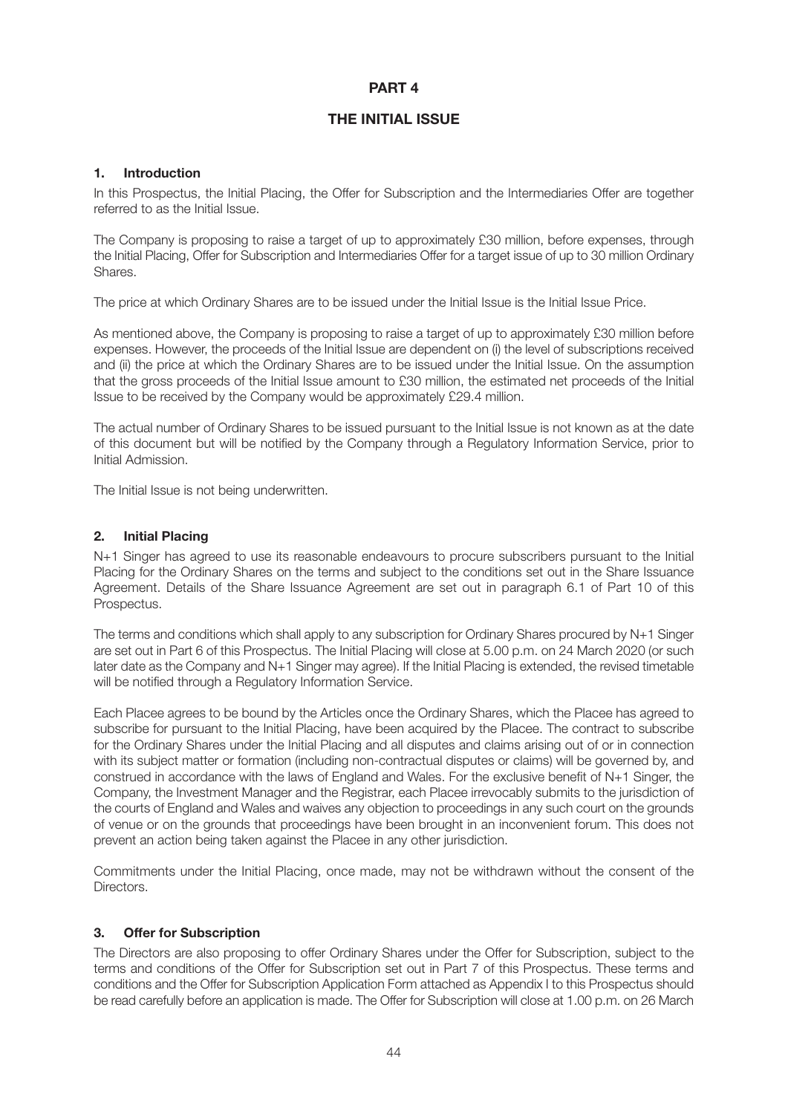# **PART 4**

# **THE INITIAL ISSUE**

#### **1. Introduction**

In this Prospectus, the Initial Placing, the Offer for Subscription and the Intermediaries Offer are together referred to as the Initial Issue.

The Company is proposing to raise a target of up to approximately £30 million, before expenses, through the Initial Placing, Offer for Subscription and Intermediaries Offer for a target issue of up to 30 million Ordinary Shares.

The price at which Ordinary Shares are to be issued under the Initial Issue is the Initial Issue Price.

As mentioned above, the Company is proposing to raise a target of up to approximately £30 million before expenses. However, the proceeds of the Initial Issue are dependent on (i) the level of subscriptions received and (ii) the price at which the Ordinary Shares are to be issued under the Initial Issue. On the assumption that the gross proceeds of the Initial Issue amount to £30 million, the estimated net proceeds of the Initial Issue to be received by the Company would be approximately £29.4 million.

The actual number of Ordinary Shares to be issued pursuant to the Initial Issue is not known as at the date of this document but will be notified by the Company through a Regulatory Information Service, prior to Initial Admission.

The Initial Issue is not being underwritten.

#### **2. Initial Placing**

N+1 Singer has agreed to use its reasonable endeavours to procure subscribers pursuant to the Initial Placing for the Ordinary Shares on the terms and subject to the conditions set out in the Share Issuance Agreement. Details of the Share Issuance Agreement are set out in paragraph 6.1 of Part 10 of this Prospectus.

The terms and conditions which shall apply to any subscription for Ordinary Shares procured by N+1 Singer are set out in Part 6 of this Prospectus. The Initial Placing will close at 5.00 p.m. on 24 March 2020 (or such later date as the Company and N+1 Singer may agree). If the Initial Placing is extended, the revised timetable will be notified through a Regulatory Information Service.

Each Placee agrees to be bound by the Articles once the Ordinary Shares, which the Placee has agreed to subscribe for pursuant to the Initial Placing, have been acquired by the Placee. The contract to subscribe for the Ordinary Shares under the Initial Placing and all disputes and claims arising out of or in connection with its subject matter or formation (including non-contractual disputes or claims) will be governed by, and construed in accordance with the laws of England and Wales. For the exclusive benefit of N+1 Singer, the Company, the Investment Manager and the Registrar, each Placee irrevocably submits to the jurisdiction of the courts of England and Wales and waives any objection to proceedings in any such court on the grounds of venue or on the grounds that proceedings have been brought in an inconvenient forum. This does not prevent an action being taken against the Placee in any other jurisdiction.

Commitments under the Initial Placing, once made, may not be withdrawn without the consent of the Directors.

### **3. Offer for Subscription**

The Directors are also proposing to offer Ordinary Shares under the Offer for Subscription, subject to the terms and conditions of the Offer for Subscription set out in Part 7 of this Prospectus. These terms and conditions and the Offer for Subscription Application Form attached as Appendix I to this Prospectus should be read carefully before an application is made. The Offer for Subscription will close at 1.00 p.m. on 26 March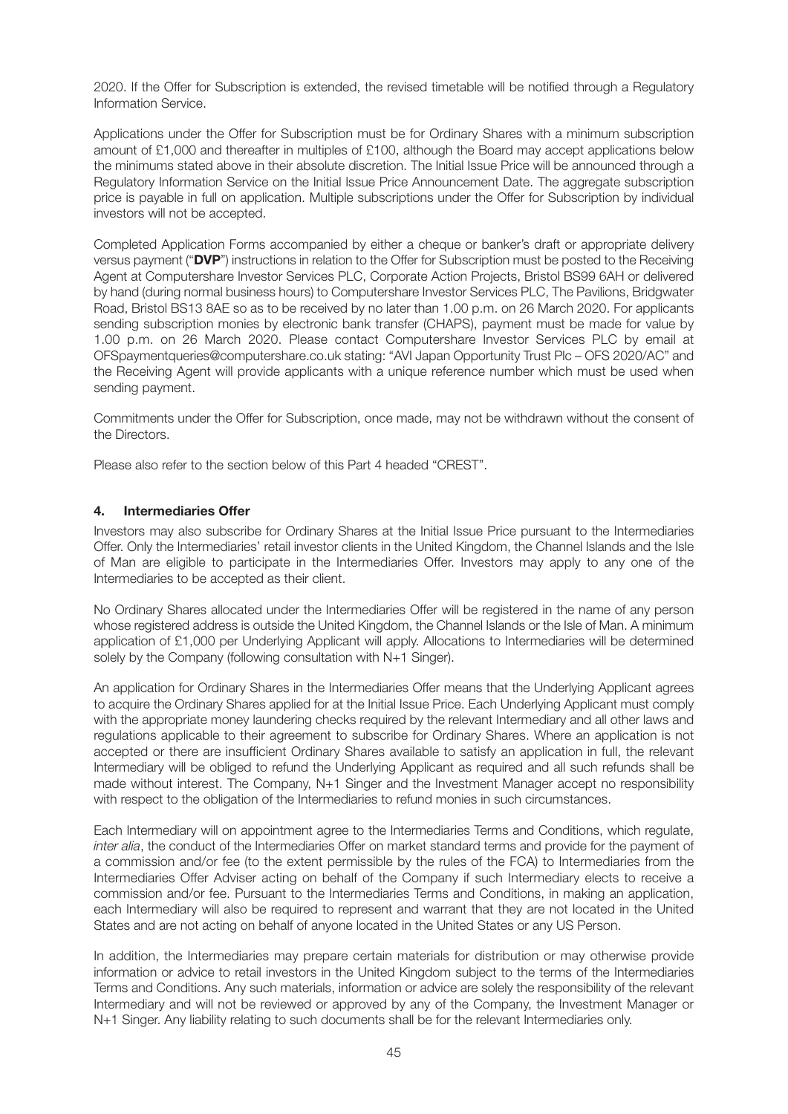2020. If the Offer for Subscription is extended, the revised timetable will be notified through a Regulatory Information Service.

Applications under the Offer for Subscription must be for Ordinary Shares with a minimum subscription amount of £1,000 and thereafter in multiples of £100, although the Board may accept applications below the minimums stated above in their absolute discretion. The Initial Issue Price will be announced through a Regulatory Information Service on the Initial Issue Price Announcement Date. The aggregate subscription price is payable in full on application. Multiple subscriptions under the Offer for Subscription by individual investors will not be accepted.

Completed Application Forms accompanied by either a cheque or banker's draft or appropriate delivery versus payment ("**DVP**") instructions in relation to the Offer for Subscription must be posted to the Receiving Agent at Computershare Investor Services PLC, Corporate Action Projects, Bristol BS99 6AH or delivered by hand (during normal business hours) to Computershare Investor Services PLC, The Pavilions, Bridgwater Road, Bristol BS13 8AE so as to be received by no later than 1.00 p.m. on 26 March 2020. For applicants sending subscription monies by electronic bank transfer (CHAPS), payment must be made for value by 1.00 p.m. on 26 March 2020. Please contact Computershare Investor Services PLC by email at OFSpaymentqueries@computershare.co.uk stating: "AVI Japan Opportunity Trust Plc – OFS 2020/AC" and the Receiving Agent will provide applicants with a unique reference number which must be used when sending payment.

Commitments under the Offer for Subscription, once made, may not be withdrawn without the consent of the Directors.

Please also refer to the section below of this Part 4 headed "CREST".

### **4. Intermediaries Offer**

Investors may also subscribe for Ordinary Shares at the Initial Issue Price pursuant to the Intermediaries Offer. Only the Intermediaries' retail investor clients in the United Kingdom, the Channel Islands and the Isle of Man are eligible to participate in the Intermediaries Offer. Investors may apply to any one of the Intermediaries to be accepted as their client.

No Ordinary Shares allocated under the Intermediaries Offer will be registered in the name of any person whose registered address is outside the United Kingdom, the Channel Islands or the Isle of Man. A minimum application of £1,000 per Underlying Applicant will apply. Allocations to Intermediaries will be determined solely by the Company (following consultation with N+1 Singer).

An application for Ordinary Shares in the Intermediaries Offer means that the Underlying Applicant agrees to acquire the Ordinary Shares applied for at the Initial Issue Price. Each Underlying Applicant must comply with the appropriate money laundering checks required by the relevant Intermediary and all other laws and regulations applicable to their agreement to subscribe for Ordinary Shares. Where an application is not accepted or there are insufficient Ordinary Shares available to satisfy an application in full, the relevant Intermediary will be obliged to refund the Underlying Applicant as required and all such refunds shall be made without interest. The Company, N+1 Singer and the Investment Manager accept no responsibility with respect to the obligation of the Intermediaries to refund monies in such circumstances.

Each Intermediary will on appointment agree to the Intermediaries Terms and Conditions, which regulate, *inter alia*, the conduct of the Intermediaries Offer on market standard terms and provide for the payment of a commission and/or fee (to the extent permissible by the rules of the FCA) to Intermediaries from the Intermediaries Offer Adviser acting on behalf of the Company if such Intermediary elects to receive a commission and/or fee. Pursuant to the Intermediaries Terms and Conditions, in making an application, each Intermediary will also be required to represent and warrant that they are not located in the United States and are not acting on behalf of anyone located in the United States or any US Person.

In addition, the Intermediaries may prepare certain materials for distribution or may otherwise provide information or advice to retail investors in the United Kingdom subject to the terms of the Intermediaries Terms and Conditions. Any such materials, information or advice are solely the responsibility of the relevant Intermediary and will not be reviewed or approved by any of the Company, the Investment Manager or N+1 Singer. Any liability relating to such documents shall be for the relevant Intermediaries only.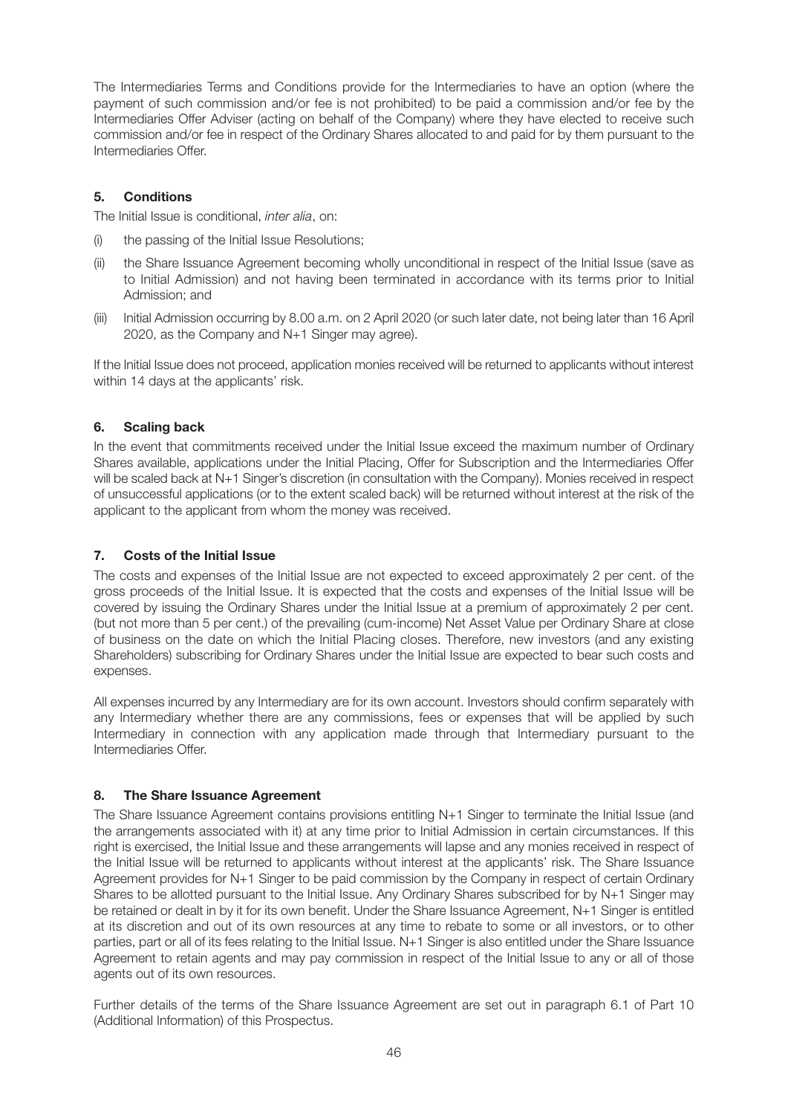The Intermediaries Terms and Conditions provide for the Intermediaries to have an option (where the payment of such commission and/or fee is not prohibited) to be paid a commission and/or fee by the Intermediaries Offer Adviser (acting on behalf of the Company) where they have elected to receive such commission and/or fee in respect of the Ordinary Shares allocated to and paid for by them pursuant to the Intermediaries Offer.

# **5. Conditions**

The Initial Issue is conditional, *inter alia*, on:

- (i) the passing of the Initial Issue Resolutions;
- (ii) the Share Issuance Agreement becoming wholly unconditional in respect of the Initial Issue (save as to Initial Admission) and not having been terminated in accordance with its terms prior to Initial Admission; and
- (iii) Initial Admission occurring by 8.00 a.m. on 2 April 2020 (or such later date, not being later than 16 April 2020, as the Company and N+1 Singer may agree).

If the Initial Issue does not proceed, application monies received will be returned to applicants without interest within 14 days at the applicants' risk.

# **6. Scaling back**

In the event that commitments received under the Initial Issue exceed the maximum number of Ordinary Shares available, applications under the Initial Placing, Offer for Subscription and the Intermediaries Offer will be scaled back at N+1 Singer's discretion (in consultation with the Company). Monies received in respect of unsuccessful applications (or to the extent scaled back) will be returned without interest at the risk of the applicant to the applicant from whom the money was received.

# **7. Costs of the Initial Issue**

The costs and expenses of the Initial Issue are not expected to exceed approximately 2 per cent. of the gross proceeds of the Initial Issue. It is expected that the costs and expenses of the Initial Issue will be covered by issuing the Ordinary Shares under the Initial Issue at a premium of approximately 2 per cent. (but not more than 5 per cent.) of the prevailing (cum-income) Net Asset Value per Ordinary Share at close of business on the date on which the Initial Placing closes. Therefore, new investors (and any existing Shareholders) subscribing for Ordinary Shares under the Initial Issue are expected to bear such costs and expenses.

All expenses incurred by any Intermediary are for its own account. Investors should confirm separately with any Intermediary whether there are any commissions, fees or expenses that will be applied by such Intermediary in connection with any application made through that Intermediary pursuant to the Intermediaries Offer.

### **8. The Share Issuance Agreement**

The Share Issuance Agreement contains provisions entitling N+1 Singer to terminate the Initial Issue (and the arrangements associated with it) at any time prior to Initial Admission in certain circumstances. If this right is exercised, the Initial Issue and these arrangements will lapse and any monies received in respect of the Initial Issue will be returned to applicants without interest at the applicants' risk. The Share Issuance Agreement provides for N+1 Singer to be paid commission by the Company in respect of certain Ordinary Shares to be allotted pursuant to the Initial Issue. Any Ordinary Shares subscribed for by N+1 Singer may be retained or dealt in by it for its own benefit. Under the Share Issuance Agreement, N+1 Singer is entitled at its discretion and out of its own resources at any time to rebate to some or all investors, or to other parties, part or all of its fees relating to the Initial Issue. N+1 Singer is also entitled under the Share Issuance Agreement to retain agents and may pay commission in respect of the Initial Issue to any or all of those agents out of its own resources.

Further details of the terms of the Share Issuance Agreement are set out in paragraph 6.1 of Part 10 (Additional Information) of this Prospectus.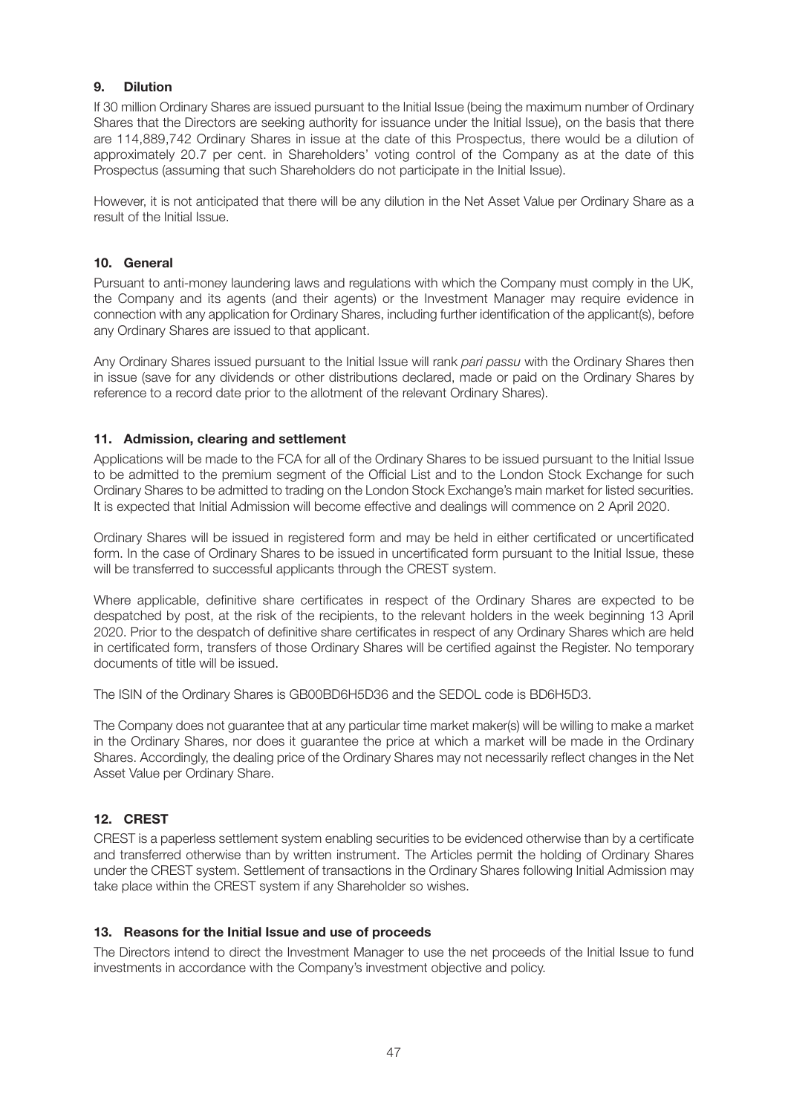# **9. Dilution**

If 30 million Ordinary Shares are issued pursuant to the Initial Issue (being the maximum number of Ordinary Shares that the Directors are seeking authority for issuance under the Initial Issue), on the basis that there are 114,889,742 Ordinary Shares in issue at the date of this Prospectus, there would be a dilution of approximately 20.7 per cent. in Shareholders' voting control of the Company as at the date of this Prospectus (assuming that such Shareholders do not participate in the Initial Issue).

However, it is not anticipated that there will be any dilution in the Net Asset Value per Ordinary Share as a result of the Initial Issue.

### **10. General**

Pursuant to anti-money laundering laws and regulations with which the Company must comply in the UK, the Company and its agents (and their agents) or the Investment Manager may require evidence in connection with any application for Ordinary Shares, including further identification of the applicant(s), before any Ordinary Shares are issued to that applicant.

Any Ordinary Shares issued pursuant to the Initial Issue will rank *pari passu* with the Ordinary Shares then in issue (save for any dividends or other distributions declared, made or paid on the Ordinary Shares by reference to a record date prior to the allotment of the relevant Ordinary Shares).

# **11. Admission, clearing and settlement**

Applications will be made to the FCA for all of the Ordinary Shares to be issued pursuant to the Initial Issue to be admitted to the premium segment of the Official List and to the London Stock Exchange for such Ordinary Shares to be admitted to trading on the London Stock Exchange's main market for listed securities. It is expected that Initial Admission will become effective and dealings will commence on 2 April 2020.

Ordinary Shares will be issued in registered form and may be held in either certificated or uncertificated form. In the case of Ordinary Shares to be issued in uncertificated form pursuant to the Initial Issue, these will be transferred to successful applicants through the CREST system.

Where applicable, definitive share certificates in respect of the Ordinary Shares are expected to be despatched by post, at the risk of the recipients, to the relevant holders in the week beginning 13 April 2020. Prior to the despatch of definitive share certificates in respect of any Ordinary Shares which are held in certificated form, transfers of those Ordinary Shares will be certified against the Register. No temporary documents of title will be issued.

The ISIN of the Ordinary Shares is GB00BD6H5D36 and the SEDOL code is BD6H5D3.

The Company does not guarantee that at any particular time market maker(s) will be willing to make a market in the Ordinary Shares, nor does it guarantee the price at which a market will be made in the Ordinary Shares. Accordingly, the dealing price of the Ordinary Shares may not necessarily reflect changes in the Net Asset Value per Ordinary Share.

# **12. CREST**

CREST is a paperless settlement system enabling securities to be evidenced otherwise than by a certificate and transferred otherwise than by written instrument. The Articles permit the holding of Ordinary Shares under the CREST system. Settlement of transactions in the Ordinary Shares following Initial Admission may take place within the CREST system if any Shareholder so wishes.

### **13. Reasons for the Initial Issue and use of proceeds**

The Directors intend to direct the Investment Manager to use the net proceeds of the Initial Issue to fund investments in accordance with the Company's investment objective and policy.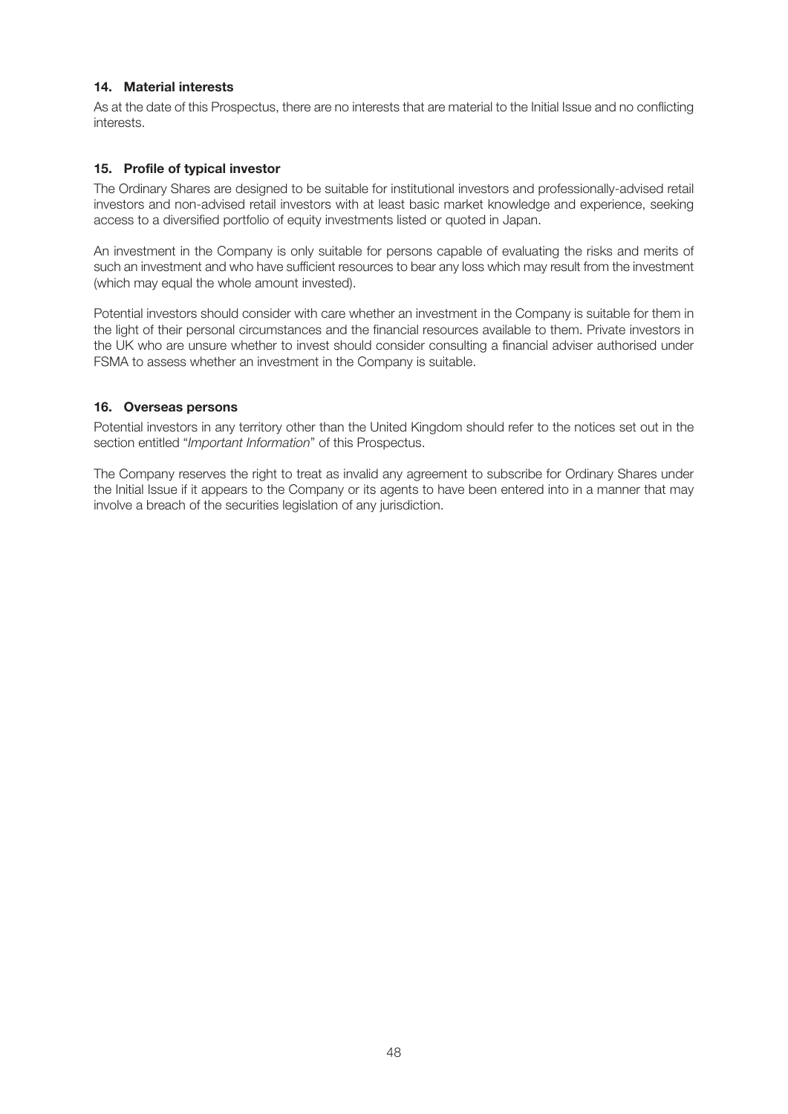### **14. Material interests**

As at the date of this Prospectus, there are no interests that are material to the Initial Issue and no conflicting interests.

#### **15. Profile of typical investor**

The Ordinary Shares are designed to be suitable for institutional investors and professionally-advised retail investors and non-advised retail investors with at least basic market knowledge and experience, seeking access to a diversified portfolio of equity investments listed or quoted in Japan.

An investment in the Company is only suitable for persons capable of evaluating the risks and merits of such an investment and who have sufficient resources to bear any loss which may result from the investment (which may equal the whole amount invested).

Potential investors should consider with care whether an investment in the Company is suitable for them in the light of their personal circumstances and the financial resources available to them. Private investors in the UK who are unsure whether to invest should consider consulting a financial adviser authorised under FSMA to assess whether an investment in the Company is suitable.

#### **16. Overseas persons**

Potential investors in any territory other than the United Kingdom should refer to the notices set out in the section entitled "*Important Information*" of this Prospectus.

The Company reserves the right to treat as invalid any agreement to subscribe for Ordinary Shares under the Initial Issue if it appears to the Company or its agents to have been entered into in a manner that may involve a breach of the securities legislation of any jurisdiction.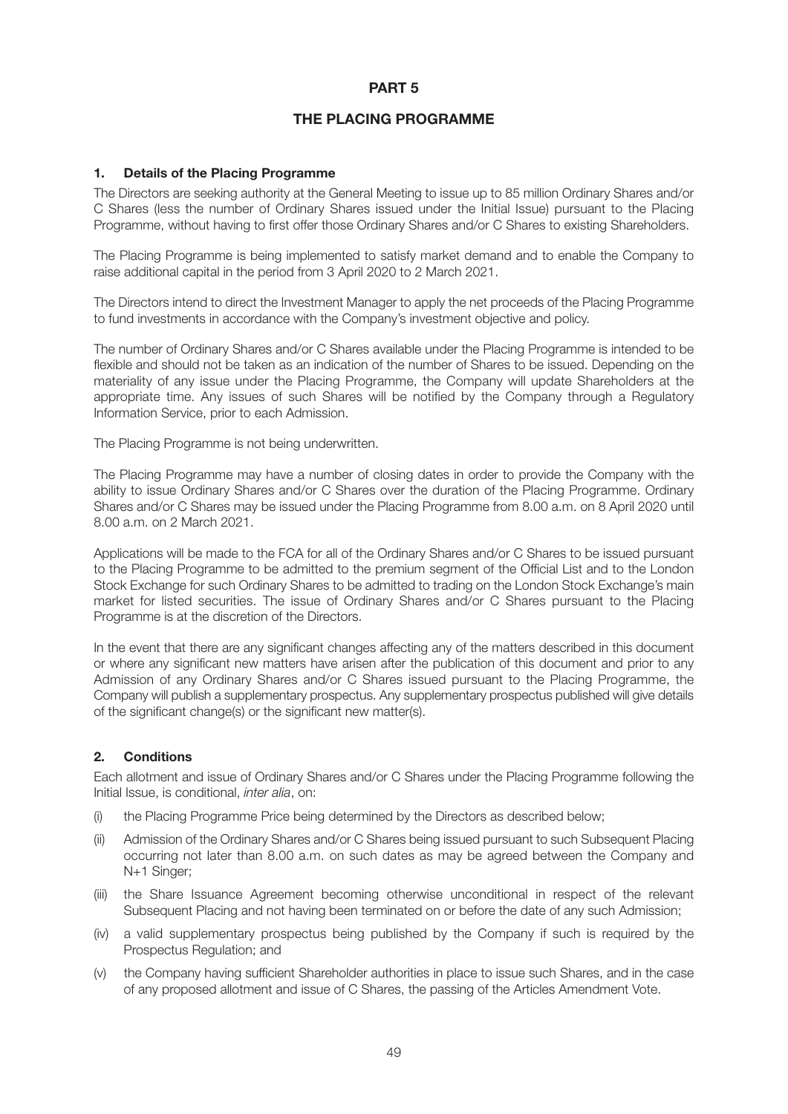### **PART 5**

# **THE PLACING PROGRAMME**

### **1. Details of the Placing Programme**

The Directors are seeking authority at the General Meeting to issue up to 85 million Ordinary Shares and/or C Shares (less the number of Ordinary Shares issued under the Initial Issue) pursuant to the Placing Programme, without having to first offer those Ordinary Shares and/or C Shares to existing Shareholders.

The Placing Programme is being implemented to satisfy market demand and to enable the Company to raise additional capital in the period from 3 April 2020 to 2 March 2021.

The Directors intend to direct the Investment Manager to apply the net proceeds of the Placing Programme to fund investments in accordance with the Company's investment objective and policy.

The number of Ordinary Shares and/or C Shares available under the Placing Programme is intended to be flexible and should not be taken as an indication of the number of Shares to be issued. Depending on the materiality of any issue under the Placing Programme, the Company will update Shareholders at the appropriate time. Any issues of such Shares will be notified by the Company through a Regulatory Information Service, prior to each Admission.

The Placing Programme is not being underwritten.

The Placing Programme may have a number of closing dates in order to provide the Company with the ability to issue Ordinary Shares and/or C Shares over the duration of the Placing Programme. Ordinary Shares and/or C Shares may be issued under the Placing Programme from 8.00 a.m. on 8 April 2020 until 8.00 a.m. on 2 March 2021.

Applications will be made to the FCA for all of the Ordinary Shares and/or C Shares to be issued pursuant to the Placing Programme to be admitted to the premium segment of the Official List and to the London Stock Exchange for such Ordinary Shares to be admitted to trading on the London Stock Exchange's main market for listed securities. The issue of Ordinary Shares and/or C Shares pursuant to the Placing Programme is at the discretion of the Directors.

In the event that there are any significant changes affecting any of the matters described in this document or where any significant new matters have arisen after the publication of this document and prior to any Admission of any Ordinary Shares and/or C Shares issued pursuant to the Placing Programme, the Company will publish a supplementary prospectus. Any supplementary prospectus published will give details of the significant change(s) or the significant new matter(s).

### **2. Conditions**

Each allotment and issue of Ordinary Shares and/or C Shares under the Placing Programme following the Initial Issue, is conditional, *inter alia*, on:

- (i) the Placing Programme Price being determined by the Directors as described below;
- (ii) Admission of the Ordinary Shares and/or C Shares being issued pursuant to such Subsequent Placing occurring not later than 8.00 a.m. on such dates as may be agreed between the Company and N+1 Singer;
- (iii) the Share Issuance Agreement becoming otherwise unconditional in respect of the relevant Subsequent Placing and not having been terminated on or before the date of any such Admission;
- (iv) a valid supplementary prospectus being published by the Company if such is required by the Prospectus Regulation; and
- (v) the Company having sufficient Shareholder authorities in place to issue such Shares, and in the case of any proposed allotment and issue of C Shares, the passing of the Articles Amendment Vote.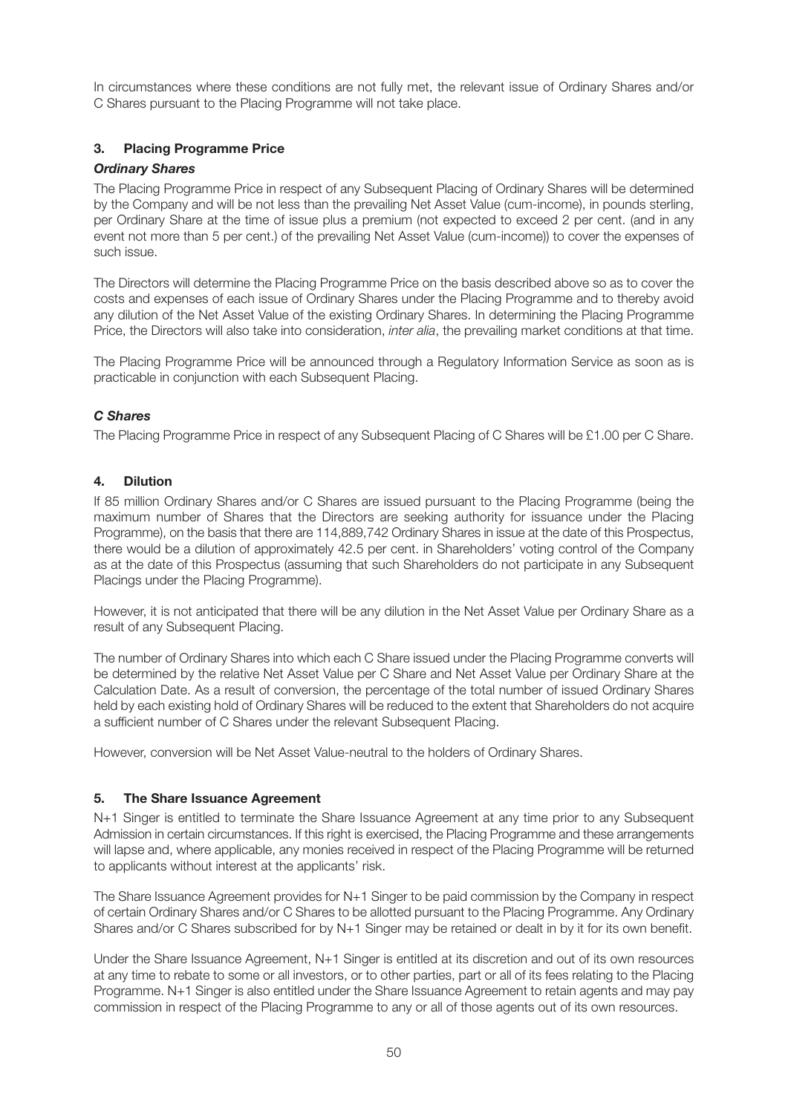In circumstances where these conditions are not fully met, the relevant issue of Ordinary Shares and/or C Shares pursuant to the Placing Programme will not take place.

# **3. Placing Programme Price**

### *Ordinary Shares*

The Placing Programme Price in respect of any Subsequent Placing of Ordinary Shares will be determined by the Company and will be not less than the prevailing Net Asset Value (cum-income), in pounds sterling, per Ordinary Share at the time of issue plus a premium (not expected to exceed 2 per cent. (and in any event not more than 5 per cent.) of the prevailing Net Asset Value (cum-income)) to cover the expenses of such issue.

The Directors will determine the Placing Programme Price on the basis described above so as to cover the costs and expenses of each issue of Ordinary Shares under the Placing Programme and to thereby avoid any dilution of the Net Asset Value of the existing Ordinary Shares. In determining the Placing Programme Price, the Directors will also take into consideration, *inter alia*, the prevailing market conditions at that time.

The Placing Programme Price will be announced through a Regulatory Information Service as soon as is practicable in conjunction with each Subsequent Placing.

### *C Shares*

The Placing Programme Price in respect of any Subsequent Placing of C Shares will be £1.00 per C Share.

#### **4. Dilution**

If 85 million Ordinary Shares and/or C Shares are issued pursuant to the Placing Programme (being the maximum number of Shares that the Directors are seeking authority for issuance under the Placing Programme), on the basis that there are 114,889,742 Ordinary Shares in issue at the date of this Prospectus, there would be a dilution of approximately 42.5 per cent. in Shareholders' voting control of the Company as at the date of this Prospectus (assuming that such Shareholders do not participate in any Subsequent Placings under the Placing Programme).

However, it is not anticipated that there will be any dilution in the Net Asset Value per Ordinary Share as a result of any Subsequent Placing.

The number of Ordinary Shares into which each C Share issued under the Placing Programme converts will be determined by the relative Net Asset Value per C Share and Net Asset Value per Ordinary Share at the Calculation Date. As a result of conversion, the percentage of the total number of issued Ordinary Shares held by each existing hold of Ordinary Shares will be reduced to the extent that Shareholders do not acquire a sufficient number of C Shares under the relevant Subsequent Placing.

However, conversion will be Net Asset Value-neutral to the holders of Ordinary Shares.

#### **5. The Share Issuance Agreement**

N+1 Singer is entitled to terminate the Share Issuance Agreement at any time prior to any Subsequent Admission in certain circumstances. If this right is exercised, the Placing Programme and these arrangements will lapse and, where applicable, any monies received in respect of the Placing Programme will be returned to applicants without interest at the applicants' risk.

The Share Issuance Agreement provides for N+1 Singer to be paid commission by the Company in respect of certain Ordinary Shares and/or C Shares to be allotted pursuant to the Placing Programme. Any Ordinary Shares and/or C Shares subscribed for by N+1 Singer may be retained or dealt in by it for its own benefit.

Under the Share Issuance Agreement, N+1 Singer is entitled at its discretion and out of its own resources at any time to rebate to some or all investors, or to other parties, part or all of its fees relating to the Placing Programme. N+1 Singer is also entitled under the Share Issuance Agreement to retain agents and may pay commission in respect of the Placing Programme to any or all of those agents out of its own resources.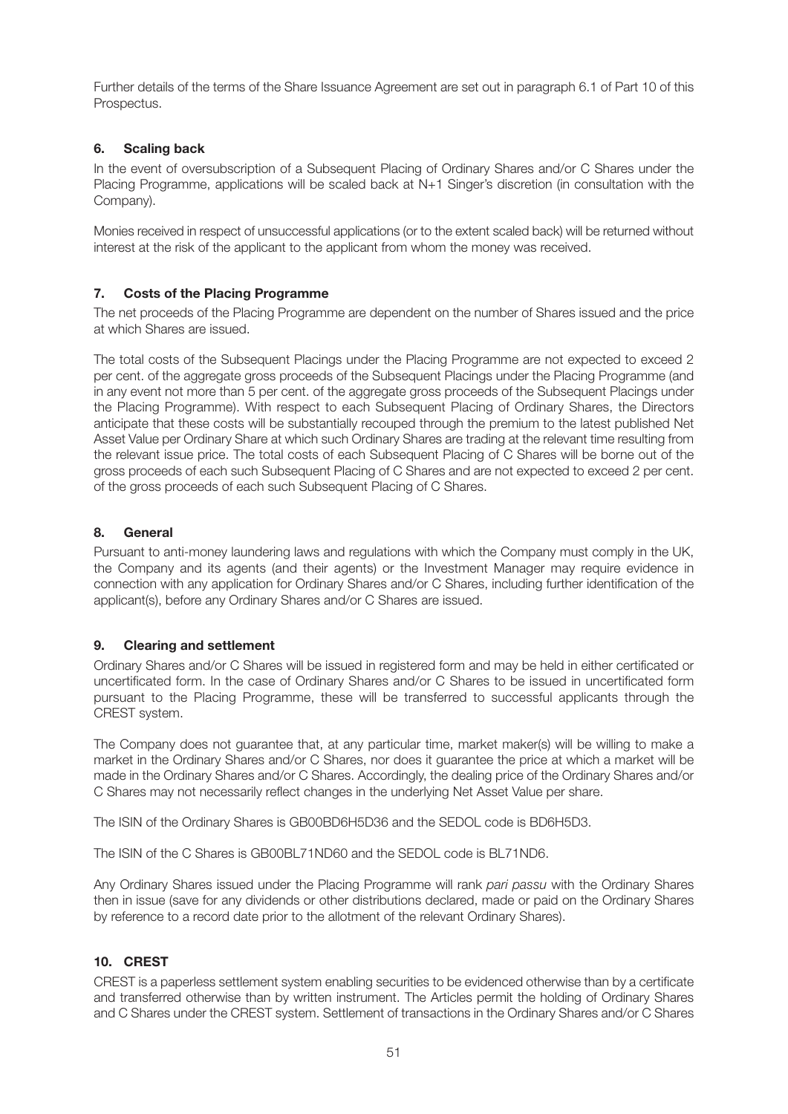Further details of the terms of the Share Issuance Agreement are set out in paragraph 6.1 of Part 10 of this Prospectus.

# **6. Scaling back**

In the event of oversubscription of a Subsequent Placing of Ordinary Shares and/or C Shares under the Placing Programme, applications will be scaled back at N+1 Singer's discretion (in consultation with the Company).

Monies received in respect of unsuccessful applications (or to the extent scaled back) will be returned without interest at the risk of the applicant to the applicant from whom the money was received.

### **7. Costs of the Placing Programme**

The net proceeds of the Placing Programme are dependent on the number of Shares issued and the price at which Shares are issued.

The total costs of the Subsequent Placings under the Placing Programme are not expected to exceed 2 per cent. of the aggregate gross proceeds of the Subsequent Placings under the Placing Programme (and in any event not more than 5 per cent. of the aggregate gross proceeds of the Subsequent Placings under the Placing Programme). With respect to each Subsequent Placing of Ordinary Shares, the Directors anticipate that these costs will be substantially recouped through the premium to the latest published Net Asset Value per Ordinary Share at which such Ordinary Shares are trading at the relevant time resulting from the relevant issue price. The total costs of each Subsequent Placing of C Shares will be borne out of the gross proceeds of each such Subsequent Placing of C Shares and are not expected to exceed 2 per cent. of the gross proceeds of each such Subsequent Placing of C Shares.

### **8. General**

Pursuant to anti-money laundering laws and regulations with which the Company must comply in the UK, the Company and its agents (and their agents) or the Investment Manager may require evidence in connection with any application for Ordinary Shares and/or C Shares, including further identification of the applicant(s), before any Ordinary Shares and/or C Shares are issued.

### **9. Clearing and settlement**

Ordinary Shares and/or C Shares will be issued in registered form and may be held in either certificated or uncertificated form. In the case of Ordinary Shares and/or C Shares to be issued in uncertificated form pursuant to the Placing Programme, these will be transferred to successful applicants through the CREST system.

The Company does not guarantee that, at any particular time, market maker(s) will be willing to make a market in the Ordinary Shares and/or C Shares, nor does it guarantee the price at which a market will be made in the Ordinary Shares and/or C Shares. Accordingly, the dealing price of the Ordinary Shares and/or C Shares may not necessarily reflect changes in the underlying Net Asset Value per share.

The ISIN of the Ordinary Shares is GB00BD6H5D36 and the SEDOL code is BD6H5D3.

The ISIN of the C Shares is GB00BL71ND60 and the SEDOL code is BL71ND6.

Any Ordinary Shares issued under the Placing Programme will rank *pari passu* with the Ordinary Shares then in issue (save for any dividends or other distributions declared, made or paid on the Ordinary Shares by reference to a record date prior to the allotment of the relevant Ordinary Shares).

# **10. CREST**

CREST is a paperless settlement system enabling securities to be evidenced otherwise than by a certificate and transferred otherwise than by written instrument. The Articles permit the holding of Ordinary Shares and C Shares under the CREST system. Settlement of transactions in the Ordinary Shares and/or C Shares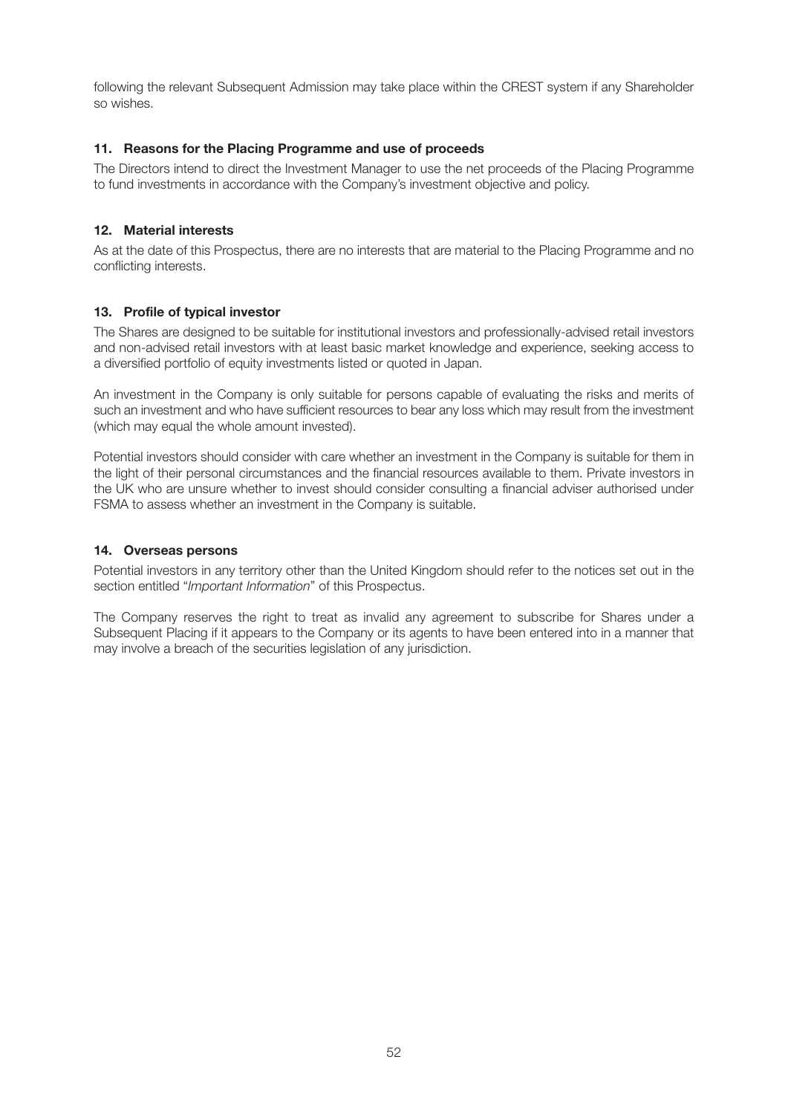following the relevant Subsequent Admission may take place within the CREST system if any Shareholder so wishes.

### **11. Reasons for the Placing Programme and use of proceeds**

The Directors intend to direct the Investment Manager to use the net proceeds of the Placing Programme to fund investments in accordance with the Company's investment objective and policy.

### **12. Material interests**

As at the date of this Prospectus, there are no interests that are material to the Placing Programme and no conflicting interests.

# **13. Profile of typical investor**

The Shares are designed to be suitable for institutional investors and professionally-advised retail investors and non-advised retail investors with at least basic market knowledge and experience, seeking access to a diversified portfolio of equity investments listed or quoted in Japan.

An investment in the Company is only suitable for persons capable of evaluating the risks and merits of such an investment and who have sufficient resources to bear any loss which may result from the investment (which may equal the whole amount invested).

Potential investors should consider with care whether an investment in the Company is suitable for them in the light of their personal circumstances and the financial resources available to them. Private investors in the UK who are unsure whether to invest should consider consulting a financial adviser authorised under FSMA to assess whether an investment in the Company is suitable.

# **14. Overseas persons**

Potential investors in any territory other than the United Kingdom should refer to the notices set out in the section entitled "*Important Information*" of this Prospectus.

The Company reserves the right to treat as invalid any agreement to subscribe for Shares under a Subsequent Placing if it appears to the Company or its agents to have been entered into in a manner that may involve a breach of the securities legislation of any jurisdiction.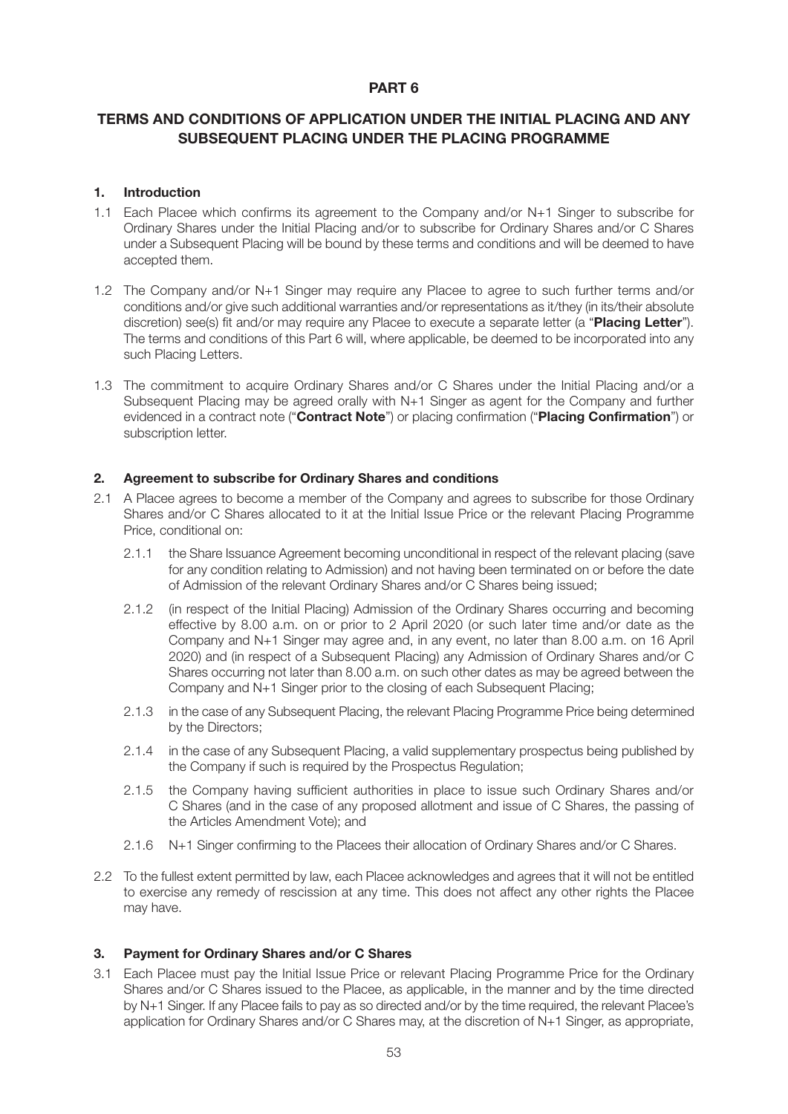# **PART 6**

# **TERMS AND CONDITIONS OF APPLICATION UNDER THE INITIAL PLACING AND ANY SUBSEQUENT PLACING UNDER THE PLACING PROGRAMME**

#### **1. Introduction**

- 1.1 Each Placee which confirms its agreement to the Company and/or N+1 Singer to subscribe for Ordinary Shares under the Initial Placing and/or to subscribe for Ordinary Shares and/or C Shares under a Subsequent Placing will be bound by these terms and conditions and will be deemed to have accepted them.
- 1.2 The Company and/or N+1 Singer may require any Placee to agree to such further terms and/or conditions and/or give such additional warranties and/or representations as it/they (in its/their absolute discretion) see(s) fit and/or may require any Placee to execute a separate letter (a "**Placing Letter**"). The terms and conditions of this Part 6 will, where applicable, be deemed to be incorporated into any such Placing Letters.
- 1.3 The commitment to acquire Ordinary Shares and/or C Shares under the Initial Placing and/or a Subsequent Placing may be agreed orally with N+1 Singer as agent for the Company and further evidenced in a contract note ("**Contract Note**") or placing confirmation ("**Placing Confirmation**") or subscription letter.

#### **2. Agreement to subscribe for Ordinary Shares and conditions**

- 2.1 A Placee agrees to become a member of the Company and agrees to subscribe for those Ordinary Shares and/or C Shares allocated to it at the Initial Issue Price or the relevant Placing Programme Price, conditional on:
	- 2.1.1 the Share Issuance Agreement becoming unconditional in respect of the relevant placing (save for any condition relating to Admission) and not having been terminated on or before the date of Admission of the relevant Ordinary Shares and/or C Shares being issued;
	- 2.1.2 (in respect of the Initial Placing) Admission of the Ordinary Shares occurring and becoming effective by 8.00 a.m. on or prior to 2 April 2020 (or such later time and/or date as the Company and N+1 Singer may agree and, in any event, no later than 8.00 a.m. on 16 April 2020) and (in respect of a Subsequent Placing) any Admission of Ordinary Shares and/or C Shares occurring not later than 8.00 a.m. on such other dates as may be agreed between the Company and N+1 Singer prior to the closing of each Subsequent Placing;
	- 2.1.3 in the case of any Subsequent Placing, the relevant Placing Programme Price being determined by the Directors;
	- 2.1.4 in the case of any Subsequent Placing, a valid supplementary prospectus being published by the Company if such is required by the Prospectus Regulation;
	- 2.1.5 the Company having sufficient authorities in place to issue such Ordinary Shares and/or C Shares (and in the case of any proposed allotment and issue of C Shares, the passing of the Articles Amendment Vote); and
	- 2.1.6 N+1 Singer confirming to the Placees their allocation of Ordinary Shares and/or C Shares.
- 2.2 To the fullest extent permitted by law, each Placee acknowledges and agrees that it will not be entitled to exercise any remedy of rescission at any time. This does not affect any other rights the Placee may have.

#### **3. Payment for Ordinary Shares and/or C Shares**

3.1 Each Placee must pay the Initial Issue Price or relevant Placing Programme Price for the Ordinary Shares and/or C Shares issued to the Placee, as applicable, in the manner and by the time directed by N+1 Singer. If any Placee fails to pay as so directed and/or by the time required, the relevant Placee's application for Ordinary Shares and/or C Shares may, at the discretion of N+1 Singer, as appropriate,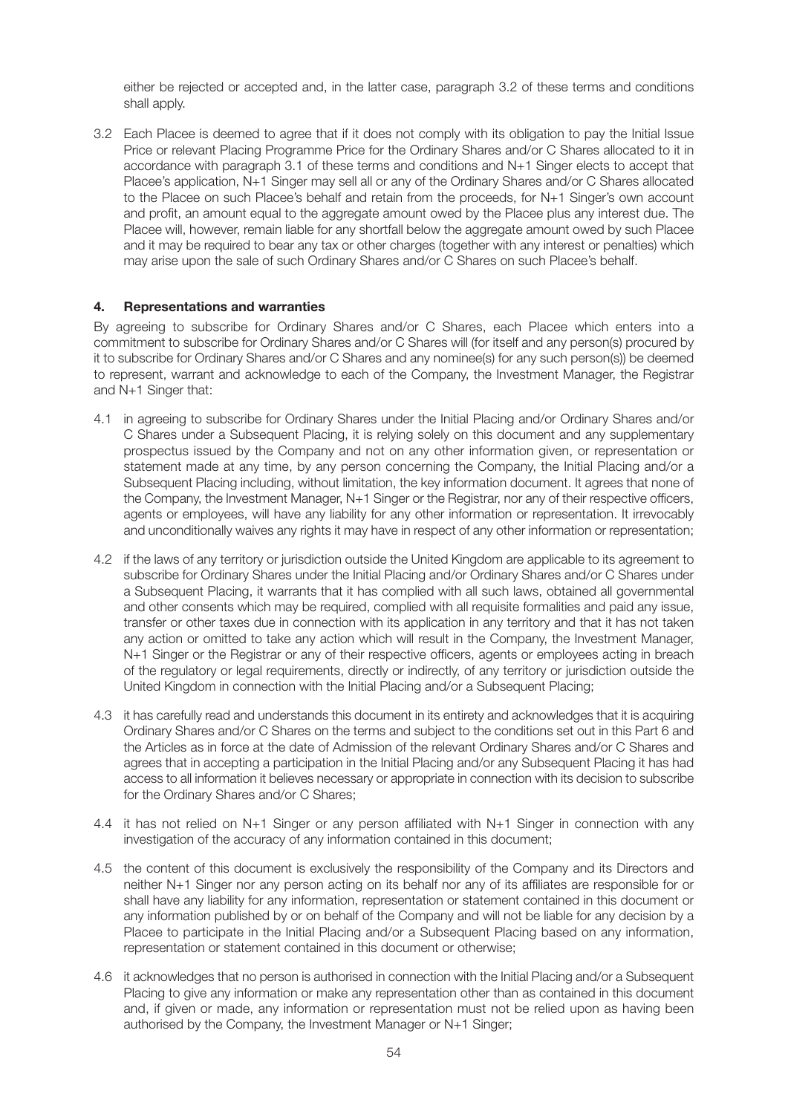either be rejected or accepted and, in the latter case, paragraph 3.2 of these terms and conditions shall apply.

3.2 Each Placee is deemed to agree that if it does not comply with its obligation to pay the Initial Issue Price or relevant Placing Programme Price for the Ordinary Shares and/or C Shares allocated to it in accordance with paragraph 3.1 of these terms and conditions and N+1 Singer elects to accept that Placee's application, N+1 Singer may sell all or any of the Ordinary Shares and/or C Shares allocated to the Placee on such Placee's behalf and retain from the proceeds, for N+1 Singer's own account and profit, an amount equal to the aggregate amount owed by the Placee plus any interest due. The Placee will, however, remain liable for any shortfall below the aggregate amount owed by such Placee and it may be required to bear any tax or other charges (together with any interest or penalties) which may arise upon the sale of such Ordinary Shares and/or C Shares on such Placee's behalf.

### **4. Representations and warranties**

By agreeing to subscribe for Ordinary Shares and/or C Shares, each Placee which enters into a commitment to subscribe for Ordinary Shares and/or C Shares will (for itself and any person(s) procured by it to subscribe for Ordinary Shares and/or C Shares and any nominee(s) for any such person(s)) be deemed to represent, warrant and acknowledge to each of the Company, the Investment Manager, the Registrar and N+1 Singer that:

- 4.1 in agreeing to subscribe for Ordinary Shares under the Initial Placing and/or Ordinary Shares and/or C Shares under a Subsequent Placing, it is relying solely on this document and any supplementary prospectus issued by the Company and not on any other information given, or representation or statement made at any time, by any person concerning the Company, the Initial Placing and/or a Subsequent Placing including, without limitation, the key information document. It agrees that none of the Company, the Investment Manager, N+1 Singer or the Registrar, nor any of their respective officers, agents or employees, will have any liability for any other information or representation. It irrevocably and unconditionally waives any rights it may have in respect of any other information or representation;
- 4.2 if the laws of any territory or jurisdiction outside the United Kingdom are applicable to its agreement to subscribe for Ordinary Shares under the Initial Placing and/or Ordinary Shares and/or C Shares under a Subsequent Placing, it warrants that it has complied with all such laws, obtained all governmental and other consents which may be required, complied with all requisite formalities and paid any issue, transfer or other taxes due in connection with its application in any territory and that it has not taken any action or omitted to take any action which will result in the Company, the Investment Manager, N+1 Singer or the Registrar or any of their respective officers, agents or employees acting in breach of the regulatory or legal requirements, directly or indirectly, of any territory or jurisdiction outside the United Kingdom in connection with the Initial Placing and/or a Subsequent Placing;
- 4.3 it has carefully read and understands this document in its entirety and acknowledges that it is acquiring Ordinary Shares and/or C Shares on the terms and subject to the conditions set out in this Part 6 and the Articles as in force at the date of Admission of the relevant Ordinary Shares and/or C Shares and agrees that in accepting a participation in the Initial Placing and/or any Subsequent Placing it has had access to all information it believes necessary or appropriate in connection with its decision to subscribe for the Ordinary Shares and/or C Shares;
- 4.4 it has not relied on N+1 Singer or any person affiliated with N+1 Singer in connection with any investigation of the accuracy of any information contained in this document;
- 4.5 the content of this document is exclusively the responsibility of the Company and its Directors and neither N+1 Singer nor any person acting on its behalf nor any of its affiliates are responsible for or shall have any liability for any information, representation or statement contained in this document or any information published by or on behalf of the Company and will not be liable for any decision by a Placee to participate in the Initial Placing and/or a Subsequent Placing based on any information, representation or statement contained in this document or otherwise;
- 4.6 it acknowledges that no person is authorised in connection with the Initial Placing and/or a Subsequent Placing to give any information or make any representation other than as contained in this document and, if given or made, any information or representation must not be relied upon as having been authorised by the Company, the Investment Manager or N+1 Singer;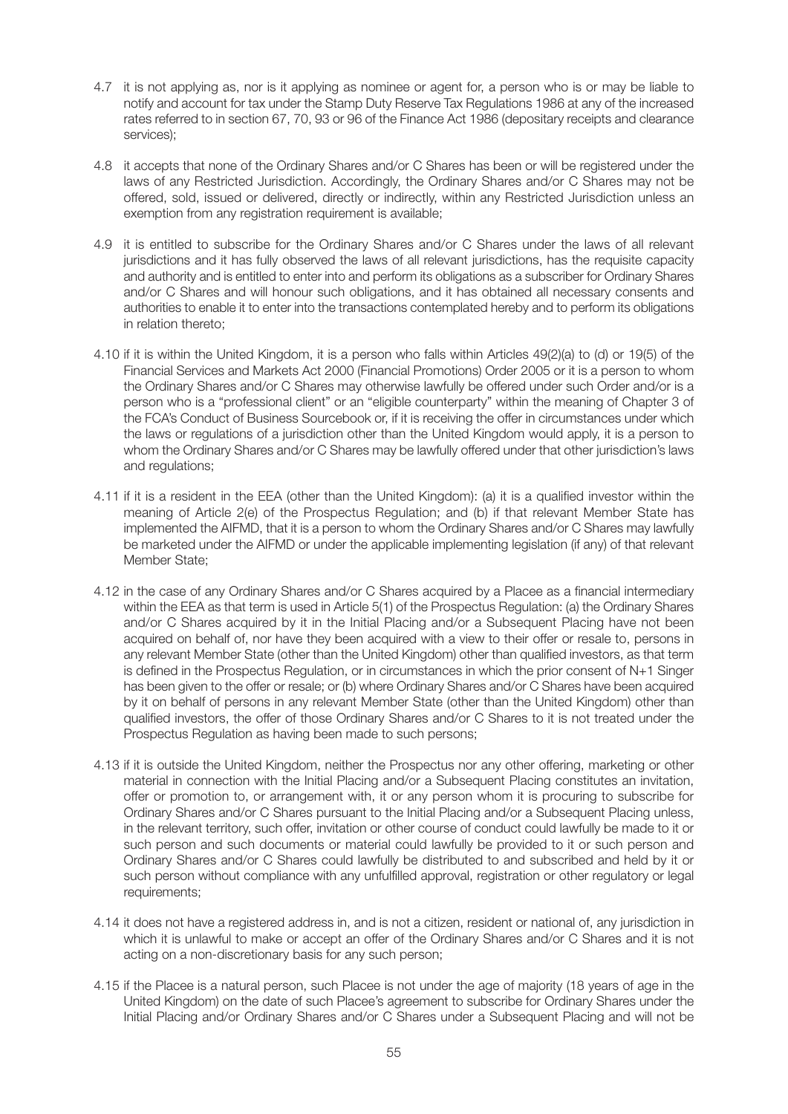- 4.7 it is not applying as, nor is it applying as nominee or agent for, a person who is or may be liable to notify and account for tax under the Stamp Duty Reserve Tax Regulations 1986 at any of the increased rates referred to in section 67, 70, 93 or 96 of the Finance Act 1986 (depositary receipts and clearance services);
- 4.8 it accepts that none of the Ordinary Shares and/or C Shares has been or will be registered under the laws of any Restricted Jurisdiction. Accordingly, the Ordinary Shares and/or C Shares may not be offered, sold, issued or delivered, directly or indirectly, within any Restricted Jurisdiction unless an exemption from any registration requirement is available;
- 4.9 it is entitled to subscribe for the Ordinary Shares and/or C Shares under the laws of all relevant jurisdictions and it has fully observed the laws of all relevant jurisdictions, has the requisite capacity and authority and is entitled to enter into and perform its obligations as a subscriber for Ordinary Shares and/or C Shares and will honour such obligations, and it has obtained all necessary consents and authorities to enable it to enter into the transactions contemplated hereby and to perform its obligations in relation thereto;
- 4.10 if it is within the United Kingdom, it is a person who falls within Articles 49(2)(a) to (d) or 19(5) of the Financial Services and Markets Act 2000 (Financial Promotions) Order 2005 or it is a person to whom the Ordinary Shares and/or C Shares may otherwise lawfully be offered under such Order and/or is a person who is a "professional client" or an "eligible counterparty" within the meaning of Chapter 3 of the FCA's Conduct of Business Sourcebook or, if it is receiving the offer in circumstances under which the laws or regulations of a jurisdiction other than the United Kingdom would apply, it is a person to whom the Ordinary Shares and/or C Shares may be lawfully offered under that other jurisdiction's laws and regulations;
- 4.11 if it is a resident in the EEA (other than the United Kingdom): (a) it is a qualified investor within the meaning of Article 2(e) of the Prospectus Regulation; and (b) if that relevant Member State has implemented the AIFMD, that it is a person to whom the Ordinary Shares and/or C Shares may lawfully be marketed under the AIFMD or under the applicable implementing legislation (if any) of that relevant Member State;
- 4.12 in the case of any Ordinary Shares and/or C Shares acquired by a Placee as a financial intermediary within the EEA as that term is used in Article 5(1) of the Prospectus Regulation: (a) the Ordinary Shares and/or C Shares acquired by it in the Initial Placing and/or a Subsequent Placing have not been acquired on behalf of, nor have they been acquired with a view to their offer or resale to, persons in any relevant Member State (other than the United Kingdom) other than qualified investors, as that term is defined in the Prospectus Regulation, or in circumstances in which the prior consent of N+1 Singer has been given to the offer or resale; or (b) where Ordinary Shares and/or C Shares have been acquired by it on behalf of persons in any relevant Member State (other than the United Kingdom) other than qualified investors, the offer of those Ordinary Shares and/or C Shares to it is not treated under the Prospectus Regulation as having been made to such persons;
- 4.13 if it is outside the United Kingdom, neither the Prospectus nor any other offering, marketing or other material in connection with the Initial Placing and/or a Subsequent Placing constitutes an invitation, offer or promotion to, or arrangement with, it or any person whom it is procuring to subscribe for Ordinary Shares and/or C Shares pursuant to the Initial Placing and/or a Subsequent Placing unless, in the relevant territory, such offer, invitation or other course of conduct could lawfully be made to it or such person and such documents or material could lawfully be provided to it or such person and Ordinary Shares and/or C Shares could lawfully be distributed to and subscribed and held by it or such person without compliance with any unfulfilled approval, registration or other regulatory or legal requirements;
- 4.14 it does not have a registered address in, and is not a citizen, resident or national of, any jurisdiction in which it is unlawful to make or accept an offer of the Ordinary Shares and/or C Shares and it is not acting on a non-discretionary basis for any such person;
- 4.15 if the Placee is a natural person, such Placee is not under the age of majority (18 years of age in the United Kingdom) on the date of such Placee's agreement to subscribe for Ordinary Shares under the Initial Placing and/or Ordinary Shares and/or C Shares under a Subsequent Placing and will not be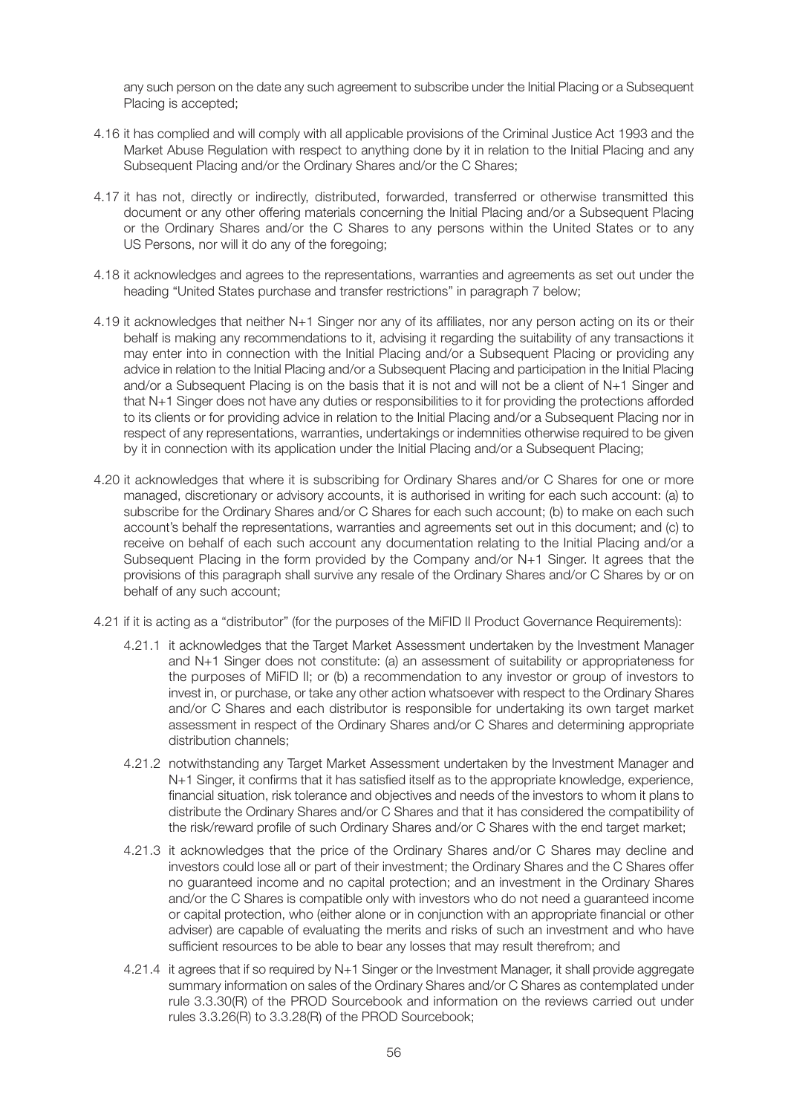any such person on the date any such agreement to subscribe under the Initial Placing or a Subsequent Placing is accepted;

- 4.16 it has complied and will comply with all applicable provisions of the Criminal Justice Act 1993 and the Market Abuse Regulation with respect to anything done by it in relation to the Initial Placing and any Subsequent Placing and/or the Ordinary Shares and/or the C Shares;
- 4.17 it has not, directly or indirectly, distributed, forwarded, transferred or otherwise transmitted this document or any other offering materials concerning the Initial Placing and/or a Subsequent Placing or the Ordinary Shares and/or the C Shares to any persons within the United States or to any US Persons, nor will it do any of the foregoing;
- 4.18 it acknowledges and agrees to the representations, warranties and agreements as set out under the heading "United States purchase and transfer restrictions" in paragraph 7 below;
- 4.19 it acknowledges that neither N+1 Singer nor any of its affiliates, nor any person acting on its or their behalf is making any recommendations to it, advising it regarding the suitability of any transactions it may enter into in connection with the Initial Placing and/or a Subsequent Placing or providing any advice in relation to the Initial Placing and/or a Subsequent Placing and participation in the Initial Placing and/or a Subsequent Placing is on the basis that it is not and will not be a client of N+1 Singer and that N+1 Singer does not have any duties or responsibilities to it for providing the protections afforded to its clients or for providing advice in relation to the Initial Placing and/or a Subsequent Placing nor in respect of any representations, warranties, undertakings or indemnities otherwise required to be given by it in connection with its application under the Initial Placing and/or a Subsequent Placing:
- 4.20 it acknowledges that where it is subscribing for Ordinary Shares and/or C Shares for one or more managed, discretionary or advisory accounts, it is authorised in writing for each such account: (a) to subscribe for the Ordinary Shares and/or C Shares for each such account; (b) to make on each such account's behalf the representations, warranties and agreements set out in this document; and (c) to receive on behalf of each such account any documentation relating to the Initial Placing and/or a Subsequent Placing in the form provided by the Company and/or N+1 Singer. It agrees that the provisions of this paragraph shall survive any resale of the Ordinary Shares and/or C Shares by or on behalf of any such account;
- 4.21 if it is acting as a "distributor" (for the purposes of the MiFID II Product Governance Requirements):
	- 4.21.1 it acknowledges that the Target Market Assessment undertaken by the Investment Manager and N+1 Singer does not constitute: (a) an assessment of suitability or appropriateness for the purposes of MiFID II; or (b) a recommendation to any investor or group of investors to invest in, or purchase, or take any other action whatsoever with respect to the Ordinary Shares and/or C Shares and each distributor is responsible for undertaking its own target market assessment in respect of the Ordinary Shares and/or C Shares and determining appropriate distribution channels;
	- 4.21.2 notwithstanding any Target Market Assessment undertaken by the Investment Manager and N+1 Singer, it confirms that it has satisfied itself as to the appropriate knowledge, experience, financial situation, risk tolerance and objectives and needs of the investors to whom it plans to distribute the Ordinary Shares and/or C Shares and that it has considered the compatibility of the risk/reward profile of such Ordinary Shares and/or C Shares with the end target market;
	- 4.21.3 it acknowledges that the price of the Ordinary Shares and/or C Shares may decline and investors could lose all or part of their investment; the Ordinary Shares and the C Shares offer no guaranteed income and no capital protection; and an investment in the Ordinary Shares and/or the C Shares is compatible only with investors who do not need a guaranteed income or capital protection, who (either alone or in conjunction with an appropriate financial or other adviser) are capable of evaluating the merits and risks of such an investment and who have sufficient resources to be able to bear any losses that may result therefrom; and
	- 4.21.4 it agrees that if so required by N+1 Singer or the Investment Manager, it shall provide aggregate summary information on sales of the Ordinary Shares and/or C Shares as contemplated under rule 3.3.30(R) of the PROD Sourcebook and information on the reviews carried out under rules 3.3.26(R) to 3.3.28(R) of the PROD Sourcebook;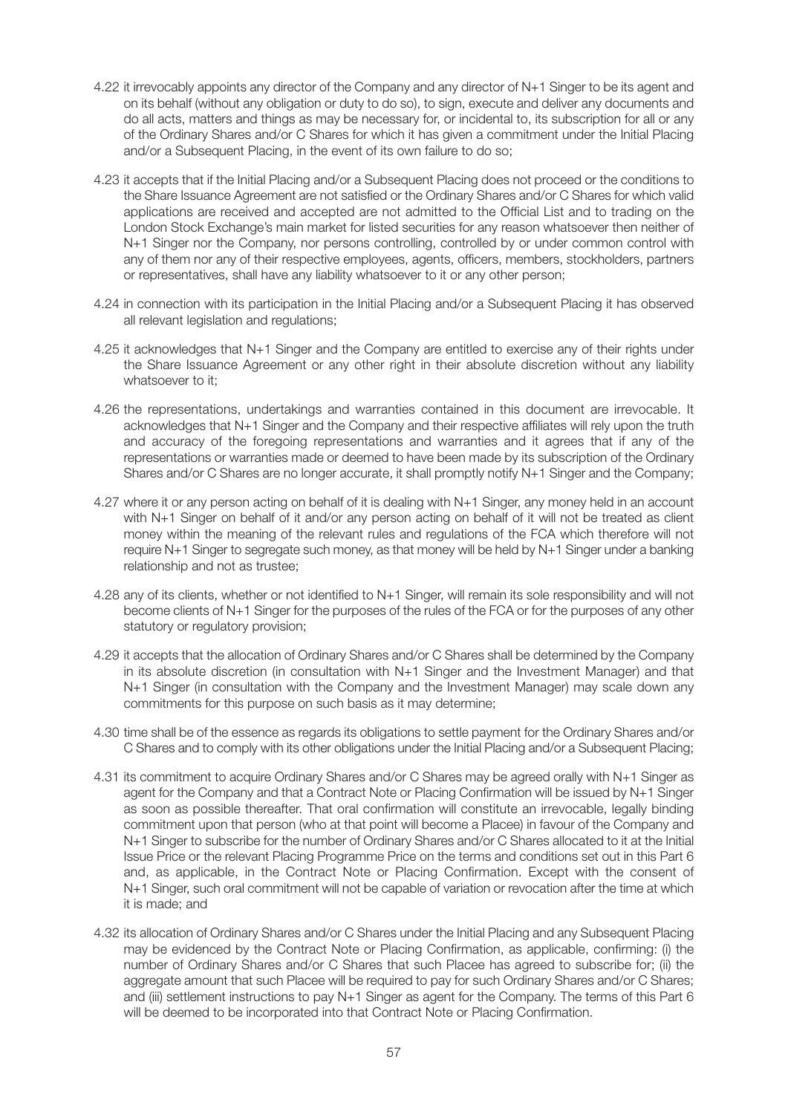- 4.22 it irrevocably appoints any director of the Company and any director of N+1 Singer to be its agent and on its behalf (without any obligation or duty to do so), to sign, execute and deliver any documents and do all acts, matters and things as may be necessary for, or incidental to, its subscription for all or any of the Ordinary Shares and/or C Shares for which it has given a commitment under the Initial Placing and/or a Subsequent Placing, in the event of its own failure to do so;
- 4.23 it accepts that if the Initial Placing and/or a Subsequent Placing does not proceed or the conditions to the Share Issuance Agreement are not satisfied or the Ordinary Shares and/or C Shares for which valid applications are received and accepted are not admitted to the Official List and to trading on the London Stock Exchange's main market for listed securities for any reason whatsoever then neither of N+1 Singer nor the Company, nor persons controlling, controlled by or under common control with any of them nor any of their respective employees, agents, officers, members, stockholders, partners or representatives, shall have any liability whatsoever to it or any other person;
- 4.24 in connection with its participation in the Initial Placing and/or a Subsequent Placing it has observed all relevant legislation and regulations;
- 4.25 it acknowledges that N+1 Singer and the Company are entitled to exercise any of their rights under the Share Issuance Agreement or any other right in their absolute discretion without any liability whatsoever to it:
- 4.26 the representations, undertakings and warranties contained in this document are irrevocable. It acknowledges that N+1 Singer and the Company and their respective affiliates will rely upon the truth and accuracy of the foregoing representations and warranties and it agrees that if any of the representations or warranties made or deemed to have been made by its subscription of the Ordinary Shares and/or C Shares are no longer accurate, it shall promptly notify N+1 Singer and the Company;
- 4.27 where it or any person acting on behalf of it is dealing with N+1 Singer, any money held in an account with N+1 Singer on behalf of it and/or any person acting on behalf of it will not be treated as client money within the meaning of the relevant rules and regulations of the FCA which therefore will not require N+1 Singer to segregate such money, as that money will be held by N+1 Singer under a banking relationship and not as trustee;
- 4.28 any of its clients, whether or not identified to N+1 Singer, will remain its sole responsibility and will not become clients of N+1 Singer for the purposes of the rules of the FCA or for the purposes of any other statutory or regulatory provision;
- 4.29 it accepts that the allocation of Ordinary Shares and/or C Shares shall be determined by the Company in its absolute discretion (in consultation with N+1 Singer and the Investment Manager) and that N+1 Singer (in consultation with the Company and the Investment Manager) may scale down any commitments for this purpose on such basis as it may determine;
- 4.30 time shall be of the essence as regards its obligations to settle payment for the Ordinary Shares and/or C Shares and to comply with its other obligations under the Initial Placing and/or a Subsequent Placing;
- 4.31 its commitment to acquire Ordinary Shares and/or C Shares may be agreed orally with N+1 Singer as agent for the Company and that a Contract Note or Placing Confirmation will be issued by N+1 Singer as soon as possible thereafter. That oral confirmation will constitute an irrevocable, legally binding commitment upon that person (who at that point will become a Placee) in favour of the Company and N+1 Singer to subscribe for the number of Ordinary Shares and/or C Shares allocated to it at the Initial Issue Price or the relevant Placing Programme Price on the terms and conditions set out in this Part 6 and, as applicable, in the Contract Note or Placing Confirmation. Except with the consent of N+1 Singer, such oral commitment will not be capable of variation or revocation after the time at which it is made; and
- 4.32 its allocation of Ordinary Shares and/or C Shares under the Initial Placing and any Subsequent Placing may be evidenced by the Contract Note or Placing Confirmation, as applicable, confirming: (i) the number of Ordinary Shares and/or C Shares that such Placee has agreed to subscribe for; (ii) the aggregate amount that such Placee will be required to pay for such Ordinary Shares and/or C Shares; and (iii) settlement instructions to pay N+1 Singer as agent for the Company. The terms of this Part 6 will be deemed to be incorporated into that Contract Note or Placing Confirmation.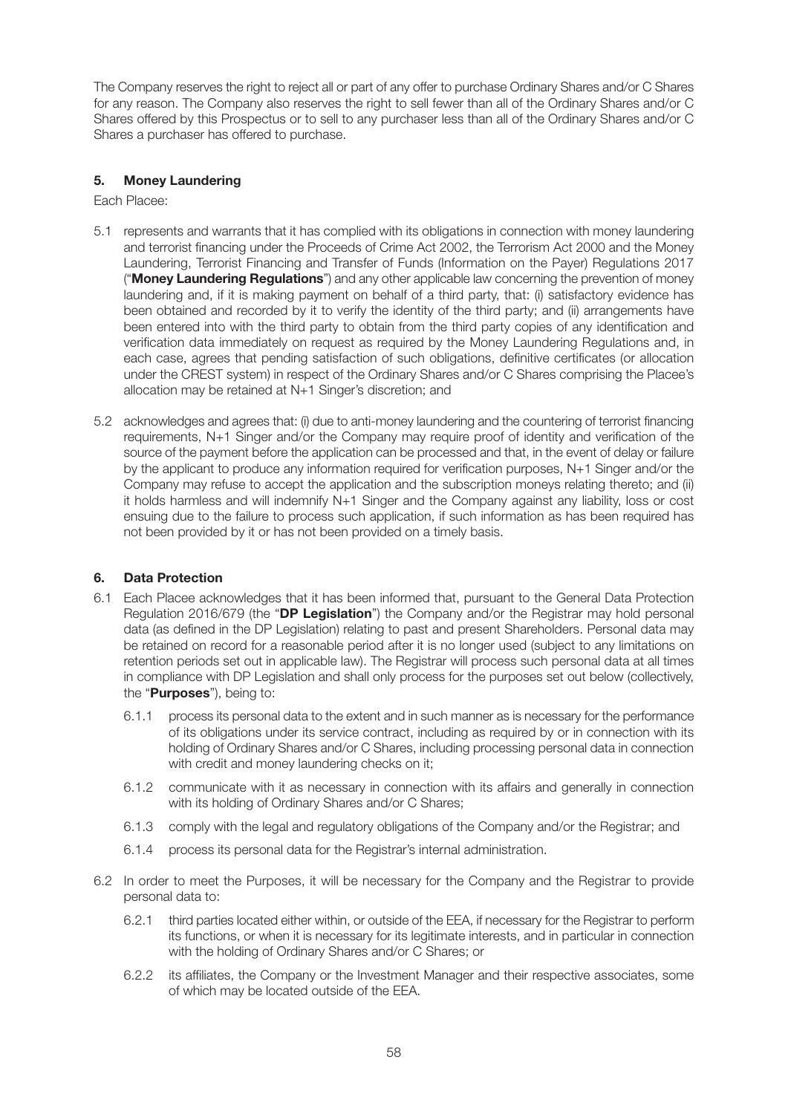The Company reserves the right to reject all or part of any offer to purchase Ordinary Shares and/or C Shares for any reason. The Company also reserves the right to sell fewer than all of the Ordinary Shares and/or C Shares offered by this Prospectus or to sell to any purchaser less than all of the Ordinary Shares and/or C Shares a purchaser has offered to purchase.

# **5. Money Laundering**

Each Placee:

- 5.1 represents and warrants that it has complied with its obligations in connection with money laundering and terrorist financing under the Proceeds of Crime Act 2002, the Terrorism Act 2000 and the Money Laundering, Terrorist Financing and Transfer of Funds (Information on the Payer) Regulations 2017 ("**Money Laundering Regulations**") and any other applicable law concerning the prevention of money laundering and, if it is making payment on behalf of a third party, that: (i) satisfactory evidence has been obtained and recorded by it to verify the identity of the third party; and (ii) arrangements have been entered into with the third party to obtain from the third party copies of any identification and verification data immediately on request as required by the Money Laundering Regulations and, in each case, agrees that pending satisfaction of such obligations, definitive certificates (or allocation under the CREST system) in respect of the Ordinary Shares and/or C Shares comprising the Placee's allocation may be retained at N+1 Singer's discretion; and
- 5.2 acknowledges and agrees that: (i) due to anti-money laundering and the countering of terrorist financing requirements, N+1 Singer and/or the Company may require proof of identity and verification of the source of the payment before the application can be processed and that, in the event of delay or failure by the applicant to produce any information required for verification purposes, N+1 Singer and/or the Company may refuse to accept the application and the subscription moneys relating thereto; and (ii) it holds harmless and will indemnify N+1 Singer and the Company against any liability, loss or cost ensuing due to the failure to process such application, if such information as has been required has not been provided by it or has not been provided on a timely basis.

### **6. Data Protection**

- 6.1 Each Placee acknowledges that it has been informed that, pursuant to the General Data Protection Regulation 2016/679 (the "**DP Legislation**") the Company and/or the Registrar may hold personal data (as defined in the DP Legislation) relating to past and present Shareholders. Personal data may be retained on record for a reasonable period after it is no longer used (subject to any limitations on retention periods set out in applicable law). The Registrar will process such personal data at all times in compliance with DP Legislation and shall only process for the purposes set out below (collectively, the "**Purposes**"), being to:
	- 6.1.1 process its personal data to the extent and in such manner as is necessary for the performance of its obligations under its service contract, including as required by or in connection with its holding of Ordinary Shares and/or C Shares, including processing personal data in connection with credit and money laundering checks on it;
	- 6.1.2 communicate with it as necessary in connection with its affairs and generally in connection with its holding of Ordinary Shares and/or C Shares;
	- 6.1.3 comply with the legal and regulatory obligations of the Company and/or the Registrar; and
	- 6.1.4 process its personal data for the Registrar's internal administration.
- 6.2 In order to meet the Purposes, it will be necessary for the Company and the Registrar to provide personal data to:
	- 6.2.1 third parties located either within, or outside of the EEA, if necessary for the Registrar to perform its functions, or when it is necessary for its legitimate interests, and in particular in connection with the holding of Ordinary Shares and/or C Shares; or
	- 6.2.2 its affiliates, the Company or the Investment Manager and their respective associates, some of which may be located outside of the EEA.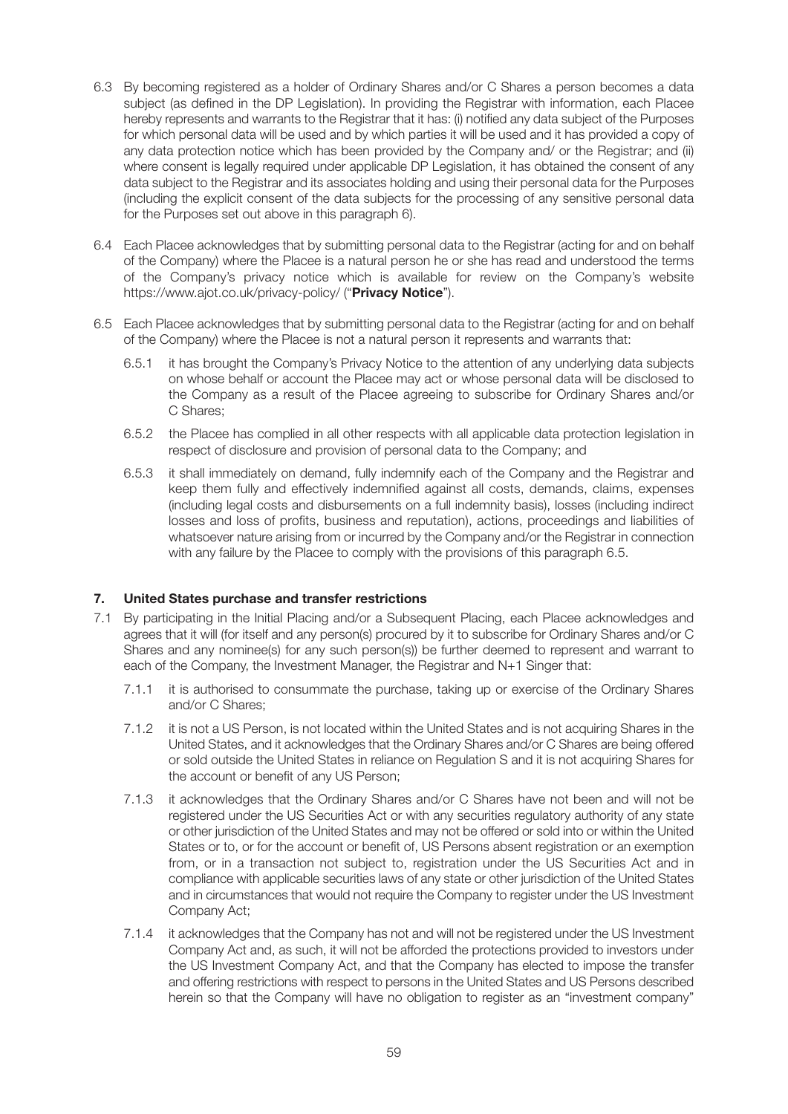- 6.3 By becoming registered as a holder of Ordinary Shares and/or C Shares a person becomes a data subject (as defined in the DP Legislation). In providing the Registrar with information, each Placee hereby represents and warrants to the Registrar that it has: (i) notified any data subject of the Purposes for which personal data will be used and by which parties it will be used and it has provided a copy of any data protection notice which has been provided by the Company and/ or the Registrar; and (ii) where consent is legally required under applicable DP Legislation, it has obtained the consent of any data subject to the Registrar and its associates holding and using their personal data for the Purposes (including the explicit consent of the data subjects for the processing of any sensitive personal data for the Purposes set out above in this paragraph 6).
- 6.4 Each Placee acknowledges that by submitting personal data to the Registrar (acting for and on behalf of the Company) where the Placee is a natural person he or she has read and understood the terms of the Company's privacy notice which is available for review on the Company's website https://www.ajot.co.uk/privacy-policy/ ("**Privacy Notice**").
- 6.5 Each Placee acknowledges that by submitting personal data to the Registrar (acting for and on behalf of the Company) where the Placee is not a natural person it represents and warrants that:
	- 6.5.1 it has brought the Company's Privacy Notice to the attention of any underlying data subjects on whose behalf or account the Placee may act or whose personal data will be disclosed to the Company as a result of the Placee agreeing to subscribe for Ordinary Shares and/or C Shares;
	- 6.5.2 the Placee has complied in all other respects with all applicable data protection legislation in respect of disclosure and provision of personal data to the Company; and
	- 6.5.3 it shall immediately on demand, fully indemnify each of the Company and the Registrar and keep them fully and effectively indemnified against all costs, demands, claims, expenses (including legal costs and disbursements on a full indemnity basis), losses (including indirect losses and loss of profits, business and reputation), actions, proceedings and liabilities of whatsoever nature arising from or incurred by the Company and/or the Registrar in connection with any failure by the Placee to comply with the provisions of this paragraph 6.5.

### **7. United States purchase and transfer restrictions**

- 7.1 By participating in the Initial Placing and/or a Subsequent Placing, each Placee acknowledges and agrees that it will (for itself and any person(s) procured by it to subscribe for Ordinary Shares and/or C Shares and any nominee(s) for any such person(s)) be further deemed to represent and warrant to each of the Company, the Investment Manager, the Registrar and N+1 Singer that:
	- 7.1.1 it is authorised to consummate the purchase, taking up or exercise of the Ordinary Shares and/or C Shares;
	- 7.1.2 it is not a US Person, is not located within the United States and is not acquiring Shares in the United States, and it acknowledges that the Ordinary Shares and/or C Shares are being offered or sold outside the United States in reliance on Regulation S and it is not acquiring Shares for the account or benefit of any US Person;
	- 7.1.3 it acknowledges that the Ordinary Shares and/or C Shares have not been and will not be registered under the US Securities Act or with any securities regulatory authority of any state or other jurisdiction of the United States and may not be offered or sold into or within the United States or to, or for the account or benefit of, US Persons absent registration or an exemption from, or in a transaction not subject to, registration under the US Securities Act and in compliance with applicable securities laws of any state or other jurisdiction of the United States and in circumstances that would not require the Company to register under the US Investment Company Act;
	- 7.1.4 it acknowledges that the Company has not and will not be registered under the US Investment Company Act and, as such, it will not be afforded the protections provided to investors under the US Investment Company Act, and that the Company has elected to impose the transfer and offering restrictions with respect to persons in the United States and US Persons described herein so that the Company will have no obligation to register as an "investment company"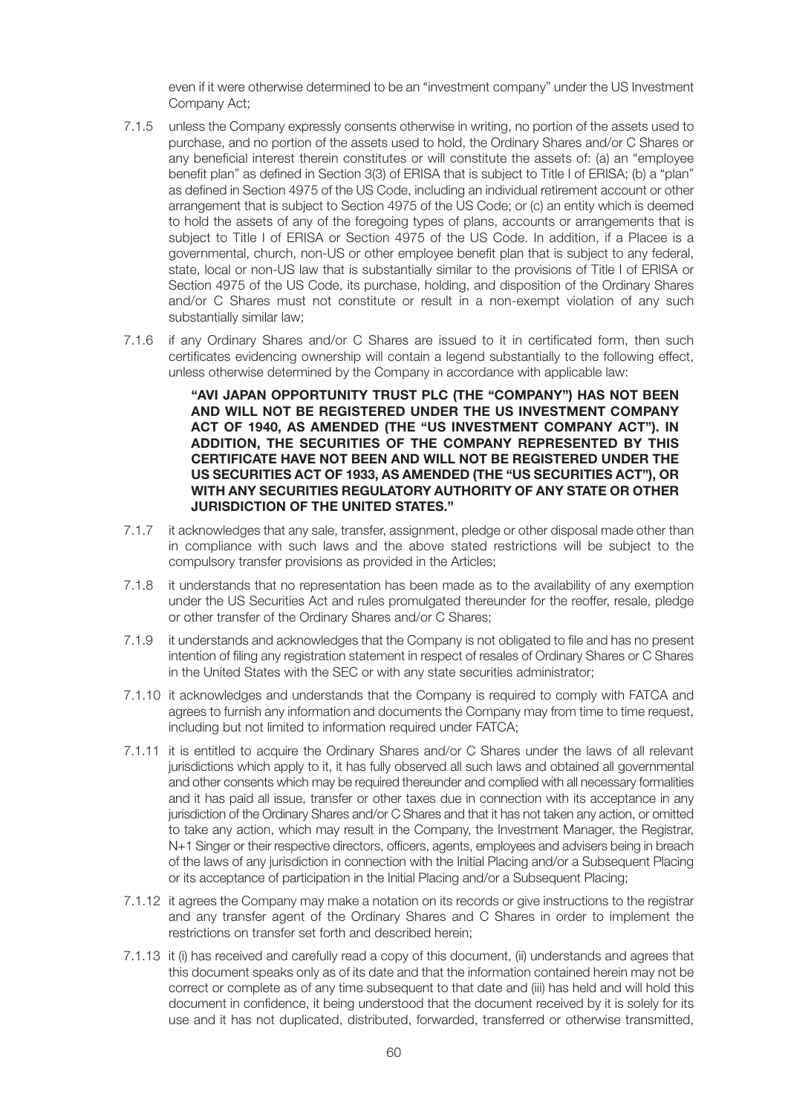even if it were otherwise determined to be an "investment company" under the US Investment Company Act;

- 7.1.5 unless the Company expressly consents otherwise in writing, no portion of the assets used to purchase, and no portion of the assets used to hold, the Ordinary Shares and/or C Shares or any beneficial interest therein constitutes or will constitute the assets of: (a) an "employee benefit plan" as defined in Section 3(3) of ERISA that is subject to Title I of ERISA; (b) a "plan" as defined in Section 4975 of the US Code, including an individual retirement account or other arrangement that is subject to Section 4975 of the US Code; or (c) an entity which is deemed to hold the assets of any of the foregoing types of plans, accounts or arrangements that is subject to Title I of ERISA or Section 4975 of the US Code. In addition, if a Placee is a governmental, church, non-US or other employee benefit plan that is subject to any federal, state, local or non-US law that is substantially similar to the provisions of Title I of ERISA or Section 4975 of the US Code, its purchase, holding, and disposition of the Ordinary Shares and/or C Shares must not constitute or result in a non-exempt violation of any such substantially similar law;
- 7.1.6 if any Ordinary Shares and/or C Shares are issued to it in certificated form, then such certificates evidencing ownership will contain a legend substantially to the following effect, unless otherwise determined by the Company in accordance with applicable law:

 **"AVI JAPAN OPPORTUNITY TRUST PLC (THE "COMPANY") HAS NOT BEEN AND WILL NOT BE REGISTERED UNDER THE US INVESTMENT COMPANY ACT OF 1940, AS AMENDED (THE "US INVESTMENT COMPANY ACT"). IN ADDITION, THE SECURITIES OF THE COMPANY REPRESENTED BY THIS CERTIFICATE HAVE NOT BEEN AND WILL NOT BE REGISTERED UNDER THE US SECURITIES ACT OF 1933, AS AMENDED (THE "US SECURITIES ACT"), OR WITH ANY SECURITIES REGULATORY AUTHORITY OF ANY STATE OR OTHER JURISDICTION OF THE UNITED STATES."** 

- 7.1.7 it acknowledges that any sale, transfer, assignment, pledge or other disposal made other than in compliance with such laws and the above stated restrictions will be subject to the compulsory transfer provisions as provided in the Articles;
- 7.1.8 it understands that no representation has been made as to the availability of any exemption under the US Securities Act and rules promulgated thereunder for the reoffer, resale, pledge or other transfer of the Ordinary Shares and/or C Shares;
- 7.1.9 it understands and acknowledges that the Company is not obligated to file and has no present intention of filing any registration statement in respect of resales of Ordinary Shares or C Shares in the United States with the SEC or with any state securities administrator;
- 7.1.10 it acknowledges and understands that the Company is required to comply with FATCA and agrees to furnish any information and documents the Company may from time to time request, including but not limited to information required under FATCA;
- 7.1.11 it is entitled to acquire the Ordinary Shares and/or C Shares under the laws of all relevant jurisdictions which apply to it, it has fully observed all such laws and obtained all governmental and other consents which may be required thereunder and complied with all necessary formalities and it has paid all issue, transfer or other taxes due in connection with its acceptance in any jurisdiction of the Ordinary Shares and/or C Shares and that it has not taken any action, or omitted to take any action, which may result in the Company, the Investment Manager, the Registrar, N+1 Singer or their respective directors, officers, agents, employees and advisers being in breach of the laws of any jurisdiction in connection with the Initial Placing and/or a Subsequent Placing or its acceptance of participation in the Initial Placing and/or a Subsequent Placing;
- 7.1.12 it agrees the Company may make a notation on its records or give instructions to the registrar and any transfer agent of the Ordinary Shares and C Shares in order to implement the restrictions on transfer set forth and described herein;
- 7.1.13 it (i) has received and carefully read a copy of this document, (ii) understands and agrees that this document speaks only as of its date and that the information contained herein may not be correct or complete as of any time subsequent to that date and (iii) has held and will hold this document in confidence, it being understood that the document received by it is solely for its use and it has not duplicated, distributed, forwarded, transferred or otherwise transmitted,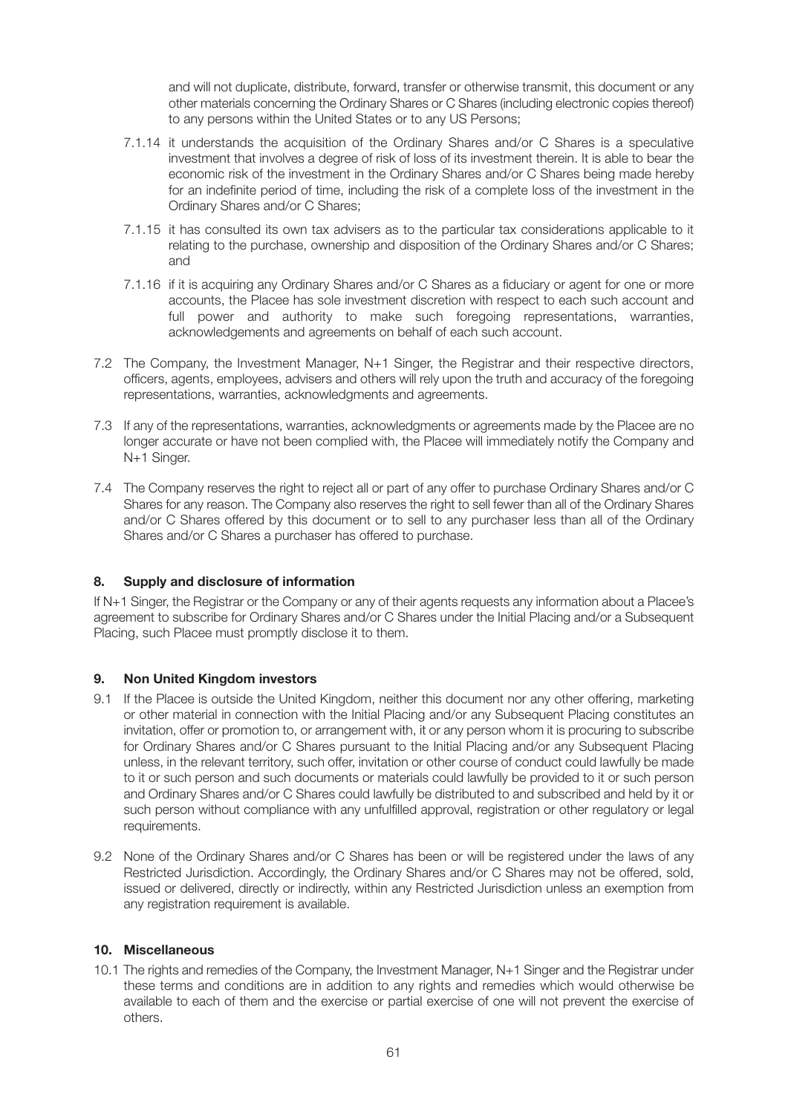and will not duplicate, distribute, forward, transfer or otherwise transmit, this document or any other materials concerning the Ordinary Shares or C Shares (including electronic copies thereof) to any persons within the United States or to any US Persons;

- 7.1.14 it understands the acquisition of the Ordinary Shares and/or C Shares is a speculative investment that involves a degree of risk of loss of its investment therein. It is able to bear the economic risk of the investment in the Ordinary Shares and/or C Shares being made hereby for an indefinite period of time, including the risk of a complete loss of the investment in the Ordinary Shares and/or C Shares;
- 7.1.15 it has consulted its own tax advisers as to the particular tax considerations applicable to it relating to the purchase, ownership and disposition of the Ordinary Shares and/or C Shares; and
- 7.1.16 if it is acquiring any Ordinary Shares and/or C Shares as a fiduciary or agent for one or more accounts, the Placee has sole investment discretion with respect to each such account and full power and authority to make such foregoing representations, warranties, acknowledgements and agreements on behalf of each such account.
- 7.2 The Company, the Investment Manager, N+1 Singer, the Registrar and their respective directors, officers, agents, employees, advisers and others will rely upon the truth and accuracy of the foregoing representations, warranties, acknowledgments and agreements.
- 7.3 If any of the representations, warranties, acknowledgments or agreements made by the Placee are no longer accurate or have not been complied with, the Placee will immediately notify the Company and N+1 Singer.
- 7.4 The Company reserves the right to reject all or part of any offer to purchase Ordinary Shares and/or C Shares for any reason. The Company also reserves the right to sell fewer than all of the Ordinary Shares and/or C Shares offered by this document or to sell to any purchaser less than all of the Ordinary Shares and/or C Shares a purchaser has offered to purchase.

### **8. Supply and disclosure of information**

If N+1 Singer, the Registrar or the Company or any of their agents requests any information about a Placee's agreement to subscribe for Ordinary Shares and/or C Shares under the Initial Placing and/or a Subsequent Placing, such Placee must promptly disclose it to them.

### **9. Non United Kingdom investors**

- 9.1 If the Placee is outside the United Kingdom, neither this document nor any other offering, marketing or other material in connection with the Initial Placing and/or any Subsequent Placing constitutes an invitation, offer or promotion to, or arrangement with, it or any person whom it is procuring to subscribe for Ordinary Shares and/or C Shares pursuant to the Initial Placing and/or any Subsequent Placing unless, in the relevant territory, such offer, invitation or other course of conduct could lawfully be made to it or such person and such documents or materials could lawfully be provided to it or such person and Ordinary Shares and/or C Shares could lawfully be distributed to and subscribed and held by it or such person without compliance with any unfulfilled approval, registration or other regulatory or legal requirements.
- 9.2 None of the Ordinary Shares and/or C Shares has been or will be registered under the laws of any Restricted Jurisdiction. Accordingly, the Ordinary Shares and/or C Shares may not be offered, sold, issued or delivered, directly or indirectly, within any Restricted Jurisdiction unless an exemption from any registration requirement is available.

# **10. Miscellaneous**

10.1 The rights and remedies of the Company, the Investment Manager, N+1 Singer and the Registrar under these terms and conditions are in addition to any rights and remedies which would otherwise be available to each of them and the exercise or partial exercise of one will not prevent the exercise of others.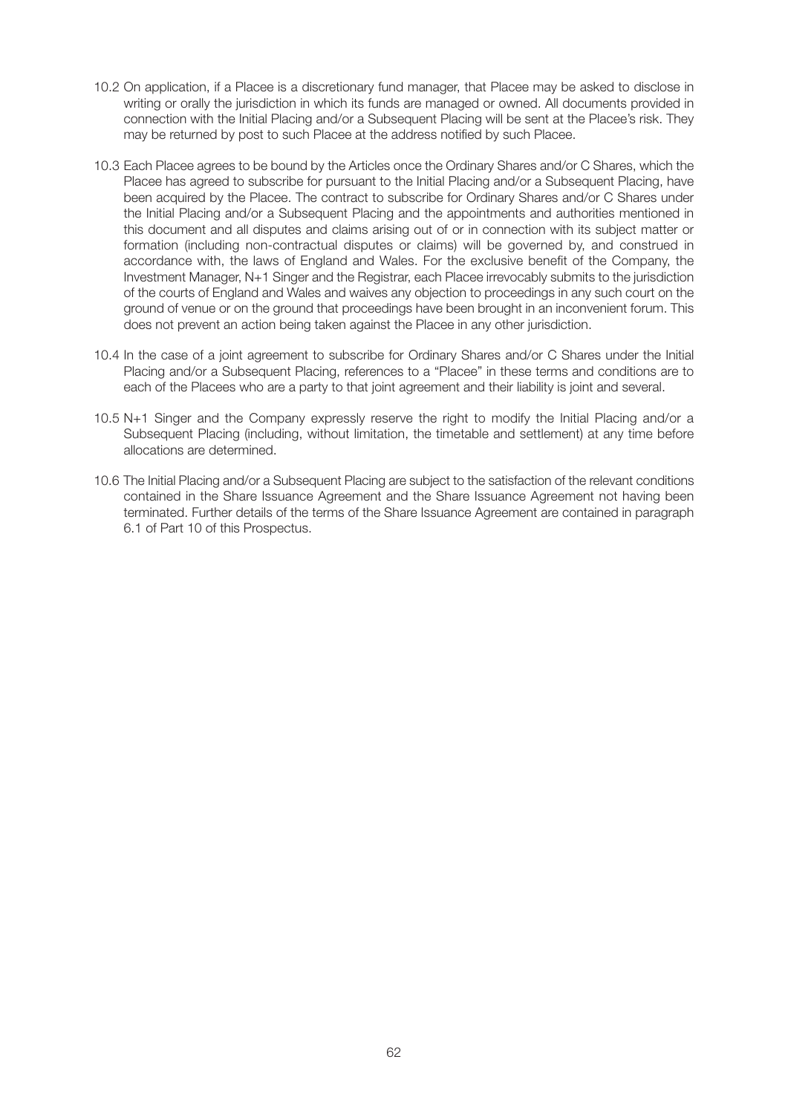- 10.2 On application, if a Placee is a discretionary fund manager, that Placee may be asked to disclose in writing or orally the jurisdiction in which its funds are managed or owned. All documents provided in connection with the Initial Placing and/or a Subsequent Placing will be sent at the Placee's risk. They may be returned by post to such Placee at the address notified by such Placee.
- 10.3 Each Placee agrees to be bound by the Articles once the Ordinary Shares and/or C Shares, which the Placee has agreed to subscribe for pursuant to the Initial Placing and/or a Subsequent Placing, have been acquired by the Placee. The contract to subscribe for Ordinary Shares and/or C Shares under the Initial Placing and/or a Subsequent Placing and the appointments and authorities mentioned in this document and all disputes and claims arising out of or in connection with its subject matter or formation (including non-contractual disputes or claims) will be governed by, and construed in accordance with, the laws of England and Wales. For the exclusive benefit of the Company, the Investment Manager, N+1 Singer and the Registrar, each Placee irrevocably submits to the jurisdiction of the courts of England and Wales and waives any objection to proceedings in any such court on the ground of venue or on the ground that proceedings have been brought in an inconvenient forum. This does not prevent an action being taken against the Placee in any other jurisdiction.
- 10.4 In the case of a joint agreement to subscribe for Ordinary Shares and/or C Shares under the Initial Placing and/or a Subsequent Placing, references to a "Placee" in these terms and conditions are to each of the Placees who are a party to that joint agreement and their liability is joint and several.
- 10.5 N+1 Singer and the Company expressly reserve the right to modify the Initial Placing and/or a Subsequent Placing (including, without limitation, the timetable and settlement) at any time before allocations are determined.
- 10.6 The Initial Placing and/or a Subsequent Placing are subject to the satisfaction of the relevant conditions contained in the Share Issuance Agreement and the Share Issuance Agreement not having been terminated. Further details of the terms of the Share Issuance Agreement are contained in paragraph 6.1 of Part 10 of this Prospectus.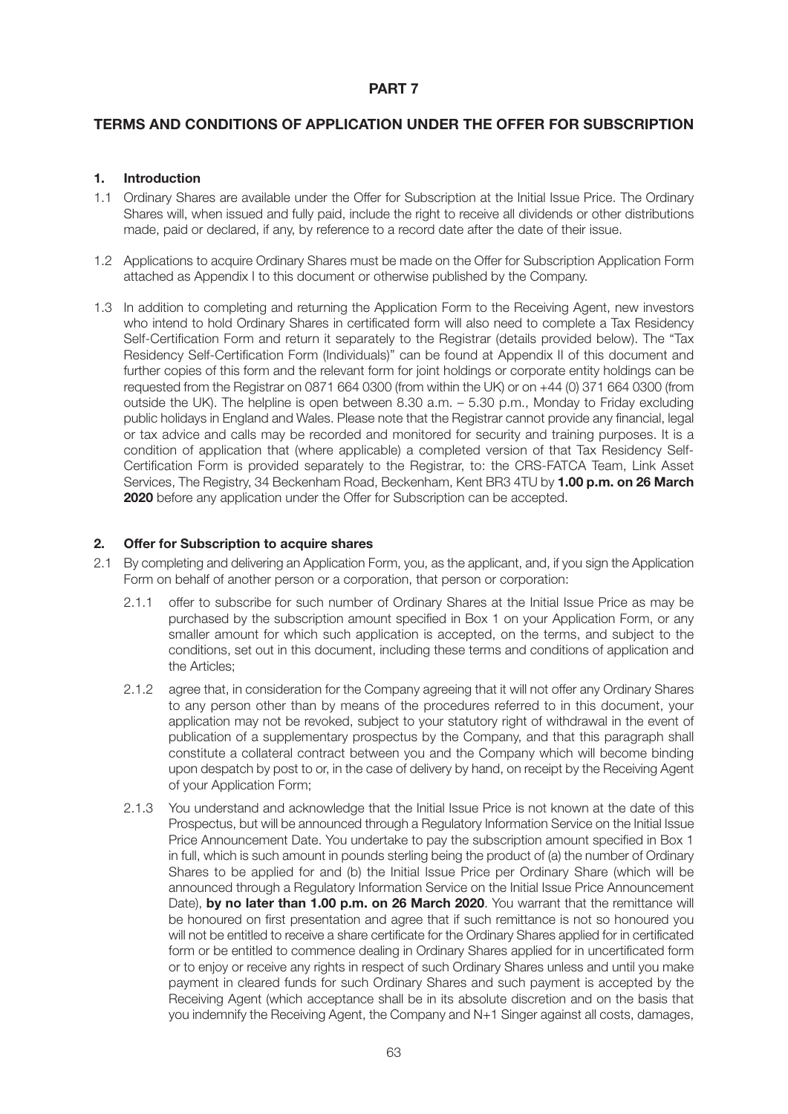# **TERMS AND CONDITIONS OF APPLICATION UNDER THE OFFER FOR SUBSCRIPTION**

### **1. Introduction**

- 1.1 Ordinary Shares are available under the Offer for Subscription at the Initial Issue Price. The Ordinary Shares will, when issued and fully paid, include the right to receive all dividends or other distributions made, paid or declared, if any, by reference to a record date after the date of their issue.
- 1.2 Applications to acquire Ordinary Shares must be made on the Offer for Subscription Application Form attached as Appendix I to this document or otherwise published by the Company.
- 1.3 In addition to completing and returning the Application Form to the Receiving Agent, new investors who intend to hold Ordinary Shares in certificated form will also need to complete a Tax Residency Self-Certification Form and return it separately to the Registrar (details provided below). The "Tax Residency Self-Certification Form (Individuals)" can be found at Appendix II of this document and further copies of this form and the relevant form for joint holdings or corporate entity holdings can be requested from the Registrar on 0871 664 0300 (from within the UK) or on +44 (0) 371 664 0300 (from outside the UK). The helpline is open between 8.30 a.m. – 5.30 p.m., Monday to Friday excluding public holidays in England and Wales. Please note that the Registrar cannot provide any financial, legal or tax advice and calls may be recorded and monitored for security and training purposes. It is a condition of application that (where applicable) a completed version of that Tax Residency Self-Certification Form is provided separately to the Registrar, to: the CRS-FATCA Team, Link Asset Services, The Registry, 34 Beckenham Road, Beckenham, Kent BR3 4TU by **1.00 p.m. on 26 March 2020** before any application under the Offer for Subscription can be accepted.

# **2. Offer for Subscription to acquire shares**

- 2.1 By completing and delivering an Application Form, you, as the applicant, and, if you sign the Application Form on behalf of another person or a corporation, that person or corporation:
	- 2.1.1 offer to subscribe for such number of Ordinary Shares at the Initial Issue Price as may be purchased by the subscription amount specified in Box 1 on your Application Form, or any smaller amount for which such application is accepted, on the terms, and subject to the conditions, set out in this document, including these terms and conditions of application and the Articles;
	- 2.1.2 agree that, in consideration for the Company agreeing that it will not offer any Ordinary Shares to any person other than by means of the procedures referred to in this document, your application may not be revoked, subject to your statutory right of withdrawal in the event of publication of a supplementary prospectus by the Company, and that this paragraph shall constitute a collateral contract between you and the Company which will become binding upon despatch by post to or, in the case of delivery by hand, on receipt by the Receiving Agent of your Application Form;
	- 2.1.3 You understand and acknowledge that the Initial Issue Price is not known at the date of this Prospectus, but will be announced through a Regulatory Information Service on the Initial Issue Price Announcement Date. You undertake to pay the subscription amount specified in Box 1 in full, which is such amount in pounds sterling being the product of (a) the number of Ordinary Shares to be applied for and (b) the Initial Issue Price per Ordinary Share (which will be announced through a Regulatory Information Service on the Initial Issue Price Announcement Date), **by no later than 1.00 p.m. on 26 March 2020**. You warrant that the remittance will be honoured on first presentation and agree that if such remittance is not so honoured you will not be entitled to receive a share certificate for the Ordinary Shares applied for in certificated form or be entitled to commence dealing in Ordinary Shares applied for in uncertificated form or to enjoy or receive any rights in respect of such Ordinary Shares unless and until you make payment in cleared funds for such Ordinary Shares and such payment is accepted by the Receiving Agent (which acceptance shall be in its absolute discretion and on the basis that you indemnify the Receiving Agent, the Company and N+1 Singer against all costs, damages,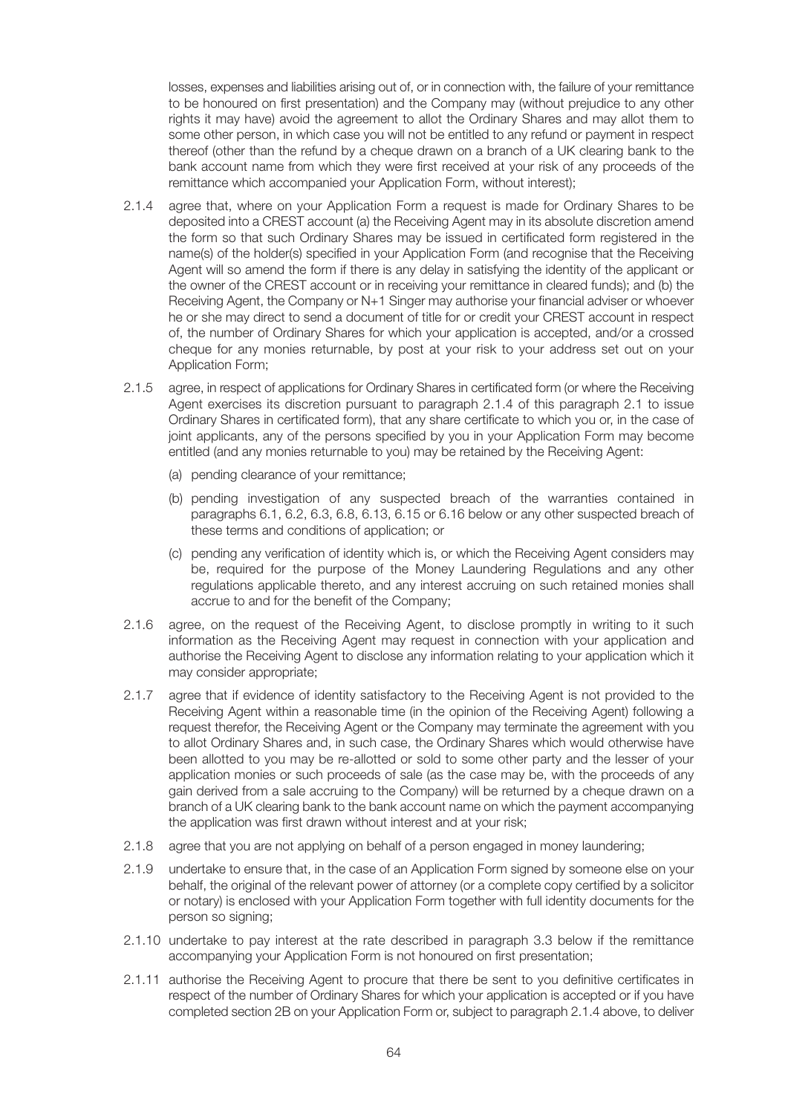losses, expenses and liabilities arising out of, or in connection with, the failure of your remittance to be honoured on first presentation) and the Company may (without prejudice to any other rights it may have) avoid the agreement to allot the Ordinary Shares and may allot them to some other person, in which case you will not be entitled to any refund or payment in respect thereof (other than the refund by a cheque drawn on a branch of a UK clearing bank to the bank account name from which they were first received at your risk of any proceeds of the remittance which accompanied your Application Form, without interest);

- 2.1.4 agree that, where on your Application Form a request is made for Ordinary Shares to be deposited into a CREST account (a) the Receiving Agent may in its absolute discretion amend the form so that such Ordinary Shares may be issued in certificated form registered in the name(s) of the holder(s) specified in your Application Form (and recognise that the Receiving Agent will so amend the form if there is any delay in satisfying the identity of the applicant or the owner of the CREST account or in receiving your remittance in cleared funds); and (b) the Receiving Agent, the Company or N+1 Singer may authorise your financial adviser or whoever he or she may direct to send a document of title for or credit your CREST account in respect of, the number of Ordinary Shares for which your application is accepted, and/or a crossed cheque for any monies returnable, by post at your risk to your address set out on your Application Form;
- 2.1.5 agree, in respect of applications for Ordinary Shares in certificated form (or where the Receiving Agent exercises its discretion pursuant to paragraph 2.1.4 of this paragraph 2.1 to issue Ordinary Shares in certificated form), that any share certificate to which you or, in the case of joint applicants, any of the persons specified by you in your Application Form may become entitled (and any monies returnable to you) may be retained by the Receiving Agent:
	- (a) pending clearance of your remittance;
	- (b) pending investigation of any suspected breach of the warranties contained in paragraphs 6.1, 6.2, 6.3, 6.8, 6.13, 6.15 or 6.16 below or any other suspected breach of these terms and conditions of application; or
	- (c) pending any verification of identity which is, or which the Receiving Agent considers may be, required for the purpose of the Money Laundering Regulations and any other regulations applicable thereto, and any interest accruing on such retained monies shall accrue to and for the benefit of the Company;
- 2.1.6 agree, on the request of the Receiving Agent, to disclose promptly in writing to it such information as the Receiving Agent may request in connection with your application and authorise the Receiving Agent to disclose any information relating to your application which it may consider appropriate;
- 2.1.7 agree that if evidence of identity satisfactory to the Receiving Agent is not provided to the Receiving Agent within a reasonable time (in the opinion of the Receiving Agent) following a request therefor, the Receiving Agent or the Company may terminate the agreement with you to allot Ordinary Shares and, in such case, the Ordinary Shares which would otherwise have been allotted to you may be re-allotted or sold to some other party and the lesser of your application monies or such proceeds of sale (as the case may be, with the proceeds of any gain derived from a sale accruing to the Company) will be returned by a cheque drawn on a branch of a UK clearing bank to the bank account name on which the payment accompanying the application was first drawn without interest and at your risk;
- 2.1.8 agree that you are not applying on behalf of a person engaged in money laundering;
- 2.1.9 undertake to ensure that, in the case of an Application Form signed by someone else on your behalf, the original of the relevant power of attorney (or a complete copy certified by a solicitor or notary) is enclosed with your Application Form together with full identity documents for the person so signing;
- 2.1.10 undertake to pay interest at the rate described in paragraph 3.3 below if the remittance accompanying your Application Form is not honoured on first presentation;
- 2.1.11 authorise the Receiving Agent to procure that there be sent to you definitive certificates in respect of the number of Ordinary Shares for which your application is accepted or if you have completed section 2B on your Application Form or, subject to paragraph 2.1.4 above, to deliver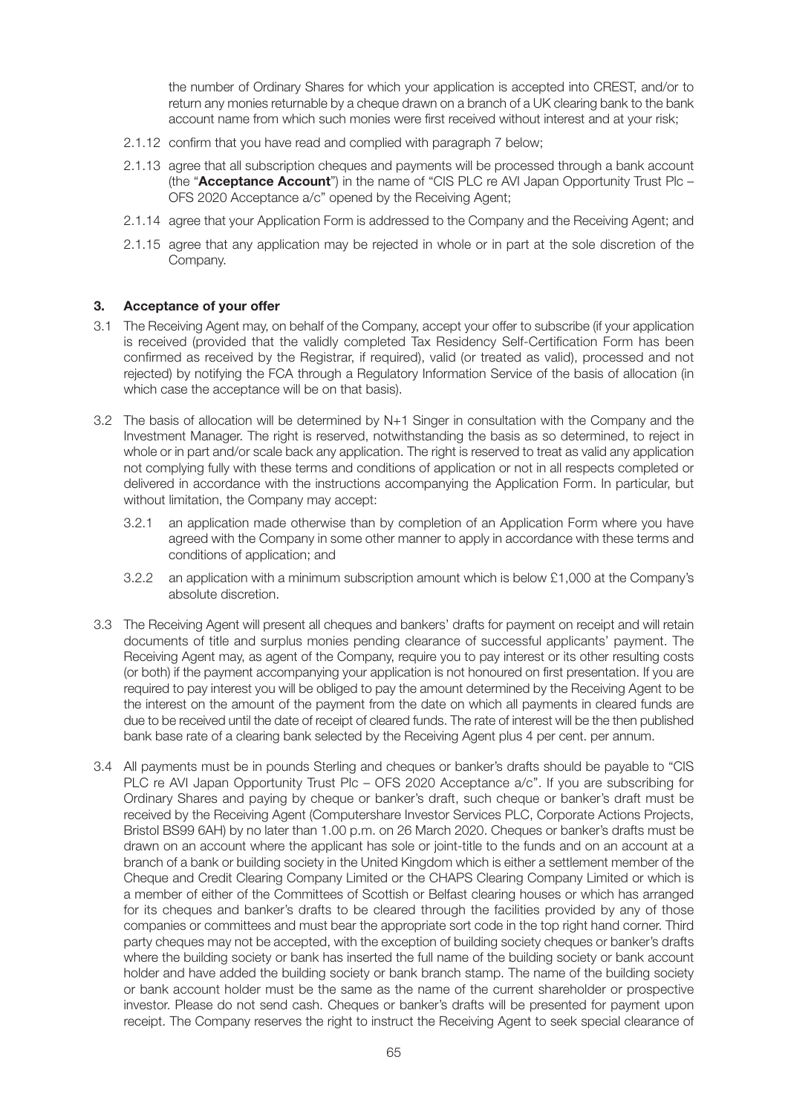the number of Ordinary Shares for which your application is accepted into CREST, and/or to return any monies returnable by a cheque drawn on a branch of a UK clearing bank to the bank account name from which such monies were first received without interest and at your risk;

- 2.1.12 confirm that you have read and complied with paragraph 7 below;
- 2.1.13 agree that all subscription cheques and payments will be processed through a bank account (the "**Acceptance Account**") in the name of "CIS PLC re AVI Japan Opportunity Trust Plc – OFS 2020 Acceptance a/c" opened by the Receiving Agent;
- 2.1.14 agree that your Application Form is addressed to the Company and the Receiving Agent; and
- 2.1.15 agree that any application may be rejected in whole or in part at the sole discretion of the Company.

### **3. Acceptance of your offer**

- 3.1 The Receiving Agent may, on behalf of the Company, accept your offer to subscribe (if your application is received (provided that the validly completed Tax Residency Self-Certification Form has been confirmed as received by the Registrar, if required), valid (or treated as valid), processed and not rejected) by notifying the FCA through a Regulatory Information Service of the basis of allocation (in which case the acceptance will be on that basis).
- 3.2 The basis of allocation will be determined by N+1 Singer in consultation with the Company and the Investment Manager. The right is reserved, notwithstanding the basis as so determined, to reject in whole or in part and/or scale back any application. The right is reserved to treat as valid any application not complying fully with these terms and conditions of application or not in all respects completed or delivered in accordance with the instructions accompanying the Application Form. In particular, but without limitation, the Company may accept:
	- 3.2.1 an application made otherwise than by completion of an Application Form where you have agreed with the Company in some other manner to apply in accordance with these terms and conditions of application; and
	- 3.2.2 an application with a minimum subscription amount which is below £1,000 at the Company's absolute discretion.
- 3.3 The Receiving Agent will present all cheques and bankers' drafts for payment on receipt and will retain documents of title and surplus monies pending clearance of successful applicants' payment. The Receiving Agent may, as agent of the Company, require you to pay interest or its other resulting costs (or both) if the payment accompanying your application is not honoured on first presentation. If you are required to pay interest you will be obliged to pay the amount determined by the Receiving Agent to be the interest on the amount of the payment from the date on which all payments in cleared funds are due to be received until the date of receipt of cleared funds. The rate of interest will be the then published bank base rate of a clearing bank selected by the Receiving Agent plus 4 per cent. per annum.
- 3.4 All payments must be in pounds Sterling and cheques or banker's drafts should be payable to "CIS PLC re AVI Japan Opportunity Trust Plc – OFS 2020 Acceptance a/c". If you are subscribing for Ordinary Shares and paying by cheque or banker's draft, such cheque or banker's draft must be received by the Receiving Agent (Computershare Investor Services PLC, Corporate Actions Projects, Bristol BS99 6AH) by no later than 1.00 p.m. on 26 March 2020. Cheques or banker's drafts must be drawn on an account where the applicant has sole or joint-title to the funds and on an account at a branch of a bank or building society in the United Kingdom which is either a settlement member of the Cheque and Credit Clearing Company Limited or the CHAPS Clearing Company Limited or which is a member of either of the Committees of Scottish or Belfast clearing houses or which has arranged for its cheques and banker's drafts to be cleared through the facilities provided by any of those companies or committees and must bear the appropriate sort code in the top right hand corner. Third party cheques may not be accepted, with the exception of building society cheques or banker's drafts where the building society or bank has inserted the full name of the building society or bank account holder and have added the building society or bank branch stamp. The name of the building society or bank account holder must be the same as the name of the current shareholder or prospective investor. Please do not send cash. Cheques or banker's drafts will be presented for payment upon receipt. The Company reserves the right to instruct the Receiving Agent to seek special clearance of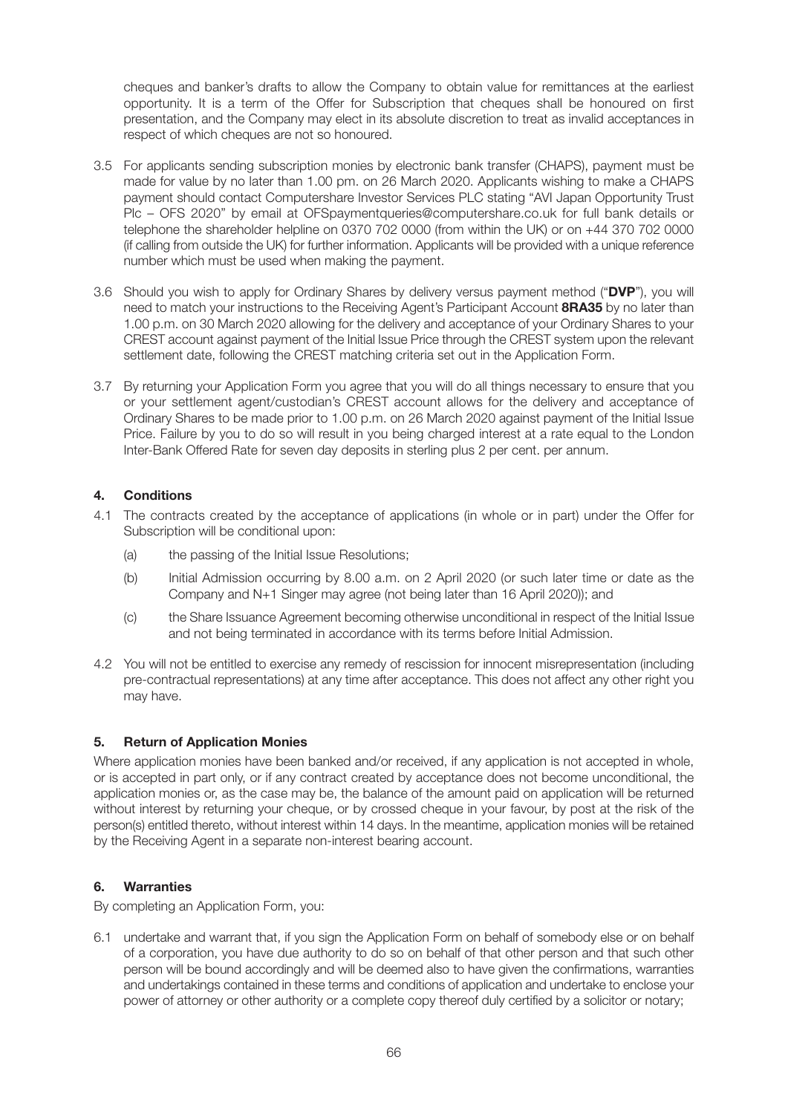cheques and banker's drafts to allow the Company to obtain value for remittances at the earliest opportunity. It is a term of the Offer for Subscription that cheques shall be honoured on first presentation, and the Company may elect in its absolute discretion to treat as invalid acceptances in respect of which cheques are not so honoured.

- 3.5 For applicants sending subscription monies by electronic bank transfer (CHAPS), payment must be made for value by no later than 1.00 pm. on 26 March 2020. Applicants wishing to make a CHAPS payment should contact Computershare Investor Services PLC stating "AVI Japan Opportunity Trust Plc – OFS 2020" by email at OFSpaymentqueries@computershare.co.uk for full bank details or telephone the shareholder helpline on 0370 702 0000 (from within the UK) or on +44 370 702 0000 (if calling from outside the UK) for further information. Applicants will be provided with a unique reference number which must be used when making the payment.
- 3.6 Should you wish to apply for Ordinary Shares by delivery versus payment method ("**DVP**"), you will need to match your instructions to the Receiving Agent's Participant Account **8RA35** by no later than 1.00 p.m. on 30 March 2020 allowing for the delivery and acceptance of your Ordinary Shares to your CREST account against payment of the Initial Issue Price through the CREST system upon the relevant settlement date, following the CREST matching criteria set out in the Application Form.
- 3.7 By returning your Application Form you agree that you will do all things necessary to ensure that you or your settlement agent/custodian's CREST account allows for the delivery and acceptance of Ordinary Shares to be made prior to 1.00 p.m. on 26 March 2020 against payment of the Initial Issue Price. Failure by you to do so will result in you being charged interest at a rate equal to the London Inter-Bank Offered Rate for seven day deposits in sterling plus 2 per cent. per annum.

# **4. Conditions**

- 4.1 The contracts created by the acceptance of applications (in whole or in part) under the Offer for Subscription will be conditional upon:
	- (a) the passing of the Initial Issue Resolutions;
	- (b) Initial Admission occurring by 8.00 a.m. on 2 April 2020 (or such later time or date as the Company and N+1 Singer may agree (not being later than 16 April 2020)); and
	- (c) the Share Issuance Agreement becoming otherwise unconditional in respect of the Initial Issue and not being terminated in accordance with its terms before Initial Admission.
- 4.2 You will not be entitled to exercise any remedy of rescission for innocent misrepresentation (including pre-contractual representations) at any time after acceptance. This does not affect any other right you may have.

# **5. Return of Application Monies**

Where application monies have been banked and/or received, if any application is not accepted in whole, or is accepted in part only, or if any contract created by acceptance does not become unconditional, the application monies or, as the case may be, the balance of the amount paid on application will be returned without interest by returning your cheque, or by crossed cheque in your favour, by post at the risk of the person(s) entitled thereto, without interest within 14 days. In the meantime, application monies will be retained by the Receiving Agent in a separate non-interest bearing account.

# **6. Warranties**

By completing an Application Form, you:

6.1 undertake and warrant that, if you sign the Application Form on behalf of somebody else or on behalf of a corporation, you have due authority to do so on behalf of that other person and that such other person will be bound accordingly and will be deemed also to have given the confirmations, warranties and undertakings contained in these terms and conditions of application and undertake to enclose your power of attorney or other authority or a complete copy thereof duly certified by a solicitor or notary;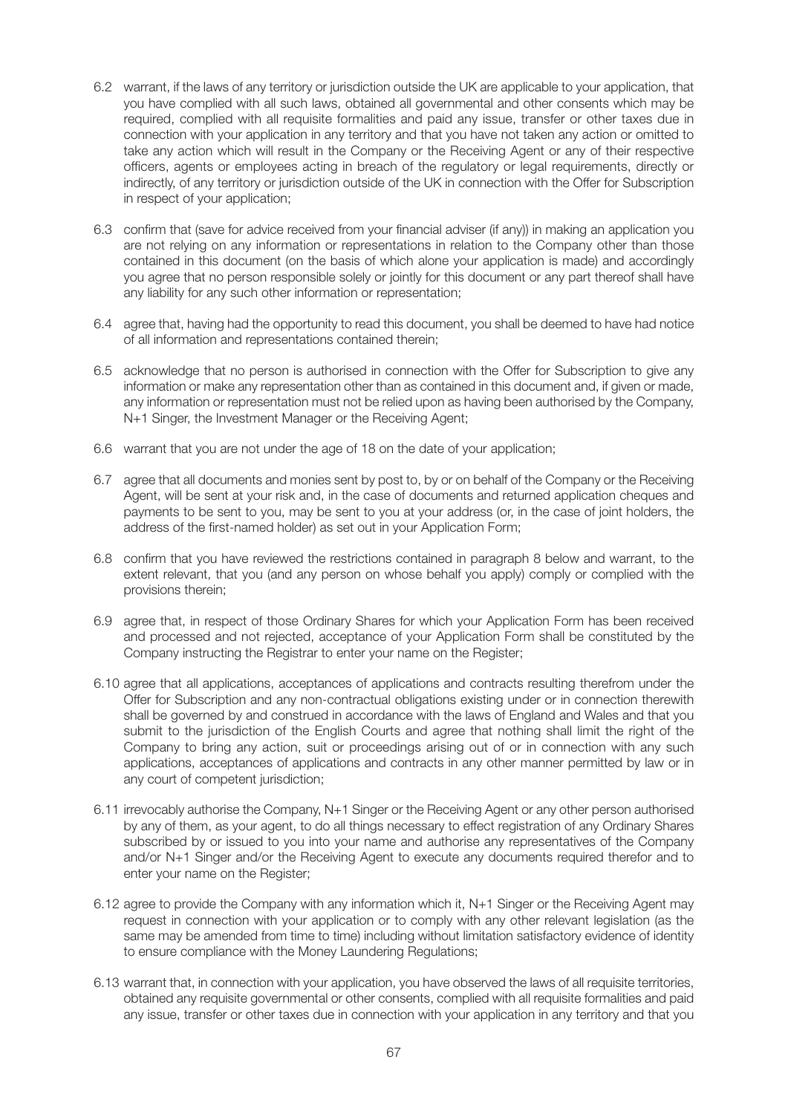- 6.2 warrant, if the laws of any territory or jurisdiction outside the UK are applicable to your application, that you have complied with all such laws, obtained all governmental and other consents which may be required, complied with all requisite formalities and paid any issue, transfer or other taxes due in connection with your application in any territory and that you have not taken any action or omitted to take any action which will result in the Company or the Receiving Agent or any of their respective officers, agents or employees acting in breach of the regulatory or legal requirements, directly or indirectly, of any territory or jurisdiction outside of the UK in connection with the Offer for Subscription in respect of your application;
- 6.3 confirm that (save for advice received from your financial adviser (if any)) in making an application you are not relying on any information or representations in relation to the Company other than those contained in this document (on the basis of which alone your application is made) and accordingly you agree that no person responsible solely or jointly for this document or any part thereof shall have any liability for any such other information or representation;
- 6.4 agree that, having had the opportunity to read this document, you shall be deemed to have had notice of all information and representations contained therein;
- 6.5 acknowledge that no person is authorised in connection with the Offer for Subscription to give any information or make any representation other than as contained in this document and, if given or made, any information or representation must not be relied upon as having been authorised by the Company, N+1 Singer, the Investment Manager or the Receiving Agent;
- 6.6 warrant that you are not under the age of 18 on the date of your application;
- 6.7 agree that all documents and monies sent by post to, by or on behalf of the Company or the Receiving Agent, will be sent at your risk and, in the case of documents and returned application cheques and payments to be sent to you, may be sent to you at your address (or, in the case of joint holders, the address of the first-named holder) as set out in your Application Form;
- 6.8 confirm that you have reviewed the restrictions contained in paragraph 8 below and warrant, to the extent relevant, that you (and any person on whose behalf you apply) comply or complied with the provisions therein;
- 6.9 agree that, in respect of those Ordinary Shares for which your Application Form has been received and processed and not rejected, acceptance of your Application Form shall be constituted by the Company instructing the Registrar to enter your name on the Register;
- 6.10 agree that all applications, acceptances of applications and contracts resulting therefrom under the Offer for Subscription and any non-contractual obligations existing under or in connection therewith shall be governed by and construed in accordance with the laws of England and Wales and that you submit to the jurisdiction of the English Courts and agree that nothing shall limit the right of the Company to bring any action, suit or proceedings arising out of or in connection with any such applications, acceptances of applications and contracts in any other manner permitted by law or in any court of competent jurisdiction;
- 6.11 irrevocably authorise the Company, N+1 Singer or the Receiving Agent or any other person authorised by any of them, as your agent, to do all things necessary to effect registration of any Ordinary Shares subscribed by or issued to you into your name and authorise any representatives of the Company and/or N+1 Singer and/or the Receiving Agent to execute any documents required therefor and to enter your name on the Register;
- 6.12 agree to provide the Company with any information which it, N+1 Singer or the Receiving Agent may request in connection with your application or to comply with any other relevant legislation (as the same may be amended from time to time) including without limitation satisfactory evidence of identity to ensure compliance with the Money Laundering Regulations;
- 6.13 warrant that, in connection with your application, you have observed the laws of all requisite territories, obtained any requisite governmental or other consents, complied with all requisite formalities and paid any issue, transfer or other taxes due in connection with your application in any territory and that you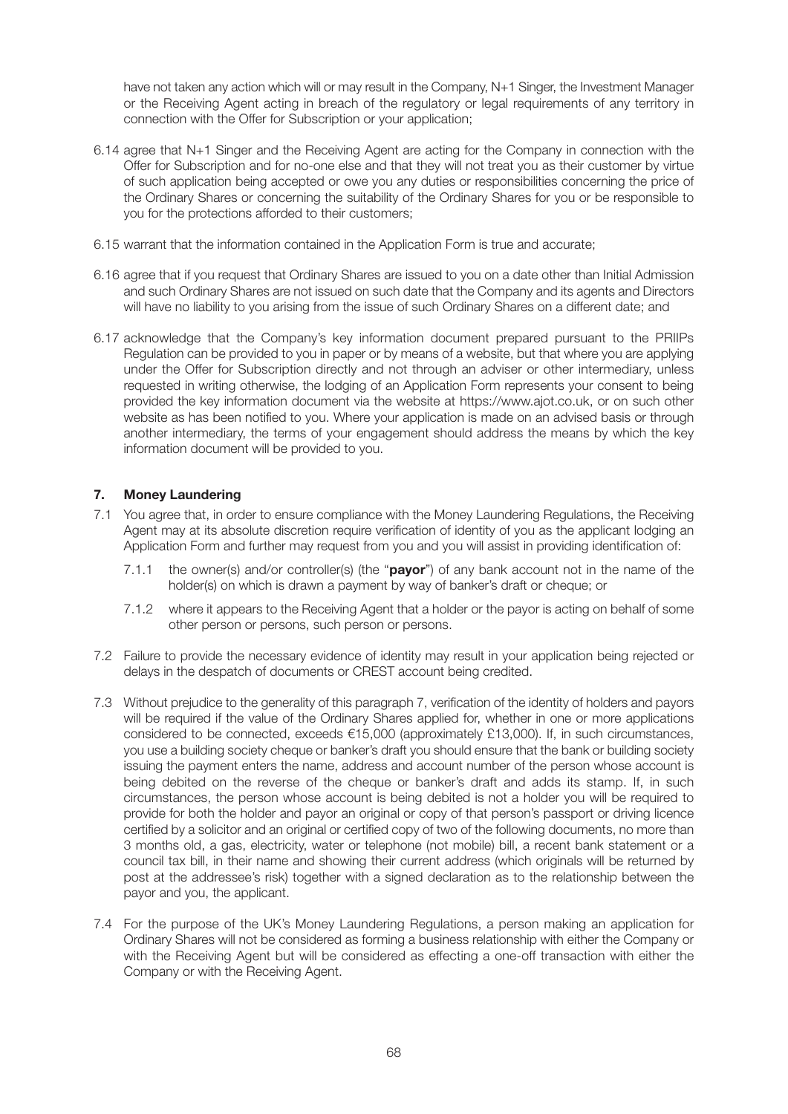have not taken any action which will or may result in the Company, N+1 Singer, the Investment Manager or the Receiving Agent acting in breach of the regulatory or legal requirements of any territory in connection with the Offer for Subscription or your application;

- 6.14 agree that N+1 Singer and the Receiving Agent are acting for the Company in connection with the Offer for Subscription and for no-one else and that they will not treat you as their customer by virtue of such application being accepted or owe you any duties or responsibilities concerning the price of the Ordinary Shares or concerning the suitability of the Ordinary Shares for you or be responsible to you for the protections afforded to their customers;
- 6.15 warrant that the information contained in the Application Form is true and accurate;
- 6.16 agree that if you request that Ordinary Shares are issued to you on a date other than Initial Admission and such Ordinary Shares are not issued on such date that the Company and its agents and Directors will have no liability to you arising from the issue of such Ordinary Shares on a different date; and
- 6.17 acknowledge that the Company's key information document prepared pursuant to the PRIIPs Regulation can be provided to you in paper or by means of a website, but that where you are applying under the Offer for Subscription directly and not through an adviser or other intermediary, unless requested in writing otherwise, the lodging of an Application Form represents your consent to being provided the key information document via the website at https://www.ajot.co.uk, or on such other website as has been notified to you. Where your application is made on an advised basis or through another intermediary, the terms of your engagement should address the means by which the key information document will be provided to you.

# **7. Money Laundering**

- 7.1 You agree that, in order to ensure compliance with the Money Laundering Regulations, the Receiving Agent may at its absolute discretion require verification of identity of you as the applicant lodging an Application Form and further may request from you and you will assist in providing identification of:
	- 7.1.1 the owner(s) and/or controller(s) (the "**payor**") of any bank account not in the name of the holder(s) on which is drawn a payment by way of banker's draft or cheque; or
	- 7.1.2 where it appears to the Receiving Agent that a holder or the payor is acting on behalf of some other person or persons, such person or persons.
- 7.2 Failure to provide the necessary evidence of identity may result in your application being rejected or delays in the despatch of documents or CREST account being credited.
- 7.3 Without prejudice to the generality of this paragraph 7, verification of the identity of holders and payors will be required if the value of the Ordinary Shares applied for, whether in one or more applications considered to be connected, exceeds €15,000 (approximately £13,000). If, in such circumstances, you use a building society cheque or banker's draft you should ensure that the bank or building society issuing the payment enters the name, address and account number of the person whose account is being debited on the reverse of the cheque or banker's draft and adds its stamp. If, in such circumstances, the person whose account is being debited is not a holder you will be required to provide for both the holder and payor an original or copy of that person's passport or driving licence certified by a solicitor and an original or certified copy of two of the following documents, no more than 3 months old, a gas, electricity, water or telephone (not mobile) bill, a recent bank statement or a council tax bill, in their name and showing their current address (which originals will be returned by post at the addressee's risk) together with a signed declaration as to the relationship between the payor and you, the applicant.
- 7.4 For the purpose of the UK's Money Laundering Regulations, a person making an application for Ordinary Shares will not be considered as forming a business relationship with either the Company or with the Receiving Agent but will be considered as effecting a one-off transaction with either the Company or with the Receiving Agent.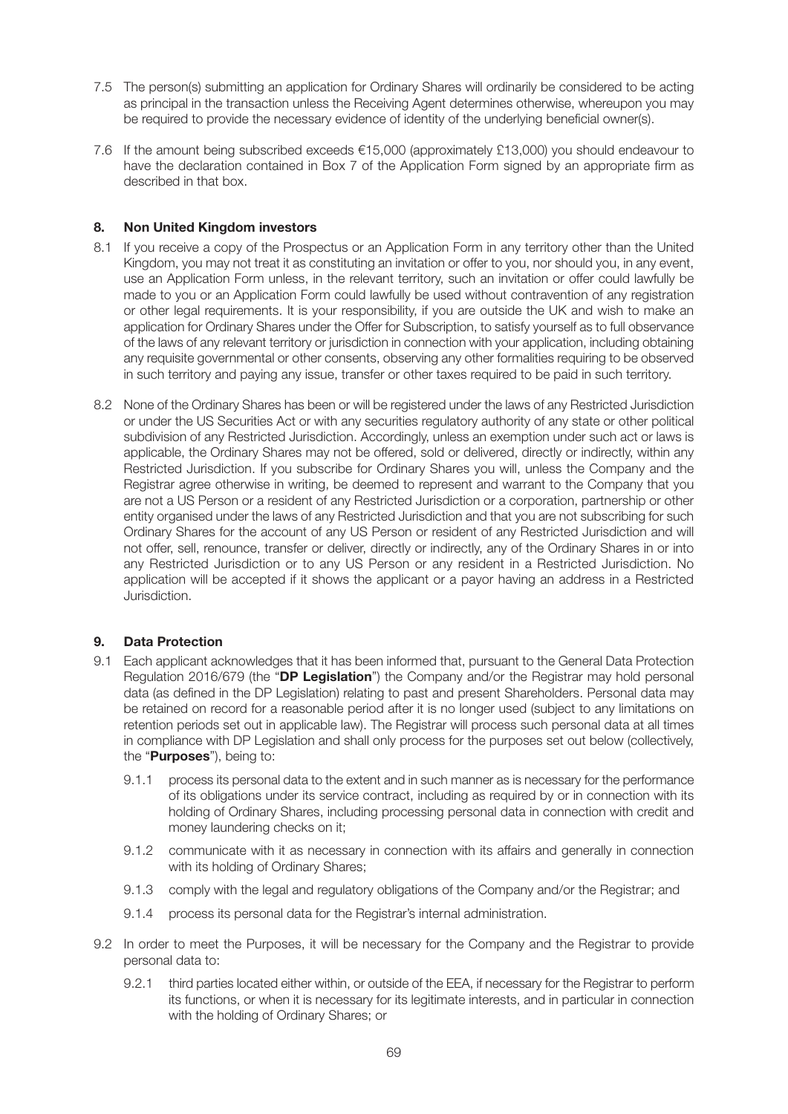- 7.5 The person(s) submitting an application for Ordinary Shares will ordinarily be considered to be acting as principal in the transaction unless the Receiving Agent determines otherwise, whereupon you may be required to provide the necessary evidence of identity of the underlying beneficial owner(s).
- 7.6 If the amount being subscribed exceeds €15,000 (approximately £13,000) you should endeavour to have the declaration contained in Box 7 of the Application Form signed by an appropriate firm as described in that box.

# **8. Non United Kingdom investors**

- 8.1 If you receive a copy of the Prospectus or an Application Form in any territory other than the United Kingdom, you may not treat it as constituting an invitation or offer to you, nor should you, in any event, use an Application Form unless, in the relevant territory, such an invitation or offer could lawfully be made to you or an Application Form could lawfully be used without contravention of any registration or other legal requirements. It is your responsibility, if you are outside the UK and wish to make an application for Ordinary Shares under the Offer for Subscription, to satisfy yourself as to full observance of the laws of any relevant territory or jurisdiction in connection with your application, including obtaining any requisite governmental or other consents, observing any other formalities requiring to be observed in such territory and paying any issue, transfer or other taxes required to be paid in such territory.
- 8.2 None of the Ordinary Shares has been or will be registered under the laws of any Restricted Jurisdiction or under the US Securities Act or with any securities regulatory authority of any state or other political subdivision of any Restricted Jurisdiction. Accordingly, unless an exemption under such act or laws is applicable, the Ordinary Shares may not be offered, sold or delivered, directly or indirectly, within any Restricted Jurisdiction. If you subscribe for Ordinary Shares you will, unless the Company and the Registrar agree otherwise in writing, be deemed to represent and warrant to the Company that you are not a US Person or a resident of any Restricted Jurisdiction or a corporation, partnership or other entity organised under the laws of any Restricted Jurisdiction and that you are not subscribing for such Ordinary Shares for the account of any US Person or resident of any Restricted Jurisdiction and will not offer, sell, renounce, transfer or deliver, directly or indirectly, any of the Ordinary Shares in or into any Restricted Jurisdiction or to any US Person or any resident in a Restricted Jurisdiction. No application will be accepted if it shows the applicant or a payor having an address in a Restricted Jurisdiction.

### **9. Data Protection**

- 9.1 Each applicant acknowledges that it has been informed that, pursuant to the General Data Protection Regulation 2016/679 (the "**DP Legislation**") the Company and/or the Registrar may hold personal data (as defined in the DP Legislation) relating to past and present Shareholders. Personal data may be retained on record for a reasonable period after it is no longer used (subject to any limitations on retention periods set out in applicable law). The Registrar will process such personal data at all times in compliance with DP Legislation and shall only process for the purposes set out below (collectively, the "**Purposes**"), being to:
	- 9.1.1 process its personal data to the extent and in such manner as is necessary for the performance of its obligations under its service contract, including as required by or in connection with its holding of Ordinary Shares, including processing personal data in connection with credit and money laundering checks on it;
	- 9.1.2 communicate with it as necessary in connection with its affairs and generally in connection with its holding of Ordinary Shares:
	- 9.1.3 comply with the legal and regulatory obligations of the Company and/or the Registrar; and
	- 9.1.4 process its personal data for the Registrar's internal administration.
- 9.2 In order to meet the Purposes, it will be necessary for the Company and the Registrar to provide personal data to:
	- 9.2.1 third parties located either within, or outside of the EEA, if necessary for the Registrar to perform its functions, or when it is necessary for its legitimate interests, and in particular in connection with the holding of Ordinary Shares; or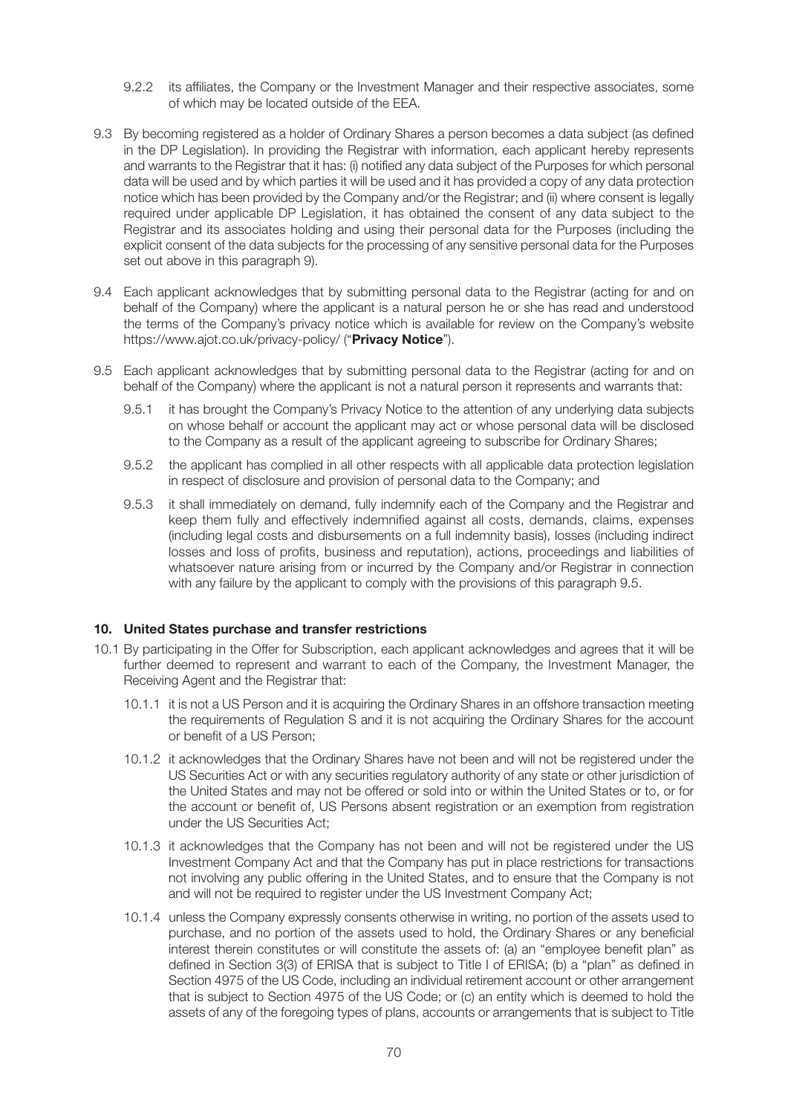- 9.2.2 its affiliates, the Company or the Investment Manager and their respective associates, some of which may be located outside of the EEA.
- 9.3 By becoming registered as a holder of Ordinary Shares a person becomes a data subject (as defined in the DP Legislation). In providing the Registrar with information, each applicant hereby represents and warrants to the Registrar that it has: (i) notified any data subject of the Purposes for which personal data will be used and by which parties it will be used and it has provided a copy of any data protection notice which has been provided by the Company and/or the Registrar; and (ii) where consent is legally required under applicable DP Legislation, it has obtained the consent of any data subject to the Registrar and its associates holding and using their personal data for the Purposes (including the explicit consent of the data subjects for the processing of any sensitive personal data for the Purposes set out above in this paragraph 9).
- 9.4 Each applicant acknowledges that by submitting personal data to the Registrar (acting for and on behalf of the Company) where the applicant is a natural person he or she has read and understood the terms of the Company's privacy notice which is available for review on the Company's website https://www.ajot.co.uk/privacy-policy/ ("**Privacy Notice**").
- 9.5 Each applicant acknowledges that by submitting personal data to the Registrar (acting for and on behalf of the Company) where the applicant is not a natural person it represents and warrants that:
	- 9.5.1 it has brought the Company's Privacy Notice to the attention of any underlying data subjects on whose behalf or account the applicant may act or whose personal data will be disclosed to the Company as a result of the applicant agreeing to subscribe for Ordinary Shares;
	- 9.5.2 the applicant has complied in all other respects with all applicable data protection legislation in respect of disclosure and provision of personal data to the Company; and
	- 9.5.3 it shall immediately on demand, fully indemnify each of the Company and the Registrar and keep them fully and effectively indemnified against all costs, demands, claims, expenses (including legal costs and disbursements on a full indemnity basis), losses (including indirect losses and loss of profits, business and reputation), actions, proceedings and liabilities of whatsoever nature arising from or incurred by the Company and/or Registrar in connection with any failure by the applicant to comply with the provisions of this paragraph 9.5.

#### **10. United States purchase and transfer restrictions**

- 10.1 By participating in the Offer for Subscription, each applicant acknowledges and agrees that it will be further deemed to represent and warrant to each of the Company, the Investment Manager, the Receiving Agent and the Registrar that:
	- 10.1.1 it is not a US Person and it is acquiring the Ordinary Shares in an offshore transaction meeting the requirements of Regulation S and it is not acquiring the Ordinary Shares for the account or benefit of a US Person;
	- 10.1.2 it acknowledges that the Ordinary Shares have not been and will not be registered under the US Securities Act or with any securities regulatory authority of any state or other jurisdiction of the United States and may not be offered or sold into or within the United States or to, or for the account or benefit of, US Persons absent registration or an exemption from registration under the US Securities Act;
	- 10.1.3 it acknowledges that the Company has not been and will not be registered under the US Investment Company Act and that the Company has put in place restrictions for transactions not involving any public offering in the United States, and to ensure that the Company is not and will not be required to register under the US Investment Company Act;
	- 10.1.4 unless the Company expressly consents otherwise in writing, no portion of the assets used to purchase, and no portion of the assets used to hold, the Ordinary Shares or any beneficial interest therein constitutes or will constitute the assets of: (a) an "employee benefit plan" as defined in Section 3(3) of ERISA that is subject to Title I of ERISA; (b) a "plan" as defined in Section 4975 of the US Code, including an individual retirement account or other arrangement that is subject to Section 4975 of the US Code; or (c) an entity which is deemed to hold the assets of any of the foregoing types of plans, accounts or arrangements that is subject to Title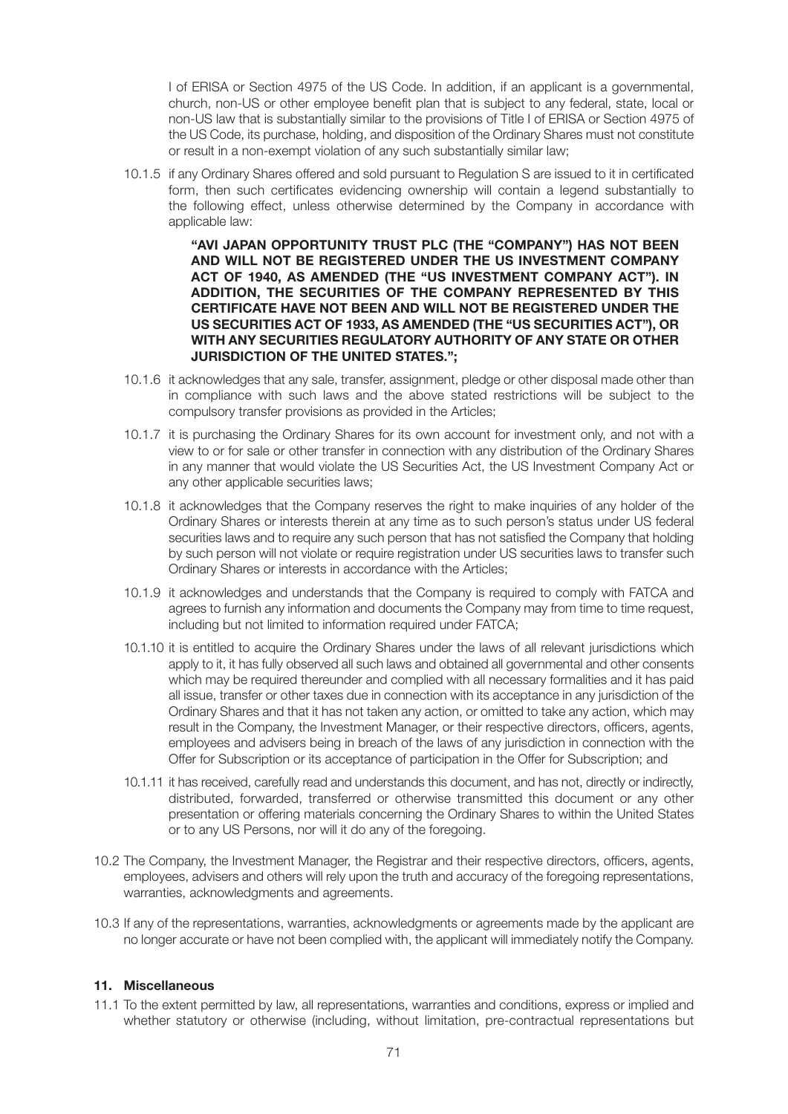I of ERISA or Section 4975 of the US Code. In addition, if an applicant is a governmental, church, non-US or other employee benefit plan that is subject to any federal, state, local or non-US law that is substantially similar to the provisions of Title I of ERISA or Section 4975 of the US Code, its purchase, holding, and disposition of the Ordinary Shares must not constitute or result in a non-exempt violation of any such substantially similar law;

 10.1.5 if any Ordinary Shares offered and sold pursuant to Regulation S are issued to it in certificated form, then such certificates evidencing ownership will contain a legend substantially to the following effect, unless otherwise determined by the Company in accordance with applicable law:

> **"AVI JAPAN OPPORTUNITY TRUST PLC (THE "COMPANY") HAS NOT BEEN AND WILL NOT BE REGISTERED UNDER THE US INVESTMENT COMPANY ACT OF 1940, AS AMENDED (THE "US INVESTMENT COMPANY ACT"). IN ADDITION, THE SECURITIES OF THE COMPANY REPRESENTED BY THIS CERTIFICATE HAVE NOT BEEN AND WILL NOT BE REGISTERED UNDER THE US SECURITIES ACT OF 1933, AS AMENDED (THE "US SECURITIES ACT"), OR WITH ANY SECURITIES REGULATORY AUTHORITY OF ANY STATE OR OTHER JURISDICTION OF THE UNITED STATES.";**

- 10.1.6 it acknowledges that any sale, transfer, assignment, pledge or other disposal made other than in compliance with such laws and the above stated restrictions will be subject to the compulsory transfer provisions as provided in the Articles;
- 10.1.7 it is purchasing the Ordinary Shares for its own account for investment only, and not with a view to or for sale or other transfer in connection with any distribution of the Ordinary Shares in any manner that would violate the US Securities Act, the US Investment Company Act or any other applicable securities laws;
- 10.1.8 it acknowledges that the Company reserves the right to make inquiries of any holder of the Ordinary Shares or interests therein at any time as to such person's status under US federal securities laws and to require any such person that has not satisfied the Company that holding by such person will not violate or require registration under US securities laws to transfer such Ordinary Shares or interests in accordance with the Articles;
- 10.1.9 it acknowledges and understands that the Company is required to comply with FATCA and agrees to furnish any information and documents the Company may from time to time request, including but not limited to information required under FATCA;
- 10.1.10 it is entitled to acquire the Ordinary Shares under the laws of all relevant jurisdictions which apply to it, it has fully observed all such laws and obtained all governmental and other consents which may be required thereunder and complied with all necessary formalities and it has paid all issue, transfer or other taxes due in connection with its acceptance in any jurisdiction of the Ordinary Shares and that it has not taken any action, or omitted to take any action, which may result in the Company, the Investment Manager, or their respective directors, officers, agents, employees and advisers being in breach of the laws of any jurisdiction in connection with the Offer for Subscription or its acceptance of participation in the Offer for Subscription; and
- 10.1.11 it has received, carefully read and understands this document, and has not, directly or indirectly, distributed, forwarded, transferred or otherwise transmitted this document or any other presentation or offering materials concerning the Ordinary Shares to within the United States or to any US Persons, nor will it do any of the foregoing.
- 10.2 The Company, the Investment Manager, the Registrar and their respective directors, officers, agents, employees, advisers and others will rely upon the truth and accuracy of the foregoing representations, warranties, acknowledgments and agreements.
- 10.3 If any of the representations, warranties, acknowledgments or agreements made by the applicant are no longer accurate or have not been complied with, the applicant will immediately notify the Company.

### **11. Miscellaneous**

11.1 To the extent permitted by law, all representations, warranties and conditions, express or implied and whether statutory or otherwise (including, without limitation, pre-contractual representations but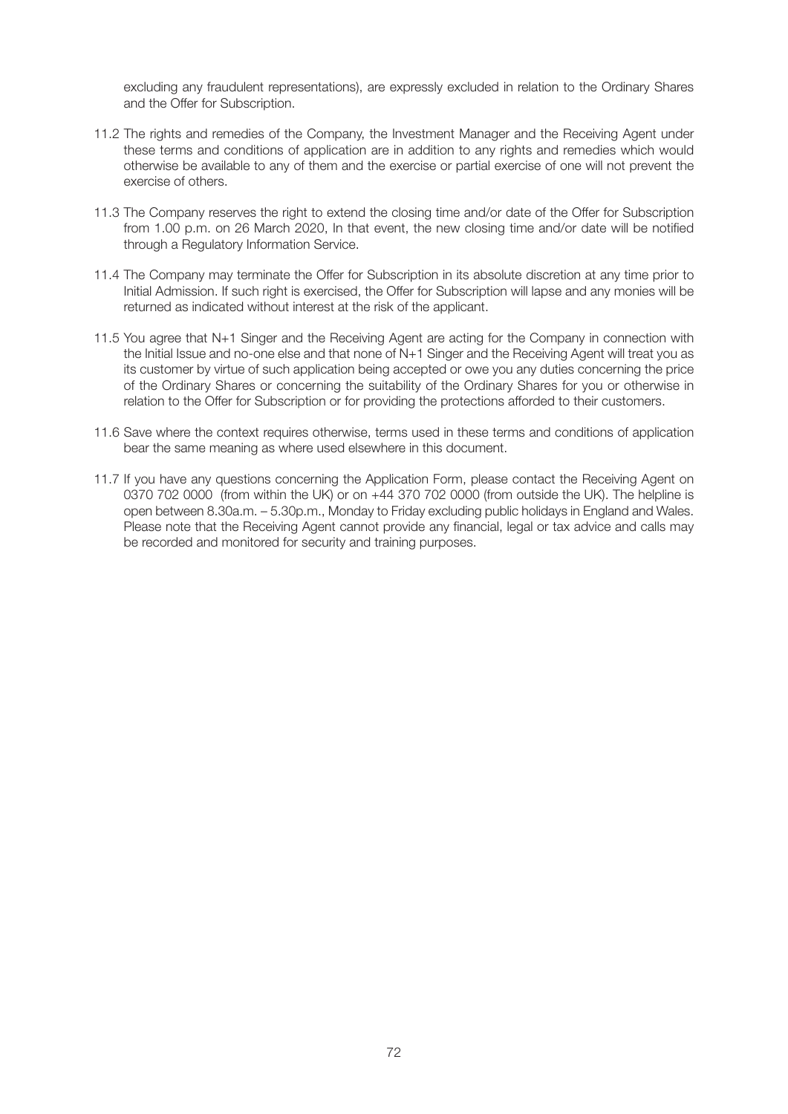excluding any fraudulent representations), are expressly excluded in relation to the Ordinary Shares and the Offer for Subscription.

- 11.2 The rights and remedies of the Company, the Investment Manager and the Receiving Agent under these terms and conditions of application are in addition to any rights and remedies which would otherwise be available to any of them and the exercise or partial exercise of one will not prevent the exercise of others.
- 11.3 The Company reserves the right to extend the closing time and/or date of the Offer for Subscription from 1.00 p.m. on 26 March 2020, In that event, the new closing time and/or date will be notified through a Regulatory Information Service.
- 11.4 The Company may terminate the Offer for Subscription in its absolute discretion at any time prior to Initial Admission. If such right is exercised, the Offer for Subscription will lapse and any monies will be returned as indicated without interest at the risk of the applicant.
- 11.5 You agree that N+1 Singer and the Receiving Agent are acting for the Company in connection with the Initial Issue and no-one else and that none of N+1 Singer and the Receiving Agent will treat you as its customer by virtue of such application being accepted or owe you any duties concerning the price of the Ordinary Shares or concerning the suitability of the Ordinary Shares for you or otherwise in relation to the Offer for Subscription or for providing the protections afforded to their customers.
- 11.6 Save where the context requires otherwise, terms used in these terms and conditions of application bear the same meaning as where used elsewhere in this document.
- 11.7 If you have any questions concerning the Application Form, please contact the Receiving Agent on 0370 702 0000 (from within the UK) or on +44 370 702 0000 (from outside the UK). The helpline is open between 8.30a.m. – 5.30p.m., Monday to Friday excluding public holidays in England and Wales. Please note that the Receiving Agent cannot provide any financial, legal or tax advice and calls may be recorded and monitored for security and training purposes.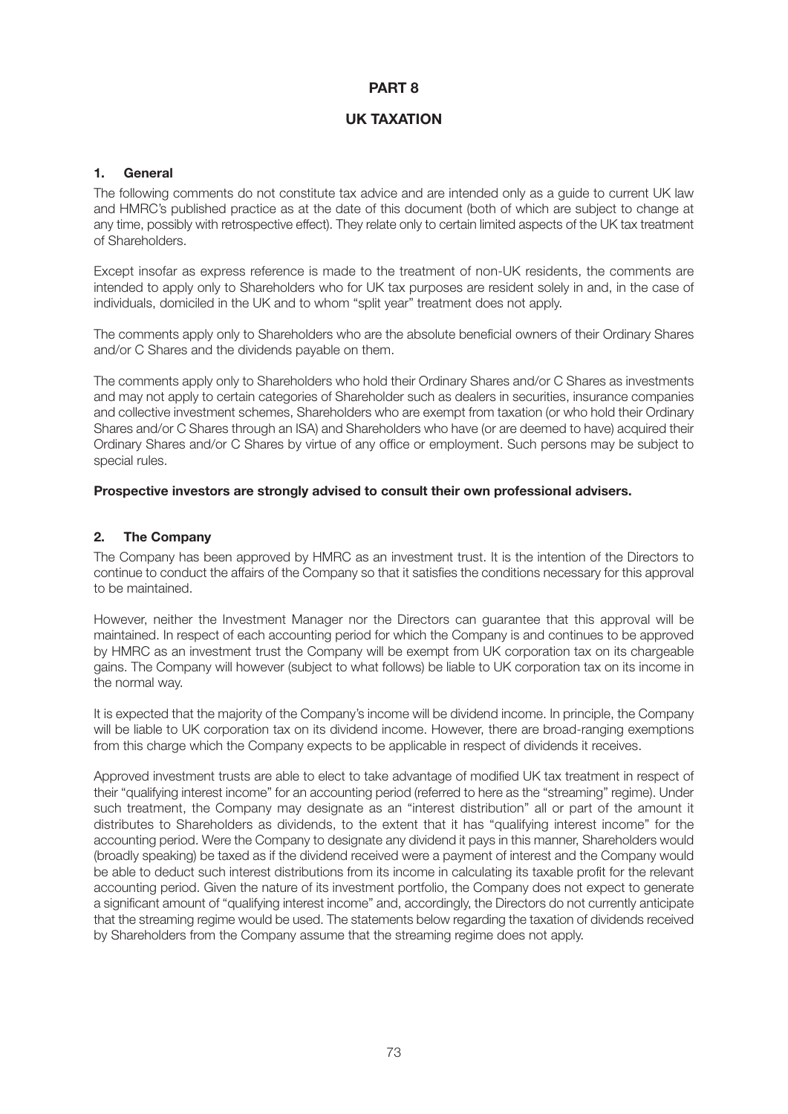# **PART 8**

# **UK TAXATION**

### **1. General**

The following comments do not constitute tax advice and are intended only as a guide to current UK law and HMRC's published practice as at the date of this document (both of which are subject to change at any time, possibly with retrospective effect). They relate only to certain limited aspects of the UK tax treatment of Shareholders.

Except insofar as express reference is made to the treatment of non-UK residents, the comments are intended to apply only to Shareholders who for UK tax purposes are resident solely in and, in the case of individuals, domiciled in the UK and to whom "split year" treatment does not apply.

The comments apply only to Shareholders who are the absolute beneficial owners of their Ordinary Shares and/or C Shares and the dividends payable on them.

The comments apply only to Shareholders who hold their Ordinary Shares and/or C Shares as investments and may not apply to certain categories of Shareholder such as dealers in securities, insurance companies and collective investment schemes, Shareholders who are exempt from taxation (or who hold their Ordinary Shares and/or C Shares through an ISA) and Shareholders who have (or are deemed to have) acquired their Ordinary Shares and/or C Shares by virtue of any office or employment. Such persons may be subject to special rules.

### **Prospective investors are strongly advised to consult their own professional advisers.**

### **2. The Company**

The Company has been approved by HMRC as an investment trust. It is the intention of the Directors to continue to conduct the affairs of the Company so that it satisfies the conditions necessary for this approval to be maintained.

However, neither the Investment Manager nor the Directors can guarantee that this approval will be maintained. In respect of each accounting period for which the Company is and continues to be approved by HMRC as an investment trust the Company will be exempt from UK corporation tax on its chargeable gains. The Company will however (subject to what follows) be liable to UK corporation tax on its income in the normal way.

It is expected that the majority of the Company's income will be dividend income. In principle, the Company will be liable to UK corporation tax on its dividend income. However, there are broad-ranging exemptions from this charge which the Company expects to be applicable in respect of dividends it receives.

Approved investment trusts are able to elect to take advantage of modified UK tax treatment in respect of their "qualifying interest income" for an accounting period (referred to here as the "streaming" regime). Under such treatment, the Company may designate as an "interest distribution" all or part of the amount it distributes to Shareholders as dividends, to the extent that it has "qualifying interest income" for the accounting period. Were the Company to designate any dividend it pays in this manner, Shareholders would (broadly speaking) be taxed as if the dividend received were a payment of interest and the Company would be able to deduct such interest distributions from its income in calculating its taxable profit for the relevant accounting period. Given the nature of its investment portfolio, the Company does not expect to generate a significant amount of "qualifying interest income" and, accordingly, the Directors do not currently anticipate that the streaming regime would be used. The statements below regarding the taxation of dividends received by Shareholders from the Company assume that the streaming regime does not apply.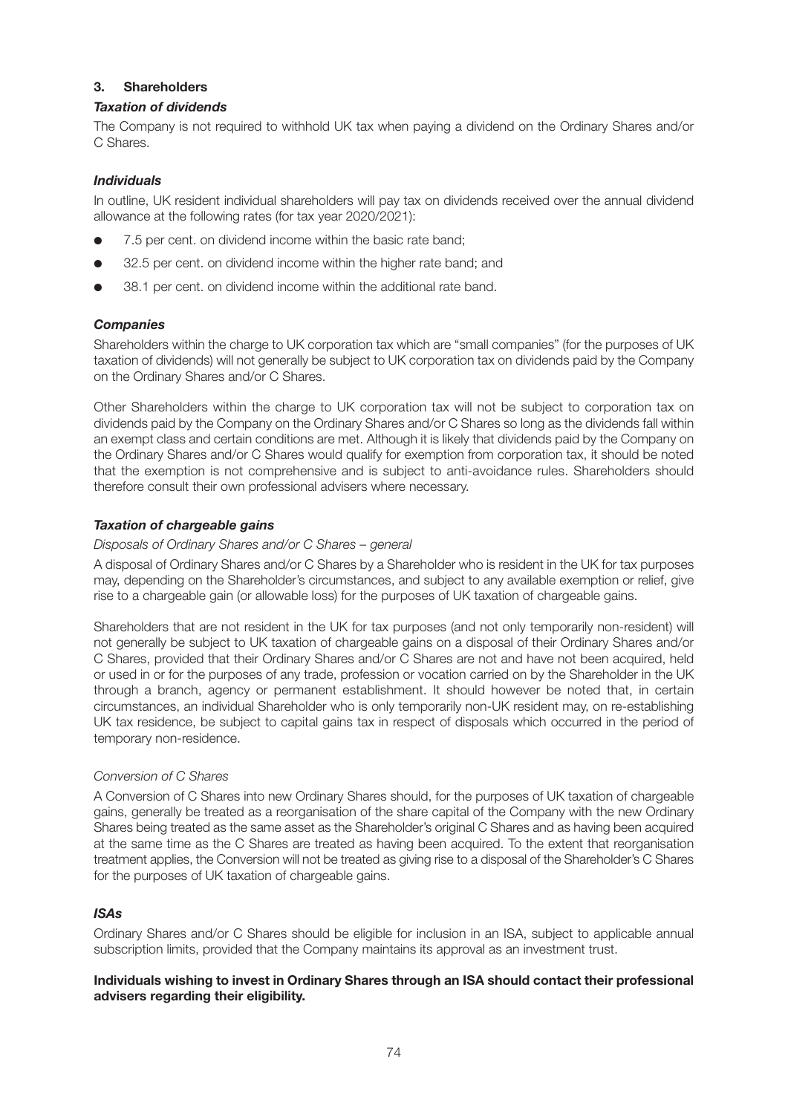## **3. Shareholders**

### *Taxation of dividends*

The Company is not required to withhold UK tax when paying a dividend on the Ordinary Shares and/or C. Shares

### *Individuals*

In outline, UK resident individual shareholders will pay tax on dividends received over the annual dividend allowance at the following rates (for tax year 2020/2021):

- 7.5 per cent, on dividend income within the basic rate band:
- 32.5 per cent. on dividend income within the higher rate band; and
- 38.1 per cent, on dividend income within the additional rate band.

### *Companies*

Shareholders within the charge to UK corporation tax which are "small companies" (for the purposes of UK taxation of dividends) will not generally be subject to UK corporation tax on dividends paid by the Company on the Ordinary Shares and/or C Shares.

Other Shareholders within the charge to UK corporation tax will not be subject to corporation tax on dividends paid by the Company on the Ordinary Shares and/or C Shares so long as the dividends fall within an exempt class and certain conditions are met. Although it is likely that dividends paid by the Company on the Ordinary Shares and/or C Shares would qualify for exemption from corporation tax, it should be noted that the exemption is not comprehensive and is subject to anti-avoidance rules. Shareholders should therefore consult their own professional advisers where necessary.

### *Taxation of chargeable gains*

### *Disposals of Ordinary Shares and/or C Shares – general*

A disposal of Ordinary Shares and/or C Shares by a Shareholder who is resident in the UK for tax purposes may, depending on the Shareholder's circumstances, and subject to any available exemption or relief, give rise to a chargeable gain (or allowable loss) for the purposes of UK taxation of chargeable gains.

Shareholders that are not resident in the UK for tax purposes (and not only temporarily non-resident) will not generally be subject to UK taxation of chargeable gains on a disposal of their Ordinary Shares and/or C Shares, provided that their Ordinary Shares and/or C Shares are not and have not been acquired, held or used in or for the purposes of any trade, profession or vocation carried on by the Shareholder in the UK through a branch, agency or permanent establishment. It should however be noted that, in certain circumstances, an individual Shareholder who is only temporarily non-UK resident may, on re-establishing UK tax residence, be subject to capital gains tax in respect of disposals which occurred in the period of temporary non-residence.

### *Conversion of C Shares*

A Conversion of C Shares into new Ordinary Shares should, for the purposes of UK taxation of chargeable gains, generally be treated as a reorganisation of the share capital of the Company with the new Ordinary Shares being treated as the same asset as the Shareholder's original C Shares and as having been acquired at the same time as the C Shares are treated as having been acquired. To the extent that reorganisation treatment applies, the Conversion will not be treated as giving rise to a disposal of the Shareholder's C Shares for the purposes of UK taxation of chargeable gains.

# *ISAs*

Ordinary Shares and/or C Shares should be eligible for inclusion in an ISA, subject to applicable annual subscription limits, provided that the Company maintains its approval as an investment trust.

### **Individuals wishing to invest in Ordinary Shares through an ISA should contact their professional advisers regarding their eligibility.**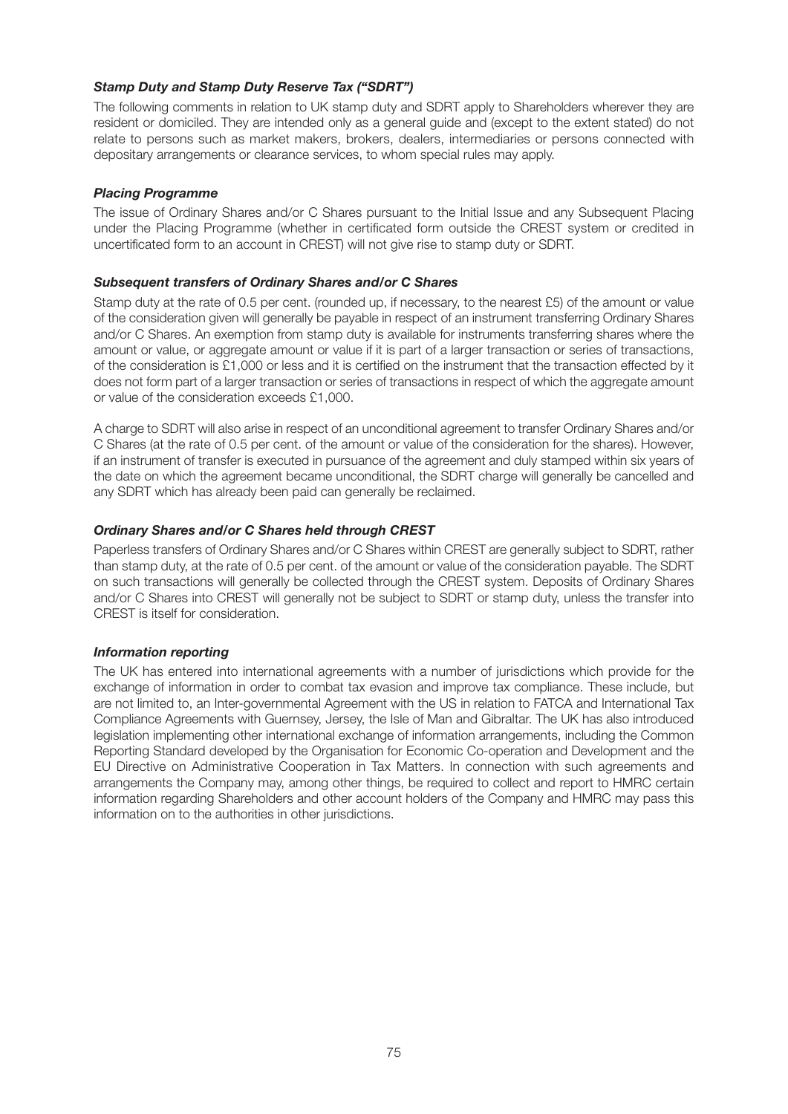### *Stamp Duty and Stamp Duty Reserve Tax ("SDRT")*

The following comments in relation to UK stamp duty and SDRT apply to Shareholders wherever they are resident or domiciled. They are intended only as a general guide and (except to the extent stated) do not relate to persons such as market makers, brokers, dealers, intermediaries or persons connected with depositary arrangements or clearance services, to whom special rules may apply.

### *Placing Programme*

The issue of Ordinary Shares and/or C Shares pursuant to the Initial Issue and any Subsequent Placing under the Placing Programme (whether in certificated form outside the CREST system or credited in uncertificated form to an account in CREST) will not give rise to stamp duty or SDRT.

### *Subsequent transfers of Ordinary Shares and/or C Shares*

Stamp duty at the rate of 0.5 per cent. (rounded up, if necessary, to the nearest £5) of the amount or value of the consideration given will generally be payable in respect of an instrument transferring Ordinary Shares and/or C Shares. An exemption from stamp duty is available for instruments transferring shares where the amount or value, or aggregate amount or value if it is part of a larger transaction or series of transactions, of the consideration is £1,000 or less and it is certified on the instrument that the transaction effected by it does not form part of a larger transaction or series of transactions in respect of which the aggregate amount or value of the consideration exceeds £1,000.

A charge to SDRT will also arise in respect of an unconditional agreement to transfer Ordinary Shares and/or C Shares (at the rate of 0.5 per cent. of the amount or value of the consideration for the shares). However, if an instrument of transfer is executed in pursuance of the agreement and duly stamped within six years of the date on which the agreement became unconditional, the SDRT charge will generally be cancelled and any SDRT which has already been paid can generally be reclaimed.

### *Ordinary Shares and/or C Shares held through CREST*

Paperless transfers of Ordinary Shares and/or C Shares within CREST are generally subject to SDRT, rather than stamp duty, at the rate of 0.5 per cent. of the amount or value of the consideration payable. The SDRT on such transactions will generally be collected through the CREST system. Deposits of Ordinary Shares and/or C Shares into CREST will generally not be subject to SDRT or stamp duty, unless the transfer into CREST is itself for consideration.

### *Information reporting*

The UK has entered into international agreements with a number of jurisdictions which provide for the exchange of information in order to combat tax evasion and improve tax compliance. These include, but are not limited to, an Inter-governmental Agreement with the US in relation to FATCA and International Tax Compliance Agreements with Guernsey, Jersey, the Isle of Man and Gibraltar. The UK has also introduced legislation implementing other international exchange of information arrangements, including the Common Reporting Standard developed by the Organisation for Economic Co-operation and Development and the EU Directive on Administrative Cooperation in Tax Matters. In connection with such agreements and arrangements the Company may, among other things, be required to collect and report to HMRC certain information regarding Shareholders and other account holders of the Company and HMRC may pass this information on to the authorities in other jurisdictions.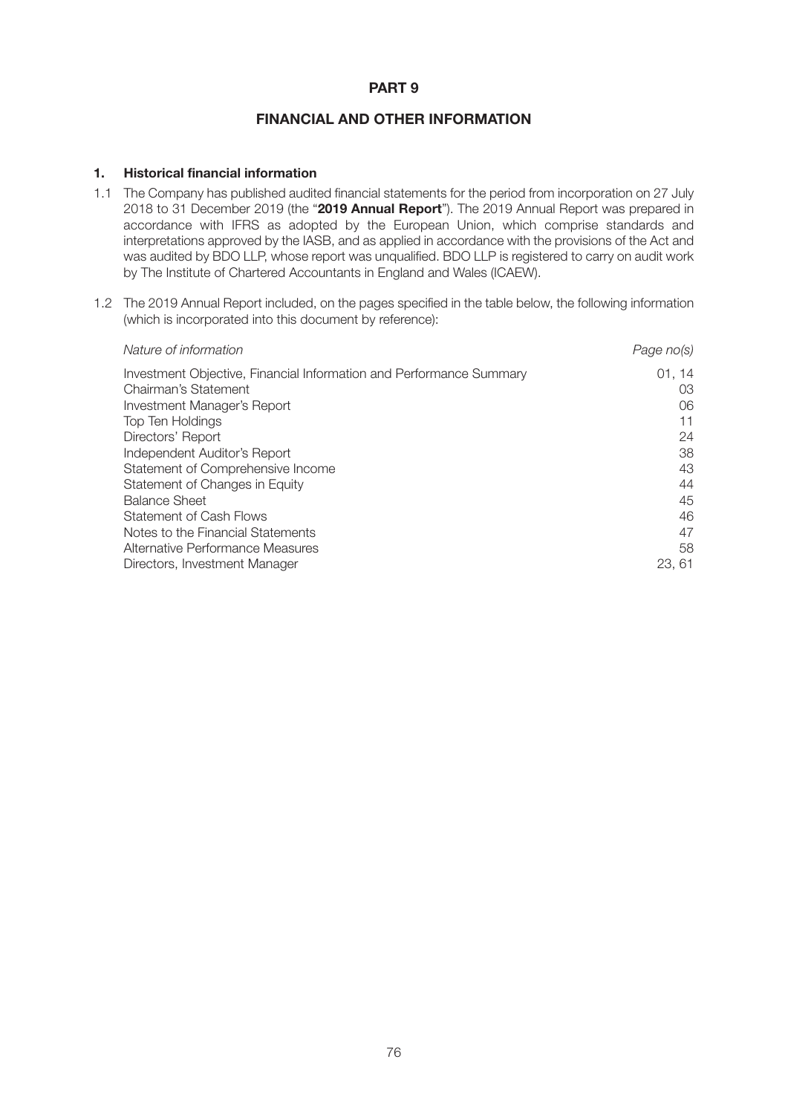### **PART 9**

### **FINANCIAL AND OTHER INFORMATION**

### **1. Historical financial information**

- 1.1 The Company has published audited financial statements for the period from incorporation on 27 July 2018 to 31 December 2019 (the "**2019 Annual Report**"). The 2019 Annual Report was prepared in accordance with IFRS as adopted by the European Union, which comprise standards and interpretations approved by the IASB, and as applied in accordance with the provisions of the Act and was audited by BDO LLP, whose report was unqualified. BDO LLP is registered to carry on audit work by The Institute of Chartered Accountants in England and Wales (ICAEW).
- 1.2 The 2019 Annual Report included, on the pages specified in the table below, the following information (which is incorporated into this document by reference):

| Nature of information                                                                       | Page no(s)  |
|---------------------------------------------------------------------------------------------|-------------|
| Investment Objective, Financial Information and Performance Summary<br>Chairman's Statement | 01.14<br>03 |
| Investment Manager's Report                                                                 | 06          |
| Top Ten Holdings                                                                            | 11          |
| Directors' Report                                                                           | 24          |
| Independent Auditor's Report                                                                | 38          |
| Statement of Comprehensive Income                                                           | 43          |
| Statement of Changes in Equity                                                              | 44          |
| <b>Balance Sheet</b>                                                                        | 45          |
| Statement of Cash Flows                                                                     | 46          |
| Notes to the Financial Statements                                                           | 47          |
| Alternative Performance Measures                                                            | 58          |
| Directors, Investment Manager                                                               | 23, 61      |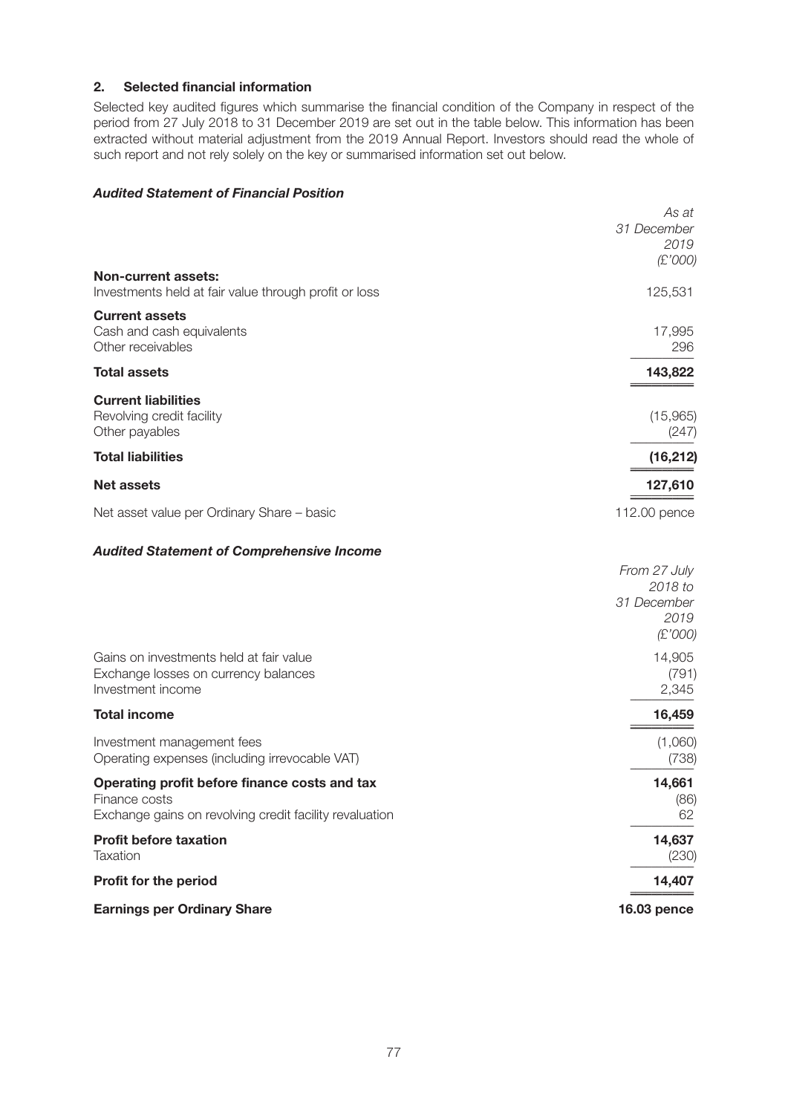# **2. Selected financial information**

Selected key audited figures which summarise the financial condition of the Company in respect of the period from 27 July 2018 to 31 December 2019 are set out in the table below. This information has been extracted without material adjustment from the 2019 Annual Report. Investors should read the whole of such report and not rely solely on the key or summarised information set out below.

### *Audited Statement of Financial Position*

|                                                         | As at              |
|---------------------------------------------------------|--------------------|
|                                                         | 31 December        |
|                                                         | 2019               |
|                                                         | (E'000)            |
| <b>Non-current assets:</b>                              |                    |
| Investments held at fair value through profit or loss   | 125,531            |
| <b>Current assets</b>                                   |                    |
| Cash and cash equivalents                               | 17,995             |
| Other receivables                                       | 296                |
| <b>Total assets</b>                                     | 143,822            |
|                                                         |                    |
| <b>Current liabilities</b>                              |                    |
| Revolving credit facility                               | (15,965)           |
| Other payables                                          | (247)              |
| <b>Total liabilities</b>                                | (16, 212)          |
| Net assets                                              | 127,610            |
|                                                         |                    |
| Net asset value per Ordinary Share - basic              | 112.00 pence       |
| <b>Audited Statement of Comprehensive Income</b>        |                    |
|                                                         | From 27 July       |
|                                                         | 2018 to            |
|                                                         | 31 December        |
|                                                         | 2019               |
|                                                         | (E'000)            |
| Gains on investments held at fair value                 | 14,905             |
| Exchange losses on currency balances                    | (791)              |
| Investment income                                       | 2,345              |
| <b>Total income</b>                                     | 16,459             |
|                                                         |                    |
| Investment management fees                              | (1,060)            |
| Operating expenses (including irrevocable VAT)          | (738)              |
| Operating profit before finance costs and tax           | 14,661             |
| Finance costs                                           | (86)               |
| Exchange gains on revolving credit facility revaluation | 62                 |
| <b>Profit before taxation</b>                           | 14,637             |
| Taxation                                                | (230)              |
|                                                         |                    |
| Profit for the period                                   | 14,407             |
| <b>Earnings per Ordinary Share</b>                      | <b>16.03 pence</b> |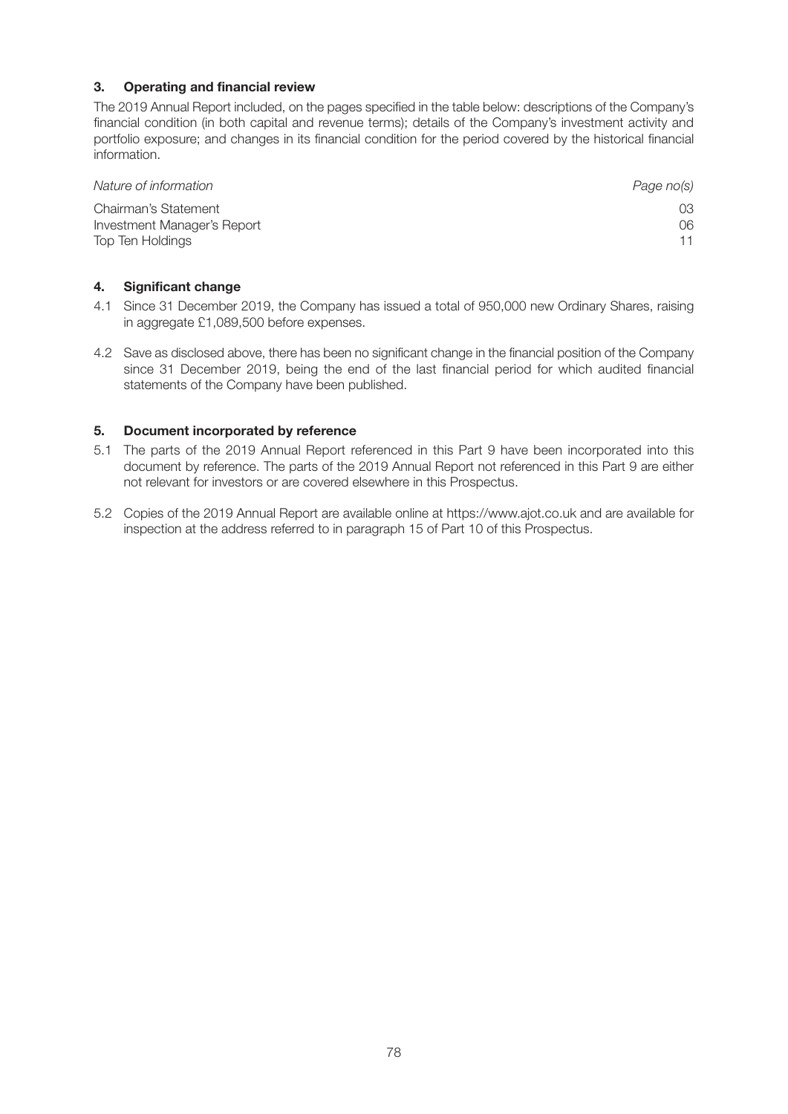### **3. Operating and financial review**

The 2019 Annual Report included, on the pages specified in the table below: descriptions of the Company's financial condition (in both capital and revenue terms); details of the Company's investment activity and portfolio exposure; and changes in its financial condition for the period covered by the historical financial information.

| Nature of information       | Page no(s) |
|-----------------------------|------------|
| Chairman's Statement        | 03.        |
| Investment Manager's Report | 06         |
| Top Ten Holdings            |            |

### **4. Significant change**

- 4.1 Since 31 December 2019, the Company has issued a total of 950,000 new Ordinary Shares, raising in aggregate £1,089,500 before expenses.
- 4.2 Save as disclosed above, there has been no significant change in the financial position of the Company since 31 December 2019, being the end of the last financial period for which audited financial statements of the Company have been published.

### **5. Document incorporated by reference**

- 5.1 The parts of the 2019 Annual Report referenced in this Part 9 have been incorporated into this document by reference. The parts of the 2019 Annual Report not referenced in this Part 9 are either not relevant for investors or are covered elsewhere in this Prospectus.
- 5.2 Copies of the 2019 Annual Report are available online at https://www.ajot.co.uk and are available for inspection at the address referred to in paragraph 15 of Part 10 of this Prospectus.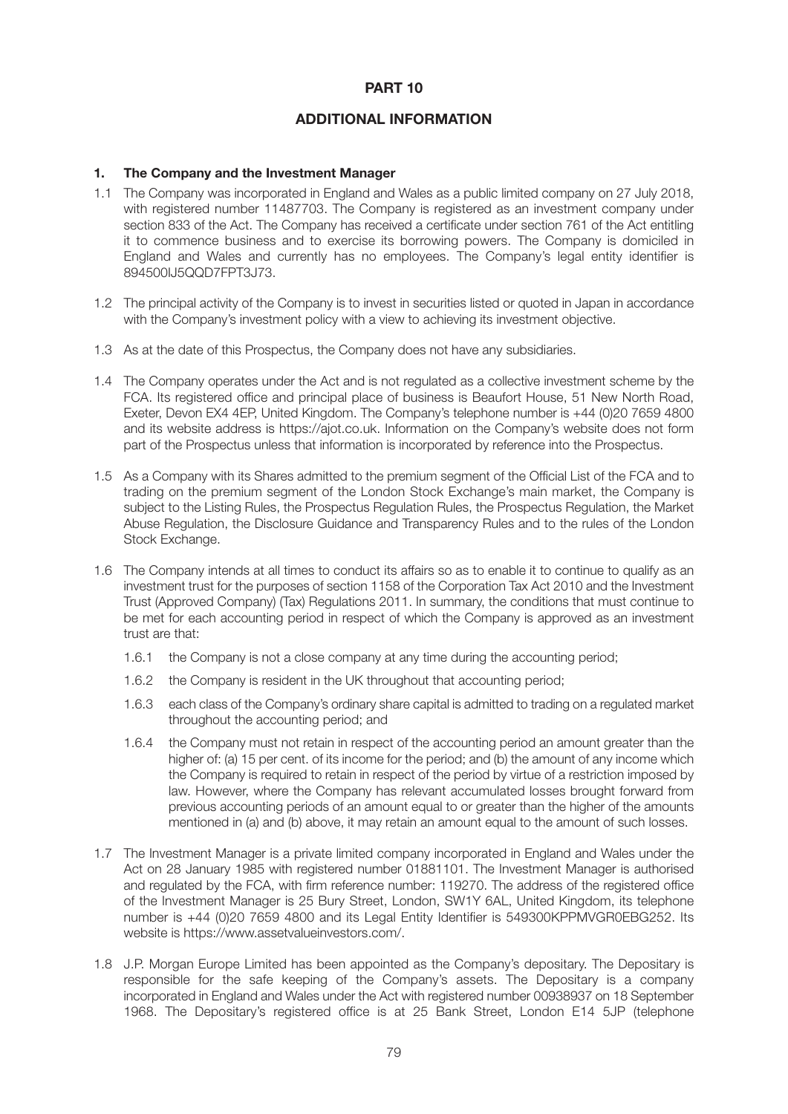### **PART 10**

### **ADDITIONAL INFORMATION**

#### **1. The Company and the Investment Manager**

- 1.1 The Company was incorporated in England and Wales as a public limited company on 27 July 2018, with registered number 11487703. The Company is registered as an investment company under section 833 of the Act. The Company has received a certificate under section 761 of the Act entitling it to commence business and to exercise its borrowing powers. The Company is domiciled in England and Wales and currently has no employees. The Company's legal entity identifier is 894500IJ5QQD7FPT3J73.
- 1.2 The principal activity of the Company is to invest in securities listed or quoted in Japan in accordance with the Company's investment policy with a view to achieving its investment objective.
- 1.3 As at the date of this Prospectus, the Company does not have any subsidiaries.
- 1.4 The Company operates under the Act and is not regulated as a collective investment scheme by the FCA. Its registered office and principal place of business is Beaufort House, 51 New North Road, Exeter, Devon EX4 4EP, United Kingdom. The Company's telephone number is +44 (0)20 7659 4800 and its website address is https://ajot.co.uk. Information on the Company's website does not form part of the Prospectus unless that information is incorporated by reference into the Prospectus.
- 1.5 As a Company with its Shares admitted to the premium segment of the Official List of the FCA and to trading on the premium segment of the London Stock Exchange's main market, the Company is subject to the Listing Rules, the Prospectus Regulation Rules, the Prospectus Regulation, the Market Abuse Regulation, the Disclosure Guidance and Transparency Rules and to the rules of the London Stock Exchange.
- 1.6 The Company intends at all times to conduct its affairs so as to enable it to continue to qualify as an investment trust for the purposes of section 1158 of the Corporation Tax Act 2010 and the Investment Trust (Approved Company) (Tax) Regulations 2011. In summary, the conditions that must continue to be met for each accounting period in respect of which the Company is approved as an investment trust are that:
	- 1.6.1 the Company is not a close company at any time during the accounting period;
	- 1.6.2 the Company is resident in the UK throughout that accounting period;
	- 1.6.3 each class of the Company's ordinary share capital is admitted to trading on a regulated market throughout the accounting period; and
	- 1.6.4 the Company must not retain in respect of the accounting period an amount greater than the higher of: (a) 15 per cent. of its income for the period; and (b) the amount of any income which the Company is required to retain in respect of the period by virtue of a restriction imposed by law. However, where the Company has relevant accumulated losses brought forward from previous accounting periods of an amount equal to or greater than the higher of the amounts mentioned in (a) and (b) above, it may retain an amount equal to the amount of such losses.
- 1.7 The Investment Manager is a private limited company incorporated in England and Wales under the Act on 28 January 1985 with registered number 01881101. The Investment Manager is authorised and regulated by the FCA, with firm reference number: 119270. The address of the registered office of the Investment Manager is 25 Bury Street, London, SW1Y 6AL, United Kingdom, its telephone number is +44 (0)20 7659 4800 and its Legal Entity Identifier is 549300KPPMVGR0EBG252. Its website is https://www.assetvalueinvestors.com/.
- 1.8 J.P. Morgan Europe Limited has been appointed as the Company's depositary. The Depositary is responsible for the safe keeping of the Company's assets. The Depositary is a company incorporated in England and Wales under the Act with registered number 00938937 on 18 September 1968. The Depositary's registered office is at 25 Bank Street, London E14 5JP (telephone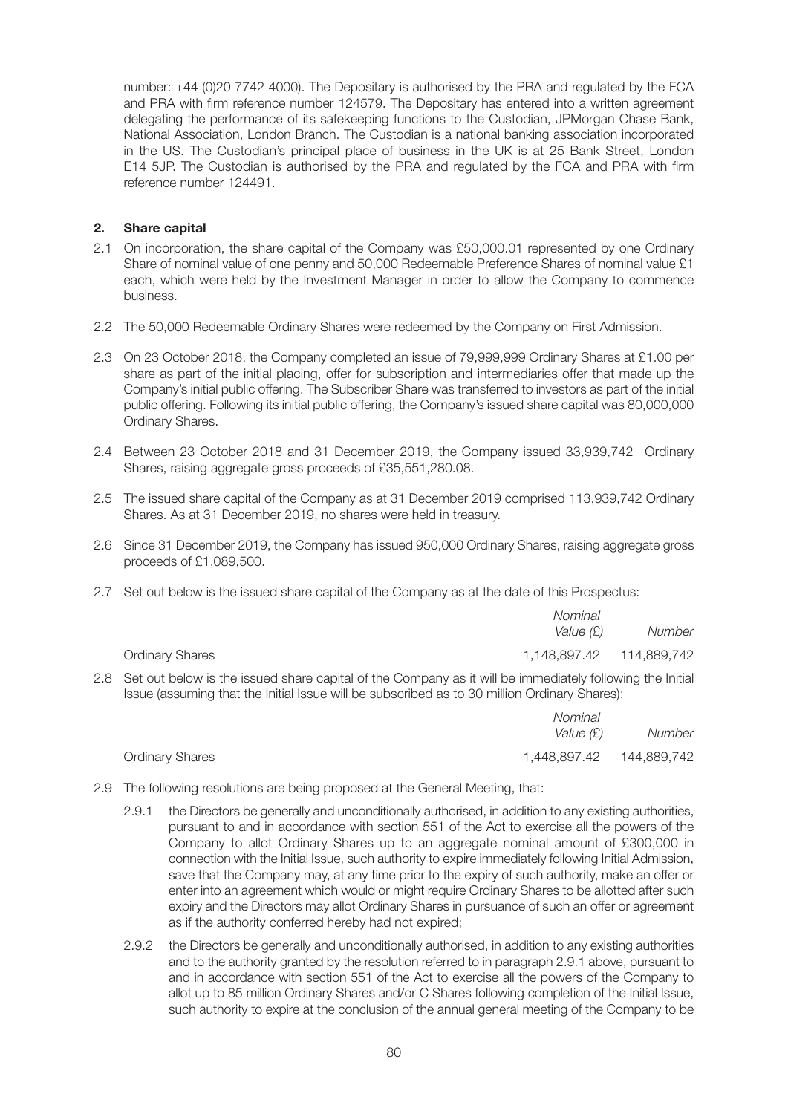number: +44 (0)20 7742 4000). The Depositary is authorised by the PRA and regulated by the FCA and PRA with firm reference number 124579. The Depositary has entered into a written agreement delegating the performance of its safekeeping functions to the Custodian, JPMorgan Chase Bank, National Association, London Branch. The Custodian is a national banking association incorporated in the US. The Custodian's principal place of business in the UK is at 25 Bank Street, London E14 5JP. The Custodian is authorised by the PRA and regulated by the FCA and PRA with firm reference number 124491.

### **2. Share capital**

- 2.1 On incorporation, the share capital of the Company was £50,000.01 represented by one Ordinary Share of nominal value of one penny and 50,000 Redeemable Preference Shares of nominal value £1 each, which were held by the Investment Manager in order to allow the Company to commence business.
- 2.2 The 50,000 Redeemable Ordinary Shares were redeemed by the Company on First Admission.
- 2.3 On 23 October 2018, the Company completed an issue of 79,999,999 Ordinary Shares at £1.00 per share as part of the initial placing, offer for subscription and intermediaries offer that made up the Company's initial public offering. The Subscriber Share was transferred to investors as part of the initial public offering. Following its initial public offering, the Company's issued share capital was 80,000,000 Ordinary Shares.
- 2.4 Between 23 October 2018 and 31 December 2019, the Company issued 33,939,742 Ordinary Shares, raising aggregate gross proceeds of £35,551,280.08.
- 2.5 The issued share capital of the Company as at 31 December 2019 comprised 113,939,742 Ordinary Shares. As at 31 December 2019, no shares were held in treasury.
- 2.6 Since 31 December 2019, the Company has issued 950,000 Ordinary Shares, raising aggregate gross proceeds of £1,089,500.
- 2.7 Set out below is the issued share capital of the Company as at the date of this Prospectus:

|                        | Nominal<br>Value (£)      | Number |
|------------------------|---------------------------|--------|
| <b>Ordinary Shares</b> | 1,148,897.42  114,889,742 |        |

2.8 Set out below is the issued share capital of the Company as it will be immediately following the Initial Issue (assuming that the Initial Issue will be subscribed as to 30 million Ordinary Shares):

|                        | Nominal      |             |
|------------------------|--------------|-------------|
|                        | Value (£)    | Number      |
| <b>Ordinary Shares</b> | 1,448,897.42 | 144,889,742 |

- 2.9 The following resolutions are being proposed at the General Meeting, that:
	- 2.9.1 the Directors be generally and unconditionally authorised, in addition to any existing authorities, pursuant to and in accordance with section 551 of the Act to exercise all the powers of the Company to allot Ordinary Shares up to an aggregate nominal amount of £300,000 in connection with the Initial Issue, such authority to expire immediately following Initial Admission, save that the Company may, at any time prior to the expiry of such authority, make an offer or enter into an agreement which would or might require Ordinary Shares to be allotted after such expiry and the Directors may allot Ordinary Shares in pursuance of such an offer or agreement as if the authority conferred hereby had not expired;
	- 2.9.2 the Directors be generally and unconditionally authorised, in addition to any existing authorities and to the authority granted by the resolution referred to in paragraph 2.9.1 above, pursuant to and in accordance with section 551 of the Act to exercise all the powers of the Company to allot up to 85 million Ordinary Shares and/or C Shares following completion of the Initial Issue, such authority to expire at the conclusion of the annual general meeting of the Company to be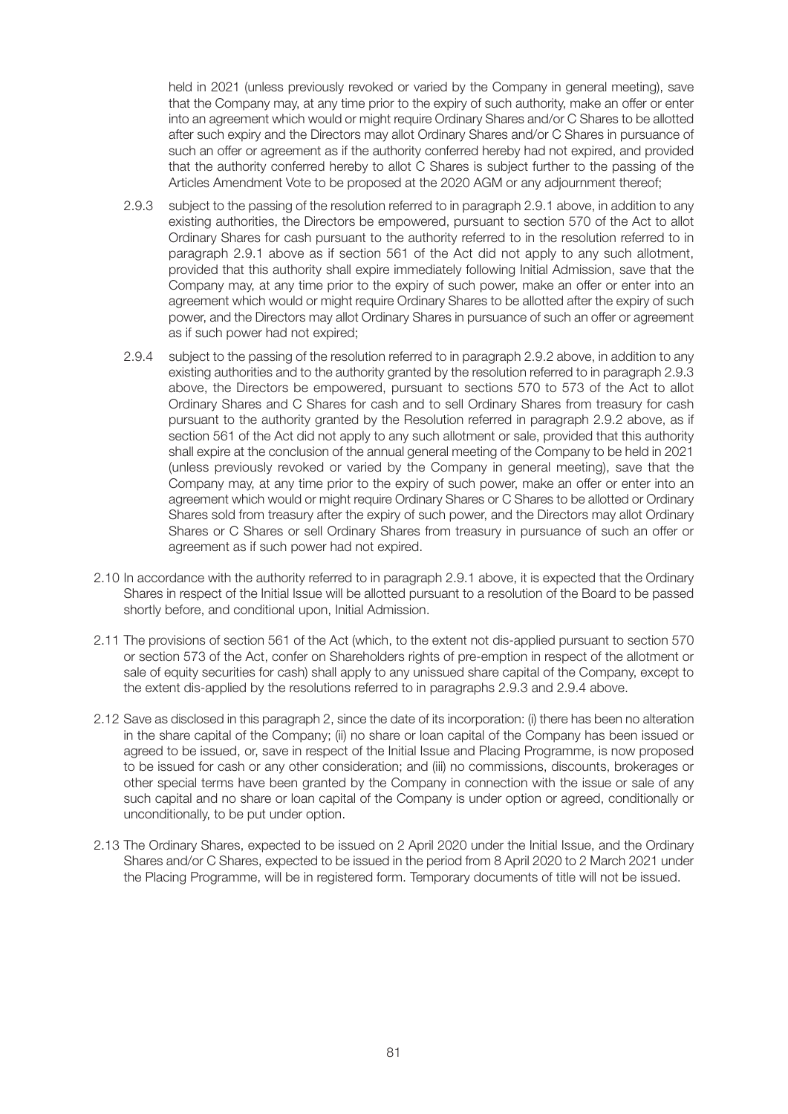held in 2021 (unless previously revoked or varied by the Company in general meeting), save that the Company may, at any time prior to the expiry of such authority, make an offer or enter into an agreement which would or might require Ordinary Shares and/or C Shares to be allotted after such expiry and the Directors may allot Ordinary Shares and/or C Shares in pursuance of such an offer or agreement as if the authority conferred hereby had not expired, and provided that the authority conferred hereby to allot C Shares is subject further to the passing of the Articles Amendment Vote to be proposed at the 2020 AGM or any adjournment thereof;

- 2.9.3 subject to the passing of the resolution referred to in paragraph 2.9.1 above, in addition to any existing authorities, the Directors be empowered, pursuant to section 570 of the Act to allot Ordinary Shares for cash pursuant to the authority referred to in the resolution referred to in paragraph 2.9.1 above as if section 561 of the Act did not apply to any such allotment, provided that this authority shall expire immediately following Initial Admission, save that the Company may, at any time prior to the expiry of such power, make an offer or enter into an agreement which would or might require Ordinary Shares to be allotted after the expiry of such power, and the Directors may allot Ordinary Shares in pursuance of such an offer or agreement as if such power had not expired;
- 2.9.4 subject to the passing of the resolution referred to in paragraph 2.9.2 above, in addition to any existing authorities and to the authority granted by the resolution referred to in paragraph 2.9.3 above, the Directors be empowered, pursuant to sections 570 to 573 of the Act to allot Ordinary Shares and C Shares for cash and to sell Ordinary Shares from treasury for cash pursuant to the authority granted by the Resolution referred in paragraph 2.9.2 above, as if section 561 of the Act did not apply to any such allotment or sale, provided that this authority shall expire at the conclusion of the annual general meeting of the Company to be held in 2021 (unless previously revoked or varied by the Company in general meeting), save that the Company may, at any time prior to the expiry of such power, make an offer or enter into an agreement which would or might require Ordinary Shares or C Shares to be allotted or Ordinary Shares sold from treasury after the expiry of such power, and the Directors may allot Ordinary Shares or C Shares or sell Ordinary Shares from treasury in pursuance of such an offer or agreement as if such power had not expired.
- 2.10 In accordance with the authority referred to in paragraph 2.9.1 above, it is expected that the Ordinary Shares in respect of the Initial Issue will be allotted pursuant to a resolution of the Board to be passed shortly before, and conditional upon, Initial Admission.
- 2.11 The provisions of section 561 of the Act (which, to the extent not dis-applied pursuant to section 570 or section 573 of the Act, confer on Shareholders rights of pre-emption in respect of the allotment or sale of equity securities for cash) shall apply to any unissued share capital of the Company, except to the extent dis-applied by the resolutions referred to in paragraphs 2.9.3 and 2.9.4 above.
- 2.12 Save as disclosed in this paragraph 2, since the date of its incorporation: (i) there has been no alteration in the share capital of the Company; (ii) no share or loan capital of the Company has been issued or agreed to be issued, or, save in respect of the Initial Issue and Placing Programme, is now proposed to be issued for cash or any other consideration; and (iii) no commissions, discounts, brokerages or other special terms have been granted by the Company in connection with the issue or sale of any such capital and no share or loan capital of the Company is under option or agreed, conditionally or unconditionally, to be put under option.
- 2.13 The Ordinary Shares, expected to be issued on 2 April 2020 under the Initial Issue, and the Ordinary Shares and/or C Shares, expected to be issued in the period from 8 April 2020 to 2 March 2021 under the Placing Programme, will be in registered form. Temporary documents of title will not be issued.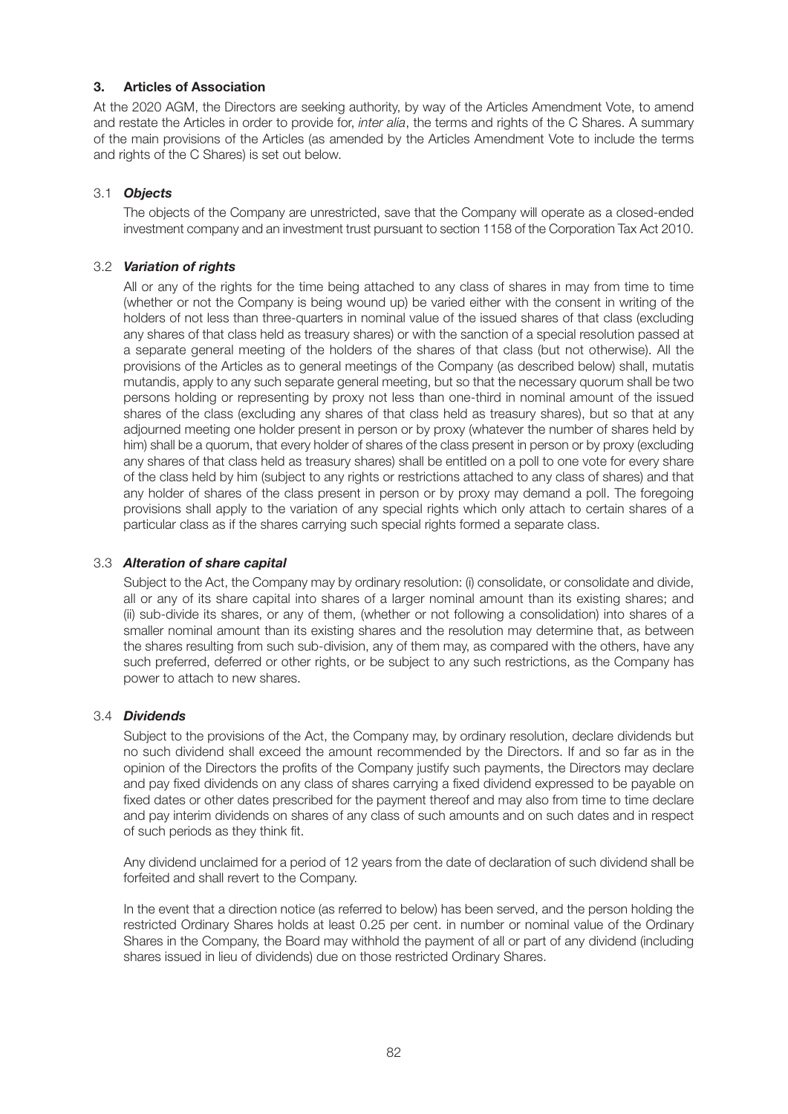## **3. Articles of Association**

At the 2020 AGM, the Directors are seeking authority, by way of the Articles Amendment Vote, to amend and restate the Articles in order to provide for, *inter alia*, the terms and rights of the C Shares. A summary of the main provisions of the Articles (as amended by the Articles Amendment Vote to include the terms and rights of the C Shares) is set out below.

### 3.1 *Objects*

 The objects of the Company are unrestricted, save that the Company will operate as a closed-ended investment company and an investment trust pursuant to section 1158 of the Corporation Tax Act 2010.

### 3.2 *Variation of rights*

 All or any of the rights for the time being attached to any class of shares in may from time to time (whether or not the Company is being wound up) be varied either with the consent in writing of the holders of not less than three-quarters in nominal value of the issued shares of that class (excluding any shares of that class held as treasury shares) or with the sanction of a special resolution passed at a separate general meeting of the holders of the shares of that class (but not otherwise). All the provisions of the Articles as to general meetings of the Company (as described below) shall, mutatis mutandis, apply to any such separate general meeting, but so that the necessary quorum shall be two persons holding or representing by proxy not less than one-third in nominal amount of the issued shares of the class (excluding any shares of that class held as treasury shares), but so that at any adjourned meeting one holder present in person or by proxy (whatever the number of shares held by him) shall be a quorum, that every holder of shares of the class present in person or by proxy (excluding any shares of that class held as treasury shares) shall be entitled on a poll to one vote for every share of the class held by him (subject to any rights or restrictions attached to any class of shares) and that any holder of shares of the class present in person or by proxy may demand a poll. The foregoing provisions shall apply to the variation of any special rights which only attach to certain shares of a particular class as if the shares carrying such special rights formed a separate class.

### 3.3 *Alteration of share capital*

 Subject to the Act, the Company may by ordinary resolution: (i) consolidate, or consolidate and divide, all or any of its share capital into shares of a larger nominal amount than its existing shares; and (ii) sub-divide its shares, or any of them, (whether or not following a consolidation) into shares of a smaller nominal amount than its existing shares and the resolution may determine that, as between the shares resulting from such sub-division, any of them may, as compared with the others, have any such preferred, deferred or other rights, or be subject to any such restrictions, as the Company has power to attach to new shares.

### 3.4 *Dividends*

 Subject to the provisions of the Act, the Company may, by ordinary resolution, declare dividends but no such dividend shall exceed the amount recommended by the Directors. If and so far as in the opinion of the Directors the profits of the Company justify such payments, the Directors may declare and pay fixed dividends on any class of shares carrying a fixed dividend expressed to be payable on fixed dates or other dates prescribed for the payment thereof and may also from time to time declare and pay interim dividends on shares of any class of such amounts and on such dates and in respect of such periods as they think fit.

 Any dividend unclaimed for a period of 12 years from the date of declaration of such dividend shall be forfeited and shall revert to the Company.

 In the event that a direction notice (as referred to below) has been served, and the person holding the restricted Ordinary Shares holds at least 0.25 per cent. in number or nominal value of the Ordinary Shares in the Company, the Board may withhold the payment of all or part of any dividend (including shares issued in lieu of dividends) due on those restricted Ordinary Shares.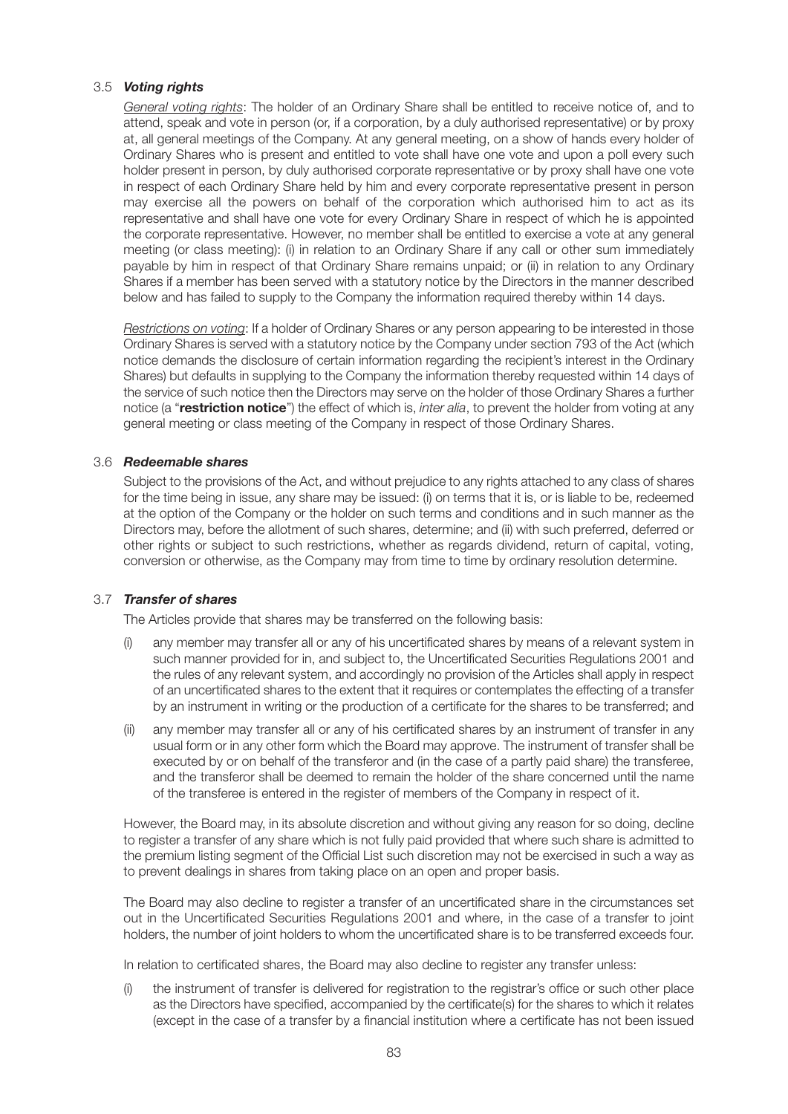### 3.5 *Voting rights*

 *General voting rights*: The holder of an Ordinary Share shall be entitled to receive notice of, and to attend, speak and vote in person (or, if a corporation, by a duly authorised representative) or by proxy at, all general meetings of the Company. At any general meeting, on a show of hands every holder of Ordinary Shares who is present and entitled to vote shall have one vote and upon a poll every such holder present in person, by duly authorised corporate representative or by proxy shall have one vote in respect of each Ordinary Share held by him and every corporate representative present in person may exercise all the powers on behalf of the corporation which authorised him to act as its representative and shall have one vote for every Ordinary Share in respect of which he is appointed the corporate representative. However, no member shall be entitled to exercise a vote at any general meeting (or class meeting): (i) in relation to an Ordinary Share if any call or other sum immediately payable by him in respect of that Ordinary Share remains unpaid; or (ii) in relation to any Ordinary Shares if a member has been served with a statutory notice by the Directors in the manner described below and has failed to supply to the Company the information required thereby within 14 days.

 *Restrictions on voting*: If a holder of Ordinary Shares or any person appearing to be interested in those Ordinary Shares is served with a statutory notice by the Company under section 793 of the Act (which notice demands the disclosure of certain information regarding the recipient's interest in the Ordinary Shares) but defaults in supplying to the Company the information thereby requested within 14 days of the service of such notice then the Directors may serve on the holder of those Ordinary Shares a further notice (a "**restriction notice**") the effect of which is, *inter alia*, to prevent the holder from voting at any general meeting or class meeting of the Company in respect of those Ordinary Shares.

### 3.6 *Redeemable shares*

 Subject to the provisions of the Act, and without prejudice to any rights attached to any class of shares for the time being in issue, any share may be issued: (i) on terms that it is, or is liable to be, redeemed at the option of the Company or the holder on such terms and conditions and in such manner as the Directors may, before the allotment of such shares, determine; and (ii) with such preferred, deferred or other rights or subject to such restrictions, whether as regards dividend, return of capital, voting, conversion or otherwise, as the Company may from time to time by ordinary resolution determine.

#### 3.7 *Transfer of shares*

The Articles provide that shares may be transferred on the following basis:

- (i) any member may transfer all or any of his uncertificated shares by means of a relevant system in such manner provided for in, and subject to, the Uncertificated Securities Regulations 2001 and the rules of any relevant system, and accordingly no provision of the Articles shall apply in respect of an uncertificated shares to the extent that it requires or contemplates the effecting of a transfer by an instrument in writing or the production of a certificate for the shares to be transferred; and
- (ii) any member may transfer all or any of his certificated shares by an instrument of transfer in any usual form or in any other form which the Board may approve. The instrument of transfer shall be executed by or on behalf of the transferor and (in the case of a partly paid share) the transferee, and the transferor shall be deemed to remain the holder of the share concerned until the name of the transferee is entered in the register of members of the Company in respect of it.

 However, the Board may, in its absolute discretion and without giving any reason for so doing, decline to register a transfer of any share which is not fully paid provided that where such share is admitted to the premium listing segment of the Official List such discretion may not be exercised in such a way as to prevent dealings in shares from taking place on an open and proper basis.

 The Board may also decline to register a transfer of an uncertificated share in the circumstances set out in the Uncertificated Securities Regulations 2001 and where, in the case of a transfer to joint holders, the number of joint holders to whom the uncertificated share is to be transferred exceeds four.

In relation to certificated shares, the Board may also decline to register any transfer unless:

 (i) the instrument of transfer is delivered for registration to the registrar's office or such other place as the Directors have specified, accompanied by the certificate(s) for the shares to which it relates (except in the case of a transfer by a financial institution where a certificate has not been issued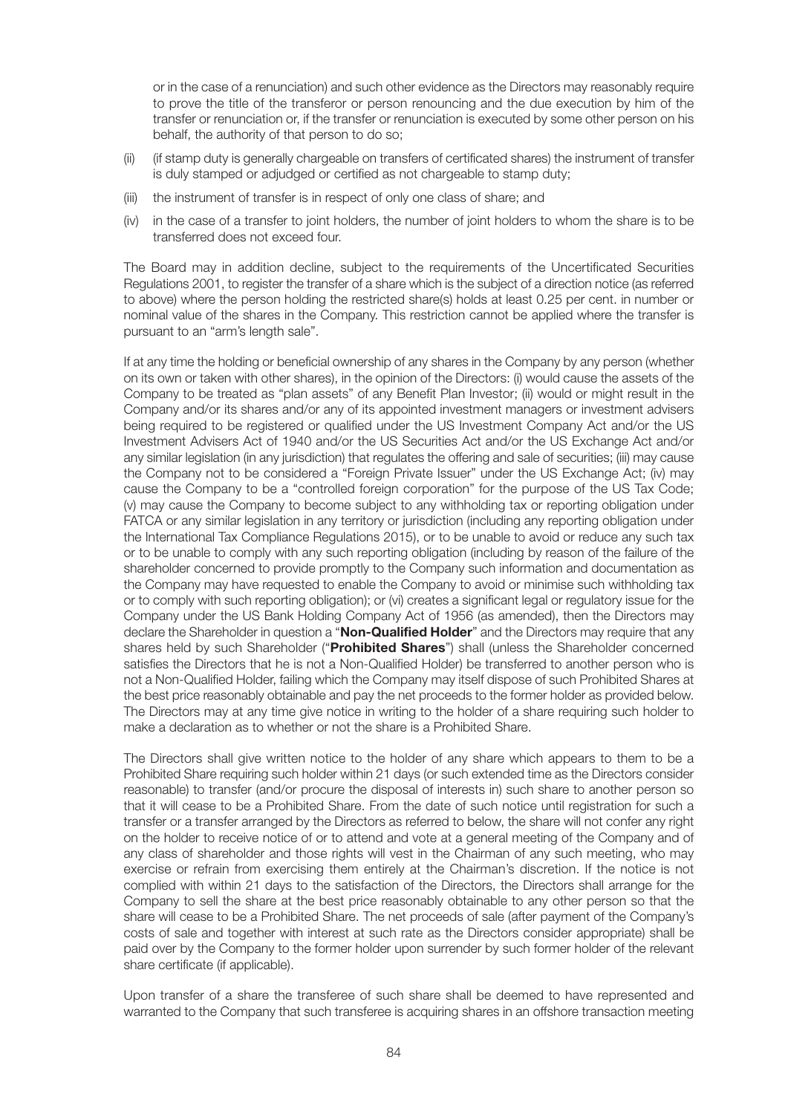or in the case of a renunciation) and such other evidence as the Directors may reasonably require to prove the title of the transferor or person renouncing and the due execution by him of the transfer or renunciation or, if the transfer or renunciation is executed by some other person on his behalf, the authority of that person to do so;

- (ii) (if stamp duty is generally chargeable on transfers of certificated shares) the instrument of transfer is duly stamped or adjudged or certified as not chargeable to stamp duty;
- (iii) the instrument of transfer is in respect of only one class of share; and
- (iv) in the case of a transfer to joint holders, the number of joint holders to whom the share is to be transferred does not exceed four.

 The Board may in addition decline, subject to the requirements of the Uncertificated Securities Regulations 2001, to register the transfer of a share which is the subject of a direction notice (as referred to above) where the person holding the restricted share(s) holds at least 0.25 per cent. in number or nominal value of the shares in the Company. This restriction cannot be applied where the transfer is pursuant to an "arm's length sale".

 If at any time the holding or beneficial ownership of any shares in the Company by any person (whether on its own or taken with other shares), in the opinion of the Directors: (i) would cause the assets of the Company to be treated as "plan assets" of any Benefit Plan Investor; (ii) would or might result in the Company and/or its shares and/or any of its appointed investment managers or investment advisers being required to be registered or qualified under the US Investment Company Act and/or the US Investment Advisers Act of 1940 and/or the US Securities Act and/or the US Exchange Act and/or any similar legislation (in any jurisdiction) that regulates the offering and sale of securities; (iii) may cause the Company not to be considered a "Foreign Private Issuer" under the US Exchange Act; (iv) may cause the Company to be a "controlled foreign corporation" for the purpose of the US Tax Code; (v) may cause the Company to become subject to any withholding tax or reporting obligation under FATCA or any similar legislation in any territory or jurisdiction (including any reporting obligation under the International Tax Compliance Regulations 2015), or to be unable to avoid or reduce any such tax or to be unable to comply with any such reporting obligation (including by reason of the failure of the shareholder concerned to provide promptly to the Company such information and documentation as the Company may have requested to enable the Company to avoid or minimise such withholding tax or to comply with such reporting obligation); or (vi) creates a significant legal or regulatory issue for the Company under the US Bank Holding Company Act of 1956 (as amended), then the Directors may declare the Shareholder in question a "**Non-Qualified Holder**" and the Directors may require that any shares held by such Shareholder ("**Prohibited Shares**") shall (unless the Shareholder concerned satisfies the Directors that he is not a Non-Qualified Holder) be transferred to another person who is not a Non-Qualified Holder, failing which the Company may itself dispose of such Prohibited Shares at the best price reasonably obtainable and pay the net proceeds to the former holder as provided below. The Directors may at any time give notice in writing to the holder of a share requiring such holder to make a declaration as to whether or not the share is a Prohibited Share.

 The Directors shall give written notice to the holder of any share which appears to them to be a Prohibited Share requiring such holder within 21 days (or such extended time as the Directors consider reasonable) to transfer (and/or procure the disposal of interests in) such share to another person so that it will cease to be a Prohibited Share. From the date of such notice until registration for such a transfer or a transfer arranged by the Directors as referred to below, the share will not confer any right on the holder to receive notice of or to attend and vote at a general meeting of the Company and of any class of shareholder and those rights will vest in the Chairman of any such meeting, who may exercise or refrain from exercising them entirely at the Chairman's discretion. If the notice is not complied with within 21 days to the satisfaction of the Directors, the Directors shall arrange for the Company to sell the share at the best price reasonably obtainable to any other person so that the share will cease to be a Prohibited Share. The net proceeds of sale (after payment of the Company's costs of sale and together with interest at such rate as the Directors consider appropriate) shall be paid over by the Company to the former holder upon surrender by such former holder of the relevant share certificate (if applicable).

 Upon transfer of a share the transferee of such share shall be deemed to have represented and warranted to the Company that such transferee is acquiring shares in an offshore transaction meeting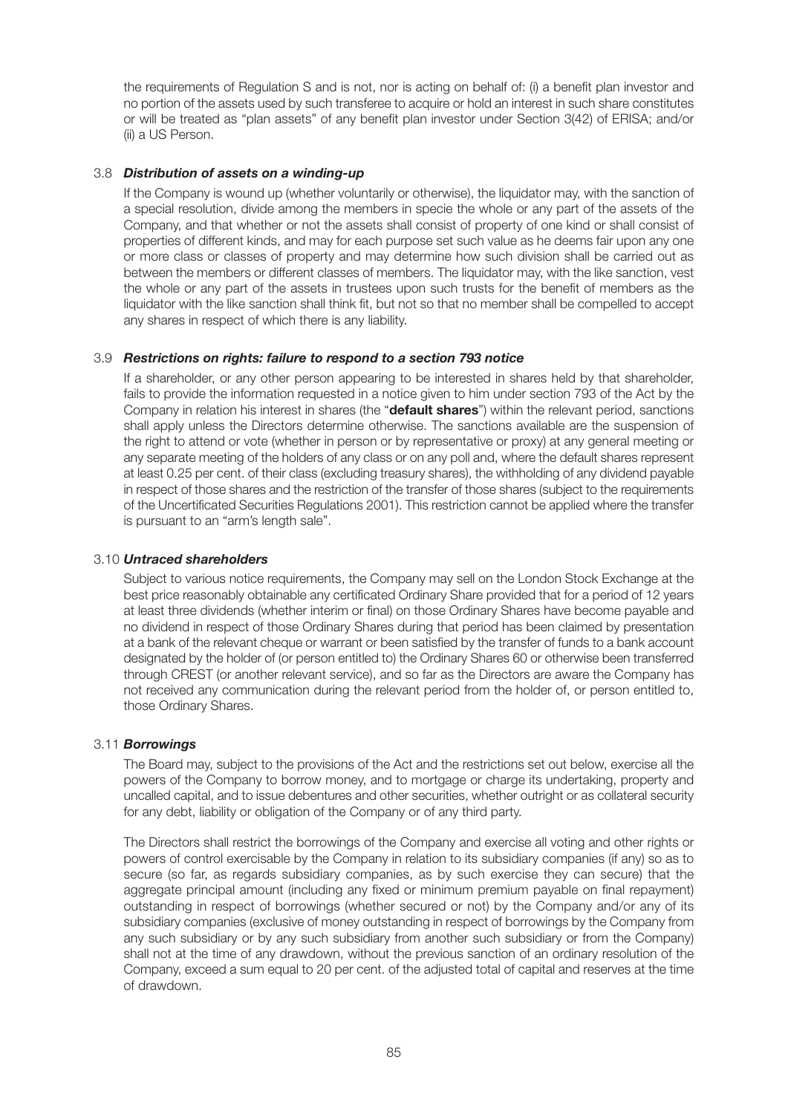the requirements of Regulation S and is not, nor is acting on behalf of: (i) a benefit plan investor and no portion of the assets used by such transferee to acquire or hold an interest in such share constitutes or will be treated as "plan assets" of any benefit plan investor under Section 3(42) of ERISA; and/or (ii) a US Person.

### 3.8 *Distribution of assets on a winding-up*

 If the Company is wound up (whether voluntarily or otherwise), the liquidator may, with the sanction of a special resolution, divide among the members in specie the whole or any part of the assets of the Company, and that whether or not the assets shall consist of property of one kind or shall consist of properties of different kinds, and may for each purpose set such value as he deems fair upon any one or more class or classes of property and may determine how such division shall be carried out as between the members or different classes of members. The liquidator may, with the like sanction, vest the whole or any part of the assets in trustees upon such trusts for the benefit of members as the liquidator with the like sanction shall think fit, but not so that no member shall be compelled to accept any shares in respect of which there is any liability.

#### 3.9 *Restrictions on rights: failure to respond to a section 793 notice*

 If a shareholder, or any other person appearing to be interested in shares held by that shareholder, fails to provide the information requested in a notice given to him under section 793 of the Act by the Company in relation his interest in shares (the "**default shares**") within the relevant period, sanctions shall apply unless the Directors determine otherwise. The sanctions available are the suspension of the right to attend or vote (whether in person or by representative or proxy) at any general meeting or any separate meeting of the holders of any class or on any poll and, where the default shares represent at least 0.25 per cent. of their class (excluding treasury shares), the withholding of any dividend payable in respect of those shares and the restriction of the transfer of those shares (subject to the requirements of the Uncertificated Securities Regulations 2001). This restriction cannot be applied where the transfer is pursuant to an "arm's length sale".

#### 3.10 *Untraced shareholders*

 Subject to various notice requirements, the Company may sell on the London Stock Exchange at the best price reasonably obtainable any certificated Ordinary Share provided that for a period of 12 years at least three dividends (whether interim or final) on those Ordinary Shares have become payable and no dividend in respect of those Ordinary Shares during that period has been claimed by presentation at a bank of the relevant cheque or warrant or been satisfied by the transfer of funds to a bank account designated by the holder of (or person entitled to) the Ordinary Shares 60 or otherwise been transferred through CREST (or another relevant service), and so far as the Directors are aware the Company has not received any communication during the relevant period from the holder of, or person entitled to, those Ordinary Shares.

#### 3.11 *Borrowings*

 The Board may, subject to the provisions of the Act and the restrictions set out below, exercise all the powers of the Company to borrow money, and to mortgage or charge its undertaking, property and uncalled capital, and to issue debentures and other securities, whether outright or as collateral security for any debt, liability or obligation of the Company or of any third party.

 The Directors shall restrict the borrowings of the Company and exercise all voting and other rights or powers of control exercisable by the Company in relation to its subsidiary companies (if any) so as to secure (so far, as regards subsidiary companies, as by such exercise they can secure) that the aggregate principal amount (including any fixed or minimum premium payable on final repayment) outstanding in respect of borrowings (whether secured or not) by the Company and/or any of its subsidiary companies (exclusive of money outstanding in respect of borrowings by the Company from any such subsidiary or by any such subsidiary from another such subsidiary or from the Company) shall not at the time of any drawdown, without the previous sanction of an ordinary resolution of the Company, exceed a sum equal to 20 per cent. of the adjusted total of capital and reserves at the time of drawdown.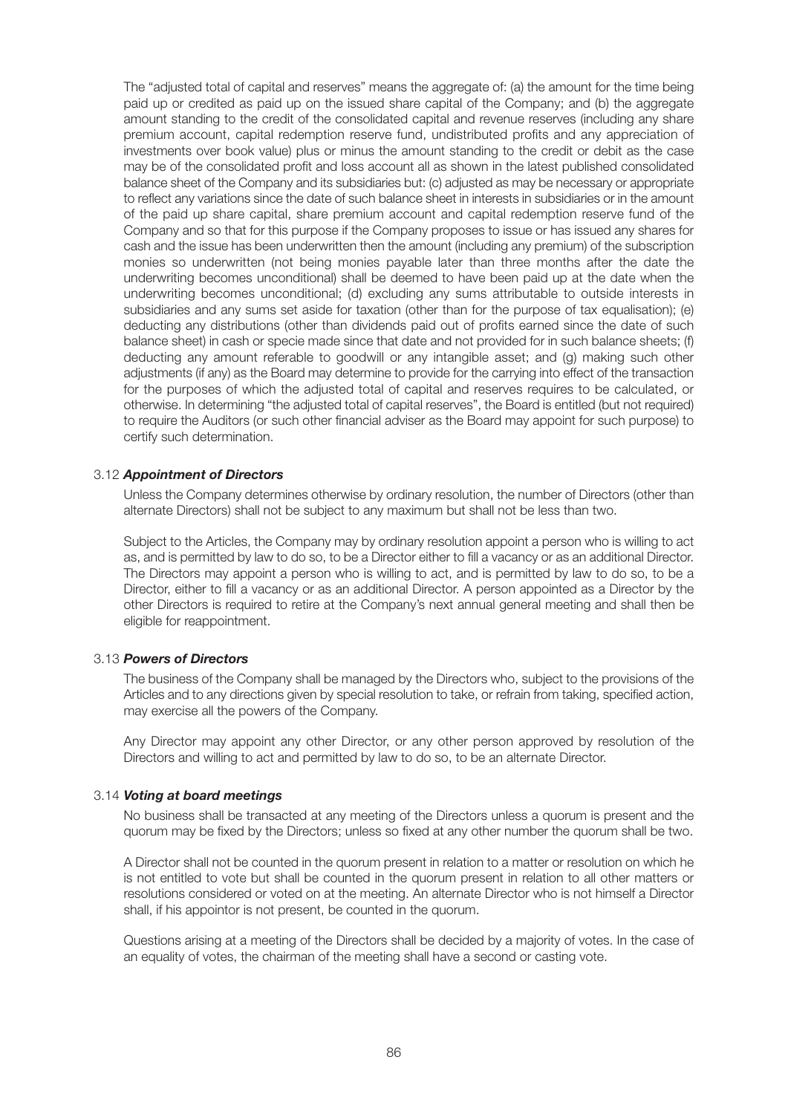The "adjusted total of capital and reserves" means the aggregate of: (a) the amount for the time being paid up or credited as paid up on the issued share capital of the Company; and (b) the aggregate amount standing to the credit of the consolidated capital and revenue reserves (including any share premium account, capital redemption reserve fund, undistributed profits and any appreciation of investments over book value) plus or minus the amount standing to the credit or debit as the case may be of the consolidated profit and loss account all as shown in the latest published consolidated balance sheet of the Company and its subsidiaries but: (c) adjusted as may be necessary or appropriate to reflect any variations since the date of such balance sheet in interests in subsidiaries or in the amount of the paid up share capital, share premium account and capital redemption reserve fund of the Company and so that for this purpose if the Company proposes to issue or has issued any shares for cash and the issue has been underwritten then the amount (including any premium) of the subscription monies so underwritten (not being monies payable later than three months after the date the underwriting becomes unconditional) shall be deemed to have been paid up at the date when the underwriting becomes unconditional; (d) excluding any sums attributable to outside interests in subsidiaries and any sums set aside for taxation (other than for the purpose of tax equalisation); (e) deducting any distributions (other than dividends paid out of profits earned since the date of such balance sheet) in cash or specie made since that date and not provided for in such balance sheets; (f) deducting any amount referable to goodwill or any intangible asset; and (g) making such other adjustments (if any) as the Board may determine to provide for the carrying into effect of the transaction for the purposes of which the adjusted total of capital and reserves requires to be calculated, or otherwise. In determining "the adjusted total of capital reserves", the Board is entitled (but not required) to require the Auditors (or such other financial adviser as the Board may appoint for such purpose) to certify such determination.

#### 3.12 *Appointment of Directors*

 Unless the Company determines otherwise by ordinary resolution, the number of Directors (other than alternate Directors) shall not be subject to any maximum but shall not be less than two.

 Subject to the Articles, the Company may by ordinary resolution appoint a person who is willing to act as, and is permitted by law to do so, to be a Director either to fill a vacancy or as an additional Director. The Directors may appoint a person who is willing to act, and is permitted by law to do so, to be a Director, either to fill a vacancy or as an additional Director. A person appointed as a Director by the other Directors is required to retire at the Company's next annual general meeting and shall then be eligible for reappointment.

#### 3.13 *Powers of Directors*

 The business of the Company shall be managed by the Directors who, subject to the provisions of the Articles and to any directions given by special resolution to take, or refrain from taking, specified action, may exercise all the powers of the Company.

 Any Director may appoint any other Director, or any other person approved by resolution of the Directors and willing to act and permitted by law to do so, to be an alternate Director.

#### 3.14 *Voting at board meetings*

 No business shall be transacted at any meeting of the Directors unless a quorum is present and the quorum may be fixed by the Directors; unless so fixed at any other number the quorum shall be two.

 A Director shall not be counted in the quorum present in relation to a matter or resolution on which he is not entitled to vote but shall be counted in the quorum present in relation to all other matters or resolutions considered or voted on at the meeting. An alternate Director who is not himself a Director shall, if his appointor is not present, be counted in the quorum.

 Questions arising at a meeting of the Directors shall be decided by a majority of votes. In the case of an equality of votes, the chairman of the meeting shall have a second or casting vote.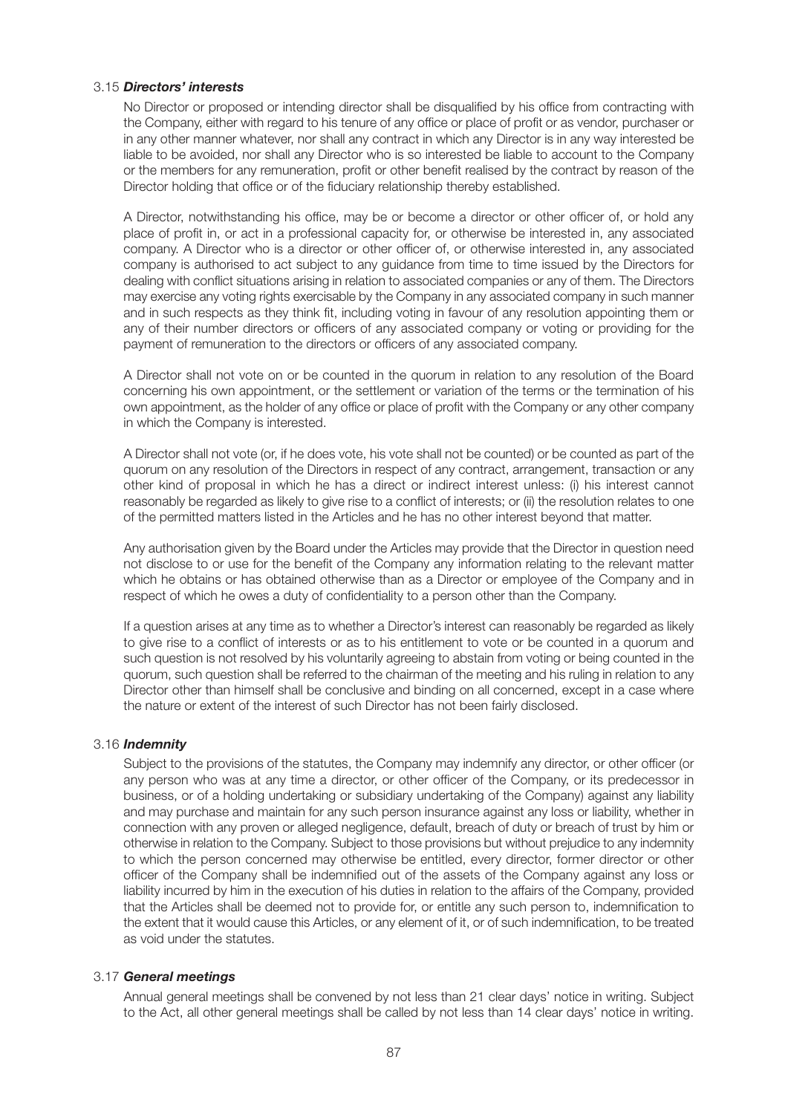#### 3.15 *Directors' interests*

 No Director or proposed or intending director shall be disqualified by his office from contracting with the Company, either with regard to his tenure of any office or place of profit or as vendor, purchaser or in any other manner whatever, nor shall any contract in which any Director is in any way interested be liable to be avoided, nor shall any Director who is so interested be liable to account to the Company or the members for any remuneration, profit or other benefit realised by the contract by reason of the Director holding that office or of the fiduciary relationship thereby established.

 A Director, notwithstanding his office, may be or become a director or other officer of, or hold any place of profit in, or act in a professional capacity for, or otherwise be interested in, any associated company. A Director who is a director or other officer of, or otherwise interested in, any associated company is authorised to act subject to any guidance from time to time issued by the Directors for dealing with conflict situations arising in relation to associated companies or any of them. The Directors may exercise any voting rights exercisable by the Company in any associated company in such manner and in such respects as they think fit, including voting in favour of any resolution appointing them or any of their number directors or officers of any associated company or voting or providing for the payment of remuneration to the directors or officers of any associated company.

 A Director shall not vote on or be counted in the quorum in relation to any resolution of the Board concerning his own appointment, or the settlement or variation of the terms or the termination of his own appointment, as the holder of any office or place of profit with the Company or any other company in which the Company is interested.

 A Director shall not vote (or, if he does vote, his vote shall not be counted) or be counted as part of the quorum on any resolution of the Directors in respect of any contract, arrangement, transaction or any other kind of proposal in which he has a direct or indirect interest unless: (i) his interest cannot reasonably be regarded as likely to give rise to a conflict of interests; or (ii) the resolution relates to one of the permitted matters listed in the Articles and he has no other interest beyond that matter.

 Any authorisation given by the Board under the Articles may provide that the Director in question need not disclose to or use for the benefit of the Company any information relating to the relevant matter which he obtains or has obtained otherwise than as a Director or employee of the Company and in respect of which he owes a duty of confidentiality to a person other than the Company.

 If a question arises at any time as to whether a Director's interest can reasonably be regarded as likely to give rise to a conflict of interests or as to his entitlement to vote or be counted in a quorum and such question is not resolved by his voluntarily agreeing to abstain from voting or being counted in the quorum, such question shall be referred to the chairman of the meeting and his ruling in relation to any Director other than himself shall be conclusive and binding on all concerned, except in a case where the nature or extent of the interest of such Director has not been fairly disclosed.

#### 3.16 *Indemnity*

 Subject to the provisions of the statutes, the Company may indemnify any director, or other officer (or any person who was at any time a director, or other officer of the Company, or its predecessor in business, or of a holding undertaking or subsidiary undertaking of the Company) against any liability and may purchase and maintain for any such person insurance against any loss or liability, whether in connection with any proven or alleged negligence, default, breach of duty or breach of trust by him or otherwise in relation to the Company. Subject to those provisions but without prejudice to any indemnity to which the person concerned may otherwise be entitled, every director, former director or other officer of the Company shall be indemnified out of the assets of the Company against any loss or liability incurred by him in the execution of his duties in relation to the affairs of the Company, provided that the Articles shall be deemed not to provide for, or entitle any such person to, indemnification to the extent that it would cause this Articles, or any element of it, or of such indemnification, to be treated as void under the statutes.

#### 3.17 *General meetings*

 Annual general meetings shall be convened by not less than 21 clear days' notice in writing. Subject to the Act, all other general meetings shall be called by not less than 14 clear days' notice in writing.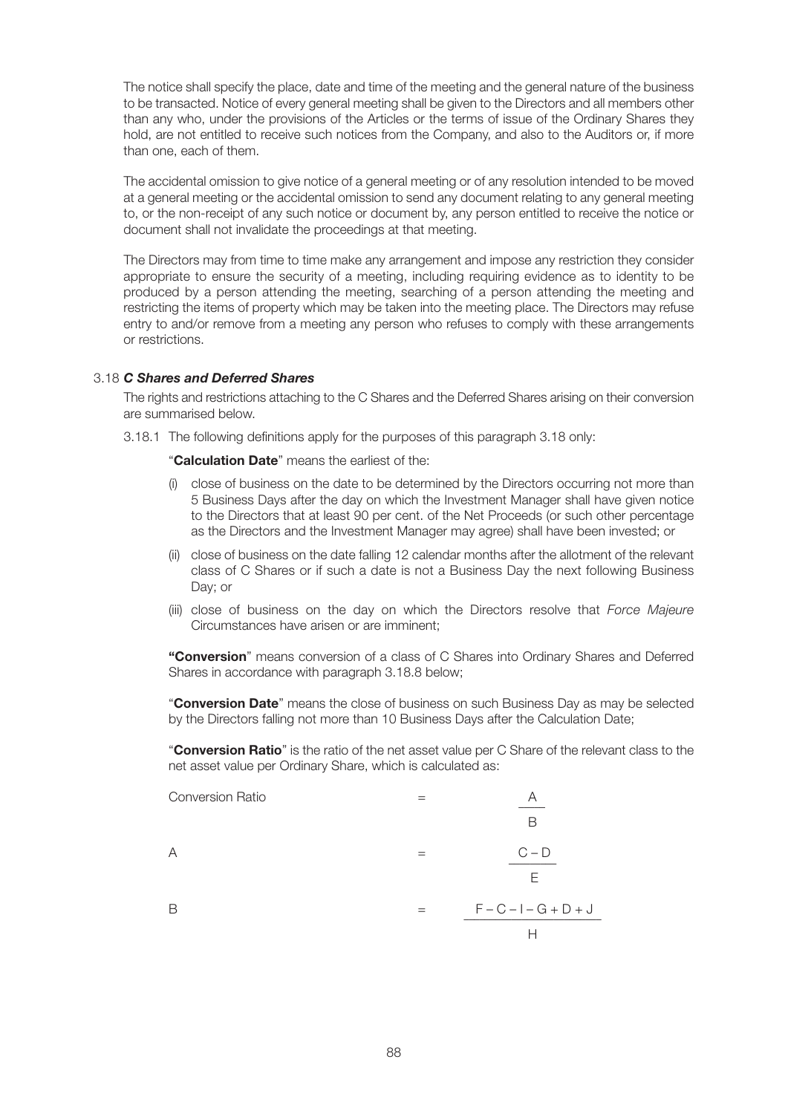The notice shall specify the place, date and time of the meeting and the general nature of the business to be transacted. Notice of every general meeting shall be given to the Directors and all members other than any who, under the provisions of the Articles or the terms of issue of the Ordinary Shares they hold, are not entitled to receive such notices from the Company, and also to the Auditors or, if more than one, each of them.

 The accidental omission to give notice of a general meeting or of any resolution intended to be moved at a general meeting or the accidental omission to send any document relating to any general meeting to, or the non-receipt of any such notice or document by, any person entitled to receive the notice or document shall not invalidate the proceedings at that meeting.

 The Directors may from time to time make any arrangement and impose any restriction they consider appropriate to ensure the security of a meeting, including requiring evidence as to identity to be produced by a person attending the meeting, searching of a person attending the meeting and restricting the items of property which may be taken into the meeting place. The Directors may refuse entry to and/or remove from a meeting any person who refuses to comply with these arrangements or restrictions.

#### 3.18 *C Shares and Deferred Shares*

 The rights and restrictions attaching to the C Shares and the Deferred Shares arising on their conversion are summarised below.

3.18.1 The following definitions apply for the purposes of this paragraph 3.18 only:

#### "**Calculation Date**" means the earliest of the:

- (i) close of business on the date to be determined by the Directors occurring not more than 5 Business Days after the day on which the Investment Manager shall have given notice to the Directors that at least 90 per cent. of the Net Proceeds (or such other percentage as the Directors and the Investment Manager may agree) shall have been invested; or
- (ii) close of business on the date falling 12 calendar months after the allotment of the relevant class of C Shares or if such a date is not a Business Day the next following Business Day; or
- (iii) close of business on the day on which the Directors resolve that *Force Majeure* Circumstances have arisen or are imminent;

 **"Conversion**" means conversion of a class of C Shares into Ordinary Shares and Deferred Shares in accordance with paragraph 3.18.8 below;

 "**Conversion Date**" means the close of business on such Business Day as may be selected by the Directors falling not more than 10 Business Days after the Calculation Date;

 "**Conversion Ratio**" is the ratio of the net asset value per C Share of the relevant class to the net asset value per Ordinary Share, which is calculated as:

| <b>Conversion Ratio</b> |     |                         |
|-------------------------|-----|-------------------------|
|                         |     | B                       |
| Α                       |     | $C - D$                 |
|                         |     | F                       |
| В                       | $=$ | $F - C - I - G + D + J$ |
|                         |     | ⊢                       |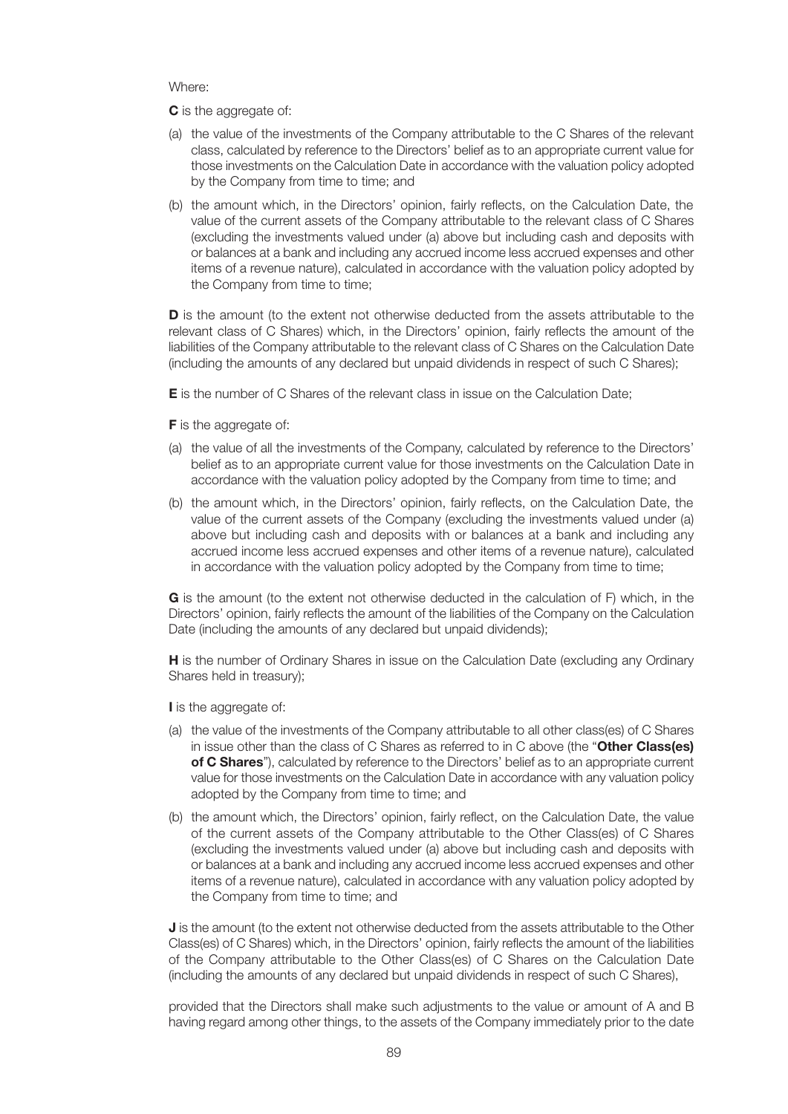Where:

**C** is the aggregate of:

- (a) the value of the investments of the Company attributable to the C Shares of the relevant class, calculated by reference to the Directors' belief as to an appropriate current value for those investments on the Calculation Date in accordance with the valuation policy adopted by the Company from time to time; and
- (b) the amount which, in the Directors' opinion, fairly reflects, on the Calculation Date, the value of the current assets of the Company attributable to the relevant class of C Shares (excluding the investments valued under (a) above but including cash and deposits with or balances at a bank and including any accrued income less accrued expenses and other items of a revenue nature), calculated in accordance with the valuation policy adopted by the Company from time to time;

**D** is the amount (to the extent not otherwise deducted from the assets attributable to the relevant class of C Shares) which, in the Directors' opinion, fairly reflects the amount of the liabilities of the Company attributable to the relevant class of C Shares on the Calculation Date (including the amounts of any declared but unpaid dividends in respect of such C Shares);

**E** is the number of C Shares of the relevant class in issue on the Calculation Date;

**F** is the aggregate of:

- (a) the value of all the investments of the Company, calculated by reference to the Directors' belief as to an appropriate current value for those investments on the Calculation Date in accordance with the valuation policy adopted by the Company from time to time; and
- (b) the amount which, in the Directors' opinion, fairly reflects, on the Calculation Date, the value of the current assets of the Company (excluding the investments valued under (a) above but including cash and deposits with or balances at a bank and including any accrued income less accrued expenses and other items of a revenue nature), calculated in accordance with the valuation policy adopted by the Company from time to time;

 **G** is the amount (to the extent not otherwise deducted in the calculation of F) which, in the Directors' opinion, fairly reflects the amount of the liabilities of the Company on the Calculation Date (including the amounts of any declared but unpaid dividends);

**H** is the number of Ordinary Shares in issue on the Calculation Date (excluding any Ordinary Shares held in treasury);

**I** is the aggregate of:

- (a) the value of the investments of the Company attributable to all other class(es) of C Shares in issue other than the class of C Shares as referred to in C above (the "**Other Class(es) of C Shares**"), calculated by reference to the Directors' belief as to an appropriate current value for those investments on the Calculation Date in accordance with any valuation policy adopted by the Company from time to time; and
- (b) the amount which, the Directors' opinion, fairly reflect, on the Calculation Date, the value of the current assets of the Company attributable to the Other Class(es) of C Shares (excluding the investments valued under (a) above but including cash and deposits with or balances at a bank and including any accrued income less accrued expenses and other items of a revenue nature), calculated in accordance with any valuation policy adopted by the Company from time to time; and

**J** is the amount (to the extent not otherwise deducted from the assets attributable to the Other Class(es) of C Shares) which, in the Directors' opinion, fairly reflects the amount of the liabilities of the Company attributable to the Other Class(es) of C Shares on the Calculation Date (including the amounts of any declared but unpaid dividends in respect of such C Shares),

 provided that the Directors shall make such adjustments to the value or amount of A and B having regard among other things, to the assets of the Company immediately prior to the date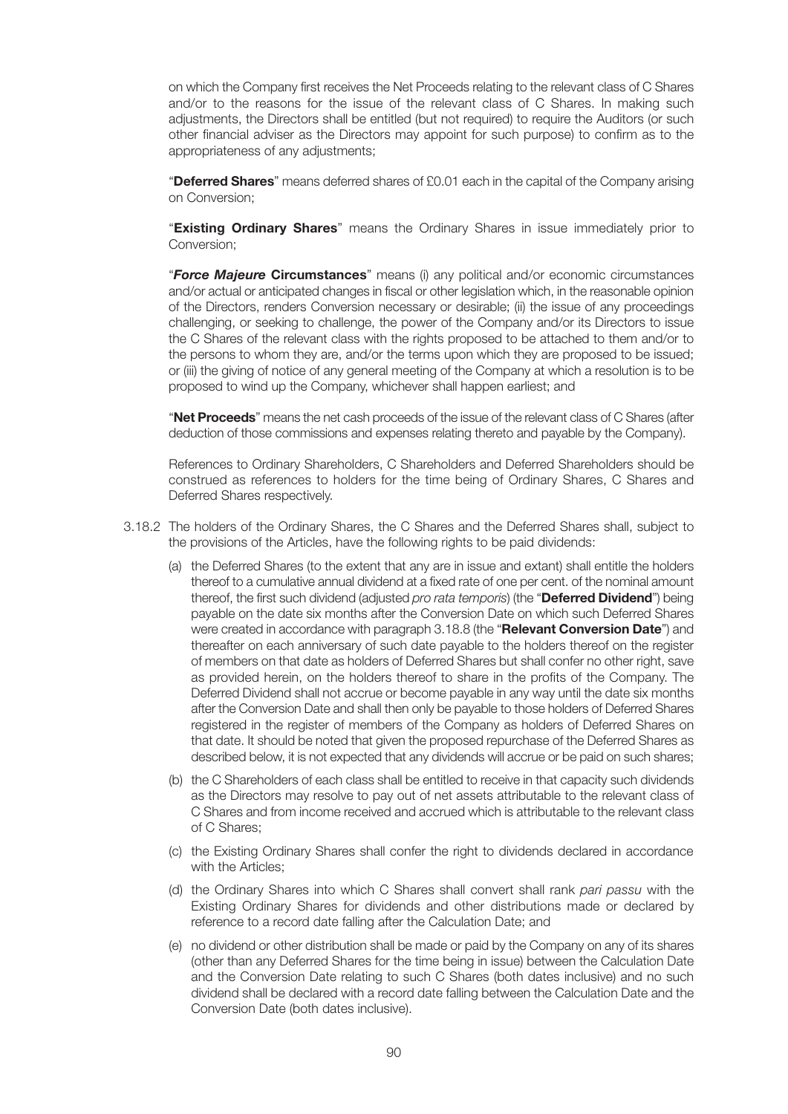on which the Company first receives the Net Proceeds relating to the relevant class of C Shares and/or to the reasons for the issue of the relevant class of C Shares. In making such adjustments, the Directors shall be entitled (but not required) to require the Auditors (or such other financial adviser as the Directors may appoint for such purpose) to confirm as to the appropriateness of any adjustments;

 "**Deferred Shares**" means deferred shares of £0.01 each in the capital of the Company arising on Conversion;

 "**Existing Ordinary Shares**" means the Ordinary Shares in issue immediately prior to Conversion;

 "*Force Majeure* **Circumstances**" means (i) any political and/or economic circumstances and/or actual or anticipated changes in fiscal or other legislation which, in the reasonable opinion of the Directors, renders Conversion necessary or desirable; (ii) the issue of any proceedings challenging, or seeking to challenge, the power of the Company and/or its Directors to issue the C Shares of the relevant class with the rights proposed to be attached to them and/or to the persons to whom they are, and/or the terms upon which they are proposed to be issued; or (iii) the giving of notice of any general meeting of the Company at which a resolution is to be proposed to wind up the Company, whichever shall happen earliest; and

 "**Net Proceeds**" means the net cash proceeds of the issue of the relevant class of C Shares (after deduction of those commissions and expenses relating thereto and payable by the Company).

 References to Ordinary Shareholders, C Shareholders and Deferred Shareholders should be construed as references to holders for the time being of Ordinary Shares, C Shares and Deferred Shares respectively.

- 3.18.2 The holders of the Ordinary Shares, the C Shares and the Deferred Shares shall, subject to the provisions of the Articles, have the following rights to be paid dividends:
	- (a) the Deferred Shares (to the extent that any are in issue and extant) shall entitle the holders thereof to a cumulative annual dividend at a fixed rate of one per cent. of the nominal amount thereof, the first such dividend (adjusted *pro rata temporis*) (the "**Deferred Dividend**") being payable on the date six months after the Conversion Date on which such Deferred Shares were created in accordance with paragraph 3.18.8 (the "**Relevant Conversion Date**") and thereafter on each anniversary of such date payable to the holders thereof on the register of members on that date as holders of Deferred Shares but shall confer no other right, save as provided herein, on the holders thereof to share in the profits of the Company. The Deferred Dividend shall not accrue or become payable in any way until the date six months after the Conversion Date and shall then only be payable to those holders of Deferred Shares registered in the register of members of the Company as holders of Deferred Shares on that date. It should be noted that given the proposed repurchase of the Deferred Shares as described below, it is not expected that any dividends will accrue or be paid on such shares;
	- (b) the C Shareholders of each class shall be entitled to receive in that capacity such dividends as the Directors may resolve to pay out of net assets attributable to the relevant class of C Shares and from income received and accrued which is attributable to the relevant class of C Shares;
	- (c) the Existing Ordinary Shares shall confer the right to dividends declared in accordance with the Articles;
	- (d) the Ordinary Shares into which C Shares shall convert shall rank *pari passu* with the Existing Ordinary Shares for dividends and other distributions made or declared by reference to a record date falling after the Calculation Date; and
	- (e) no dividend or other distribution shall be made or paid by the Company on any of its shares (other than any Deferred Shares for the time being in issue) between the Calculation Date and the Conversion Date relating to such C Shares (both dates inclusive) and no such dividend shall be declared with a record date falling between the Calculation Date and the Conversion Date (both dates inclusive).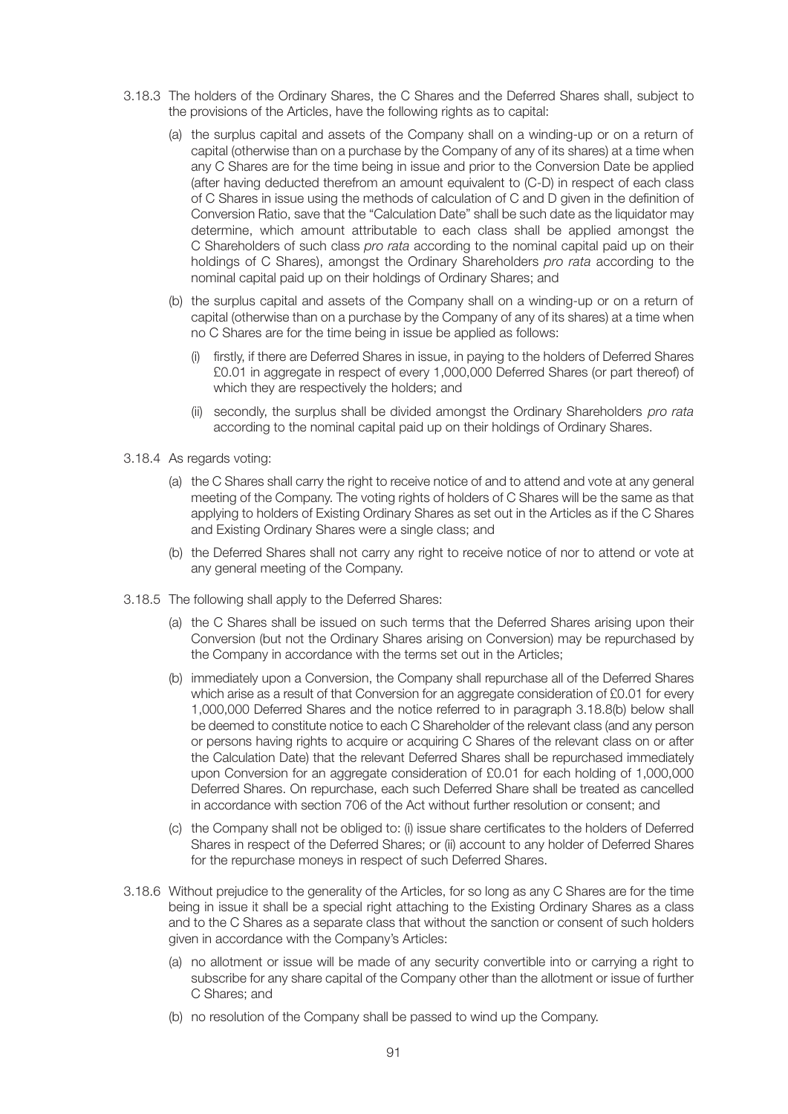- 3.18.3 The holders of the Ordinary Shares, the C Shares and the Deferred Shares shall, subject to the provisions of the Articles, have the following rights as to capital:
	- (a) the surplus capital and assets of the Company shall on a winding-up or on a return of capital (otherwise than on a purchase by the Company of any of its shares) at a time when any C Shares are for the time being in issue and prior to the Conversion Date be applied (after having deducted therefrom an amount equivalent to (C-D) in respect of each class of C Shares in issue using the methods of calculation of C and D given in the definition of Conversion Ratio, save that the "Calculation Date" shall be such date as the liquidator may determine, which amount attributable to each class shall be applied amongst the C Shareholders of such class *pro rata* according to the nominal capital paid up on their holdings of C Shares), amongst the Ordinary Shareholders *pro rata* according to the nominal capital paid up on their holdings of Ordinary Shares; and
	- (b) the surplus capital and assets of the Company shall on a winding-up or on a return of capital (otherwise than on a purchase by the Company of any of its shares) at a time when no C Shares are for the time being in issue be applied as follows:
		- (i) firstly, if there are Deferred Shares in issue, in paying to the holders of Deferred Shares £0.01 in aggregate in respect of every 1,000,000 Deferred Shares (or part thereof) of which they are respectively the holders; and
		- (ii) secondly, the surplus shall be divided amongst the Ordinary Shareholders *pro rata* according to the nominal capital paid up on their holdings of Ordinary Shares.
- 3.18.4 As regards voting:
	- (a) the C Shares shall carry the right to receive notice of and to attend and vote at any general meeting of the Company. The voting rights of holders of C Shares will be the same as that applying to holders of Existing Ordinary Shares as set out in the Articles as if the C Shares and Existing Ordinary Shares were a single class; and
	- (b) the Deferred Shares shall not carry any right to receive notice of nor to attend or vote at any general meeting of the Company.
- 3.18.5 The following shall apply to the Deferred Shares:
	- (a) the C Shares shall be issued on such terms that the Deferred Shares arising upon their Conversion (but not the Ordinary Shares arising on Conversion) may be repurchased by the Company in accordance with the terms set out in the Articles;
	- (b) immediately upon a Conversion, the Company shall repurchase all of the Deferred Shares which arise as a result of that Conversion for an aggregate consideration of £0.01 for every 1,000,000 Deferred Shares and the notice referred to in paragraph 3.18.8(b) below shall be deemed to constitute notice to each C Shareholder of the relevant class (and any person or persons having rights to acquire or acquiring C Shares of the relevant class on or after the Calculation Date) that the relevant Deferred Shares shall be repurchased immediately upon Conversion for an aggregate consideration of £0.01 for each holding of 1,000,000 Deferred Shares. On repurchase, each such Deferred Share shall be treated as cancelled in accordance with section 706 of the Act without further resolution or consent; and
	- (c) the Company shall not be obliged to: (i) issue share certificates to the holders of Deferred Shares in respect of the Deferred Shares; or (ii) account to any holder of Deferred Shares for the repurchase moneys in respect of such Deferred Shares.
- 3.18.6 Without prejudice to the generality of the Articles, for so long as any C Shares are for the time being in issue it shall be a special right attaching to the Existing Ordinary Shares as a class and to the C Shares as a separate class that without the sanction or consent of such holders given in accordance with the Company's Articles:
	- (a) no allotment or issue will be made of any security convertible into or carrying a right to subscribe for any share capital of the Company other than the allotment or issue of further C Shares; and
	- (b) no resolution of the Company shall be passed to wind up the Company.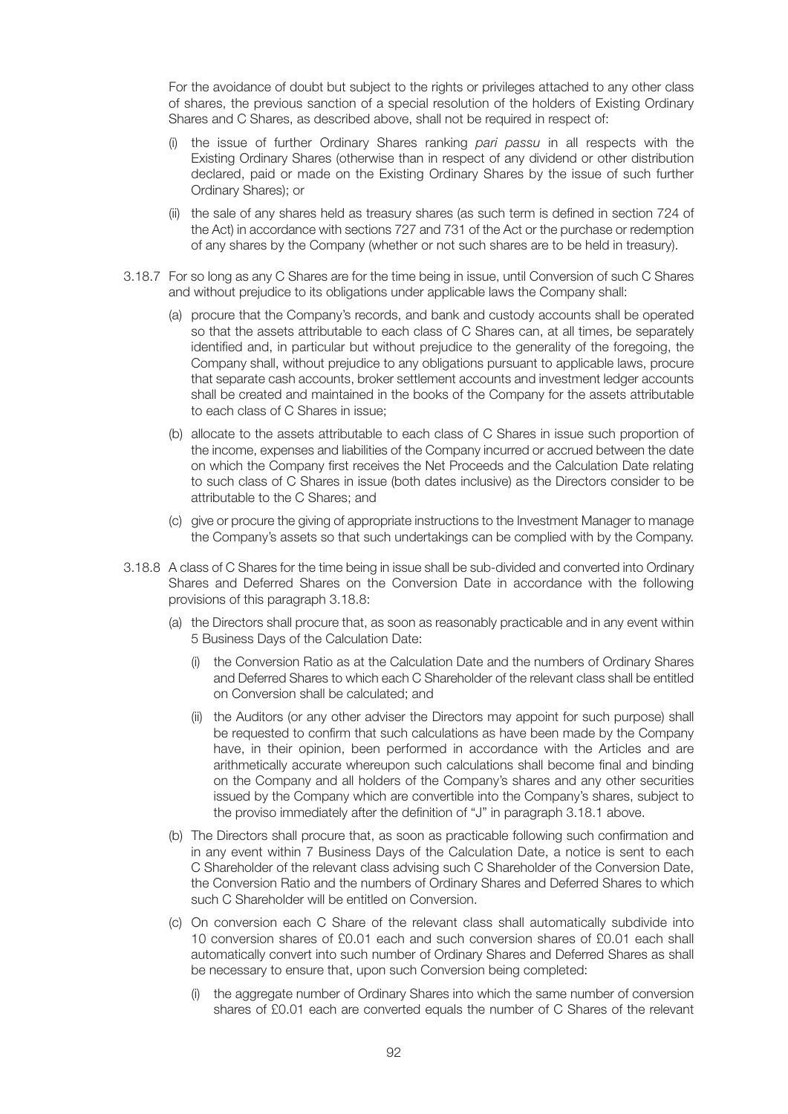For the avoidance of doubt but subject to the rights or privileges attached to any other class of shares, the previous sanction of a special resolution of the holders of Existing Ordinary Shares and C Shares, as described above, shall not be required in respect of:

- (i) the issue of further Ordinary Shares ranking *pari passu* in all respects with the Existing Ordinary Shares (otherwise than in respect of any dividend or other distribution declared, paid or made on the Existing Ordinary Shares by the issue of such further Ordinary Shares); or
- (ii) the sale of any shares held as treasury shares (as such term is defined in section 724 of the Act) in accordance with sections 727 and 731 of the Act or the purchase or redemption of any shares by the Company (whether or not such shares are to be held in treasury).
- 3.18.7 For so long as any C Shares are for the time being in issue, until Conversion of such C Shares and without prejudice to its obligations under applicable laws the Company shall:
	- (a) procure that the Company's records, and bank and custody accounts shall be operated so that the assets attributable to each class of C Shares can, at all times, be separately identified and, in particular but without prejudice to the generality of the foregoing, the Company shall, without prejudice to any obligations pursuant to applicable laws, procure that separate cash accounts, broker settlement accounts and investment ledger accounts shall be created and maintained in the books of the Company for the assets attributable to each class of C Shares in issue;
	- (b) allocate to the assets attributable to each class of C Shares in issue such proportion of the income, expenses and liabilities of the Company incurred or accrued between the date on which the Company first receives the Net Proceeds and the Calculation Date relating to such class of C Shares in issue (both dates inclusive) as the Directors consider to be attributable to the C Shares; and
	- (c) give or procure the giving of appropriate instructions to the Investment Manager to manage the Company's assets so that such undertakings can be complied with by the Company.
- 3.18.8 A class of C Shares for the time being in issue shall be sub-divided and converted into Ordinary Shares and Deferred Shares on the Conversion Date in accordance with the following provisions of this paragraph 3.18.8:
	- (a) the Directors shall procure that, as soon as reasonably practicable and in any event within 5 Business Days of the Calculation Date:
		- (i) the Conversion Ratio as at the Calculation Date and the numbers of Ordinary Shares and Deferred Shares to which each C Shareholder of the relevant class shall be entitled on Conversion shall be calculated; and
		- (ii) the Auditors (or any other adviser the Directors may appoint for such purpose) shall be requested to confirm that such calculations as have been made by the Company have, in their opinion, been performed in accordance with the Articles and are arithmetically accurate whereupon such calculations shall become final and binding on the Company and all holders of the Company's shares and any other securities issued by the Company which are convertible into the Company's shares, subject to the proviso immediately after the definition of "J" in paragraph 3.18.1 above.
	- (b) The Directors shall procure that, as soon as practicable following such confirmation and in any event within 7 Business Days of the Calculation Date, a notice is sent to each C Shareholder of the relevant class advising such C Shareholder of the Conversion Date, the Conversion Ratio and the numbers of Ordinary Shares and Deferred Shares to which such C Shareholder will be entitled on Conversion.
	- (c) On conversion each C Share of the relevant class shall automatically subdivide into 10 conversion shares of £0.01 each and such conversion shares of £0.01 each shall automatically convert into such number of Ordinary Shares and Deferred Shares as shall be necessary to ensure that, upon such Conversion being completed:
		- (i) the aggregate number of Ordinary Shares into which the same number of conversion shares of £0.01 each are converted equals the number of C Shares of the relevant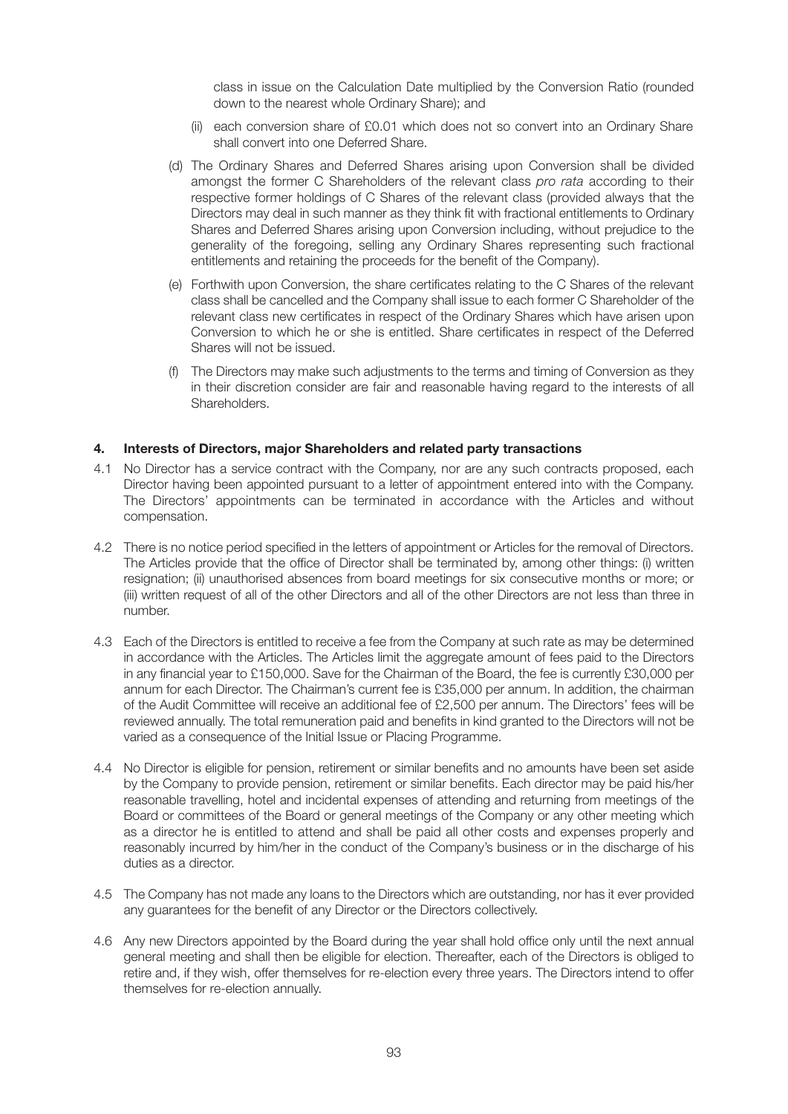class in issue on the Calculation Date multiplied by the Conversion Ratio (rounded down to the nearest whole Ordinary Share); and

- (ii) each conversion share of £0.01 which does not so convert into an Ordinary Share shall convert into one Deferred Share.
- (d) The Ordinary Shares and Deferred Shares arising upon Conversion shall be divided amongst the former C Shareholders of the relevant class *pro rata* according to their respective former holdings of C Shares of the relevant class (provided always that the Directors may deal in such manner as they think fit with fractional entitlements to Ordinary Shares and Deferred Shares arising upon Conversion including, without prejudice to the generality of the foregoing, selling any Ordinary Shares representing such fractional entitlements and retaining the proceeds for the benefit of the Company).
- (e) Forthwith upon Conversion, the share certificates relating to the C Shares of the relevant class shall be cancelled and the Company shall issue to each former C Shareholder of the relevant class new certificates in respect of the Ordinary Shares which have arisen upon Conversion to which he or she is entitled. Share certificates in respect of the Deferred Shares will not be issued.
- (f) The Directors may make such adjustments to the terms and timing of Conversion as they in their discretion consider are fair and reasonable having regard to the interests of all **Shareholders**

### **4. Interests of Directors, major Shareholders and related party transactions**

- 4.1 No Director has a service contract with the Company, nor are any such contracts proposed, each Director having been appointed pursuant to a letter of appointment entered into with the Company. The Directors' appointments can be terminated in accordance with the Articles and without compensation.
- 4.2 There is no notice period specified in the letters of appointment or Articles for the removal of Directors. The Articles provide that the office of Director shall be terminated by, among other things: (i) written resignation; (ii) unauthorised absences from board meetings for six consecutive months or more; or (iii) written request of all of the other Directors and all of the other Directors are not less than three in number.
- 4.3 Each of the Directors is entitled to receive a fee from the Company at such rate as may be determined in accordance with the Articles. The Articles limit the aggregate amount of fees paid to the Directors in any financial year to £150,000. Save for the Chairman of the Board, the fee is currently £30,000 per annum for each Director. The Chairman's current fee is £35,000 per annum. In addition, the chairman of the Audit Committee will receive an additional fee of £2,500 per annum. The Directors' fees will be reviewed annually. The total remuneration paid and benefits in kind granted to the Directors will not be varied as a consequence of the Initial Issue or Placing Programme.
- 4.4 No Director is eligible for pension, retirement or similar benefits and no amounts have been set aside by the Company to provide pension, retirement or similar benefits. Each director may be paid his/her reasonable travelling, hotel and incidental expenses of attending and returning from meetings of the Board or committees of the Board or general meetings of the Company or any other meeting which as a director he is entitled to attend and shall be paid all other costs and expenses properly and reasonably incurred by him/her in the conduct of the Company's business or in the discharge of his duties as a director.
- 4.5 The Company has not made any loans to the Directors which are outstanding, nor has it ever provided any guarantees for the benefit of any Director or the Directors collectively.
- 4.6 Any new Directors appointed by the Board during the year shall hold office only until the next annual general meeting and shall then be eligible for election. Thereafter, each of the Directors is obliged to retire and, if they wish, offer themselves for re-election every three years. The Directors intend to offer themselves for re-election annually.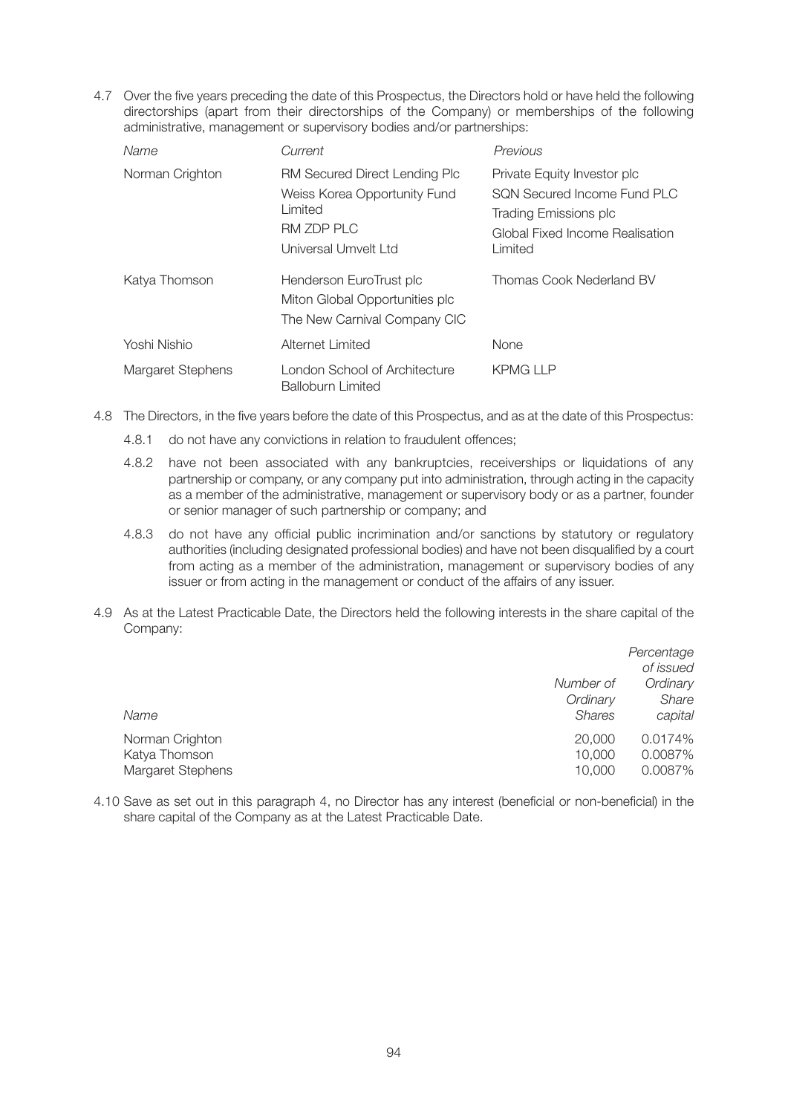4.7 Over the five years preceding the date of this Prospectus, the Directors hold or have held the following directorships (apart from their directorships of the Company) or memberships of the following administrative, management or supervisory bodies and/or partnerships:

| Name              | Current                                                                                                        | <b>Previous</b>                                                                                                                   |
|-------------------|----------------------------------------------------------------------------------------------------------------|-----------------------------------------------------------------------------------------------------------------------------------|
| Norman Crighton   | RM Secured Direct Lending Plc<br>Weiss Korea Opportunity Fund<br>Limited<br>RM ZDP PLC<br>Universal Umvelt Ltd | Private Equity Investor plc<br>SON Secured Income Fund PLC<br>Trading Emissions plc<br>Global Fixed Income Realisation<br>Limited |
| Katya Thomson     | Henderson EuroTrust plc<br>Miton Global Opportunities plc<br>The New Carnival Company CIC                      | Thomas Cook Nederland BV                                                                                                          |
| Yoshi Nishio      | Alternet Limited                                                                                               | None                                                                                                                              |
| Margaret Stephens | London School of Architecture<br><b>Balloburn Limited</b>                                                      | <b>KPMG LLP</b>                                                                                                                   |

- 4.8 The Directors, in the five years before the date of this Prospectus, and as at the date of this Prospectus:
	- 4.8.1 do not have any convictions in relation to fraudulent offences;
	- 4.8.2 have not been associated with any bankruptcies, receiverships or liquidations of any partnership or company, or any company put into administration, through acting in the capacity as a member of the administrative, management or supervisory body or as a partner, founder or senior manager of such partnership or company; and
	- 4.8.3 do not have any official public incrimination and/or sanctions by statutory or regulatory authorities (including designated professional bodies) and have not been disqualified by a court from acting as a member of the administration, management or supervisory bodies of any issuer or from acting in the management or conduct of the affairs of any issuer.
- 4.9 As at the Latest Practicable Date, the Directors held the following interests in the share capital of the Company:

|                             | Percentage<br>of issued |
|-----------------------------|-------------------------|
| Number of                   | Ordinary                |
| Ordinary                    | Share                   |
| <b>Shares</b><br>Name       | capital                 |
| Norman Crighton<br>20,000   | 0.0174%                 |
| 10,000<br>Katya Thomson     | 0.0087%                 |
| Margaret Stephens<br>10,000 | 0.0087%                 |

4.10 Save as set out in this paragraph 4, no Director has any interest (beneficial or non-beneficial) in the share capital of the Company as at the Latest Practicable Date.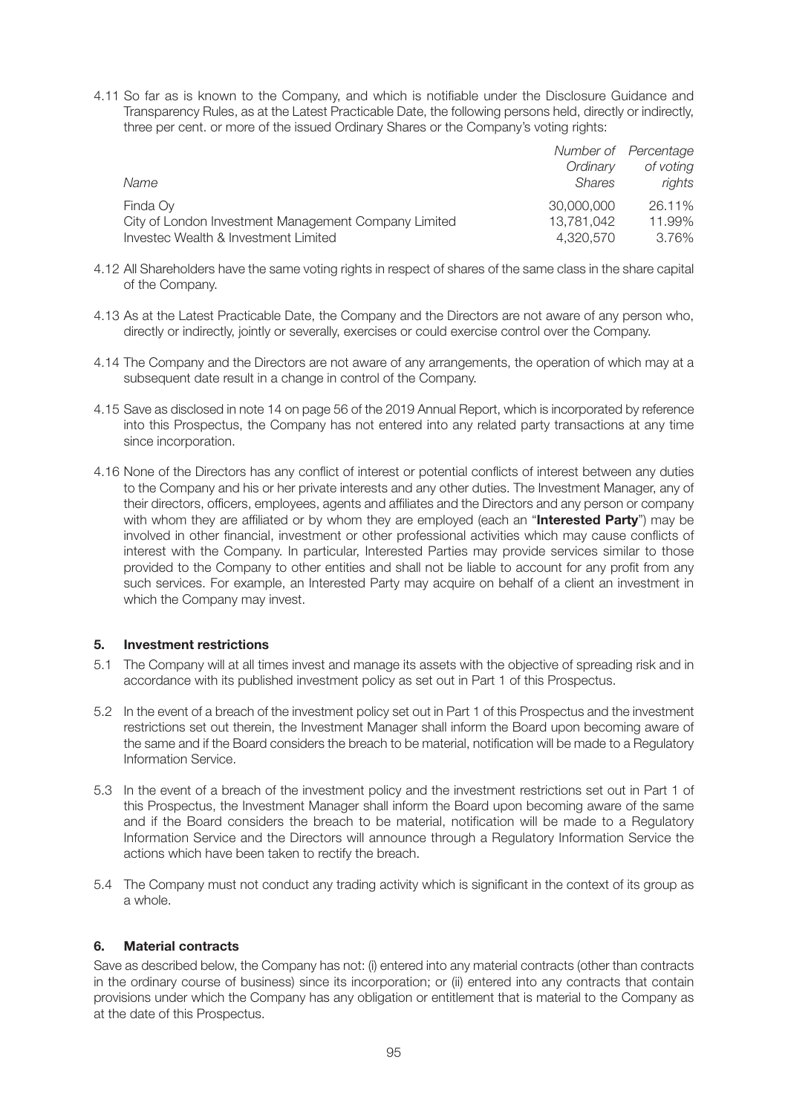4.11 So far as is known to the Company, and which is notifiable under the Disclosure Guidance and Transparency Rules, as at the Latest Practicable Date, the following persons held, directly or indirectly, three per cent. or more of the issued Ordinary Shares or the Company's voting rights:

|                                                      |               | Number of Percentage |
|------------------------------------------------------|---------------|----------------------|
|                                                      | Ordinary      | of voting            |
| Name                                                 | <b>Shares</b> | rights               |
| Finda Oy                                             | 30,000,000    | 26.11%               |
| City of London Investment Management Company Limited | 13,781,042    | 11.99%               |
| Invested Wealth & Investment Limited                 | 4,320,570     | 3.76%                |

- 4.12 All Shareholders have the same voting rights in respect of shares of the same class in the share capital of the Company.
- 4.13 As at the Latest Practicable Date, the Company and the Directors are not aware of any person who, directly or indirectly, jointly or severally, exercises or could exercise control over the Company.
- 4.14 The Company and the Directors are not aware of any arrangements, the operation of which may at a subsequent date result in a change in control of the Company.
- 4.15 Save as disclosed in note 14 on page 56 of the 2019 Annual Report, which is incorporated by reference into this Prospectus, the Company has not entered into any related party transactions at any time since incorporation.
- 4.16 None of the Directors has any conflict of interest or potential conflicts of interest between any duties to the Company and his or her private interests and any other duties. The Investment Manager, any of their directors, officers, employees, agents and affiliates and the Directors and any person or company with whom they are affiliated or by whom they are employed (each an "**Interested Party**") may be involved in other financial, investment or other professional activities which may cause conflicts of interest with the Company. In particular, Interested Parties may provide services similar to those provided to the Company to other entities and shall not be liable to account for any profit from any such services. For example, an Interested Party may acquire on behalf of a client an investment in which the Company may invest.

### **5. Investment restrictions**

- 5.1 The Company will at all times invest and manage its assets with the objective of spreading risk and in accordance with its published investment policy as set out in Part 1 of this Prospectus.
- 5.2 In the event of a breach of the investment policy set out in Part 1 of this Prospectus and the investment restrictions set out therein, the Investment Manager shall inform the Board upon becoming aware of the same and if the Board considers the breach to be material, notification will be made to a Regulatory Information Service.
- 5.3 In the event of a breach of the investment policy and the investment restrictions set out in Part 1 of this Prospectus, the Investment Manager shall inform the Board upon becoming aware of the same and if the Board considers the breach to be material, notification will be made to a Regulatory Information Service and the Directors will announce through a Regulatory Information Service the actions which have been taken to rectify the breach.
- 5.4 The Company must not conduct any trading activity which is significant in the context of its group as a whole.

# **6. Material contracts**

Save as described below, the Company has not: (i) entered into any material contracts (other than contracts in the ordinary course of business) since its incorporation; or (ii) entered into any contracts that contain provisions under which the Company has any obligation or entitlement that is material to the Company as at the date of this Prospectus.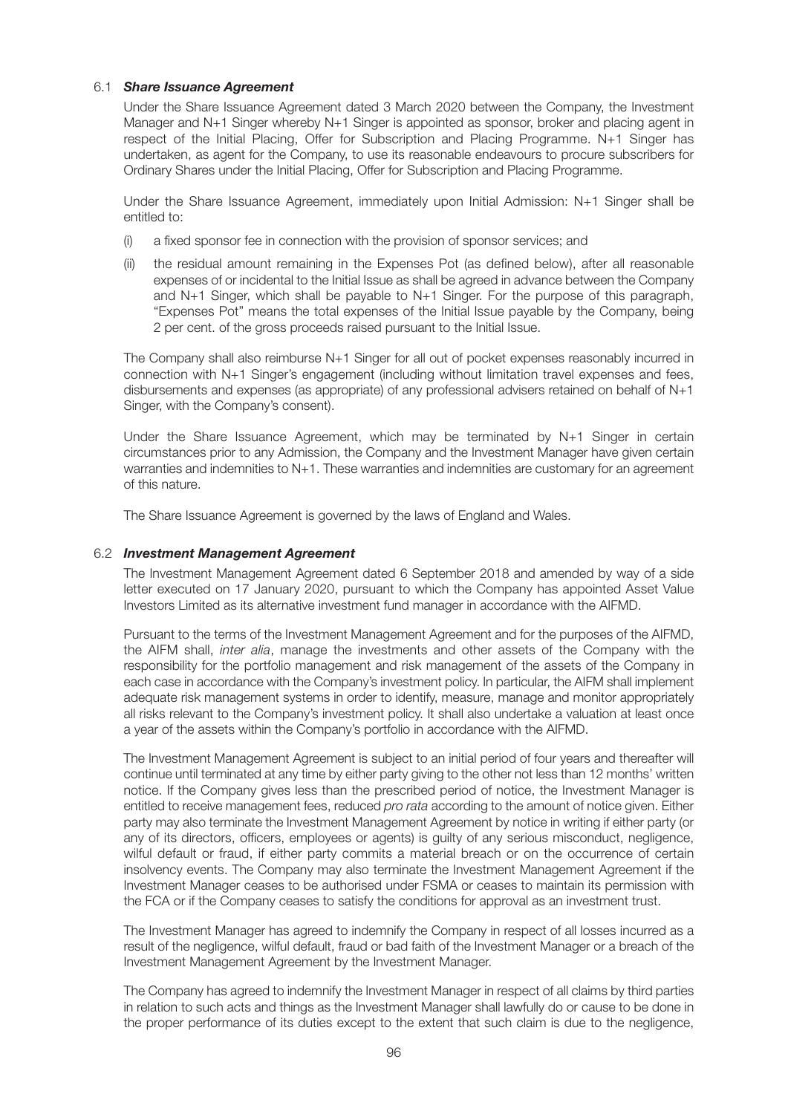### 6.1 *Share Issuance Agreement*

 Under the Share Issuance Agreement dated 3 March 2020 between the Company, the Investment Manager and N+1 Singer whereby N+1 Singer is appointed as sponsor, broker and placing agent in respect of the Initial Placing, Offer for Subscription and Placing Programme. N+1 Singer has undertaken, as agent for the Company, to use its reasonable endeavours to procure subscribers for Ordinary Shares under the Initial Placing, Offer for Subscription and Placing Programme.

 Under the Share Issuance Agreement, immediately upon Initial Admission: N+1 Singer shall be entitled to:

- (i) a fixed sponsor fee in connection with the provision of sponsor services; and
- (ii) the residual amount remaining in the Expenses Pot (as defined below), after all reasonable expenses of or incidental to the Initial Issue as shall be agreed in advance between the Company and N+1 Singer, which shall be payable to N+1 Singer. For the purpose of this paragraph, "Expenses Pot" means the total expenses of the Initial Issue payable by the Company, being 2 per cent. of the gross proceeds raised pursuant to the Initial Issue.

 The Company shall also reimburse N+1 Singer for all out of pocket expenses reasonably incurred in connection with N+1 Singer's engagement (including without limitation travel expenses and fees, disbursements and expenses (as appropriate) of any professional advisers retained on behalf of N+1 Singer, with the Company's consent).

 Under the Share Issuance Agreement, which may be terminated by N+1 Singer in certain circumstances prior to any Admission, the Company and the Investment Manager have given certain warranties and indemnities to N+1. These warranties and indemnities are customary for an agreement of this nature.

The Share Issuance Agreement is governed by the laws of England and Wales.

#### 6.2 *Investment Management Agreement*

 The Investment Management Agreement dated 6 September 2018 and amended by way of a side letter executed on 17 January 2020, pursuant to which the Company has appointed Asset Value Investors Limited as its alternative investment fund manager in accordance with the AIFMD.

 Pursuant to the terms of the Investment Management Agreement and for the purposes of the AIFMD, the AIFM shall, *inter alia*, manage the investments and other assets of the Company with the responsibility for the portfolio management and risk management of the assets of the Company in each case in accordance with the Company's investment policy. In particular, the AIFM shall implement adequate risk management systems in order to identify, measure, manage and monitor appropriately all risks relevant to the Company's investment policy. It shall also undertake a valuation at least once a year of the assets within the Company's portfolio in accordance with the AIFMD.

 The Investment Management Agreement is subject to an initial period of four years and thereafter will continue until terminated at any time by either party giving to the other not less than 12 months' written notice. If the Company gives less than the prescribed period of notice, the Investment Manager is entitled to receive management fees, reduced *pro rata* according to the amount of notice given. Either party may also terminate the Investment Management Agreement by notice in writing if either party (or any of its directors, officers, employees or agents) is guilty of any serious misconduct, negligence, wilful default or fraud, if either party commits a material breach or on the occurrence of certain insolvency events. The Company may also terminate the Investment Management Agreement if the Investment Manager ceases to be authorised under FSMA or ceases to maintain its permission with the FCA or if the Company ceases to satisfy the conditions for approval as an investment trust.

 The Investment Manager has agreed to indemnify the Company in respect of all losses incurred as a result of the negligence, wilful default, fraud or bad faith of the Investment Manager or a breach of the Investment Management Agreement by the Investment Manager.

 The Company has agreed to indemnify the Investment Manager in respect of all claims by third parties in relation to such acts and things as the Investment Manager shall lawfully do or cause to be done in the proper performance of its duties except to the extent that such claim is due to the negligence,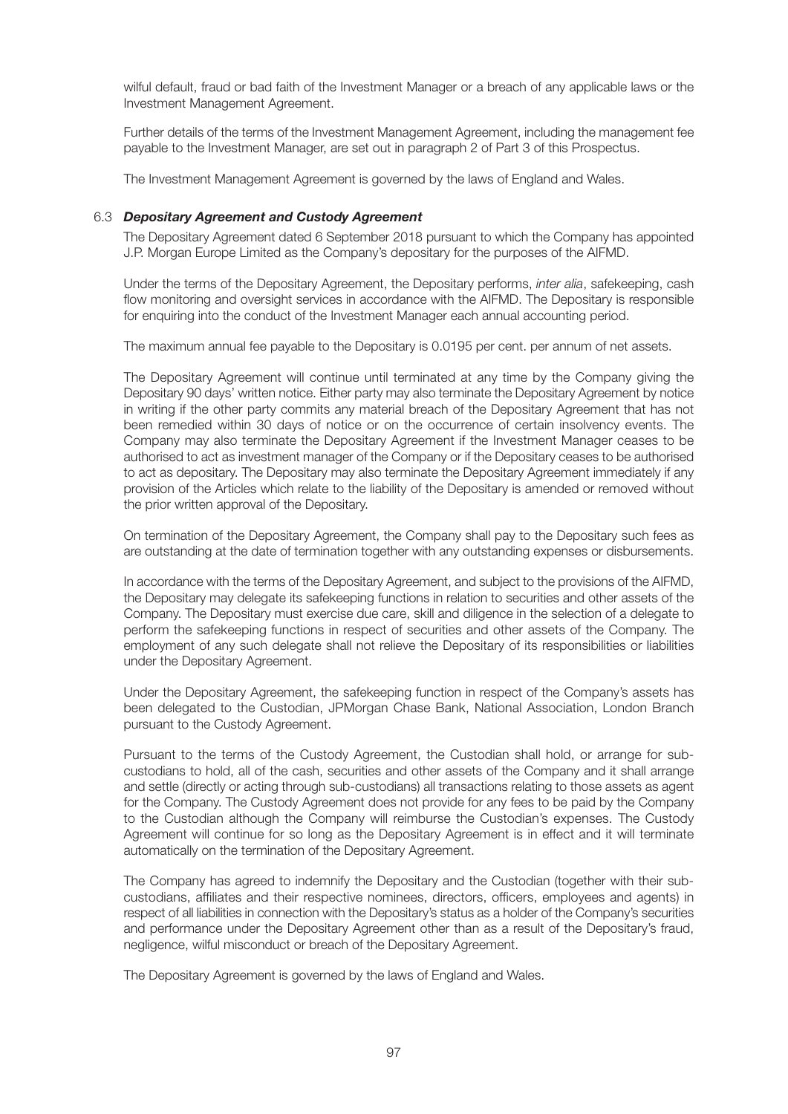wilful default, fraud or bad faith of the Investment Manager or a breach of any applicable laws or the Investment Management Agreement.

 Further details of the terms of the Investment Management Agreement, including the management fee payable to the Investment Manager, are set out in paragraph 2 of Part 3 of this Prospectus.

The Investment Management Agreement is governed by the laws of England and Wales.

#### 6.3 *Depositary Agreement and Custody Agreement*

 The Depositary Agreement dated 6 September 2018 pursuant to which the Company has appointed J.P. Morgan Europe Limited as the Company's depositary for the purposes of the AIFMD.

 Under the terms of the Depositary Agreement, the Depositary performs, *inter alia*, safekeeping, cash flow monitoring and oversight services in accordance with the AIFMD. The Depositary is responsible for enquiring into the conduct of the Investment Manager each annual accounting period.

The maximum annual fee payable to the Depositary is 0.0195 per cent. per annum of net assets.

 The Depositary Agreement will continue until terminated at any time by the Company giving the Depositary 90 days' written notice. Either party may also terminate the Depositary Agreement by notice in writing if the other party commits any material breach of the Depositary Agreement that has not been remedied within 30 days of notice or on the occurrence of certain insolvency events. The Company may also terminate the Depositary Agreement if the Investment Manager ceases to be authorised to act as investment manager of the Company or if the Depositary ceases to be authorised to act as depositary. The Depositary may also terminate the Depositary Agreement immediately if any provision of the Articles which relate to the liability of the Depositary is amended or removed without the prior written approval of the Depositary.

 On termination of the Depositary Agreement, the Company shall pay to the Depositary such fees as are outstanding at the date of termination together with any outstanding expenses or disbursements.

 In accordance with the terms of the Depositary Agreement, and subject to the provisions of the AIFMD, the Depositary may delegate its safekeeping functions in relation to securities and other assets of the Company. The Depositary must exercise due care, skill and diligence in the selection of a delegate to perform the safekeeping functions in respect of securities and other assets of the Company. The employment of any such delegate shall not relieve the Depositary of its responsibilities or liabilities under the Depositary Agreement.

 Under the Depositary Agreement, the safekeeping function in respect of the Company's assets has been delegated to the Custodian, JPMorgan Chase Bank, National Association, London Branch pursuant to the Custody Agreement.

 Pursuant to the terms of the Custody Agreement, the Custodian shall hold, or arrange for subcustodians to hold, all of the cash, securities and other assets of the Company and it shall arrange and settle (directly or acting through sub-custodians) all transactions relating to those assets as agent for the Company. The Custody Agreement does not provide for any fees to be paid by the Company to the Custodian although the Company will reimburse the Custodian's expenses. The Custody Agreement will continue for so long as the Depositary Agreement is in effect and it will terminate automatically on the termination of the Depositary Agreement.

 The Company has agreed to indemnify the Depositary and the Custodian (together with their subcustodians, affiliates and their respective nominees, directors, officers, employees and agents) in respect of all liabilities in connection with the Depositary's status as a holder of the Company's securities and performance under the Depositary Agreement other than as a result of the Depositary's fraud, negligence, wilful misconduct or breach of the Depositary Agreement.

The Depositary Agreement is governed by the laws of England and Wales.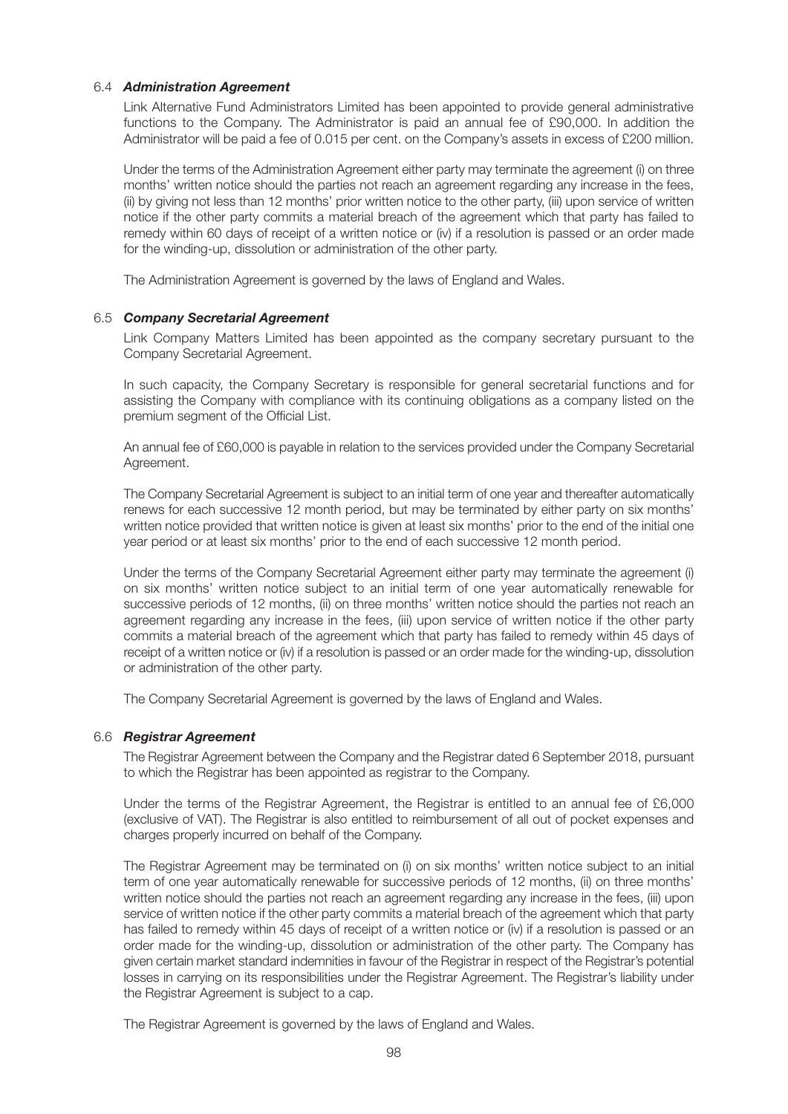### 6.4 *Administration Agreement*

 Link Alternative Fund Administrators Limited has been appointed to provide general administrative functions to the Company. The Administrator is paid an annual fee of £90,000. In addition the Administrator will be paid a fee of 0.015 per cent. on the Company's assets in excess of £200 million.

 Under the terms of the Administration Agreement either party may terminate the agreement (i) on three months' written notice should the parties not reach an agreement regarding any increase in the fees, (ii) by giving not less than 12 months' prior written notice to the other party, (iii) upon service of written notice if the other party commits a material breach of the agreement which that party has failed to remedy within 60 days of receipt of a written notice or (iv) if a resolution is passed or an order made for the winding-up, dissolution or administration of the other party.

The Administration Agreement is governed by the laws of England and Wales.

#### 6.5 *Company Secretarial Agreement*

 Link Company Matters Limited has been appointed as the company secretary pursuant to the Company Secretarial Agreement.

 In such capacity, the Company Secretary is responsible for general secretarial functions and for assisting the Company with compliance with its continuing obligations as a company listed on the premium segment of the Official List.

 An annual fee of £60,000 is payable in relation to the services provided under the Company Secretarial Agreement.

 The Company Secretarial Agreement is subject to an initial term of one year and thereafter automatically renews for each successive 12 month period, but may be terminated by either party on six months' written notice provided that written notice is given at least six months' prior to the end of the initial one year period or at least six months' prior to the end of each successive 12 month period.

 Under the terms of the Company Secretarial Agreement either party may terminate the agreement (i) on six months' written notice subject to an initial term of one year automatically renewable for successive periods of 12 months, (ii) on three months' written notice should the parties not reach an agreement regarding any increase in the fees, (iii) upon service of written notice if the other party commits a material breach of the agreement which that party has failed to remedy within 45 days of receipt of a written notice or (iv) if a resolution is passed or an order made for the winding-up, dissolution or administration of the other party.

The Company Secretarial Agreement is governed by the laws of England and Wales.

### 6.6 *Registrar Agreement*

 The Registrar Agreement between the Company and the Registrar dated 6 September 2018, pursuant to which the Registrar has been appointed as registrar to the Company.

 Under the terms of the Registrar Agreement, the Registrar is entitled to an annual fee of £6,000 (exclusive of VAT). The Registrar is also entitled to reimbursement of all out of pocket expenses and charges properly incurred on behalf of the Company.

 The Registrar Agreement may be terminated on (i) on six months' written notice subject to an initial term of one year automatically renewable for successive periods of 12 months, (ii) on three months' written notice should the parties not reach an agreement regarding any increase in the fees, (iii) upon service of written notice if the other party commits a material breach of the agreement which that party has failed to remedy within 45 days of receipt of a written notice or (iv) if a resolution is passed or an order made for the winding-up, dissolution or administration of the other party. The Company has given certain market standard indemnities in favour of the Registrar in respect of the Registrar's potential losses in carrying on its responsibilities under the Registrar Agreement. The Registrar's liability under the Registrar Agreement is subject to a cap.

The Registrar Agreement is governed by the laws of England and Wales.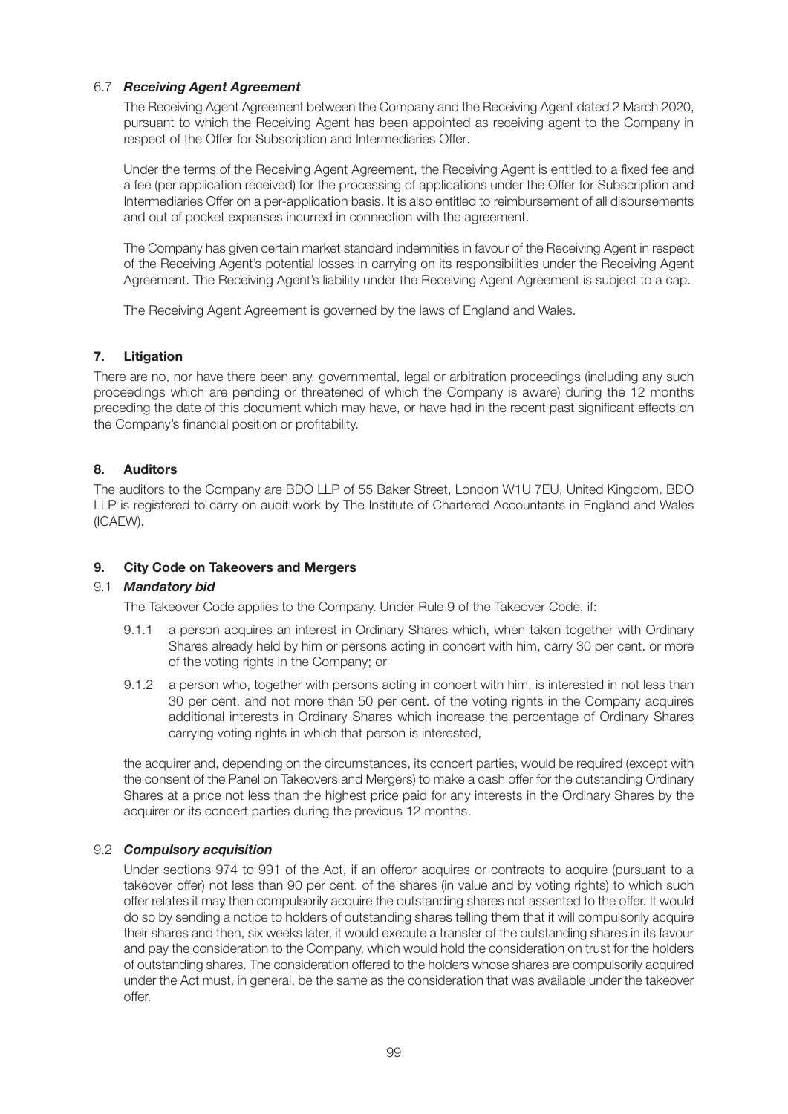### 6.7 *Receiving Agent Agreement*

 The Receiving Agent Agreement between the Company and the Receiving Agent dated 2 March 2020, pursuant to which the Receiving Agent has been appointed as receiving agent to the Company in respect of the Offer for Subscription and Intermediaries Offer.

 Under the terms of the Receiving Agent Agreement, the Receiving Agent is entitled to a fixed fee and a fee (per application received) for the processing of applications under the Offer for Subscription and Intermediaries Offer on a per-application basis. It is also entitled to reimbursement of all disbursements and out of pocket expenses incurred in connection with the agreement.

 The Company has given certain market standard indemnities in favour of the Receiving Agent in respect of the Receiving Agent's potential losses in carrying on its responsibilities under the Receiving Agent Agreement. The Receiving Agent's liability under the Receiving Agent Agreement is subject to a cap.

The Receiving Agent Agreement is governed by the laws of England and Wales.

### **7. Litigation**

There are no, nor have there been any, governmental, legal or arbitration proceedings (including any such proceedings which are pending or threatened of which the Company is aware) during the 12 months preceding the date of this document which may have, or have had in the recent past significant effects on the Company's financial position or profitability.

### **8. Auditors**

The auditors to the Company are BDO LLP of 55 Baker Street, London W1U 7EU, United Kingdom. BDO LLP is registered to carry on audit work by The Institute of Chartered Accountants in England and Wales (ICAEW).

### **9. City Code on Takeovers and Mergers**

### 9.1 *Mandatory bid*

The Takeover Code applies to the Company. Under Rule 9 of the Takeover Code, if:

- 9.1.1 a person acquires an interest in Ordinary Shares which, when taken together with Ordinary Shares already held by him or persons acting in concert with him, carry 30 per cent. or more of the voting rights in the Company; or
- 9.1.2 a person who, together with persons acting in concert with him, is interested in not less than 30 per cent. and not more than 50 per cent. of the voting rights in the Company acquires additional interests in Ordinary Shares which increase the percentage of Ordinary Shares carrying voting rights in which that person is interested,

 the acquirer and, depending on the circumstances, its concert parties, would be required (except with the consent of the Panel on Takeovers and Mergers) to make a cash offer for the outstanding Ordinary Shares at a price not less than the highest price paid for any interests in the Ordinary Shares by the acquirer or its concert parties during the previous 12 months.

### 9.2 *Compulsory acquisition*

 Under sections 974 to 991 of the Act, if an offeror acquires or contracts to acquire (pursuant to a takeover offer) not less than 90 per cent. of the shares (in value and by voting rights) to which such offer relates it may then compulsorily acquire the outstanding shares not assented to the offer. It would do so by sending a notice to holders of outstanding shares telling them that it will compulsorily acquire their shares and then, six weeks later, it would execute a transfer of the outstanding shares in its favour and pay the consideration to the Company, which would hold the consideration on trust for the holders of outstanding shares. The consideration offered to the holders whose shares are compulsorily acquired under the Act must, in general, be the same as the consideration that was available under the takeover offer.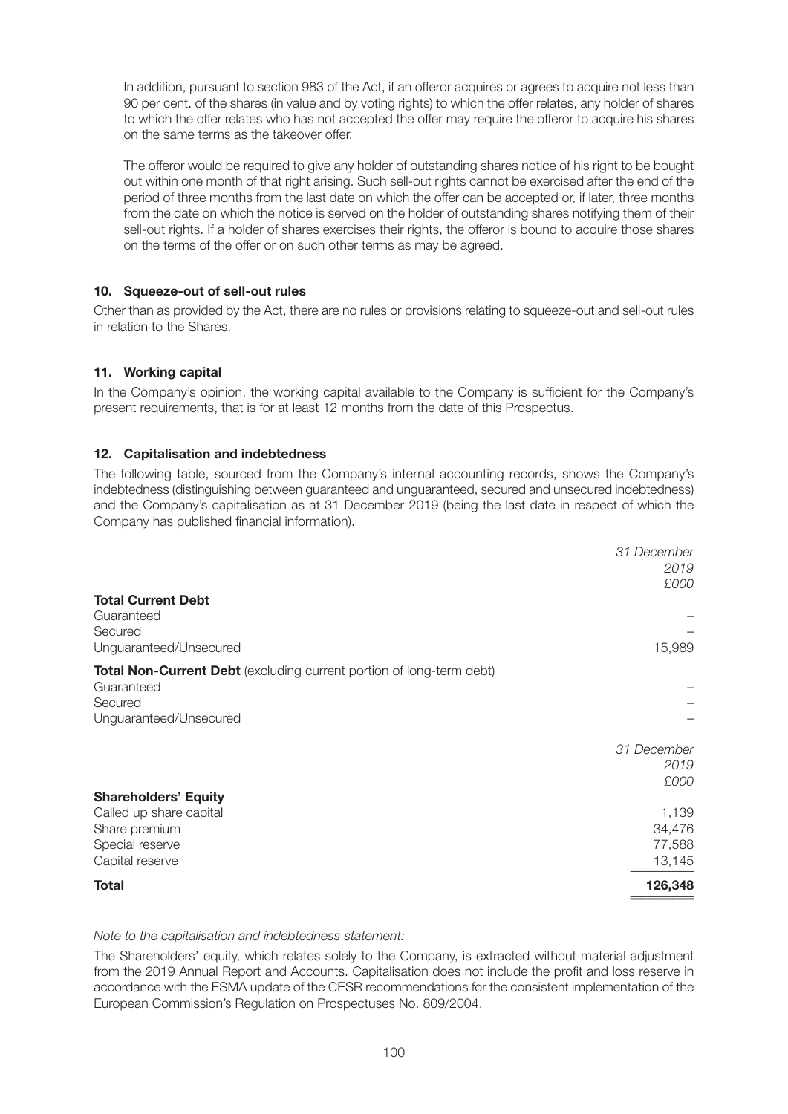In addition, pursuant to section 983 of the Act, if an offeror acquires or agrees to acquire not less than 90 per cent. of the shares (in value and by voting rights) to which the offer relates, any holder of shares to which the offer relates who has not accepted the offer may require the offeror to acquire his shares on the same terms as the takeover offer.

 The offeror would be required to give any holder of outstanding shares notice of his right to be bought out within one month of that right arising. Such sell-out rights cannot be exercised after the end of the period of three months from the last date on which the offer can be accepted or, if later, three months from the date on which the notice is served on the holder of outstanding shares notifying them of their sell-out rights. If a holder of shares exercises their rights, the offeror is bound to acquire those shares on the terms of the offer or on such other terms as may be agreed.

### **10. Squeeze-out of sell-out rules**

Other than as provided by the Act, there are no rules or provisions relating to squeeze-out and sell-out rules in relation to the Shares.

### **11. Working capital**

In the Company's opinion, the working capital available to the Company is sufficient for the Company's present requirements, that is for at least 12 months from the date of this Prospectus.

### **12. Capitalisation and indebtedness**

The following table, sourced from the Company's internal accounting records, shows the Company's indebtedness (distinguishing between guaranteed and unguaranteed, secured and unsecured indebtedness) and the Company's capitalisation as at 31 December 2019 (being the last date in respect of which the Company has published financial information).

|                                                                      | 31 December |
|----------------------------------------------------------------------|-------------|
|                                                                      | 2019        |
|                                                                      | £000        |
| <b>Total Current Debt</b>                                            |             |
| Guaranteed                                                           |             |
|                                                                      |             |
| Secured                                                              |             |
| Unguaranteed/Unsecured                                               | 15,989      |
| Total Non-Current Debt (excluding current portion of long-term debt) |             |
| Guaranteed                                                           |             |
| Secured                                                              |             |
| Unguaranteed/Unsecured                                               |             |
|                                                                      |             |
|                                                                      | 31 December |
|                                                                      | 2019        |
|                                                                      | £000        |
|                                                                      |             |
| <b>Shareholders' Equity</b>                                          |             |
| Called up share capital                                              | 1,139       |
| Share premium                                                        | 34,476      |
| Special reserve                                                      | 77,588      |
| Capital reserve                                                      | 13,145      |
| <b>Total</b>                                                         | 126,348     |
|                                                                      |             |

#### *Note to the capitalisation and indebtedness statement:*

The Shareholders' equity, which relates solely to the Company, is extracted without material adjustment from the 2019 Annual Report and Accounts. Capitalisation does not include the profit and loss reserve in accordance with the ESMA update of the CESR recommendations for the consistent implementation of the European Commission's Regulation on Prospectuses No. 809/2004.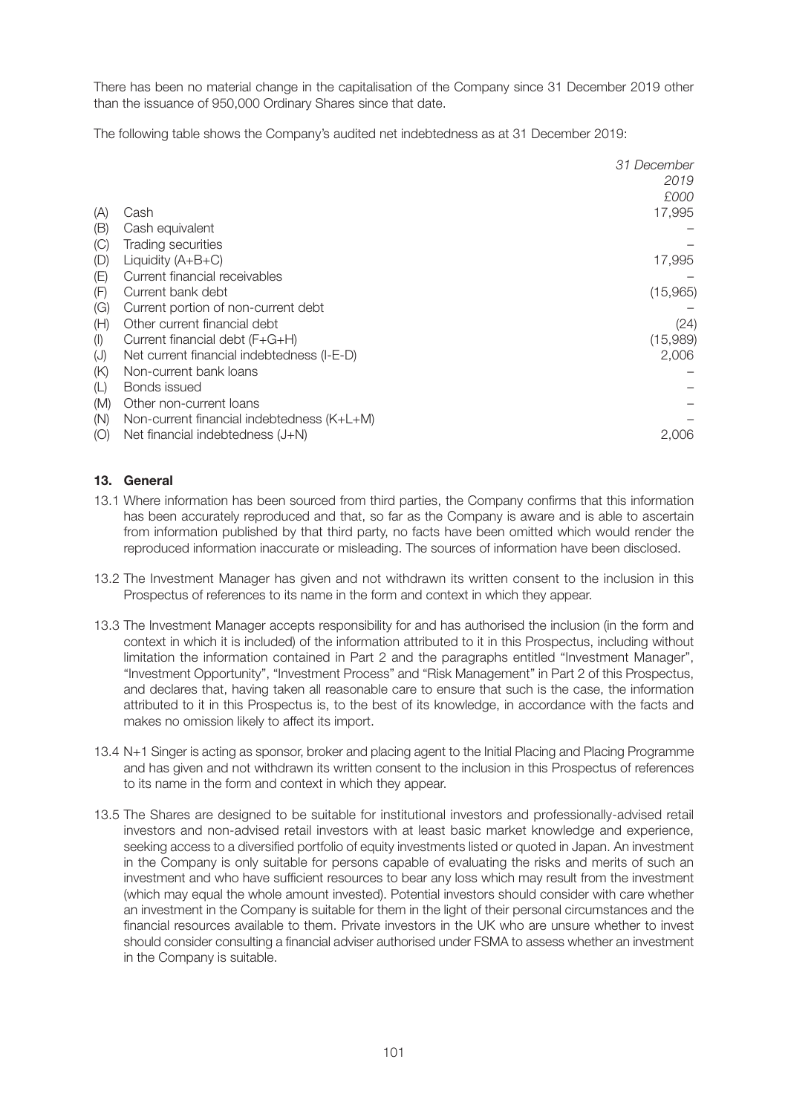There has been no material change in the capitalisation of the Company since 31 December 2019 other than the issuance of 950,000 Ordinary Shares since that date.

The following table shows the Company's audited net indebtedness as at 31 December 2019:

|     |                                            | 31 December<br>2019 |
|-----|--------------------------------------------|---------------------|
|     |                                            | £000                |
| (A) | Cash                                       | 17,995              |
| (B) | Cash equivalent                            |                     |
| (C) | <b>Trading securities</b>                  |                     |
| (D) | Liquidity $(A+B+C)$                        | 17,995              |
| (E) | Current financial receivables              |                     |
| (F) | Current bank debt                          | (15,965)            |
| (G) | Current portion of non-current debt        |                     |
| (H) | Other current financial debt               | (24)                |
| (1) | Current financial debt (F+G+H)             | (15,989)            |
| (J) | Net current financial indebtedness (I-E-D) | 2,006               |
| (K) | Non-current bank loans                     |                     |
| (L) | Bonds issued                               |                     |
| (M) | Other non-current loans                    |                     |
| (N) | Non-current financial indebtedness (K+L+M) |                     |
| (O) | Net financial indebtedness (J+N)           | 2.006               |

### **13. General**

- 13.1 Where information has been sourced from third parties, the Company confirms that this information has been accurately reproduced and that, so far as the Company is aware and is able to ascertain from information published by that third party, no facts have been omitted which would render the reproduced information inaccurate or misleading. The sources of information have been disclosed.
- 13.2 The Investment Manager has given and not withdrawn its written consent to the inclusion in this Prospectus of references to its name in the form and context in which they appear.
- 13.3 The Investment Manager accepts responsibility for and has authorised the inclusion (in the form and context in which it is included) of the information attributed to it in this Prospectus, including without limitation the information contained in Part 2 and the paragraphs entitled "Investment Manager", "Investment Opportunity", "Investment Process" and "Risk Management" in Part 2 of this Prospectus, and declares that, having taken all reasonable care to ensure that such is the case, the information attributed to it in this Prospectus is, to the best of its knowledge, in accordance with the facts and makes no omission likely to affect its import.
- 13.4 N+1 Singer is acting as sponsor, broker and placing agent to the Initial Placing and Placing Programme and has given and not withdrawn its written consent to the inclusion in this Prospectus of references to its name in the form and context in which they appear.
- 13.5 The Shares are designed to be suitable for institutional investors and professionally-advised retail investors and non-advised retail investors with at least basic market knowledge and experience, seeking access to a diversified portfolio of equity investments listed or quoted in Japan. An investment in the Company is only suitable for persons capable of evaluating the risks and merits of such an investment and who have sufficient resources to bear any loss which may result from the investment (which may equal the whole amount invested). Potential investors should consider with care whether an investment in the Company is suitable for them in the light of their personal circumstances and the financial resources available to them. Private investors in the UK who are unsure whether to invest should consider consulting a financial adviser authorised under FSMA to assess whether an investment in the Company is suitable.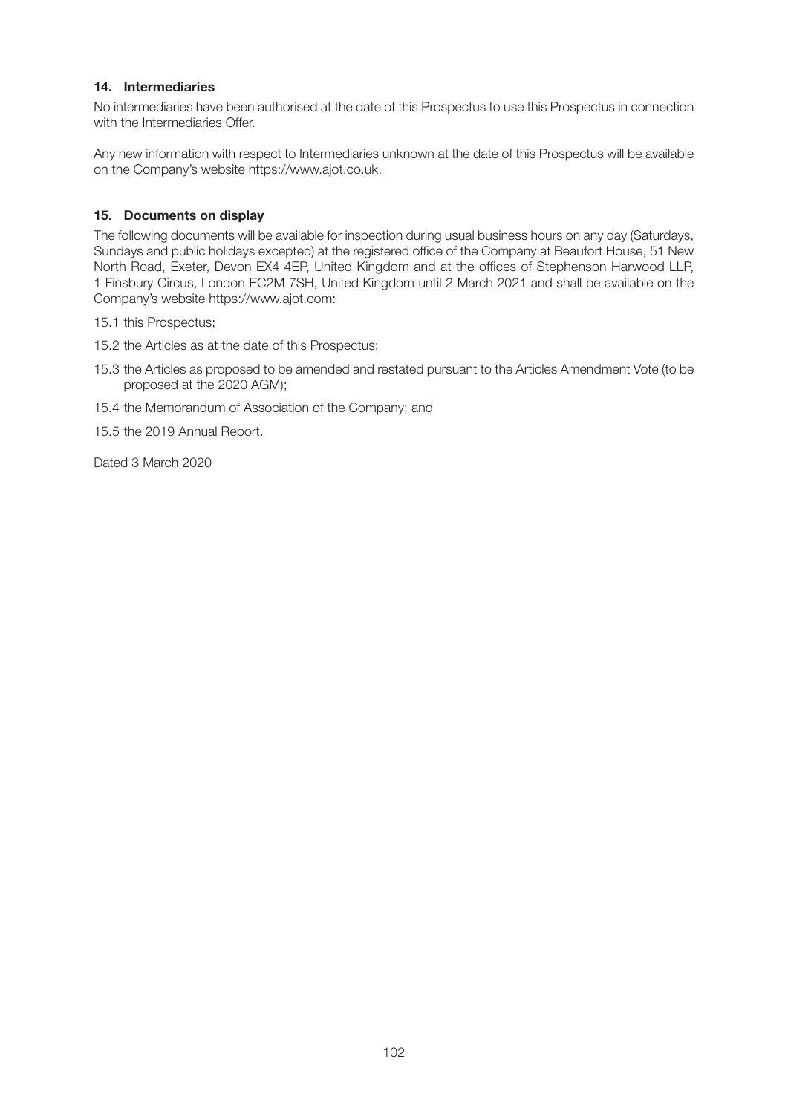### **14. Intermediaries**

No intermediaries have been authorised at the date of this Prospectus to use this Prospectus in connection with the Intermediaries Offer.

Any new information with respect to Intermediaries unknown at the date of this Prospectus will be available on the Company's website https://www.ajot.co.uk.

### **15. Documents on display**

The following documents will be available for inspection during usual business hours on any day (Saturdays, Sundays and public holidays excepted) at the registered office of the Company at Beaufort House, 51 New North Road, Exeter, Devon EX4 4EP, United Kingdom and at the offices of Stephenson Harwood LLP, 1 Finsbury Circus, London EC2M 7SH, United Kingdom until 2 March 2021 and shall be available on the Company's website https://www.ajot.com:

- 15.1 this Prospectus;
- 15.2 the Articles as at the date of this Prospectus;
- 15.3 the Articles as proposed to be amended and restated pursuant to the Articles Amendment Vote (to be proposed at the 2020 AGM);
- 15.4 the Memorandum of Association of the Company; and

15.5 the 2019 Annual Report.

Dated 3 March 2020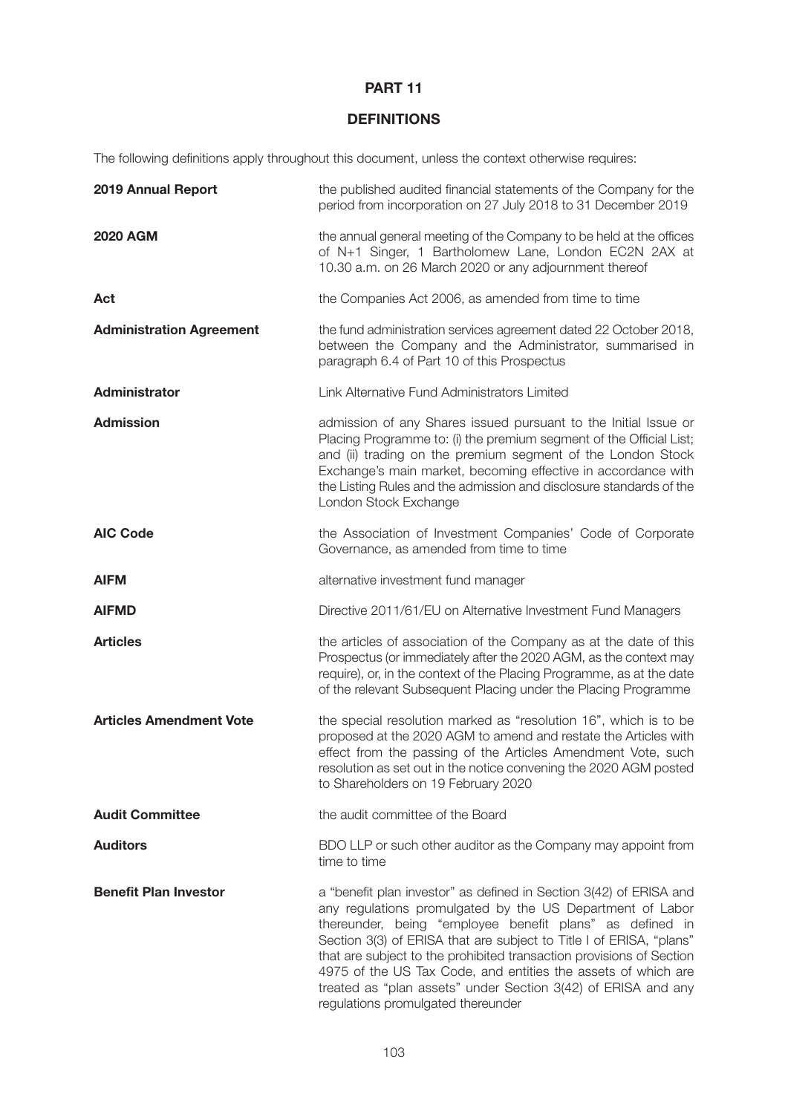# **PART 11**

# **DEFINITIONS**

The following definitions apply throughout this document, unless the context otherwise requires:

| 2019 Annual Report              | the published audited financial statements of the Company for the<br>period from incorporation on 27 July 2018 to 31 December 2019                                                                                                                                                                                                                                                                                                                                                                                 |
|---------------------------------|--------------------------------------------------------------------------------------------------------------------------------------------------------------------------------------------------------------------------------------------------------------------------------------------------------------------------------------------------------------------------------------------------------------------------------------------------------------------------------------------------------------------|
| <b>2020 AGM</b>                 | the annual general meeting of the Company to be held at the offices<br>of N+1 Singer, 1 Bartholomew Lane, London EC2N 2AX at<br>10.30 a.m. on 26 March 2020 or any adjournment thereof                                                                                                                                                                                                                                                                                                                             |
| Act                             | the Companies Act 2006, as amended from time to time                                                                                                                                                                                                                                                                                                                                                                                                                                                               |
| <b>Administration Agreement</b> | the fund administration services agreement dated 22 October 2018,<br>between the Company and the Administrator, summarised in<br>paragraph 6.4 of Part 10 of this Prospectus                                                                                                                                                                                                                                                                                                                                       |
| <b>Administrator</b>            | Link Alternative Fund Administrators Limited                                                                                                                                                                                                                                                                                                                                                                                                                                                                       |
| <b>Admission</b>                | admission of any Shares issued pursuant to the Initial Issue or<br>Placing Programme to: (i) the premium segment of the Official List;<br>and (ii) trading on the premium segment of the London Stock<br>Exchange's main market, becoming effective in accordance with<br>the Listing Rules and the admission and disclosure standards of the<br>London Stock Exchange                                                                                                                                             |
| <b>AIC Code</b>                 | the Association of Investment Companies' Code of Corporate<br>Governance, as amended from time to time                                                                                                                                                                                                                                                                                                                                                                                                             |
| <b>AIFM</b>                     | alternative investment fund manager                                                                                                                                                                                                                                                                                                                                                                                                                                                                                |
| <b>AIFMD</b>                    | Directive 2011/61/EU on Alternative Investment Fund Managers                                                                                                                                                                                                                                                                                                                                                                                                                                                       |
| <b>Articles</b>                 | the articles of association of the Company as at the date of this<br>Prospectus (or immediately after the 2020 AGM, as the context may<br>require), or, in the context of the Placing Programme, as at the date<br>of the relevant Subsequent Placing under the Placing Programme                                                                                                                                                                                                                                  |
| <b>Articles Amendment Vote</b>  | the special resolution marked as "resolution 16", which is to be<br>proposed at the 2020 AGM to amend and restate the Articles with<br>effect from the passing of the Articles Amendment Vote, such<br>resolution as set out in the notice convening the 2020 AGM posted<br>to Shareholders on 19 February 2020                                                                                                                                                                                                    |
| <b>Audit Committee</b>          | the audit committee of the Board                                                                                                                                                                                                                                                                                                                                                                                                                                                                                   |
| <b>Auditors</b>                 | BDO LLP or such other auditor as the Company may appoint from<br>time to time                                                                                                                                                                                                                                                                                                                                                                                                                                      |
| <b>Benefit Plan Investor</b>    | a "benefit plan investor" as defined in Section 3(42) of ERISA and<br>any regulations promulgated by the US Department of Labor<br>thereunder, being "employee benefit plans" as defined in<br>Section 3(3) of ERISA that are subject to Title I of ERISA, "plans"<br>that are subject to the prohibited transaction provisions of Section<br>4975 of the US Tax Code, and entities the assets of which are<br>treated as "plan assets" under Section 3(42) of ERISA and any<br>regulations promulgated thereunder |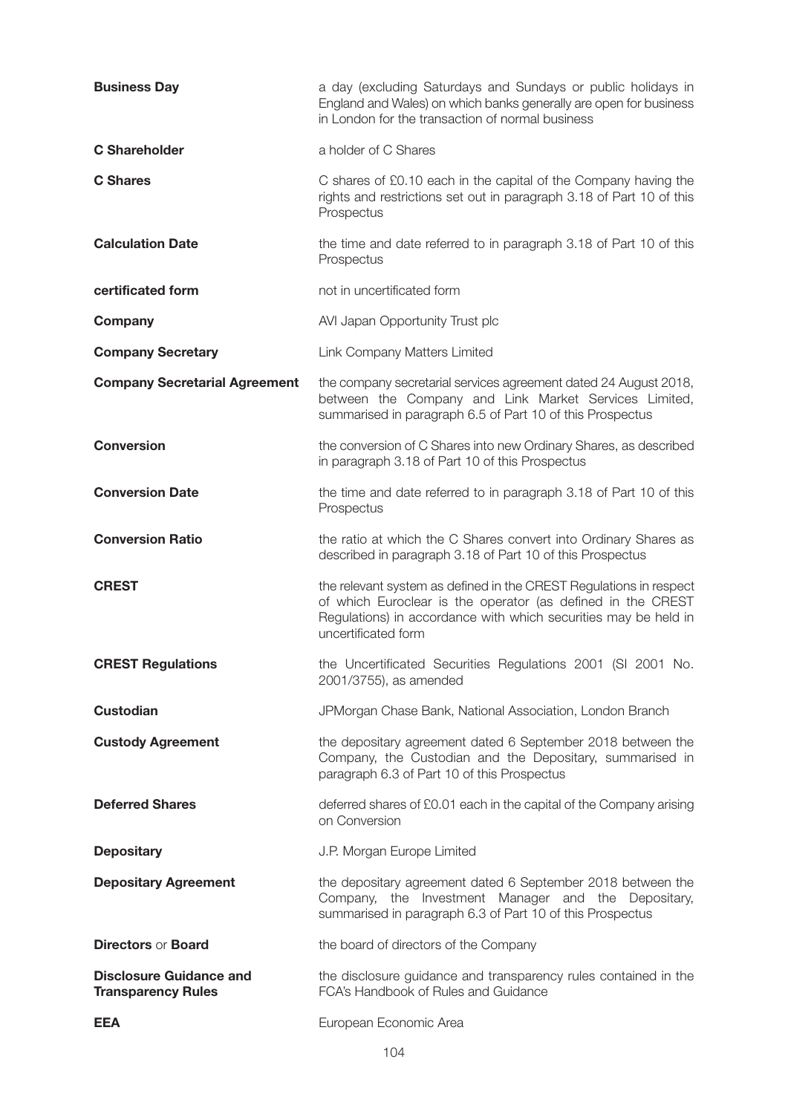| <b>Business Day</b>                                         | a day (excluding Saturdays and Sundays or public holidays in<br>England and Wales) on which banks generally are open for business<br>in London for the transaction of normal business                                       |
|-------------------------------------------------------------|-----------------------------------------------------------------------------------------------------------------------------------------------------------------------------------------------------------------------------|
| <b>C</b> Shareholder                                        | a holder of C Shares                                                                                                                                                                                                        |
| <b>C</b> Shares                                             | C shares of £0.10 each in the capital of the Company having the<br>rights and restrictions set out in paragraph 3.18 of Part 10 of this<br>Prospectus                                                                       |
| <b>Calculation Date</b>                                     | the time and date referred to in paragraph 3.18 of Part 10 of this<br>Prospectus                                                                                                                                            |
| certificated form                                           | not in uncertificated form                                                                                                                                                                                                  |
| Company                                                     | AVI Japan Opportunity Trust plc                                                                                                                                                                                             |
| <b>Company Secretary</b>                                    | Link Company Matters Limited                                                                                                                                                                                                |
| <b>Company Secretarial Agreement</b>                        | the company secretarial services agreement dated 24 August 2018,<br>between the Company and Link Market Services Limited,<br>summarised in paragraph 6.5 of Part 10 of this Prospectus                                      |
| <b>Conversion</b>                                           | the conversion of C Shares into new Ordinary Shares, as described<br>in paragraph 3.18 of Part 10 of this Prospectus                                                                                                        |
| <b>Conversion Date</b>                                      | the time and date referred to in paragraph 3.18 of Part 10 of this<br>Prospectus                                                                                                                                            |
| <b>Conversion Ratio</b>                                     | the ratio at which the C Shares convert into Ordinary Shares as<br>described in paragraph 3.18 of Part 10 of this Prospectus                                                                                                |
| <b>CREST</b>                                                | the relevant system as defined in the CREST Regulations in respect<br>of which Euroclear is the operator (as defined in the CREST<br>Regulations) in accordance with which securities may be held in<br>uncertificated form |
| <b>CREST Regulations</b>                                    | the Uncertificated Securities Regulations 2001 (SI 2001 No.<br>2001/3755), as amended                                                                                                                                       |
| <b>Custodian</b>                                            | JPMorgan Chase Bank, National Association, London Branch                                                                                                                                                                    |
| <b>Custody Agreement</b>                                    | the depositary agreement dated 6 September 2018 between the<br>Company, the Custodian and the Depositary, summarised in<br>paragraph 6.3 of Part 10 of this Prospectus                                                      |
| <b>Deferred Shares</b>                                      | deferred shares of £0.01 each in the capital of the Company arising<br>on Conversion                                                                                                                                        |
| <b>Depositary</b>                                           | J.P. Morgan Europe Limited                                                                                                                                                                                                  |
| <b>Depositary Agreement</b>                                 | the depositary agreement dated 6 September 2018 between the<br>Company, the Investment Manager and the Depositary,<br>summarised in paragraph 6.3 of Part 10 of this Prospectus                                             |
| <b>Directors or Board</b>                                   | the board of directors of the Company                                                                                                                                                                                       |
| <b>Disclosure Guidance and</b><br><b>Transparency Rules</b> | the disclosure guidance and transparency rules contained in the<br>FCA's Handbook of Rules and Guidance                                                                                                                     |
| <b>EEA</b>                                                  | European Economic Area                                                                                                                                                                                                      |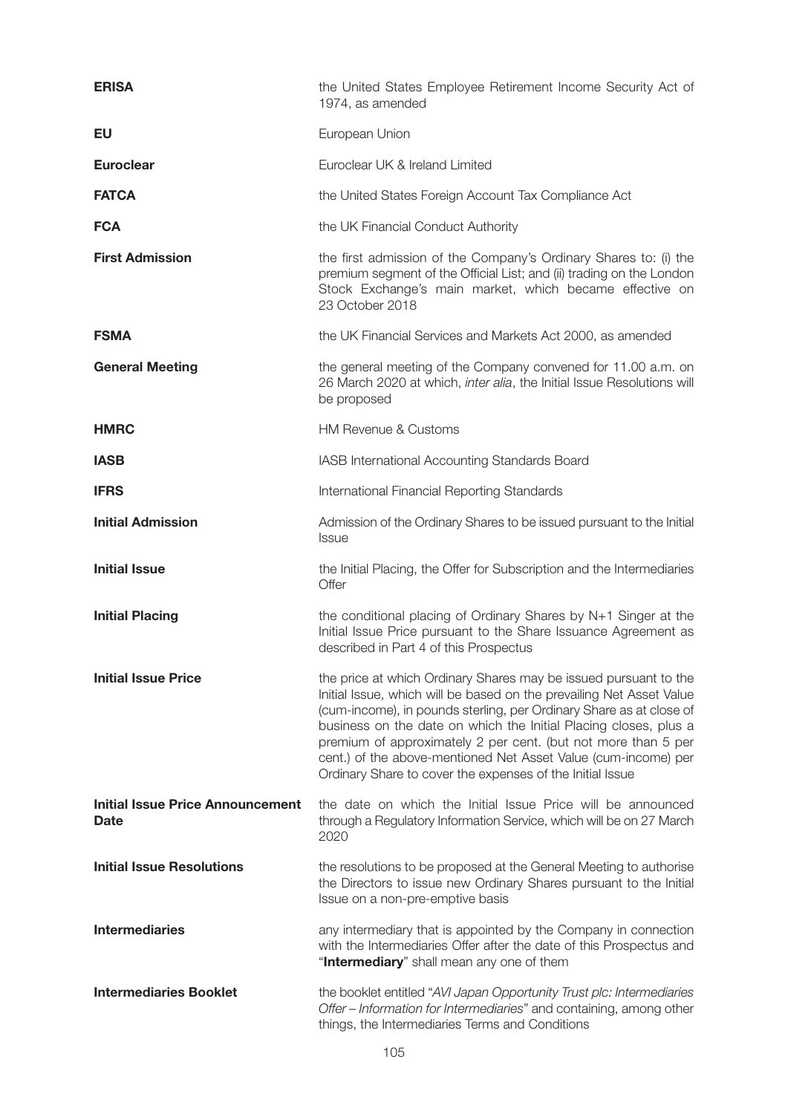| <b>ERISA</b>                                           | the United States Employee Retirement Income Security Act of<br>1974, as amended                                                                                                                                                                                                                                                                                                                                                                                                    |
|--------------------------------------------------------|-------------------------------------------------------------------------------------------------------------------------------------------------------------------------------------------------------------------------------------------------------------------------------------------------------------------------------------------------------------------------------------------------------------------------------------------------------------------------------------|
| EU                                                     | European Union                                                                                                                                                                                                                                                                                                                                                                                                                                                                      |
| <b>Euroclear</b>                                       | Euroclear UK & Ireland Limited                                                                                                                                                                                                                                                                                                                                                                                                                                                      |
| <b>FATCA</b>                                           | the United States Foreign Account Tax Compliance Act                                                                                                                                                                                                                                                                                                                                                                                                                                |
| <b>FCA</b>                                             | the UK Financial Conduct Authority                                                                                                                                                                                                                                                                                                                                                                                                                                                  |
| <b>First Admission</b>                                 | the first admission of the Company's Ordinary Shares to: (i) the<br>premium segment of the Official List; and (ii) trading on the London<br>Stock Exchange's main market, which became effective on<br>23 October 2018                                                                                                                                                                                                                                                              |
| <b>FSMA</b>                                            | the UK Financial Services and Markets Act 2000, as amended                                                                                                                                                                                                                                                                                                                                                                                                                          |
| <b>General Meeting</b>                                 | the general meeting of the Company convened for 11.00 a.m. on<br>26 March 2020 at which, inter alia, the Initial Issue Resolutions will<br>be proposed                                                                                                                                                                                                                                                                                                                              |
| <b>HMRC</b>                                            | <b>HM Revenue &amp; Customs</b>                                                                                                                                                                                                                                                                                                                                                                                                                                                     |
| <b>IASB</b>                                            | IASB International Accounting Standards Board                                                                                                                                                                                                                                                                                                                                                                                                                                       |
| <b>IFRS</b>                                            | International Financial Reporting Standards                                                                                                                                                                                                                                                                                                                                                                                                                                         |
| <b>Initial Admission</b>                               | Admission of the Ordinary Shares to be issued pursuant to the Initial<br><b>Issue</b>                                                                                                                                                                                                                                                                                                                                                                                               |
| <b>Initial Issue</b>                                   | the Initial Placing, the Offer for Subscription and the Intermediaries<br>Offer                                                                                                                                                                                                                                                                                                                                                                                                     |
| <b>Initial Placing</b>                                 | the conditional placing of Ordinary Shares by N+1 Singer at the<br>Initial Issue Price pursuant to the Share Issuance Agreement as<br>described in Part 4 of this Prospectus                                                                                                                                                                                                                                                                                                        |
| <b>Initial Issue Price</b>                             | the price at which Ordinary Shares may be issued pursuant to the<br>Initial Issue, which will be based on the prevailing Net Asset Value<br>(cum-income), in pounds sterling, per Ordinary Share as at close of<br>business on the date on which the Initial Placing closes, plus a<br>premium of approximately 2 per cent. (but not more than 5 per<br>cent.) of the above-mentioned Net Asset Value (cum-income) per<br>Ordinary Share to cover the expenses of the Initial Issue |
| <b>Initial Issue Price Announcement</b><br><b>Date</b> | the date on which the Initial Issue Price will be announced<br>through a Regulatory Information Service, which will be on 27 March<br>2020                                                                                                                                                                                                                                                                                                                                          |
| <b>Initial Issue Resolutions</b>                       | the resolutions to be proposed at the General Meeting to authorise<br>the Directors to issue new Ordinary Shares pursuant to the Initial<br>Issue on a non-pre-emptive basis                                                                                                                                                                                                                                                                                                        |
| <b>Intermediaries</b>                                  | any intermediary that is appointed by the Company in connection<br>with the Intermediaries Offer after the date of this Prospectus and<br>"Intermediary" shall mean any one of them                                                                                                                                                                                                                                                                                                 |
| <b>Intermediaries Booklet</b>                          |                                                                                                                                                                                                                                                                                                                                                                                                                                                                                     |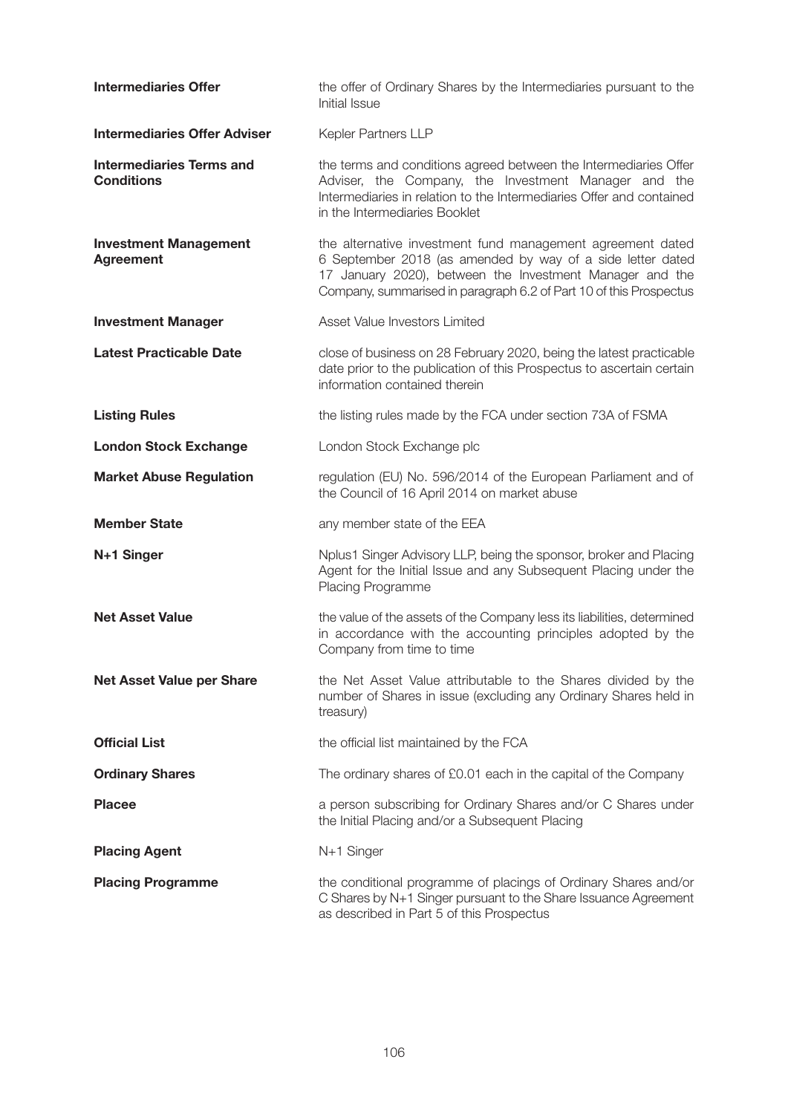| <b>Intermediaries Offer</b>                          | the offer of Ordinary Shares by the Intermediaries pursuant to the<br>Initial Issue                                                                                                                                                                        |
|------------------------------------------------------|------------------------------------------------------------------------------------------------------------------------------------------------------------------------------------------------------------------------------------------------------------|
| <b>Intermediaries Offer Adviser</b>                  | Kepler Partners LLP                                                                                                                                                                                                                                        |
| <b>Intermediaries Terms and</b><br><b>Conditions</b> | the terms and conditions agreed between the Intermediaries Offer<br>Adviser, the Company, the Investment Manager and the<br>Intermediaries in relation to the Intermediaries Offer and contained<br>in the Intermediaries Booklet                          |
| <b>Investment Management</b><br><b>Agreement</b>     | the alternative investment fund management agreement dated<br>6 September 2018 (as amended by way of a side letter dated<br>17 January 2020), between the Investment Manager and the<br>Company, summarised in paragraph 6.2 of Part 10 of this Prospectus |
| <b>Investment Manager</b>                            | Asset Value Investors Limited                                                                                                                                                                                                                              |
| <b>Latest Practicable Date</b>                       | close of business on 28 February 2020, being the latest practicable<br>date prior to the publication of this Prospectus to ascertain certain<br>information contained therein                                                                              |
| <b>Listing Rules</b>                                 | the listing rules made by the FCA under section 73A of FSMA                                                                                                                                                                                                |
| <b>London Stock Exchange</b>                         | London Stock Exchange plc                                                                                                                                                                                                                                  |
| <b>Market Abuse Regulation</b>                       | regulation (EU) No. 596/2014 of the European Parliament and of<br>the Council of 16 April 2014 on market abuse                                                                                                                                             |
| <b>Member State</b>                                  | any member state of the EEA                                                                                                                                                                                                                                |
| N+1 Singer                                           | Nplus1 Singer Advisory LLP, being the sponsor, broker and Placing<br>Agent for the Initial Issue and any Subsequent Placing under the<br>Placing Programme                                                                                                 |
| <b>Net Asset Value</b>                               | the value of the assets of the Company less its liabilities, determined<br>in accordance with the accounting principles adopted by the<br>Company from time to time                                                                                        |
| <b>Net Asset Value per Share</b>                     | the Net Asset Value attributable to the Shares divided by the<br>number of Shares in issue (excluding any Ordinary Shares held in<br>treasury)                                                                                                             |
| <b>Official List</b>                                 | the official list maintained by the FCA                                                                                                                                                                                                                    |
| <b>Ordinary Shares</b>                               | The ordinary shares of £0.01 each in the capital of the Company                                                                                                                                                                                            |
| <b>Placee</b>                                        | a person subscribing for Ordinary Shares and/or C Shares under<br>the Initial Placing and/or a Subsequent Placing                                                                                                                                          |
| <b>Placing Agent</b>                                 | N+1 Singer                                                                                                                                                                                                                                                 |
| <b>Placing Programme</b>                             | the conditional programme of placings of Ordinary Shares and/or<br>C Shares by N+1 Singer pursuant to the Share Issuance Agreement<br>as described in Part 5 of this Prospectus                                                                            |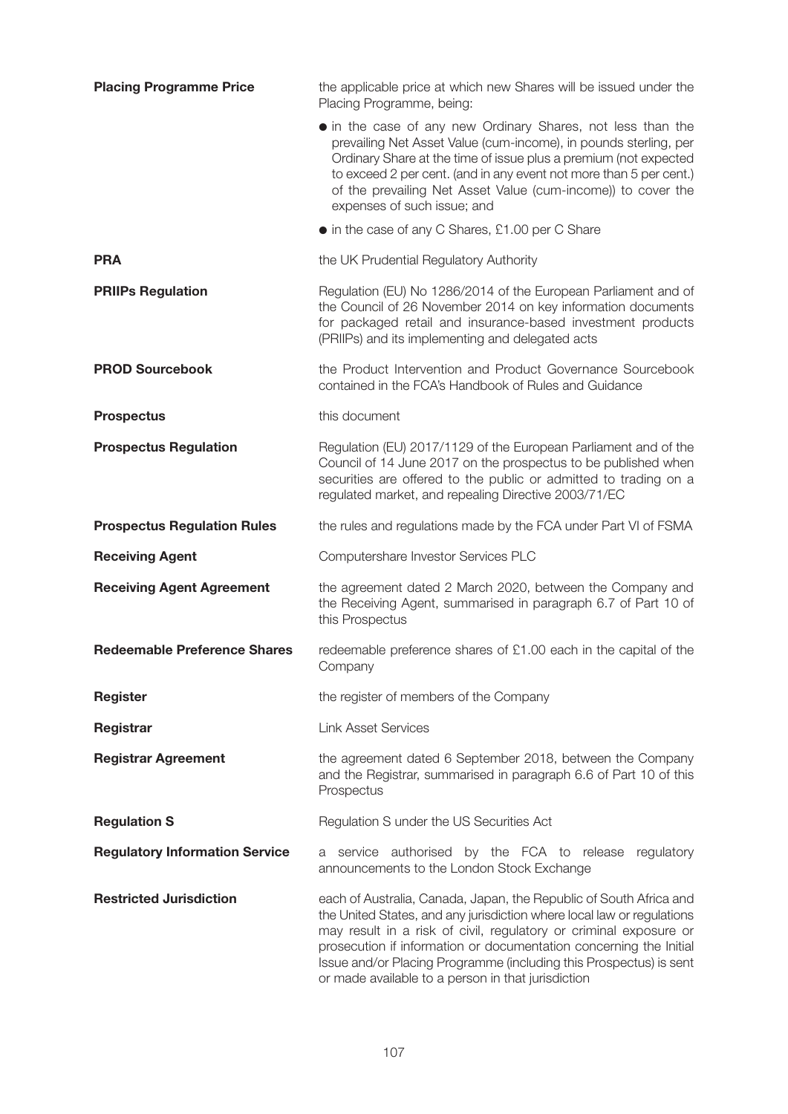| <b>Placing Programme Price</b>        | the applicable price at which new Shares will be issued under the<br>Placing Programme, being:                                                                                                                                                                                                                                                                                                                      |
|---------------------------------------|---------------------------------------------------------------------------------------------------------------------------------------------------------------------------------------------------------------------------------------------------------------------------------------------------------------------------------------------------------------------------------------------------------------------|
|                                       | • in the case of any new Ordinary Shares, not less than the<br>prevailing Net Asset Value (cum-income), in pounds sterling, per<br>Ordinary Share at the time of issue plus a premium (not expected<br>to exceed 2 per cent. (and in any event not more than 5 per cent.)<br>of the prevailing Net Asset Value (cum-income)) to cover the<br>expenses of such issue; and                                            |
|                                       | • in the case of any C Shares, £1.00 per C Share                                                                                                                                                                                                                                                                                                                                                                    |
| <b>PRA</b>                            | the UK Prudential Regulatory Authority                                                                                                                                                                                                                                                                                                                                                                              |
| <b>PRIIPs Regulation</b>              | Regulation (EU) No 1286/2014 of the European Parliament and of<br>the Council of 26 November 2014 on key information documents<br>for packaged retail and insurance-based investment products<br>(PRIIPs) and its implementing and delegated acts                                                                                                                                                                   |
| <b>PROD Sourcebook</b>                | the Product Intervention and Product Governance Sourcebook<br>contained in the FCA's Handbook of Rules and Guidance                                                                                                                                                                                                                                                                                                 |
| <b>Prospectus</b>                     | this document                                                                                                                                                                                                                                                                                                                                                                                                       |
| <b>Prospectus Regulation</b>          | Regulation (EU) 2017/1129 of the European Parliament and of the<br>Council of 14 June 2017 on the prospectus to be published when<br>securities are offered to the public or admitted to trading on a<br>regulated market, and repealing Directive 2003/71/EC                                                                                                                                                       |
| <b>Prospectus Regulation Rules</b>    | the rules and regulations made by the FCA under Part VI of FSMA                                                                                                                                                                                                                                                                                                                                                     |
| <b>Receiving Agent</b>                | Computershare Investor Services PLC                                                                                                                                                                                                                                                                                                                                                                                 |
| <b>Receiving Agent Agreement</b>      | the agreement dated 2 March 2020, between the Company and<br>the Receiving Agent, summarised in paragraph 6.7 of Part 10 of<br>this Prospectus                                                                                                                                                                                                                                                                      |
| <b>Redeemable Preference Shares</b>   | redeemable preference shares of £1.00 each in the capital of the<br>Company                                                                                                                                                                                                                                                                                                                                         |
| <b>Register</b>                       | the register of members of the Company                                                                                                                                                                                                                                                                                                                                                                              |
| Registrar                             | <b>Link Asset Services</b>                                                                                                                                                                                                                                                                                                                                                                                          |
| <b>Registrar Agreement</b>            | the agreement dated 6 September 2018, between the Company<br>and the Registrar, summarised in paragraph 6.6 of Part 10 of this<br>Prospectus                                                                                                                                                                                                                                                                        |
| <b>Regulation S</b>                   | Regulation S under the US Securities Act                                                                                                                                                                                                                                                                                                                                                                            |
| <b>Regulatory Information Service</b> | service authorised by the FCA to release regulatory<br>а<br>announcements to the London Stock Exchange                                                                                                                                                                                                                                                                                                              |
| <b>Restricted Jurisdiction</b>        | each of Australia, Canada, Japan, the Republic of South Africa and<br>the United States, and any jurisdiction where local law or regulations<br>may result in a risk of civil, regulatory or criminal exposure or<br>prosecution if information or documentation concerning the Initial<br>Issue and/or Placing Programme (including this Prospectus) is sent<br>or made available to a person in that jurisdiction |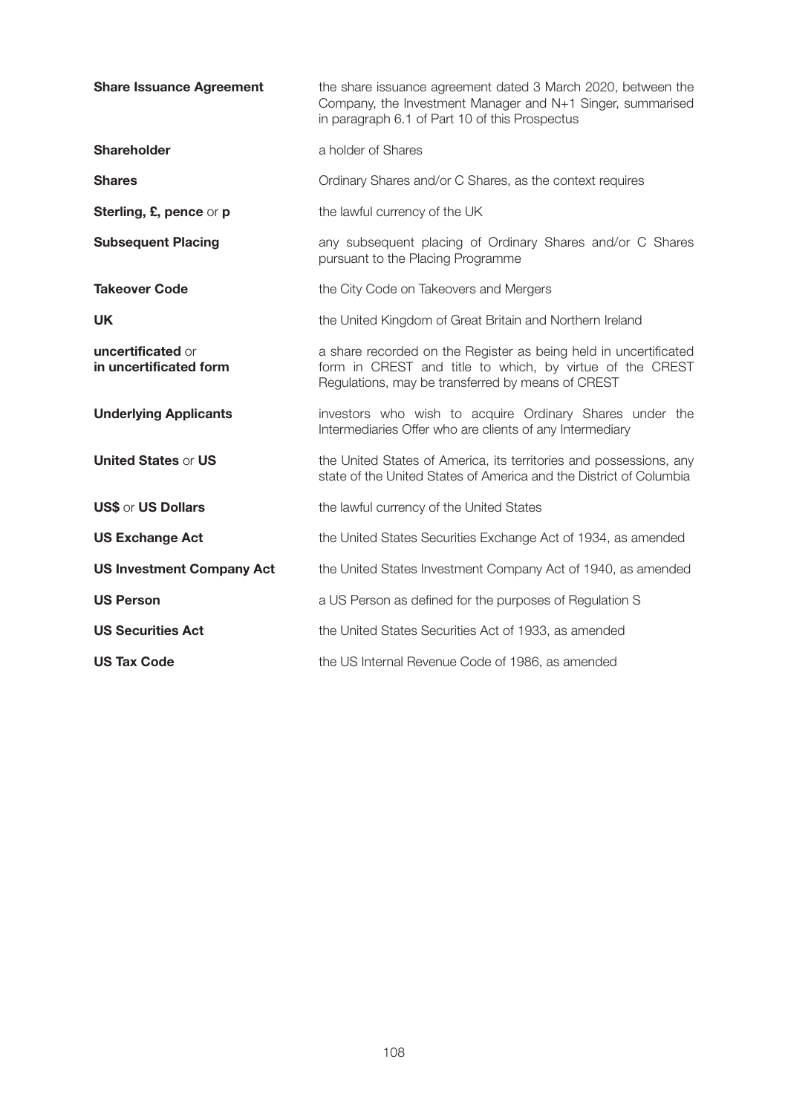| <b>Share Issuance Agreement</b>             | the share issuance agreement dated 3 March 2020, between the<br>Company, the Investment Manager and N+1 Singer, summarised<br>in paragraph 6.1 of Part 10 of this Prospectus      |
|---------------------------------------------|-----------------------------------------------------------------------------------------------------------------------------------------------------------------------------------|
| <b>Shareholder</b>                          | a holder of Shares                                                                                                                                                                |
| <b>Shares</b>                               | Ordinary Shares and/or C Shares, as the context requires                                                                                                                          |
| Sterling, £, pence or p                     | the lawful currency of the UK                                                                                                                                                     |
| <b>Subsequent Placing</b>                   | any subsequent placing of Ordinary Shares and/or C Shares<br>pursuant to the Placing Programme                                                                                    |
| <b>Takeover Code</b>                        | the City Code on Takeovers and Mergers                                                                                                                                            |
| <b>UK</b>                                   | the United Kingdom of Great Britain and Northern Ireland                                                                                                                          |
| uncertificated or<br>in uncertificated form | a share recorded on the Register as being held in uncertificated<br>form in CREST and title to which, by virtue of the CREST<br>Regulations, may be transferred by means of CREST |
| <b>Underlying Applicants</b>                | investors who wish to acquire Ordinary Shares under the<br>Intermediaries Offer who are clients of any Intermediary                                                               |
| <b>United States or US</b>                  | the United States of America, its territories and possessions, any<br>state of the United States of America and the District of Columbia                                          |
| <b>US\$ or US Dollars</b>                   | the lawful currency of the United States                                                                                                                                          |
| <b>US Exchange Act</b>                      | the United States Securities Exchange Act of 1934, as amended                                                                                                                     |
| <b>US Investment Company Act</b>            | the United States Investment Company Act of 1940, as amended                                                                                                                      |
| <b>US Person</b>                            | a US Person as defined for the purposes of Regulation S                                                                                                                           |
| <b>US Securities Act</b>                    | the United States Securities Act of 1933, as amended                                                                                                                              |
| <b>US Tax Code</b>                          | the US Internal Revenue Code of 1986, as amended                                                                                                                                  |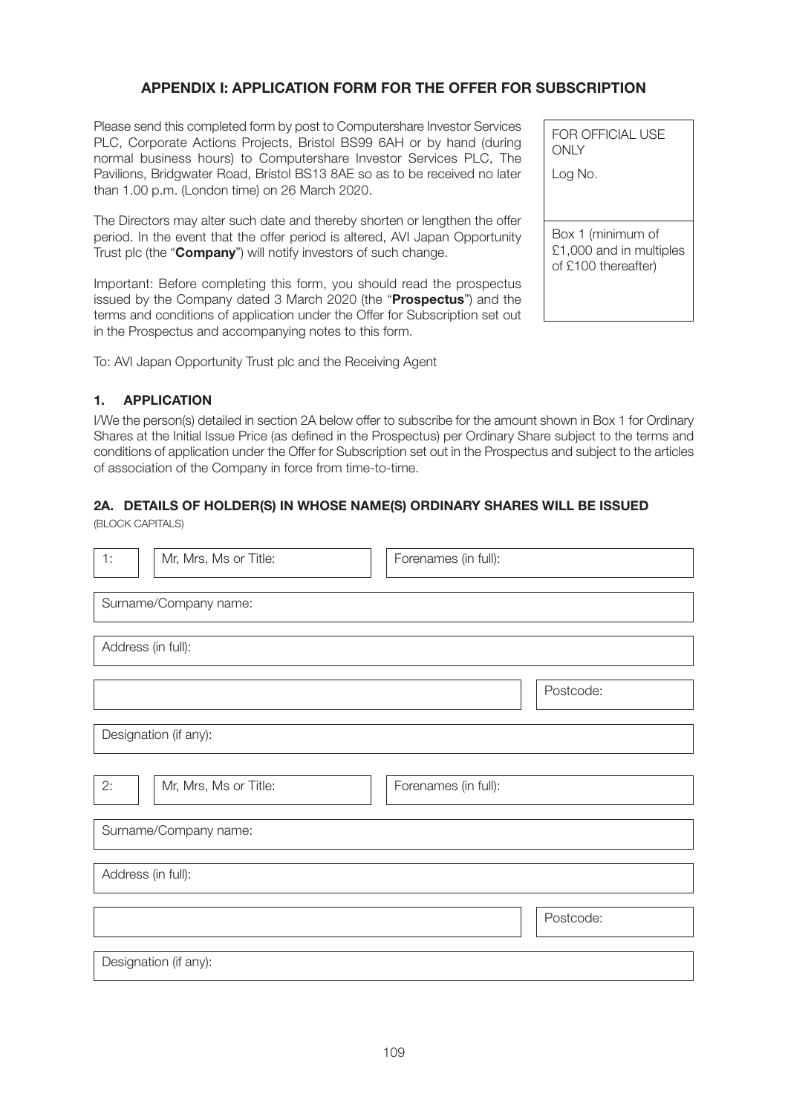# **APPENDIX I: APPLICATION FORM FOR THE OFFER FOR SUBSCRIPTION**

Please send this completed form by post to Computershare Investor Services PLC, Corporate Actions Projects, Bristol BS99 6AH or by hand (during normal business hours) to Computershare Investor Services PLC, The Pavilions, Bridgwater Road, Bristol BS13 8AE so as to be received no later than 1.00 p.m. (London time) on 26 March 2020.

The Directors may alter such date and thereby shorten or lengthen the offer period. In the event that the offer period is altered, AVI Japan Opportunity Trust plc (the "**Company**") will notify investors of such change.

Important: Before completing this form, you should read the prospectus issued by the Company dated 3 March 2020 (the "**Prospectus**") and the terms and conditions of application under the Offer for Subscription set out in the Prospectus and accompanying notes to this form.

To: AVI Japan Opportunity Trust plc and the Receiving Agent

# **1. APPLICATION**

I/We the person(s) detailed in section 2A below offer to subscribe for the amount shown in Box 1 for Ordinary Shares at the Initial Issue Price (as defined in the Prospectus) per Ordinary Share subject to the terms and conditions of application under the Offer for Subscription set out in the Prospectus and subject to the articles of association of the Company in force from time-to-time.

# **2A. DETAILS OF HOLDER(S) IN WHOSE NAME(S) ORDINARY SHARES WILL BE ISSUED**

(BLOCK CAPITALS)

| 1: | Mr, Mrs, Ms or Title: | Forenames (in full): |  |
|----|-----------------------|----------------------|--|
|    | Surname/Company name: |                      |  |
|    | Address (in full):    |                      |  |
|    |                       | Postcode:            |  |
|    | Designation (if any): |                      |  |
| 2: | Mr, Mrs, Ms or Title: | Forenames (in full): |  |
|    | Surname/Company name: |                      |  |
|    | Address (in full):    |                      |  |
|    |                       | Postcode:            |  |
|    | Designation (if any): |                      |  |

Log No. Box 1 (minimum of £1,000 and in multiples of £100 thereafter)

FOR OFFICIAL USE

**ONLY**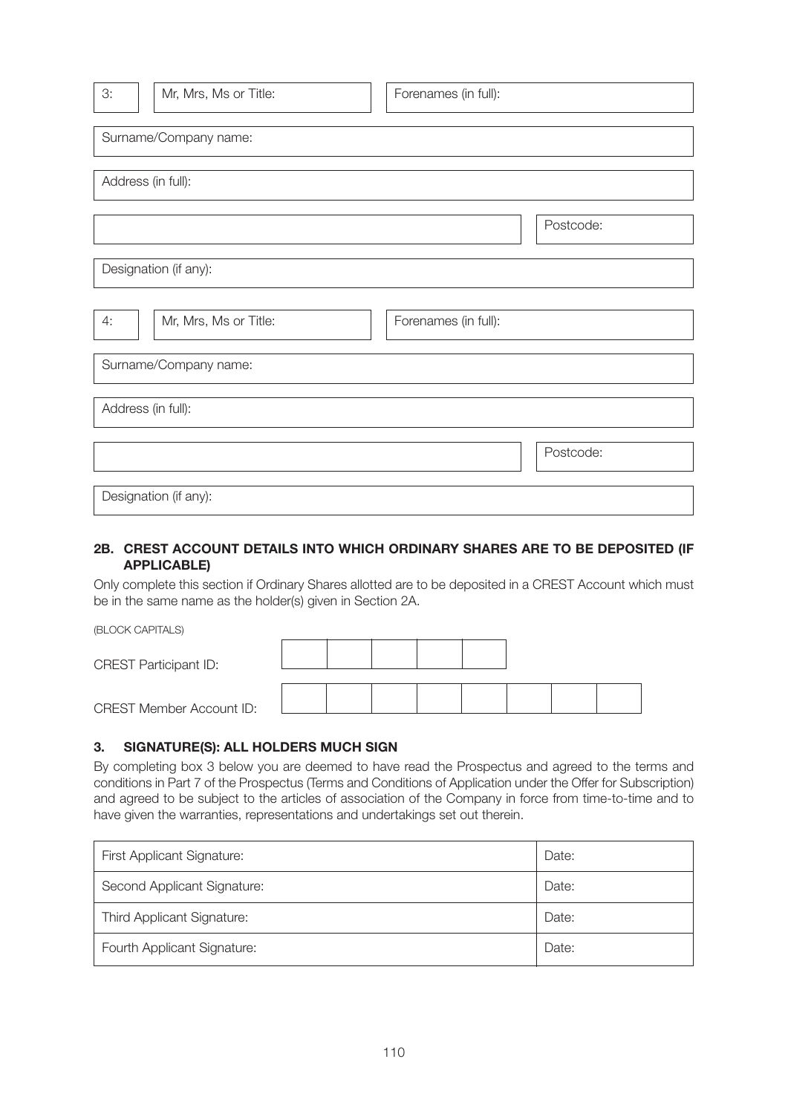| 3:                 | Mr, Mrs, Ms or Title: | Forenames (in full): |           |
|--------------------|-----------------------|----------------------|-----------|
|                    | Surname/Company name: |                      |           |
| Address (in full): |                       |                      |           |
|                    |                       |                      | Postcode: |
|                    | Designation (if any): |                      |           |
| 4:                 | Mr, Mrs, Ms or Title: | Forenames (in full): |           |
|                    | Surname/Company name: |                      |           |
| Address (in full): |                       |                      |           |
|                    |                       |                      | Postcode: |
|                    | Designation (if any): |                      |           |

## **2B. CREST ACCOUNT DETAILS INTO WHICH ORDINARY SHARES ARE TO BE DEPOSITED (IF APPLICABLE)**

Only complete this section if Ordinary Shares allotted are to be deposited in a CREST Account which must be in the same name as the holder(s) given in Section 2A.

| (BLOCK CAPITALS)                |  |  |  |  |
|---------------------------------|--|--|--|--|
| <b>CREST Participant ID:</b>    |  |  |  |  |
| <b>CREST Member Account ID:</b> |  |  |  |  |

#### **3. SIGNATURE(S): ALL HOLDERS MUCH SIGN**

By completing box 3 below you are deemed to have read the Prospectus and agreed to the terms and conditions in Part 7 of the Prospectus (Terms and Conditions of Application under the Offer for Subscription) and agreed to be subject to the articles of association of the Company in force from time-to-time and to have given the warranties, representations and undertakings set out therein.

| <b>First Applicant Signature:</b> | Date: |
|-----------------------------------|-------|
| Second Applicant Signature:       | Date: |
| Third Applicant Signature:        | Date: |
| Fourth Applicant Signature:       | Date: |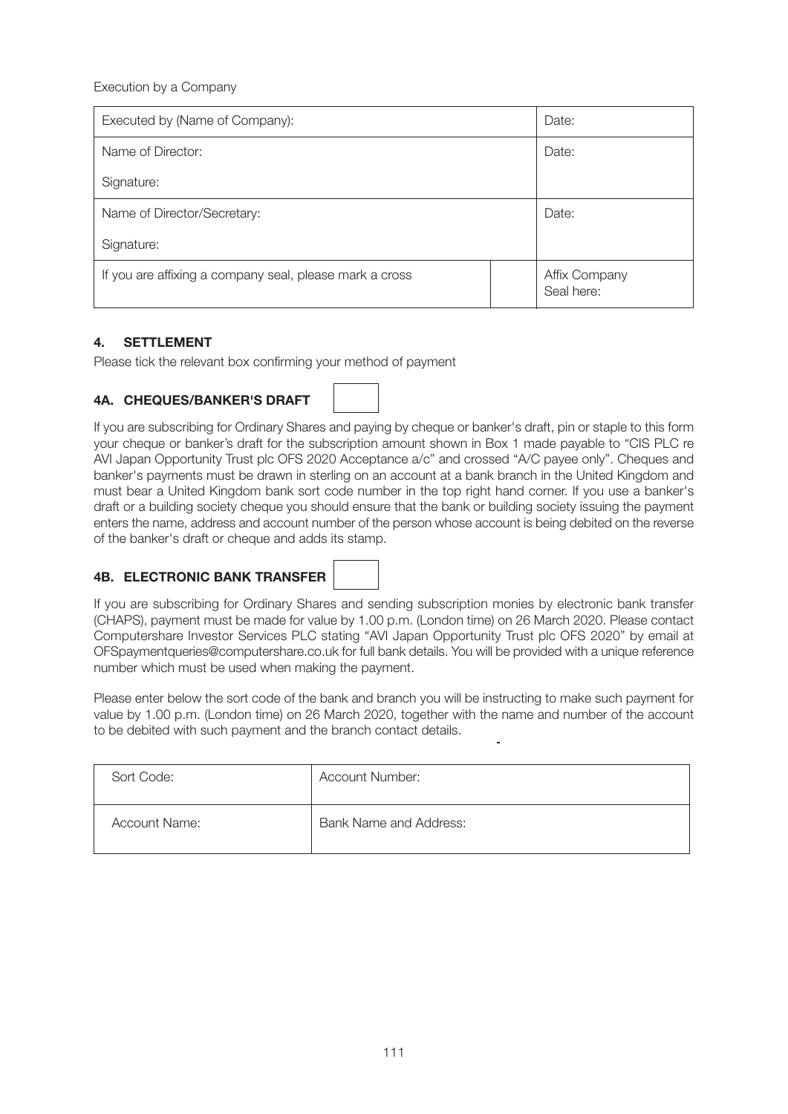Execution by a Company

| Executed by (Name of Company):                          | Date: |                             |
|---------------------------------------------------------|-------|-----------------------------|
| Name of Director:                                       | Date: |                             |
| Signature:                                              |       |                             |
| Name of Director/Secretary:                             | Date: |                             |
| Signature:                                              |       |                             |
| If you are affixing a company seal, please mark a cross |       | Affix Company<br>Seal here: |

# **4. SETTLEMENT**

Please tick the relevant box confirming your method of payment

# **4A. CHEQUES/BANKER'S DRAFT**



If you are subscribing for Ordinary Shares and paying by cheque or banker's draft, pin or staple to this form your cheque or banker's draft for the subscription amount shown in Box 1 made payable to "CIS PLC re AVI Japan Opportunity Trust plc OFS 2020 Acceptance a/c" and crossed "A/C payee only". Cheques and banker's payments must be drawn in sterling on an account at a bank branch in the United Kingdom and must bear a United Kingdom bank sort code number in the top right hand corner. If you use a banker's draft or a building society cheque you should ensure that the bank or building society issuing the payment enters the name, address and account number of the person whose account is being debited on the reverse of the banker's draft or cheque and adds its stamp.

# **4B. ELECTRONIC BANK TRANSFER**



If you are subscribing for Ordinary Shares and sending subscription monies by electronic bank transfer (CHAPS), payment must be made for value by 1.00 p.m. (London time) on 26 March 2020. Please contact Computershare Investor Services PLC stating "AVI Japan Opportunity Trust plc OFS 2020" by email at OFSpaymentqueries@computershare.co.uk for full bank details. You will be provided with a unique reference number which must be used when making the payment.

Please enter below the sort code of the bank and branch you will be instructing to make such payment for value by 1.00 p.m. (London time) on 26 March 2020, together with the name and number of the account to be debited with such payment and the branch contact details.

| Sort Code:           | <b>Account Number:</b> |
|----------------------|------------------------|
| <b>Account Name:</b> | Bank Name and Address: |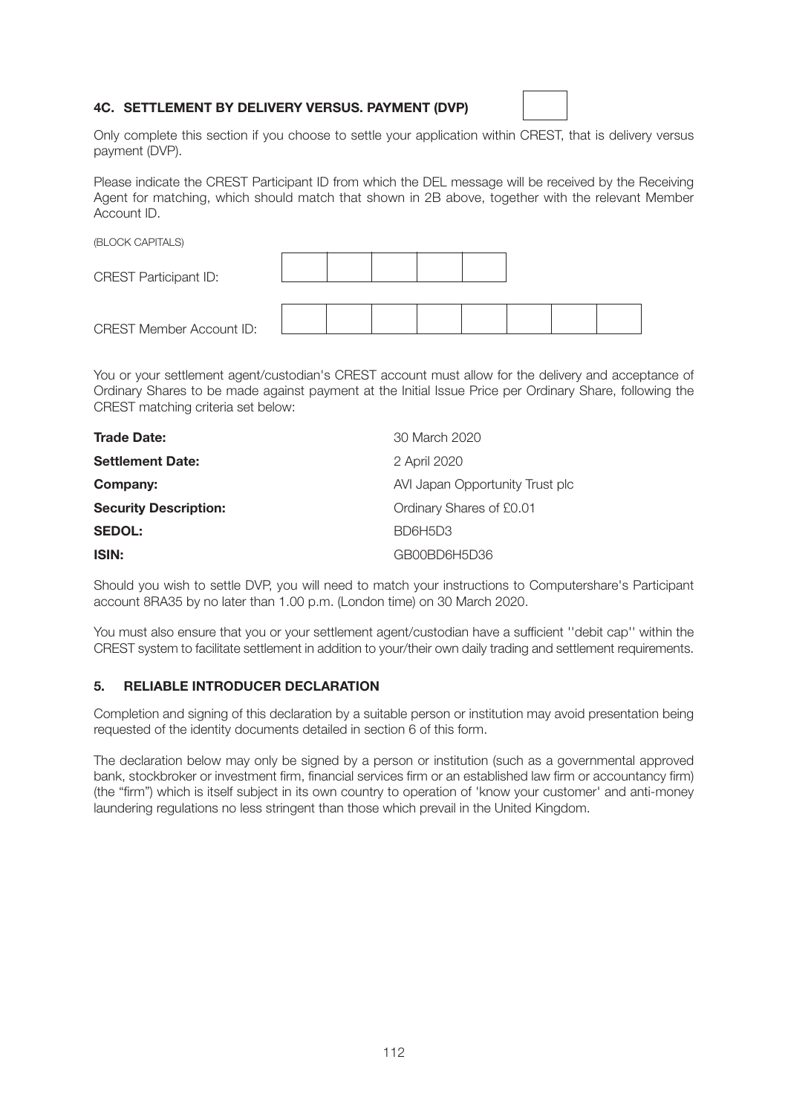## **4C. SETTLEMENT BY DELIVERY VERSUS. PAYMENT (DVP)**



Only complete this section if you choose to settle your application within CREST, that is delivery versus payment (DVP).

Please indicate the CREST Participant ID from which the DEL message will be received by the Receiving Agent for matching, which should match that shown in 2B above, together with the relevant Member Account ID.

| (BLOCK CAPITALS)                |  |  |  |  |
|---------------------------------|--|--|--|--|
| <b>CREST Participant ID:</b>    |  |  |  |  |
|                                 |  |  |  |  |
| <b>CREST Member Account ID:</b> |  |  |  |  |

You or your settlement agent/custodian's CREST account must allow for the delivery and acceptance of Ordinary Shares to be made against payment at the Initial Issue Price per Ordinary Share, following the CREST matching criteria set below:

| <b>Trade Date:</b>           | 30 March 2020                   |
|------------------------------|---------------------------------|
| <b>Settlement Date:</b>      | 2 April 2020                    |
| Company:                     | AVI Japan Opportunity Trust plc |
| <b>Security Description:</b> | Ordinary Shares of £0.01        |
| <b>SEDOL:</b>                | BD6H5D3                         |
| <b>ISIN:</b>                 | GB00BD6H5D36                    |

Should you wish to settle DVP, you will need to match your instructions to Computershare's Participant account 8RA35 by no later than 1.00 p.m. (London time) on 30 March 2020.

You must also ensure that you or your settlement agent/custodian have a sufficient ''debit cap'' within the CREST system to facilitate settlement in addition to your/their own daily trading and settlement requirements.

#### **5. RELIABLE INTRODUCER DECLARATION**

Completion and signing of this declaration by a suitable person or institution may avoid presentation being requested of the identity documents detailed in section 6 of this form.

The declaration below may only be signed by a person or institution (such as a governmental approved bank, stockbroker or investment firm, financial services firm or an established law firm or accountancy firm) (the "firm") which is itself subject in its own country to operation of 'know your customer' and anti-money laundering regulations no less stringent than those which prevail in the United Kingdom.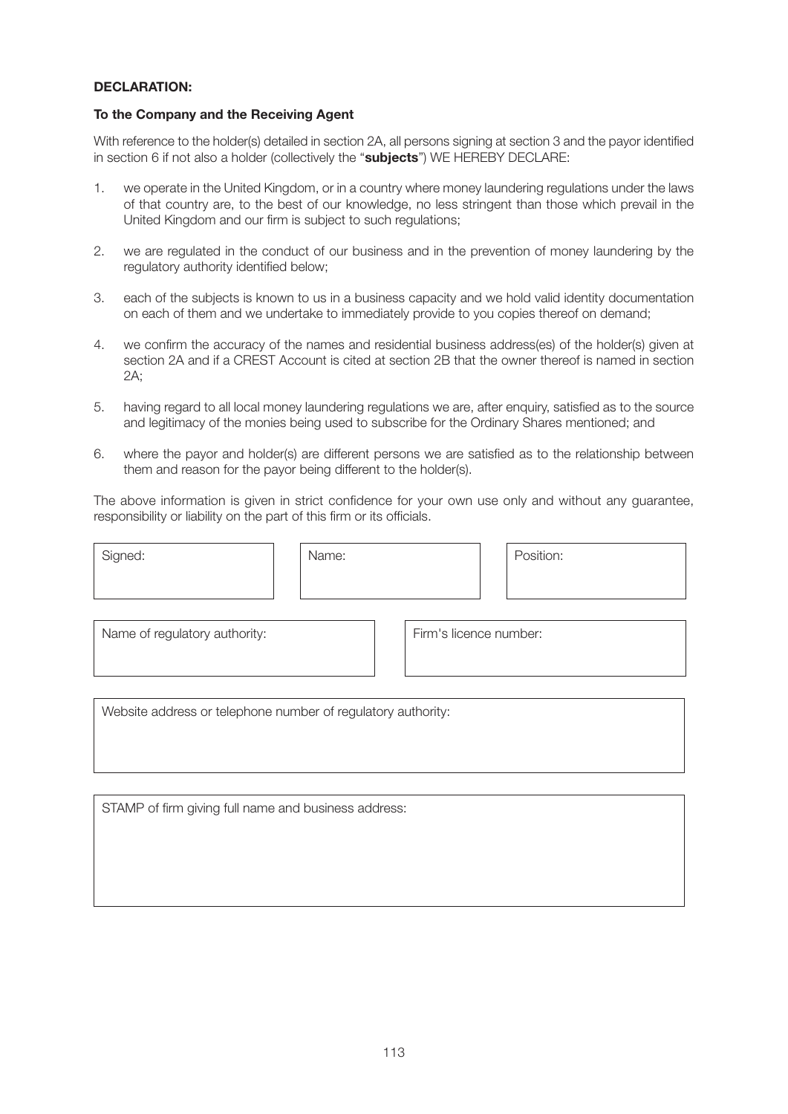## **DECLARATION:**

#### **To the Company and the Receiving Agent**

With reference to the holder(s) detailed in section 2A, all persons signing at section 3 and the payor identified in section 6 if not also a holder (collectively the "**subjects**") WE HEREBY DECLARE:

- 1. we operate in the United Kingdom, or in a country where money laundering regulations under the laws of that country are, to the best of our knowledge, no less stringent than those which prevail in the United Kingdom and our firm is subject to such regulations;
- 2. we are regulated in the conduct of our business and in the prevention of money laundering by the regulatory authority identified below;
- 3. each of the subjects is known to us in a business capacity and we hold valid identity documentation on each of them and we undertake to immediately provide to you copies thereof on demand;
- 4. we confirm the accuracy of the names and residential business address(es) of the holder(s) given at section 2A and if a CREST Account is cited at section 2B that the owner thereof is named in section 2A;
- 5. having regard to all local money laundering regulations we are, after enquiry, satisfied as to the source and legitimacy of the monies being used to subscribe for the Ordinary Shares mentioned; and
- 6. where the payor and holder(s) are different persons we are satisfied as to the relationship between them and reason for the payor being different to the holder(s).

The above information is given in strict confidence for your own use only and without any guarantee, responsibility or liability on the part of this firm or its officials.

| Signed:                                                      | Name: |                        | Position: |
|--------------------------------------------------------------|-------|------------------------|-----------|
| Name of regulatory authority:                                |       | Firm's licence number: |           |
| Website address or telephone number of regulatory authority: |       |                        |           |

STAMP of firm giving full name and business address: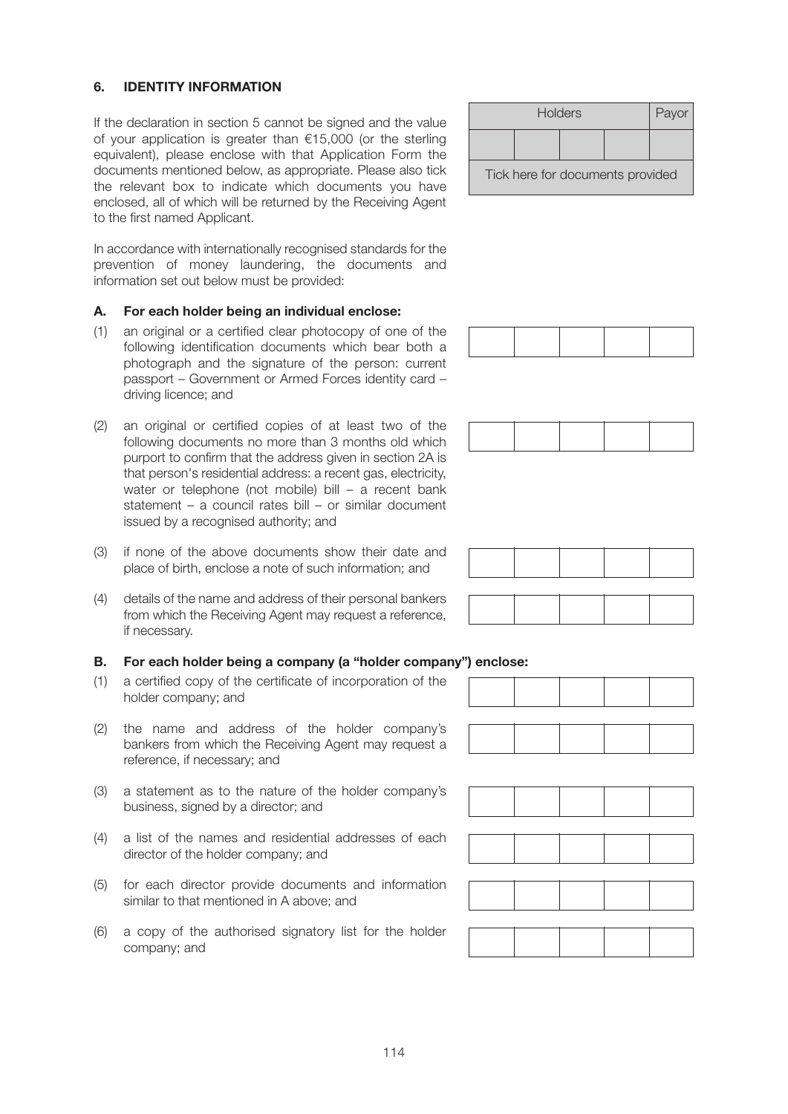# **6. IDENTITY INFORMATION**

If the declaration in section 5 cannot be signed and the value of your application is greater than €15,000 (or the sterling equivalent), please enclose with that Application Form the documents mentioned below, as appropriate. Please also tick the relevant box to indicate which documents you have enclosed, all of which will be returned by the Receiving Agent to the first named Applicant.

In accordance with internationally recognised standards for the prevention of money laundering, the documents and information set out below must be provided:

#### **A. For each holder being an individual enclose:**

- (1) an original or a certified clear photocopy of one of the following identification documents which bear both a photograph and the signature of the person: current passport – Government or Armed Forces identity card – driving licence; and
- (2) an original or certified copies of at least two of the following documents no more than 3 months old which purport to confirm that the address given in section 2A is that person's residential address: a recent gas, electricity, water or telephone (not mobile) bill – a recent bank statement – a council rates bill – or similar document issued by a recognised authority; and
- (3) if none of the above documents show their date and place of birth, enclose a note of such information; and
- (4) details of the name and address of their personal bankers from which the Receiving Agent may request a reference, if necessary.

#### **B. For each holder being a company (a "holder company") enclose:**

- (1) a certified copy of the certificate of incorporation of the holder company; and
- (2) the name and address of the holder company's bankers from which the Receiving Agent may request a reference, if necessary; and
- (3) a statement as to the nature of the holder company's business, signed by a director; and
- (4) a list of the names and residential addresses of each director of the holder company; and
- (5) for each director provide documents and information similar to that mentioned in A above; and
- (6) a copy of the authorised signatory list for the holder company; and

|                                  | Payor |  |  |  |  |  |
|----------------------------------|-------|--|--|--|--|--|
|                                  |       |  |  |  |  |  |
| Tick here for documents provided |       |  |  |  |  |  |









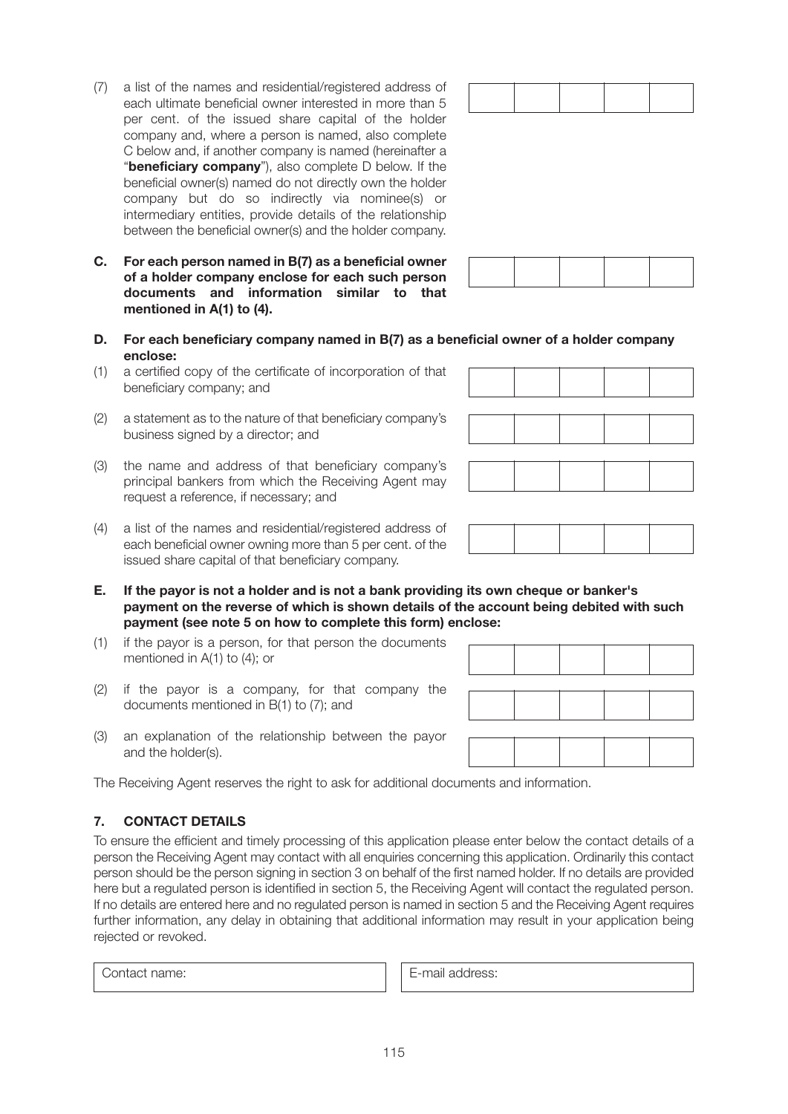(2) a statement as to the nature of that beneficiary company's business signed by a director; and (3) the name and address of that beneficiary company's principal bankers from which the Receiving Agent may request a reference, if necessary; and

company but do so indirectly via nominee(s) or intermediary entities, provide details of the relationship between the beneficial owner(s) and the holder company.

**C. For each person named in B(7) as a beneficial owner of a holder company enclose for each such person documents and information similar to that** 

(1) a certified copy of the certificate of incorporation of that

**mentioned in A(1) to (4).** 

beneficiary company; and

**enclose:** 

- (4) a list of the names and residential/registered address of each beneficial owner owning more than 5 per cent. of the issued share capital of that beneficiary company.
- **E. If the payor is not a holder and is not a bank providing its own cheque or banker's payment on the reverse of which is shown details of the account being debited with such payment (see note 5 on how to complete this form) enclose:**
- (1) if the payor is a person, for that person the documents mentioned in A(1) to (4); or
- (2) if the payor is a company, for that company the documents mentioned in B(1) to (7); and
- (3) an explanation of the relationship between the payor and the holder(s).

The Receiving Agent reserves the right to ask for additional documents and information.

## **7. CONTACT DETAILS**

To ensure the efficient and timely processing of this application please enter below the contact details of a person the Receiving Agent may contact with all enquiries concerning this application. Ordinarily this contact person should be the person signing in section 3 on behalf of the first named holder. If no details are provided here but a regulated person is identified in section 5, the Receiving Agent will contact the regulated person. If no details are entered here and no regulated person is named in section 5 and the Receiving Agent requires further information, any delay in obtaining that additional information may result in your application being rejected or revoked.

Contact name: E-mail address:

115

| (7) | a list of the names and residential/registered address of      |  |  |
|-----|----------------------------------------------------------------|--|--|
|     | each ultimate beneficial owner interested in more than 5       |  |  |
|     | per cent. of the issued share capital of the holder            |  |  |
|     | company and, where a person is named, also complete            |  |  |
|     | C below and, if another company is named (hereinafter a        |  |  |
|     | " <b>beneficiary company</b> "), also complete D below. If the |  |  |
|     | beneficial owner(s) named do not directly own the holder       |  |  |
|     |                                                                |  |  |

**D. For each beneficiary company named in B(7) as a beneficial owner of a holder company**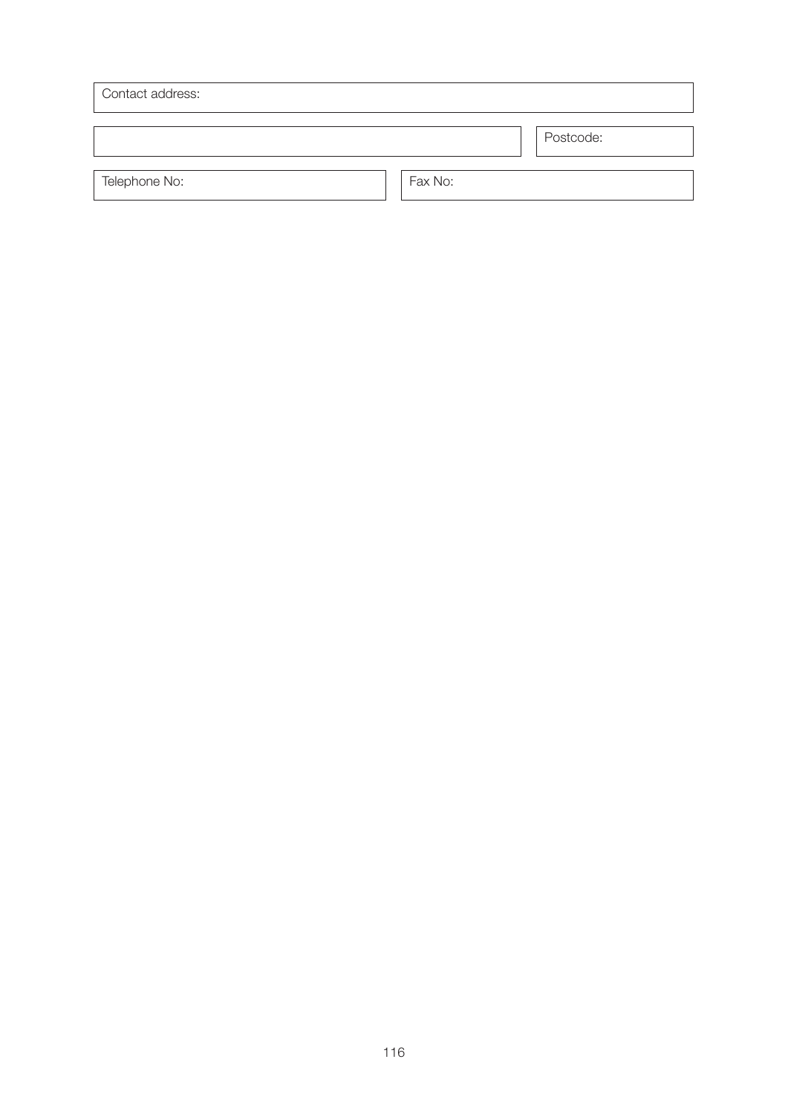| Contact address: |         |           |
|------------------|---------|-----------|
|                  |         | Postcode: |
| Telephone No:    | Fax No: |           |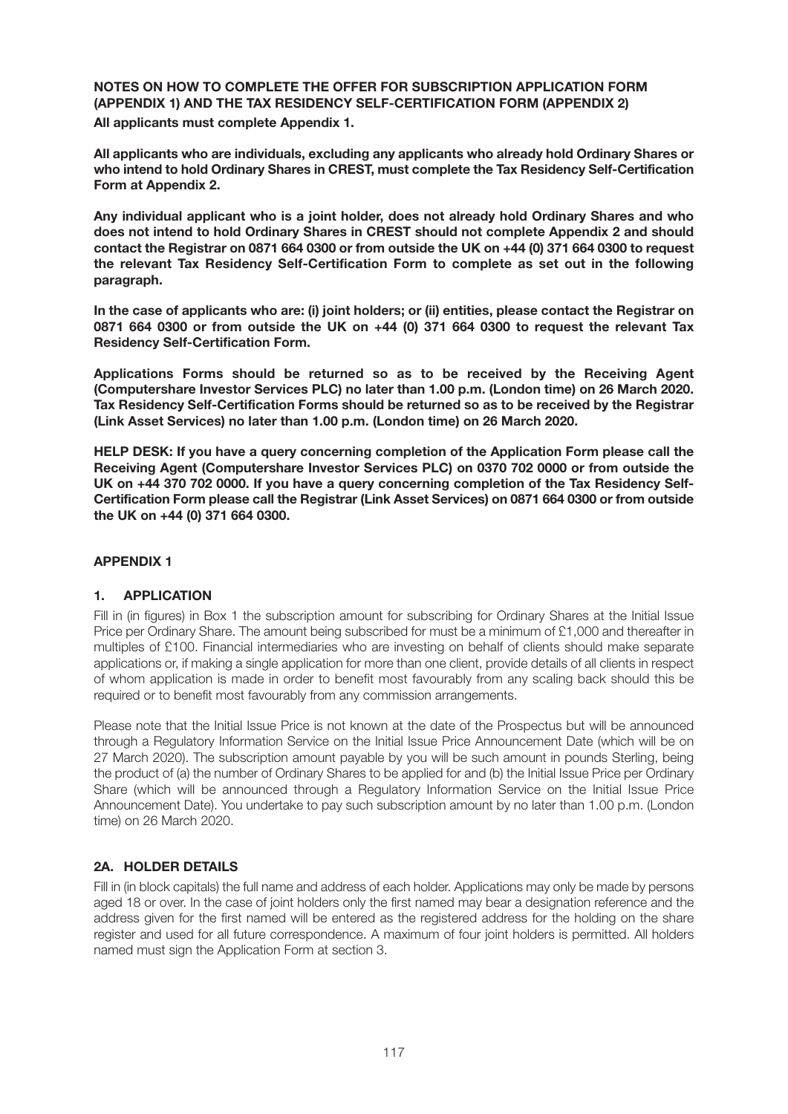**NOTES ON HOW TO COMPLETE THE OFFER FOR SUBSCRIPTION APPLICATION FORM (APPENDIX 1) AND THE TAX RESIDENCY SELF-CERTIFICATION FORM (APPENDIX 2) All applicants must complete Appendix 1.** 

**All applicants who are individuals, excluding any applicants who already hold Ordinary Shares or who intend to hold Ordinary Shares in CREST, must complete the Tax Residency Self-Certification Form at Appendix 2.** 

**Any individual applicant who is a joint holder, does not already hold Ordinary Shares and who does not intend to hold Ordinary Shares in CREST should not complete Appendix 2 and should contact the Registrar on 0871 664 0300 or from outside the UK on +44 (0) 371 664 0300 to request the relevant Tax Residency Self-Certification Form to complete as set out in the following paragraph.** 

**In the case of applicants who are: (i) joint holders; or (ii) entities, please contact the Registrar on 0871 664 0300 or from outside the UK on +44 (0) 371 664 0300 to request the relevant Tax Residency Self-Certification Form.** 

**Applications Forms should be returned so as to be received by the Receiving Agent (Computershare Investor Services PLC) no later than 1.00 p.m. (London time) on 26 March 2020. Tax Residency Self-Certification Forms should be returned so as to be received by the Registrar (Link Asset Services) no later than 1.00 p.m. (London time) on 26 March 2020.** 

**HELP DESK: If you have a query concerning completion of the Application Form please call the Receiving Agent (Computershare Investor Services PLC) on 0370 702 0000 or from outside the UK on +44 370 702 0000. If you have a query concerning completion of the Tax Residency Self-Certification Form please call the Registrar (Link Asset Services) on 0871 664 0300 or from outside the UK on +44 (0) 371 664 0300.**

#### **APPENDIX 1**

#### **1. APPLICATION**

Fill in (in figures) in Box 1 the subscription amount for subscribing for Ordinary Shares at the Initial Issue Price per Ordinary Share. The amount being subscribed for must be a minimum of £1,000 and thereafter in multiples of £100. Financial intermediaries who are investing on behalf of clients should make separate applications or, if making a single application for more than one client, provide details of all clients in respect of whom application is made in order to benefit most favourably from any scaling back should this be required or to benefit most favourably from any commission arrangements.

Please note that the Initial Issue Price is not known at the date of the Prospectus but will be announced through a Regulatory Information Service on the Initial Issue Price Announcement Date (which will be on 27 March 2020). The subscription amount payable by you will be such amount in pounds Sterling, being the product of (a) the number of Ordinary Shares to be applied for and (b) the Initial Issue Price per Ordinary Share (which will be announced through a Regulatory Information Service on the Initial Issue Price Announcement Date). You undertake to pay such subscription amount by no later than 1.00 p.m. (London time) on 26 March 2020.

# **2A. HOLDER DETAILS**

Fill in (in block capitals) the full name and address of each holder. Applications may only be made by persons aged 18 or over. In the case of joint holders only the first named may bear a designation reference and the address given for the first named will be entered as the registered address for the holding on the share register and used for all future correspondence. A maximum of four joint holders is permitted. All holders named must sign the Application Form at section 3.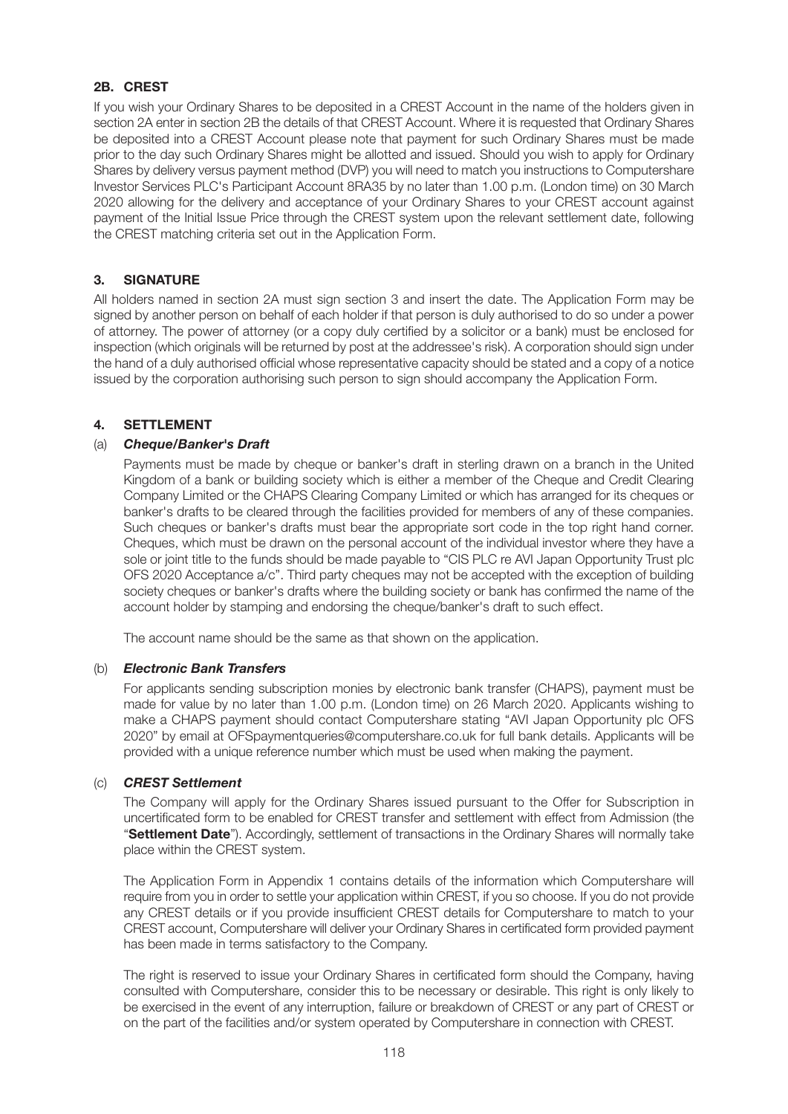# **2B. CREST**

If you wish your Ordinary Shares to be deposited in a CREST Account in the name of the holders given in section 2A enter in section 2B the details of that CREST Account. Where it is requested that Ordinary Shares be deposited into a CREST Account please note that payment for such Ordinary Shares must be made prior to the day such Ordinary Shares might be allotted and issued. Should you wish to apply for Ordinary Shares by delivery versus payment method (DVP) you will need to match you instructions to Computershare Investor Services PLC's Participant Account 8RA35 by no later than 1.00 p.m. (London time) on 30 March 2020 allowing for the delivery and acceptance of your Ordinary Shares to your CREST account against payment of the Initial Issue Price through the CREST system upon the relevant settlement date, following the CREST matching criteria set out in the Application Form.

# **3. SIGNATURE**

All holders named in section 2A must sign section 3 and insert the date. The Application Form may be signed by another person on behalf of each holder if that person is duly authorised to do so under a power of attorney. The power of attorney (or a copy duly certified by a solicitor or a bank) must be enclosed for inspection (which originals will be returned by post at the addressee's risk). A corporation should sign under the hand of a duly authorised official whose representative capacity should be stated and a copy of a notice issued by the corporation authorising such person to sign should accompany the Application Form.

# **4. SETTLEMENT**

# (a) *Cheque/Banker's Draft*

 Payments must be made by cheque or banker's draft in sterling drawn on a branch in the United Kingdom of a bank or building society which is either a member of the Cheque and Credit Clearing Company Limited or the CHAPS Clearing Company Limited or which has arranged for its cheques or banker's drafts to be cleared through the facilities provided for members of any of these companies. Such cheques or banker's drafts must bear the appropriate sort code in the top right hand corner. Cheques, which must be drawn on the personal account of the individual investor where they have a sole or joint title to the funds should be made payable to "CIS PLC re AVI Japan Opportunity Trust plc OFS 2020 Acceptance a/c". Third party cheques may not be accepted with the exception of building society cheques or banker's drafts where the building society or bank has confirmed the name of the account holder by stamping and endorsing the cheque/banker's draft to such effect.

The account name should be the same as that shown on the application.

#### (b) *Electronic Bank Transfers*

 For applicants sending subscription monies by electronic bank transfer (CHAPS), payment must be made for value by no later than 1.00 p.m. (London time) on 26 March 2020. Applicants wishing to make a CHAPS payment should contact Computershare stating "AVI Japan Opportunity plc OFS 2020" by email at OFSpaymentqueries@computershare.co.uk for full bank details. Applicants will be provided with a unique reference number which must be used when making the payment.

#### (c) *CREST Settlement*

 The Company will apply for the Ordinary Shares issued pursuant to the Offer for Subscription in uncertificated form to be enabled for CREST transfer and settlement with effect from Admission (the "**Settlement Date**"). Accordingly, settlement of transactions in the Ordinary Shares will normally take place within the CREST system.

The Application Form in Appendix 1 contains details of the information which Computershare will require from you in order to settle your application within CREST, if you so choose. If you do not provide any CREST details or if you provide insufficient CREST details for Computershare to match to your CREST account, Computershare will deliver your Ordinary Shares in certificated form provided payment has been made in terms satisfactory to the Company.

The right is reserved to issue your Ordinary Shares in certificated form should the Company, having consulted with Computershare, consider this to be necessary or desirable. This right is only likely to be exercised in the event of any interruption, failure or breakdown of CREST or any part of CREST or on the part of the facilities and/or system operated by Computershare in connection with CREST.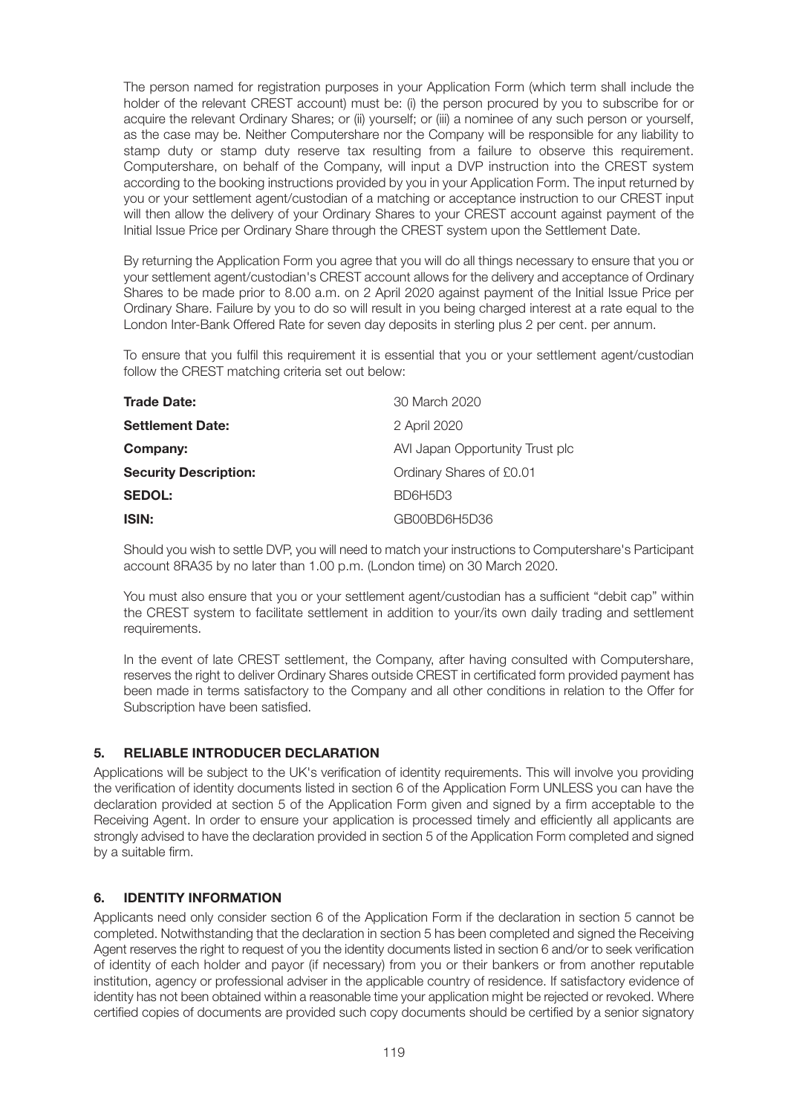The person named for registration purposes in your Application Form (which term shall include the holder of the relevant CREST account) must be: (i) the person procured by you to subscribe for or acquire the relevant Ordinary Shares; or (ii) yourself; or (iii) a nominee of any such person or yourself, as the case may be. Neither Computershare nor the Company will be responsible for any liability to stamp duty or stamp duty reserve tax resulting from a failure to observe this requirement. Computershare, on behalf of the Company, will input a DVP instruction into the CREST system according to the booking instructions provided by you in your Application Form. The input returned by you or your settlement agent/custodian of a matching or acceptance instruction to our CREST input will then allow the delivery of your Ordinary Shares to your CREST account against payment of the Initial Issue Price per Ordinary Share through the CREST system upon the Settlement Date.

By returning the Application Form you agree that you will do all things necessary to ensure that you or your settlement agent/custodian's CREST account allows for the delivery and acceptance of Ordinary Shares to be made prior to 8.00 a.m. on 2 April 2020 against payment of the Initial Issue Price per Ordinary Share. Failure by you to do so will result in you being charged interest at a rate equal to the London Inter-Bank Offered Rate for seven day deposits in sterling plus 2 per cent. per annum.

To ensure that you fulfil this requirement it is essential that you or your settlement agent/custodian follow the CREST matching criteria set out below:

| <b>Trade Date:</b>           | 30 March 2020                   |
|------------------------------|---------------------------------|
| <b>Settlement Date:</b>      | 2 April 2020                    |
| Company:                     | AVI Japan Opportunity Trust plc |
| <b>Security Description:</b> | Ordinary Shares of £0.01        |
| <b>SEDOL:</b>                | BD6H5D3                         |
| ISIN:                        | GB00BD6H5D36                    |

Should you wish to settle DVP, you will need to match your instructions to Computershare's Participant account 8RA35 by no later than 1.00 p.m. (London time) on 30 March 2020.

You must also ensure that you or your settlement agent/custodian has a sufficient "debit cap" within the CREST system to facilitate settlement in addition to your/its own daily trading and settlement requirements.

In the event of late CREST settlement, the Company, after having consulted with Computershare, reserves the right to deliver Ordinary Shares outside CREST in certificated form provided payment has been made in terms satisfactory to the Company and all other conditions in relation to the Offer for Subscription have been satisfied.

# **5. RELIABLE INTRODUCER DECLARATION**

Applications will be subject to the UK's verification of identity requirements. This will involve you providing the verification of identity documents listed in section 6 of the Application Form UNLESS you can have the declaration provided at section 5 of the Application Form given and signed by a firm acceptable to the Receiving Agent. In order to ensure your application is processed timely and efficiently all applicants are strongly advised to have the declaration provided in section 5 of the Application Form completed and signed by a suitable firm.

#### **6. IDENTITY INFORMATION**

Applicants need only consider section 6 of the Application Form if the declaration in section 5 cannot be completed. Notwithstanding that the declaration in section 5 has been completed and signed the Receiving Agent reserves the right to request of you the identity documents listed in section 6 and/or to seek verification of identity of each holder and payor (if necessary) from you or their bankers or from another reputable institution, agency or professional adviser in the applicable country of residence. If satisfactory evidence of identity has not been obtained within a reasonable time your application might be rejected or revoked. Where certified copies of documents are provided such copy documents should be certified by a senior signatory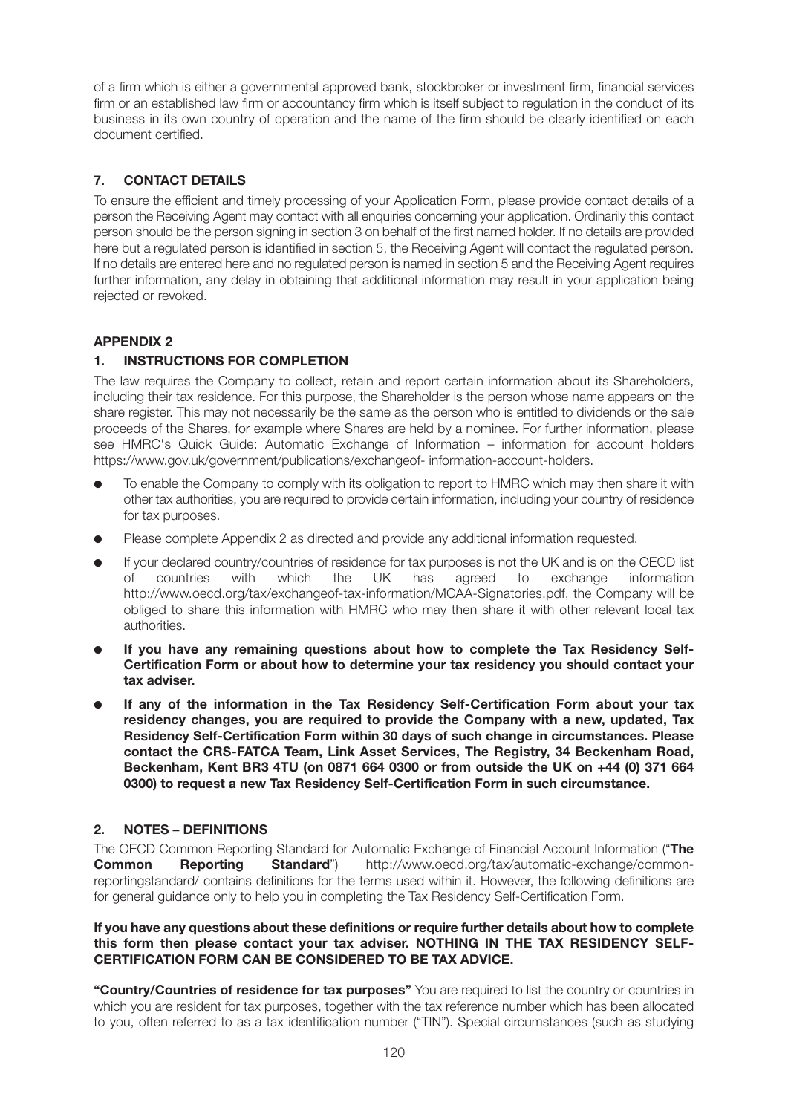of a firm which is either a governmental approved bank, stockbroker or investment firm, financial services firm or an established law firm or accountancy firm which is itself subject to regulation in the conduct of its business in its own country of operation and the name of the firm should be clearly identified on each document certified.

# **7. CONTACT DETAILS**

To ensure the efficient and timely processing of your Application Form, please provide contact details of a person the Receiving Agent may contact with all enquiries concerning your application. Ordinarily this contact person should be the person signing in section 3 on behalf of the first named holder. If no details are provided here but a regulated person is identified in section 5, the Receiving Agent will contact the regulated person. If no details are entered here and no regulated person is named in section 5 and the Receiving Agent requires further information, any delay in obtaining that additional information may result in your application being rejected or revoked.

# **APPENDIX 2**

# **1. INSTRUCTIONS FOR COMPLETION**

The law requires the Company to collect, retain and report certain information about its Shareholders, including their tax residence. For this purpose, the Shareholder is the person whose name appears on the share register. This may not necessarily be the same as the person who is entitled to dividends or the sale proceeds of the Shares, for example where Shares are held by a nominee. For further information, please see HMRC's Quick Guide: Automatic Exchange of Information – information for account holders https://www.gov.uk/government/publications/exchangeof- information-account-holders.

- To enable the Company to comply with its obligation to report to HMRC which may then share it with other tax authorities, you are required to provide certain information, including your country of residence for tax purposes.
- Please complete Appendix 2 as directed and provide any additional information requested.
- **If your declared country/countries of residence for tax purposes is not the UK and is on the OECD list** of countries with which the UK has agreed to exchange information http://www.oecd.org/tax/exchangeof-tax-information/MCAA-Signatories.pdf, the Company will be obliged to share this information with HMRC who may then share it with other relevant local tax authorities.
- If you have any remaining questions about how to complete the Tax Residency Self-**Certification Form or about how to determine your tax residency you should contact your tax adviser.**
- If any of the information in the Tax Residency Self-Certification Form about your tax **residency changes, you are required to provide the Company with a new, updated, Tax Residency Self-Certification Form within 30 days of such change in circumstances. Please contact the CRS-FATCA Team, Link Asset Services, The Registry, 34 Beckenham Road, Beckenham, Kent BR3 4TU (on 0871 664 0300 or from outside the UK on +44 (0) 371 664 0300) to request a new Tax Residency Self-Certification Form in such circumstance.**

# **2. NOTES – DEFINITIONS**

The OECD Common Reporting Standard for Automatic Exchange of Financial Account Information ("**The Common Reporting Standard**") http://www.oecd.org/tax/automatic-exchange/commonreportingstandard/ contains definitions for the terms used within it. However, the following definitions are for general guidance only to help you in completing the Tax Residency Self-Certification Form.

#### **If you have any questions about these definitions or require further details about how to complete this form then please contact your tax adviser. NOTHING IN THE TAX RESIDENCY SELF-CERTIFICATION FORM CAN BE CONSIDERED TO BE TAX ADVICE.**

**"Country/Countries of residence for tax purposes"** You are required to list the country or countries in which you are resident for tax purposes, together with the tax reference number which has been allocated to you, often referred to as a tax identification number ("TIN"). Special circumstances (such as studying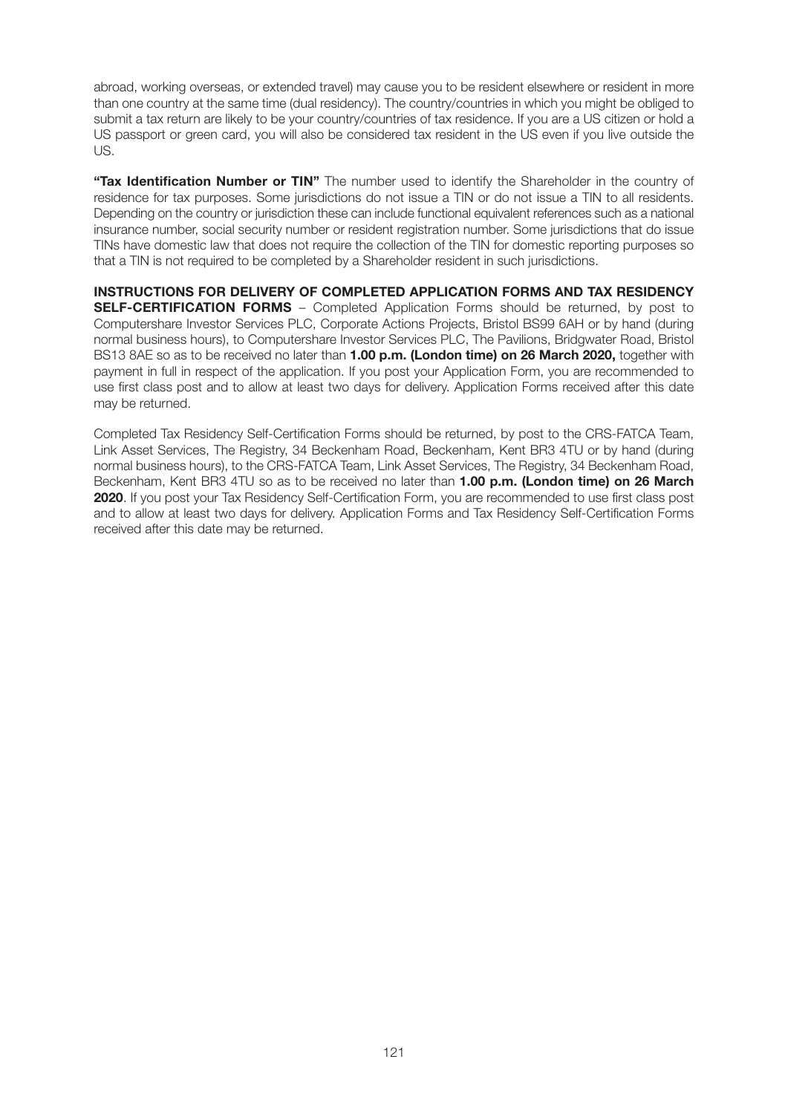abroad, working overseas, or extended travel) may cause you to be resident elsewhere or resident in more than one country at the same time (dual residency). The country/countries in which you might be obliged to submit a tax return are likely to be your country/countries of tax residence. If you are a US citizen or hold a US passport or green card, you will also be considered tax resident in the US even if you live outside the US.

**"Tax Identification Number or TIN"** The number used to identify the Shareholder in the country of residence for tax purposes. Some jurisdictions do not issue a TIN or do not issue a TIN to all residents. Depending on the country or jurisdiction these can include functional equivalent references such as a national insurance number, social security number or resident registration number. Some jurisdictions that do issue TINs have domestic law that does not require the collection of the TIN for domestic reporting purposes so that a TIN is not required to be completed by a Shareholder resident in such jurisdictions.

**INSTRUCTIONS FOR DELIVERY OF COMPLETED APPLICATION FORMS AND TAX RESIDENCY SELF-CERTIFICATION FORMS** – Completed Application Forms should be returned, by post to Computershare Investor Services PLC, Corporate Actions Projects, Bristol BS99 6AH or by hand (during normal business hours), to Computershare Investor Services PLC, The Pavilions, Bridgwater Road, Bristol BS13 8AE so as to be received no later than **1.00 p.m. (London time) on 26 March 2020,** together with payment in full in respect of the application. If you post your Application Form, you are recommended to use first class post and to allow at least two days for delivery. Application Forms received after this date may be returned.

Completed Tax Residency Self-Certification Forms should be returned, by post to the CRS-FATCA Team, Link Asset Services, The Registry, 34 Beckenham Road, Beckenham, Kent BR3 4TU or by hand (during normal business hours), to the CRS-FATCA Team, Link Asset Services, The Registry, 34 Beckenham Road, Beckenham, Kent BR3 4TU so as to be received no later than **1.00 p.m. (London time) on 26 March 2020**. If you post your Tax Residency Self-Certification Form, you are recommended to use first class post and to allow at least two days for delivery. Application Forms and Tax Residency Self-Certification Forms received after this date may be returned.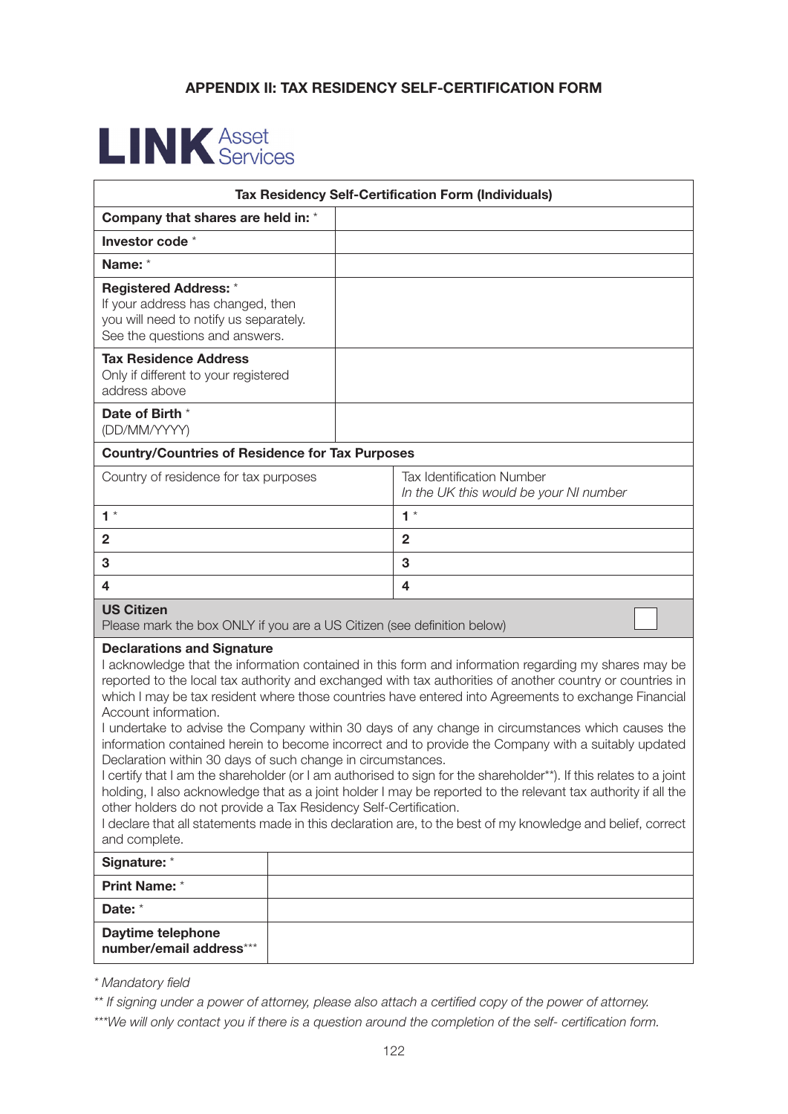# **APPENDIX II: TAX RESIDENCY SELF-CERTIFICATION FORM**

# **LINK** Asset

| <b>Tax Residency Self-Certification Form (Individuals)</b>                                                                                                                                                    |                                                                                                                                                                                                                                                                                                                                                                                                                                                                                                                                                                                                                                                                                                                                                                                                                                                                                            |  |
|---------------------------------------------------------------------------------------------------------------------------------------------------------------------------------------------------------------|--------------------------------------------------------------------------------------------------------------------------------------------------------------------------------------------------------------------------------------------------------------------------------------------------------------------------------------------------------------------------------------------------------------------------------------------------------------------------------------------------------------------------------------------------------------------------------------------------------------------------------------------------------------------------------------------------------------------------------------------------------------------------------------------------------------------------------------------------------------------------------------------|--|
| Company that shares are held in: *                                                                                                                                                                            |                                                                                                                                                                                                                                                                                                                                                                                                                                                                                                                                                                                                                                                                                                                                                                                                                                                                                            |  |
| Investor code *                                                                                                                                                                                               |                                                                                                                                                                                                                                                                                                                                                                                                                                                                                                                                                                                                                                                                                                                                                                                                                                                                                            |  |
| Name: *                                                                                                                                                                                                       |                                                                                                                                                                                                                                                                                                                                                                                                                                                                                                                                                                                                                                                                                                                                                                                                                                                                                            |  |
| <b>Registered Address: *</b><br>If your address has changed, then<br>you will need to notify us separately.<br>See the questions and answers.                                                                 |                                                                                                                                                                                                                                                                                                                                                                                                                                                                                                                                                                                                                                                                                                                                                                                                                                                                                            |  |
| <b>Tax Residence Address</b><br>Only if different to your registered<br>address above                                                                                                                         |                                                                                                                                                                                                                                                                                                                                                                                                                                                                                                                                                                                                                                                                                                                                                                                                                                                                                            |  |
| Date of Birth *<br>(DD/MM/YYYY)                                                                                                                                                                               |                                                                                                                                                                                                                                                                                                                                                                                                                                                                                                                                                                                                                                                                                                                                                                                                                                                                                            |  |
| <b>Country/Countries of Residence for Tax Purposes</b>                                                                                                                                                        |                                                                                                                                                                                                                                                                                                                                                                                                                                                                                                                                                                                                                                                                                                                                                                                                                                                                                            |  |
| Country of residence for tax purposes                                                                                                                                                                         | <b>Tax Identification Number</b><br>In the UK this would be your NI number                                                                                                                                                                                                                                                                                                                                                                                                                                                                                                                                                                                                                                                                                                                                                                                                                 |  |
| $1 *$                                                                                                                                                                                                         | $1 *$                                                                                                                                                                                                                                                                                                                                                                                                                                                                                                                                                                                                                                                                                                                                                                                                                                                                                      |  |
| $\mathbf{2}$                                                                                                                                                                                                  | $\mathbf{2}$                                                                                                                                                                                                                                                                                                                                                                                                                                                                                                                                                                                                                                                                                                                                                                                                                                                                               |  |
| 3                                                                                                                                                                                                             | 3                                                                                                                                                                                                                                                                                                                                                                                                                                                                                                                                                                                                                                                                                                                                                                                                                                                                                          |  |
| 4                                                                                                                                                                                                             | 4                                                                                                                                                                                                                                                                                                                                                                                                                                                                                                                                                                                                                                                                                                                                                                                                                                                                                          |  |
| <b>US Citizen</b><br>Please mark the box ONLY if you are a US Citizen (see definition below)                                                                                                                  |                                                                                                                                                                                                                                                                                                                                                                                                                                                                                                                                                                                                                                                                                                                                                                                                                                                                                            |  |
| <b>Declarations and Signature</b><br>Account information.<br>Declaration within 30 days of such change in circumstances.<br>other holders do not provide a Tax Residency Self-Certification.<br>and complete. | I acknowledge that the information contained in this form and information regarding my shares may be<br>reported to the local tax authority and exchanged with tax authorities of another country or countries in<br>which I may be tax resident where those countries have entered into Agreements to exchange Financial<br>I undertake to advise the Company within 30 days of any change in circumstances which causes the<br>information contained herein to become incorrect and to provide the Company with a suitably updated<br>I certify that I am the shareholder (or I am authorised to sign for the shareholder**). If this relates to a joint<br>holding, I also acknowledge that as a joint holder I may be reported to the relevant tax authority if all the<br>I declare that all statements made in this declaration are, to the best of my knowledge and belief, correct |  |
| Signature: *                                                                                                                                                                                                  |                                                                                                                                                                                                                                                                                                                                                                                                                                                                                                                                                                                                                                                                                                                                                                                                                                                                                            |  |
| Print Name: *                                                                                                                                                                                                 |                                                                                                                                                                                                                                                                                                                                                                                                                                                                                                                                                                                                                                                                                                                                                                                                                                                                                            |  |
| Date: *                                                                                                                                                                                                       |                                                                                                                                                                                                                                                                                                                                                                                                                                                                                                                                                                                                                                                                                                                                                                                                                                                                                            |  |
| Daytime telephone<br>number/email address***                                                                                                                                                                  |                                                                                                                                                                                                                                                                                                                                                                                                                                                                                                                                                                                                                                                                                                                                                                                                                                                                                            |  |

*\* Mandatory field* 

*\*\* If signing under a power of attorney, please also attach a certified copy of the power of attorney.* 

*\*\*\*We will only contact you if there is a question around the completion of the self- certification form.*